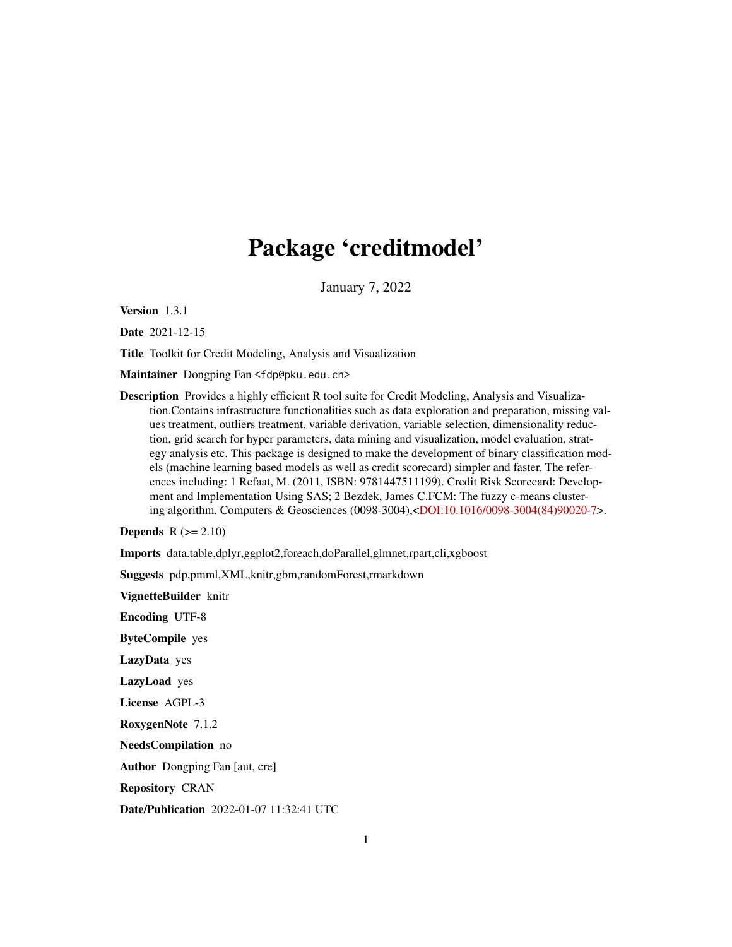# Package 'creditmodel'

January 7, 2022

Version 1.3.1

Date 2021-12-15

Title Toolkit for Credit Modeling, Analysis and Visualization

Maintainer Dongping Fan <fdp@pku.edu.cn>

Description Provides a highly efficient R tool suite for Credit Modeling, Analysis and Visualization.Contains infrastructure functionalities such as data exploration and preparation, missing values treatment, outliers treatment, variable derivation, variable selection, dimensionality reduction, grid search for hyper parameters, data mining and visualization, model evaluation, strategy analysis etc. This package is designed to make the development of binary classification models (machine learning based models as well as credit scorecard) simpler and faster. The references including: 1 Refaat, M. (2011, ISBN: 9781447511199). Credit Risk Scorecard: Development and Implementation Using SAS; 2 Bezdek, James C.FCM: The fuzzy c-means clustering algorithm. Computers & Geosciences (0098-3004),[<DOI:10.1016/0098-3004\(84\)90020-7>](https://doi.org/10.1016/0098-3004(84)90020-7).

Depends  $R (= 2.10)$ 

Imports data.table,dplyr,ggplot2,foreach,doParallel,glmnet,rpart,cli,xgboost

Suggests pdp,pmml,XML,knitr,gbm,randomForest,rmarkdown

VignetteBuilder knitr

Encoding UTF-8

ByteCompile yes

LazyData yes

LazyLoad yes

License AGPL-3

RoxygenNote 7.1.2

NeedsCompilation no

Author Dongping Fan [aut, cre]

Repository CRAN

Date/Publication 2022-01-07 11:32:41 UTC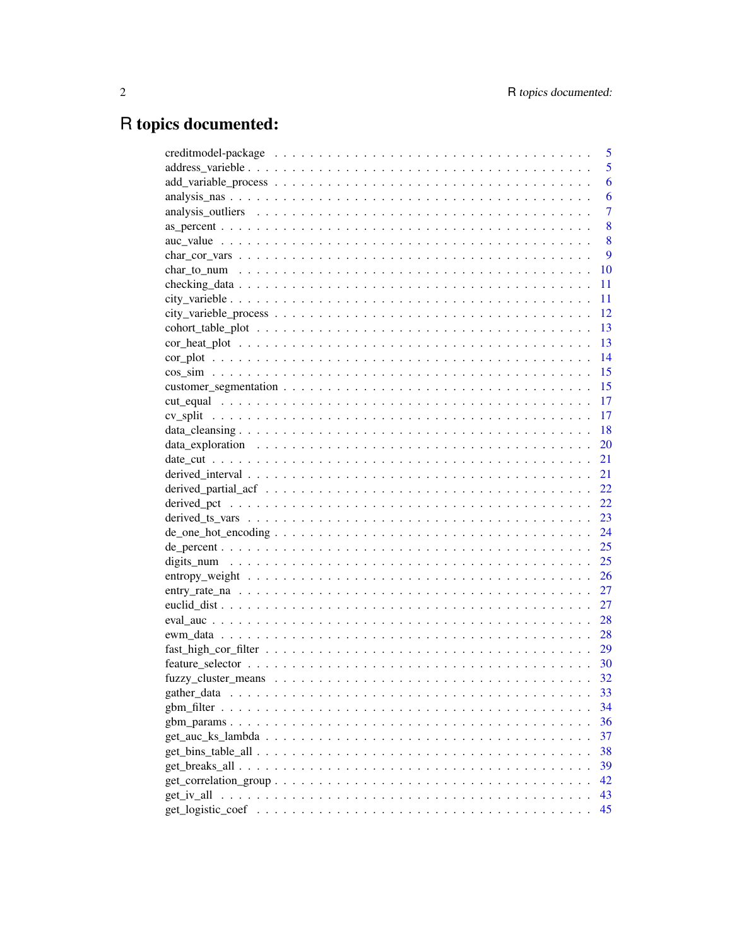# R topics documented:

|                                                                                                                       | 5              |
|-----------------------------------------------------------------------------------------------------------------------|----------------|
|                                                                                                                       | 5              |
|                                                                                                                       | 6              |
|                                                                                                                       | 6              |
|                                                                                                                       | $\overline{7}$ |
|                                                                                                                       | 8              |
|                                                                                                                       | 8              |
|                                                                                                                       | 9              |
|                                                                                                                       | 10             |
|                                                                                                                       | 11             |
|                                                                                                                       | 11             |
|                                                                                                                       | 12             |
|                                                                                                                       | 13             |
|                                                                                                                       | 13             |
|                                                                                                                       | 14             |
|                                                                                                                       | -15            |
|                                                                                                                       | <sup>15</sup>  |
|                                                                                                                       | 17             |
|                                                                                                                       | -17            |
|                                                                                                                       | -18            |
|                                                                                                                       |                |
|                                                                                                                       |                |
|                                                                                                                       | 21             |
|                                                                                                                       | 22             |
|                                                                                                                       |                |
|                                                                                                                       | 23             |
| $de\_one\_hot\_encoding \dots \dots \dots \dots \dots \dots \dots \dots \dots \dots \dots \dots \dots \dots$          | 24             |
|                                                                                                                       | 25             |
|                                                                                                                       |                |
|                                                                                                                       | 26             |
|                                                                                                                       | 27             |
|                                                                                                                       | 27             |
|                                                                                                                       | 28             |
|                                                                                                                       | 28             |
|                                                                                                                       |                |
|                                                                                                                       | - 30           |
|                                                                                                                       |                |
|                                                                                                                       | 33             |
|                                                                                                                       | 34             |
|                                                                                                                       | 36             |
|                                                                                                                       | 37             |
|                                                                                                                       | 38             |
|                                                                                                                       | 39             |
| $get\_correlation\_group \dots \dots \dots \dots \dots \dots \dots \dots \dots \dots \dots \dots \dots \dots$         | 42             |
| get_iv_all<br>a de la caractería de la caractería de la caractería de la caractería de la caractería de la caractería | 43             |
|                                                                                                                       | 45             |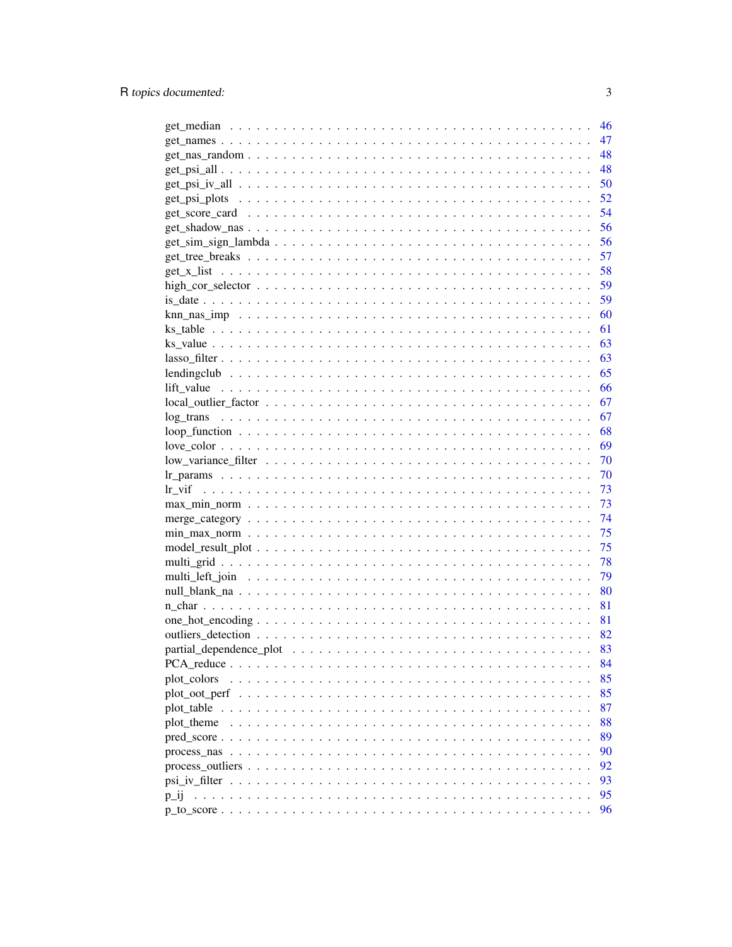|                     | 46  |
|---------------------|-----|
|                     | 47  |
|                     | 48  |
|                     | 48  |
|                     | 50  |
|                     | 52  |
|                     | 54  |
|                     | 56  |
|                     | 56  |
|                     | 57  |
|                     | 58  |
|                     | 59  |
|                     | 59  |
|                     | 60  |
|                     | 61  |
|                     | 63  |
|                     | 63  |
|                     | 65  |
|                     | 66  |
|                     | 67  |
|                     | 67  |
|                     | 68  |
|                     | 69  |
|                     | 70  |
|                     | 70  |
|                     | 73  |
|                     | 73  |
|                     | 74  |
|                     | 75  |
|                     | 75  |
|                     | 78  |
|                     | 79  |
|                     | 80  |
|                     | 81  |
|                     | 81  |
|                     | -82 |
|                     | 83  |
|                     | 84  |
| plot_colors         | 85  |
|                     | 85  |
| plot table $\ldots$ | 87  |
| plot_theme          | 88  |
|                     | 89  |
|                     | 90  |
|                     |     |
|                     | 92  |
|                     | 93  |
| $p_1$               | 95  |
|                     | 96  |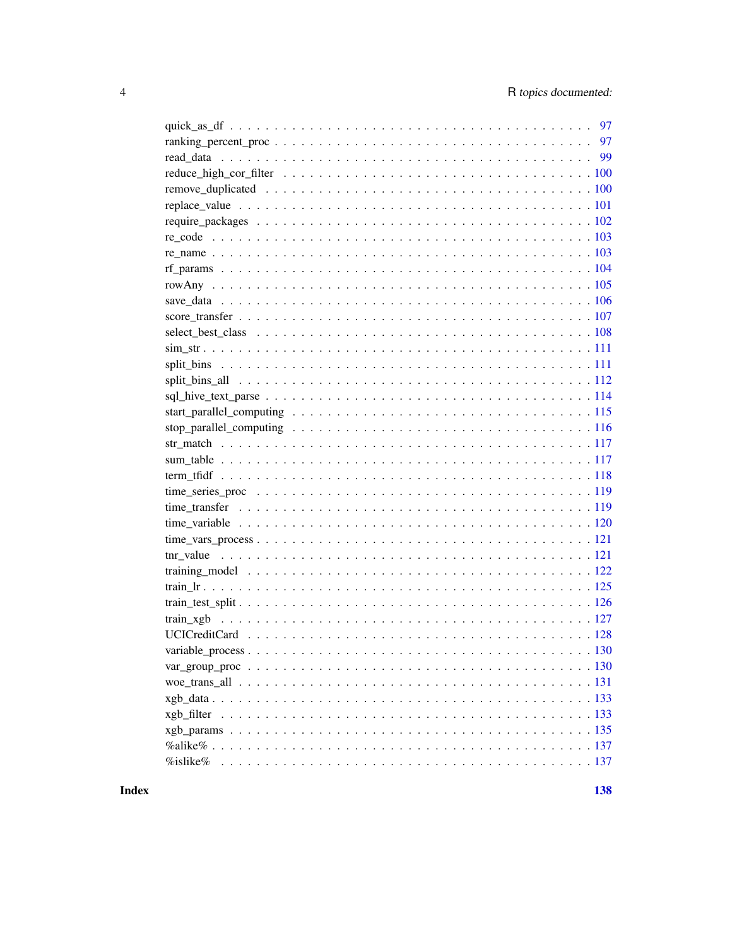| $\%$ islike $\%$ |
|------------------|

**Index**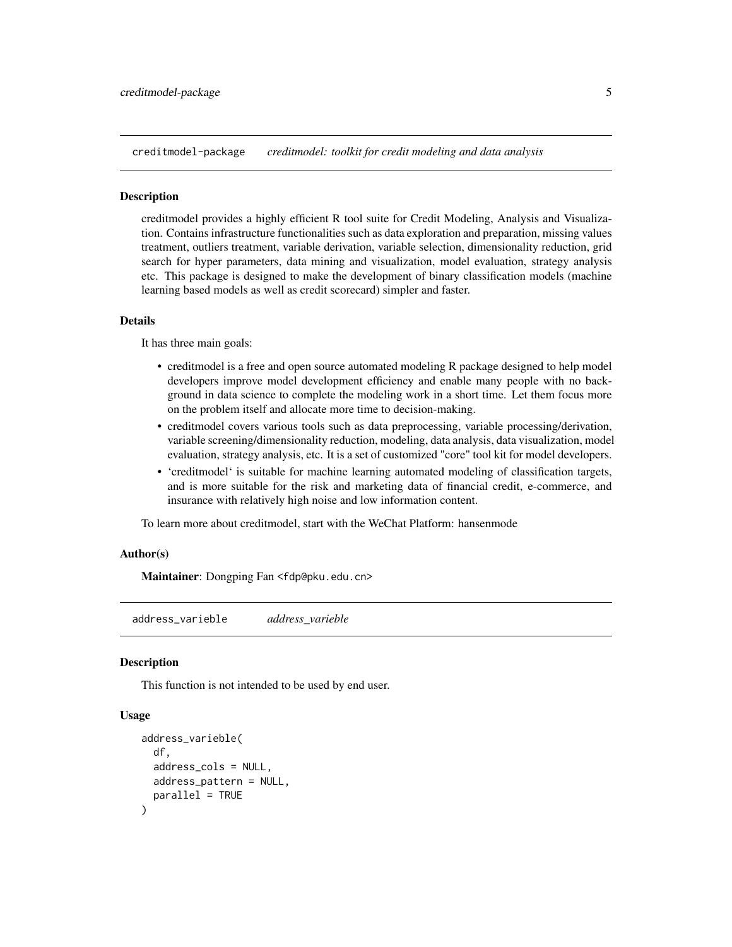<span id="page-4-0"></span>creditmodel-package *creditmodel: toolkit for credit modeling and data analysis*

#### **Description**

creditmodel provides a highly efficient R tool suite for Credit Modeling, Analysis and Visualization. Contains infrastructure functionalities such as data exploration and preparation, missing values treatment, outliers treatment, variable derivation, variable selection, dimensionality reduction, grid search for hyper parameters, data mining and visualization, model evaluation, strategy analysis etc. This package is designed to make the development of binary classification models (machine learning based models as well as credit scorecard) simpler and faster.

#### Details

It has three main goals:

- creditmodel is a free and open source automated modeling R package designed to help model developers improve model development efficiency and enable many people with no background in data science to complete the modeling work in a short time. Let them focus more on the problem itself and allocate more time to decision-making.
- creditmodel covers various tools such as data preprocessing, variable processing/derivation, variable screening/dimensionality reduction, modeling, data analysis, data visualization, model evaluation, strategy analysis, etc. It is a set of customized "core" tool kit for model developers.
- 'creditmodel' is suitable for machine learning automated modeling of classification targets, and is more suitable for the risk and marketing data of financial credit, e-commerce, and insurance with relatively high noise and low information content.

To learn more about creditmodel, start with the WeChat Platform: hansenmode

#### Author(s)

Maintainer: Dongping Fan <fdp@pku.edu.cn>

address\_varieble *address\_varieble*

#### Description

This function is not intended to be used by end user.

#### Usage

```
address_varieble(
  df,
  address_cols = NULL,
 address_pattern = NULL,
 parallel = TRUE
)
```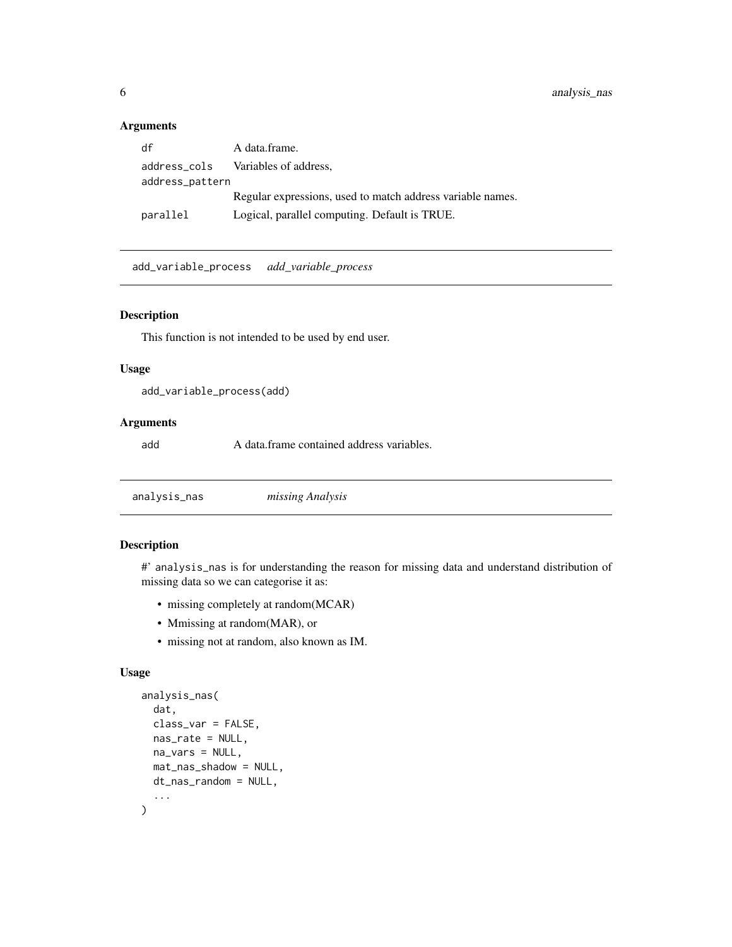#### <span id="page-5-0"></span>Arguments

| df              | A data.frame.                                              |
|-----------------|------------------------------------------------------------|
|                 | address_cols Variables of address,                         |
| address_pattern |                                                            |
|                 | Regular expressions, used to match address variable names. |
| parallel        | Logical, parallel computing. Default is TRUE.              |

add\_variable\_process *add\_variable\_process*

#### Description

This function is not intended to be used by end user.

# Usage

```
add_variable_process(add)
```
#### Arguments

add A data.frame contained address variables.

analysis\_nas *missing Analysis*

# Description

#' analysis\_nas is for understanding the reason for missing data and understand distribution of missing data so we can categorise it as:

- missing completely at random(MCAR)
- Mmissing at random(MAR), or
- missing not at random, also known as IM.

#### Usage

```
analysis_nas(
  dat,
  class_var = FALSE,
  nas_rate = NULL,
  na_vars = NULL,
  mat_nas_shadow = NULL,
  dt_nas_random = NULL,
  ...
\mathcal{E}
```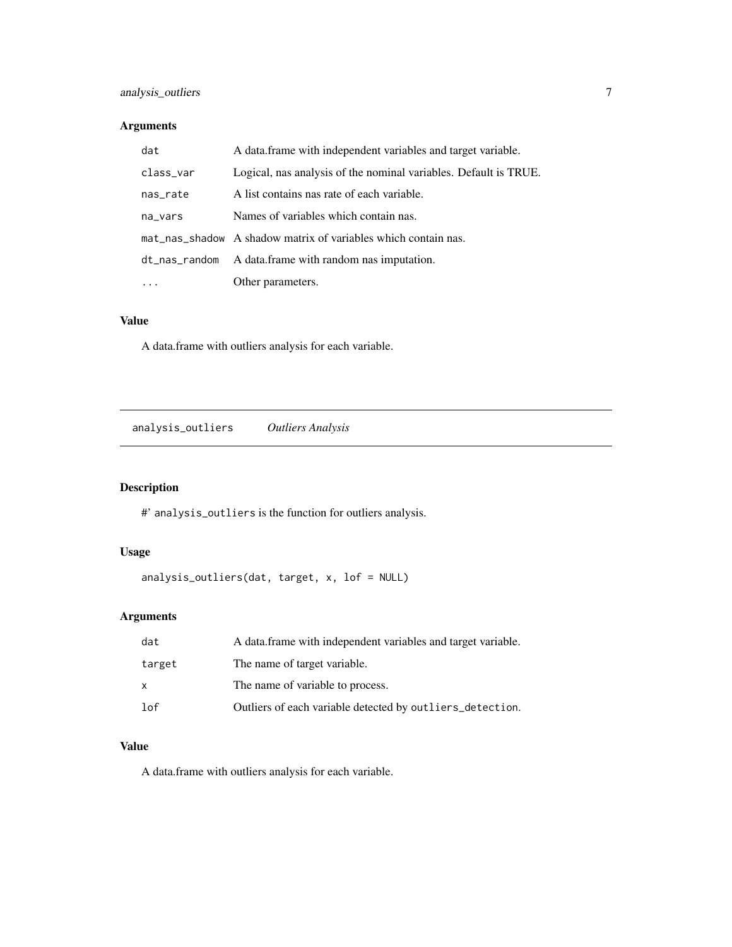# <span id="page-6-0"></span>Arguments

| dat       | A data frame with independent variables and target variable.     |
|-----------|------------------------------------------------------------------|
| class_var | Logical, nas analysis of the nominal variables. Default is TRUE. |
| nas_rate  | A list contains nas rate of each variable.                       |
| na_vars   | Names of variables which contain nas.                            |
|           | mat_nas_shadow A shadow matrix of variables which contain nas.   |
|           | dt_nas_random A data.frame with random nas imputation.           |
|           | Other parameters.                                                |

#### Value

A data.frame with outliers analysis for each variable.

analysis\_outliers *Outliers Analysis*

# Description

#' analysis\_outliers is the function for outliers analysis.

# Usage

```
analysis_outliers(dat, target, x, lof = NULL)
```
# Arguments

| dat    | A data frame with independent variables and target variable. |
|--------|--------------------------------------------------------------|
| target | The name of target variable.                                 |
| x      | The name of variable to process.                             |
| 1 of   | Outliers of each variable detected by outliers_detection.    |

# Value

A data.frame with outliers analysis for each variable.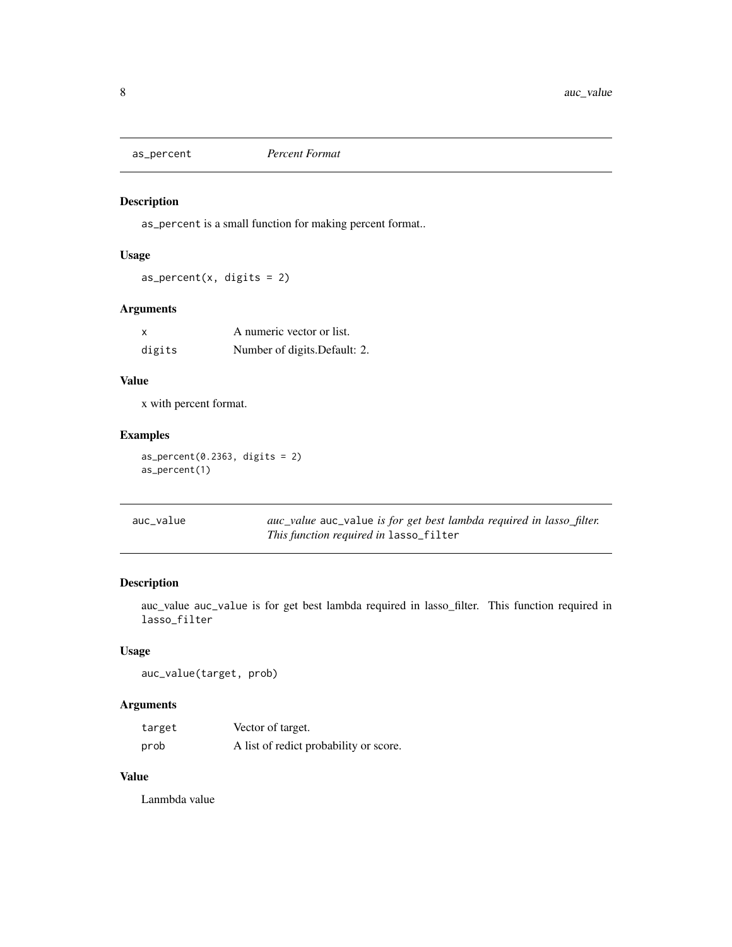<span id="page-7-0"></span>

as\_percent is a small function for making percent format..

# Usage

 $as\_percent(x, digits = 2)$ 

# Arguments

|        | A numeric vector or list.     |
|--------|-------------------------------|
| digits | Number of digits. Default: 2. |

# Value

x with percent format.

#### Examples

 $as_p$ ercent(0.2363, digits = 2) as\_percent(1)

| auc_value | auc_value auc_value is for get best lambda required in lasso_filter. |
|-----------|----------------------------------------------------------------------|
|           | This function required in lasso_filter                               |

#### Description

auc\_value auc\_value is for get best lambda required in lasso\_filter. This function required in lasso\_filter

# Usage

auc\_value(target, prob)

# Arguments

| target | Vector of target.                      |
|--------|----------------------------------------|
| prob   | A list of redict probability or score. |

# Value

Lanmbda value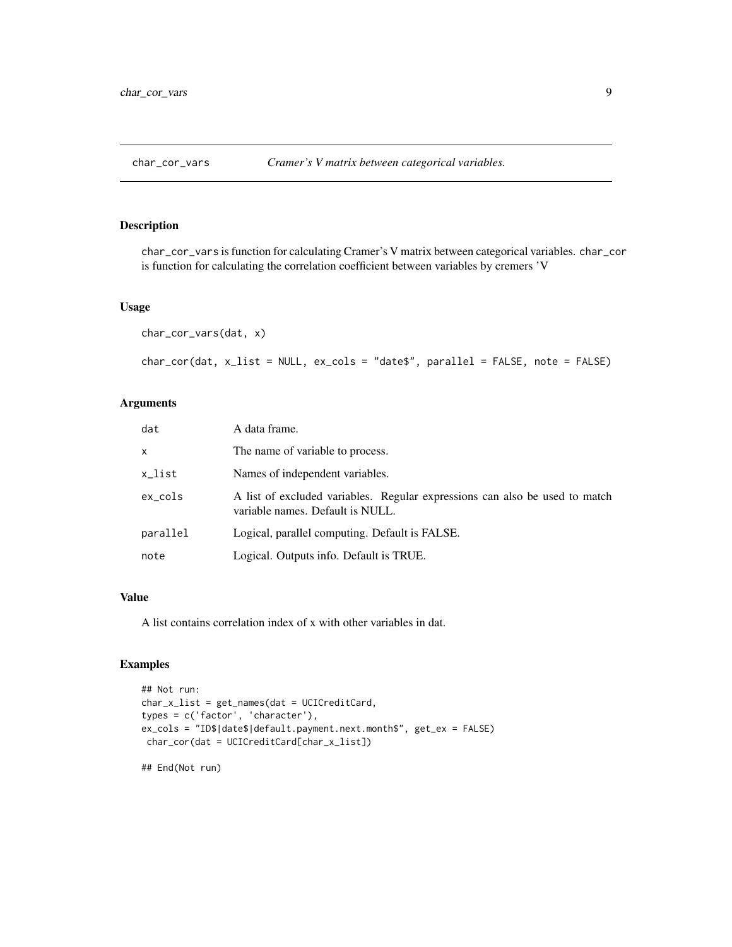<span id="page-8-1"></span><span id="page-8-0"></span>

char\_cor\_vars is function for calculating Cramer's V matrix between categorical variables. char\_cor is function for calculating the correlation coefficient between variables by cremers 'V

#### Usage

```
char_cor_vars(dat, x)
char_cor(dat, x_list = NULL, ex_cols = "date$", parallel = FALSE, note = FALSE)
```
#### Arguments

| dat      | A data frame.                                                                                                   |
|----------|-----------------------------------------------------------------------------------------------------------------|
| X        | The name of variable to process.                                                                                |
| x_list   | Names of independent variables.                                                                                 |
| ex_cols  | A list of excluded variables. Regular expressions can also be used to match<br>variable names. Default is NULL. |
| parallel | Logical, parallel computing. Default is FALSE.                                                                  |
| note     | Logical. Outputs info. Default is TRUE.                                                                         |

# Value

A list contains correlation index of x with other variables in dat.

# Examples

```
## Not run:
char_x_list = get_names(dat = UCICreditCard,
types = c('factor', 'character'),
ex_cols = "ID$|date$|default.payment.next.month$", get_ex = FALSE)
char_cor(dat = UCICreditCard[char_x_list])
```
## End(Not run)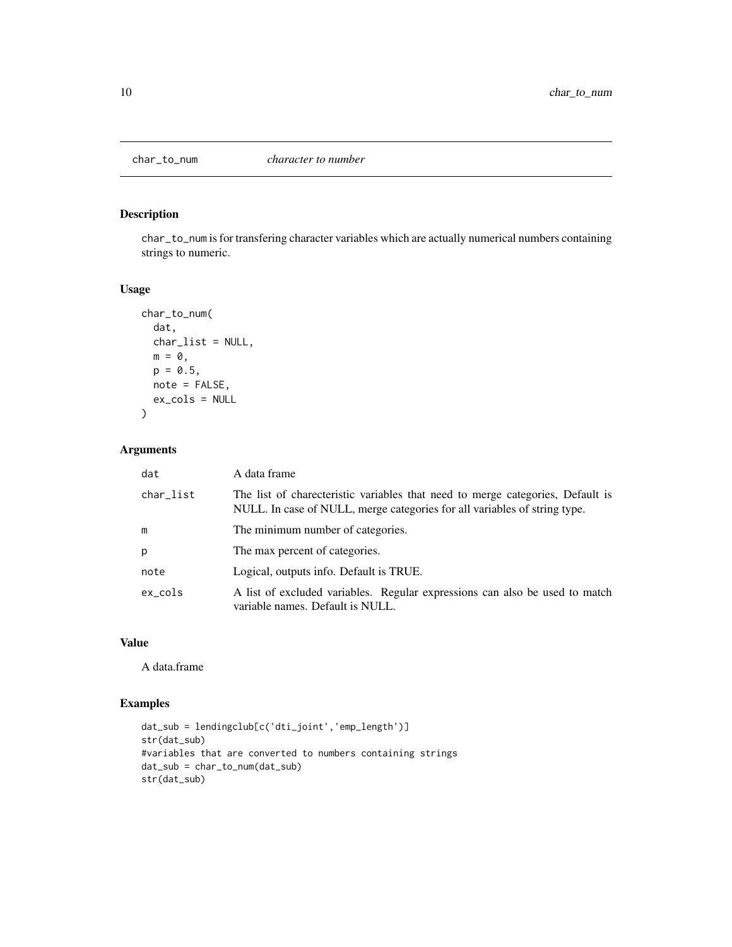<span id="page-9-0"></span>

char\_to\_num is for transfering character variables which are actually numerical numbers containing strings to numeric.

# Usage

```
char_to_num(
  dat,
  char_list = NULL,
  m = 0,p = 0.5,
  note = FALSE,
  ex_cols = NULL
)
```
#### Arguments

| dat       | A data frame                                                                                                                                                |
|-----------|-------------------------------------------------------------------------------------------------------------------------------------------------------------|
| char_list | The list of charecteristic variables that need to merge categories, Default is<br>NULL. In case of NULL, merge categories for all variables of string type. |
| m         | The minimum number of categories.                                                                                                                           |
| p         | The max percent of categories.                                                                                                                              |
| note      | Logical, outputs info. Default is TRUE.                                                                                                                     |
| ex_cols   | A list of excluded variables. Regular expressions can also be used to match<br>variable names. Default is NULL.                                             |

# Value

A data.frame

# Examples

```
dat_sub = lendingclub[c('dti_joint','emp_length')]
str(dat_sub)
#variables that are converted to numbers containing strings
dat_sub = char_to_num(dat_sub)
str(dat_sub)
```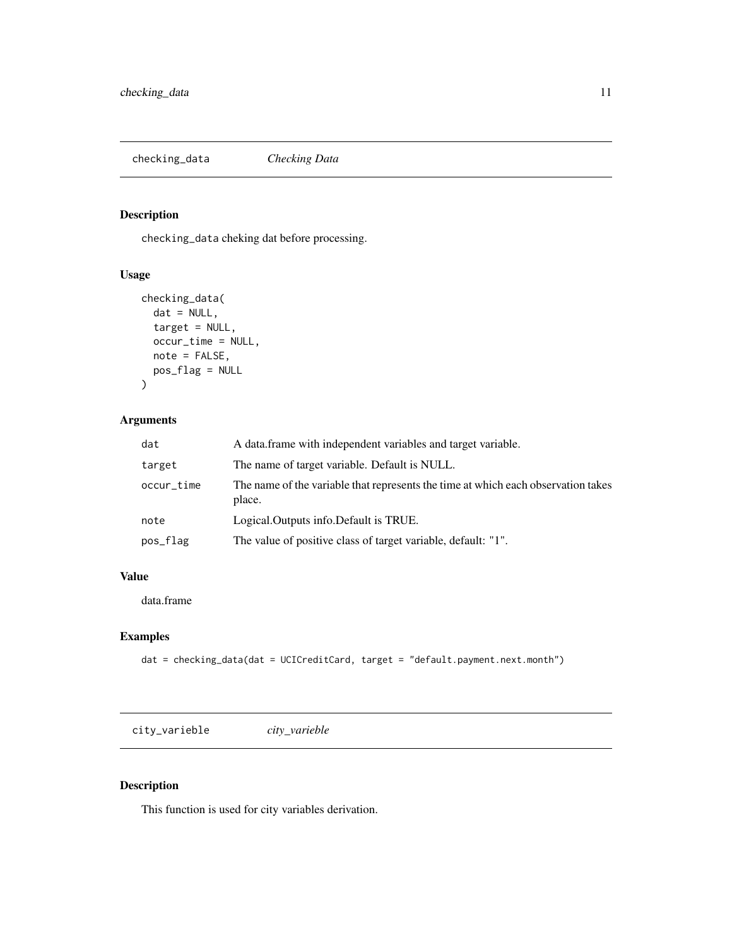<span id="page-10-0"></span>checking\_data *Checking Data*

# Description

checking\_data cheking dat before processing.

#### Usage

```
checking_data(
 dat = NULL,target = NULL,
 occur_time = NULL,
 note = FALSE,
 pos_flag = NULL
)
```
# Arguments

| dat        | A data frame with independent variables and target variable.                                |
|------------|---------------------------------------------------------------------------------------------|
| target     | The name of target variable. Default is NULL.                                               |
| occur_time | The name of the variable that represents the time at which each observation takes<br>place. |
| note       | Logical.Outputs info.Default is TRUE.                                                       |
| pos_flag   | The value of positive class of target variable, default: "1".                               |

# Value

data.frame

# Examples

```
dat = checking_data(dat = UCICreditCard, target = "default.payment.next.month")
```
city\_varieble *city\_varieble*

# Description

This function is used for city variables derivation.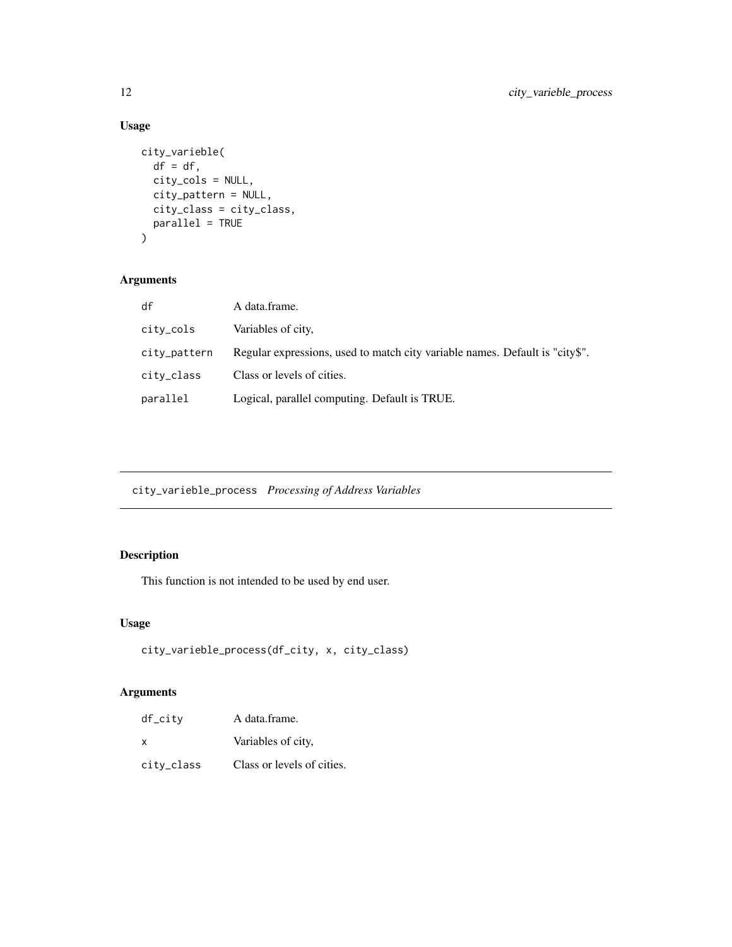# Usage

```
city_varieble(
  df = df,
  city_cols = NULL,
  city_pattern = NULL,
  city_class = city_class,
  parallel = TRUE
)
```
# Arguments

| df           | A data.frame.                                                                |
|--------------|------------------------------------------------------------------------------|
| city_cols    | Variables of city,                                                           |
| city_pattern | Regular expressions, used to match city variable names. Default is "city\$". |
| citv_class   | Class or levels of cities.                                                   |
| parallel     | Logical, parallel computing. Default is TRUE.                                |

city\_varieble\_process *Processing of Address Variables*

# Description

This function is not intended to be used by end user.

# Usage

```
city_varieble_process(df_city, x, city_class)
```

| df_citv    | A data.frame.              |
|------------|----------------------------|
| x          | Variables of city,         |
| citv_class | Class or levels of cities. |

<span id="page-11-0"></span>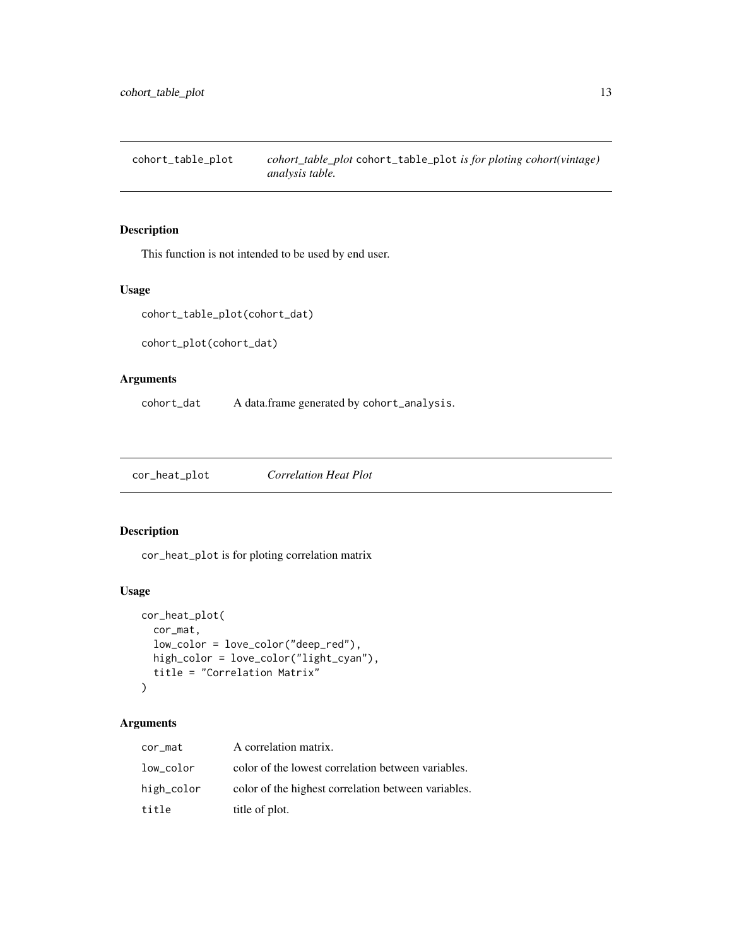<span id="page-12-0"></span>cohort\_table\_plot *cohort\_table\_plot* cohort\_table\_plot *is for ploting cohort(vintage) analysis table.*

# Description

This function is not intended to be used by end user.

#### Usage

```
cohort_table_plot(cohort_dat)
```
cohort\_plot(cohort\_dat)

#### Arguments

cohort\_dat A data.frame generated by cohort\_analysis.

cor\_heat\_plot *Correlation Heat Plot*

# Description

cor\_heat\_plot is for ploting correlation matrix

# Usage

```
cor_heat_plot(
  cor_mat,
  low_color = love_color("deep_red"),
 high_color = love_color("light_cyan"),
  title = "Correlation Matrix"
\mathcal{E}
```

| cor_mat    | A correlation matrix.                               |
|------------|-----------------------------------------------------|
| low_color  | color of the lowest correlation between variables.  |
| high_color | color of the highest correlation between variables. |
| title      | title of plot.                                      |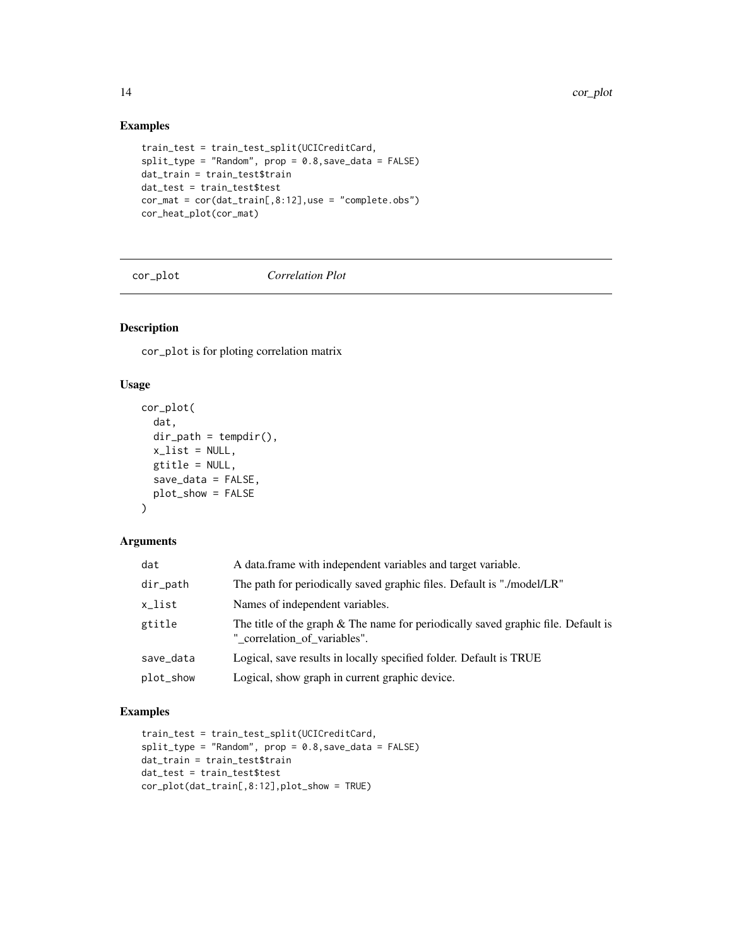# Examples

```
train_test = train_test_split(UCICreditCard,
split_type = "Random", prop = 0.8, save_data = FALSE)dat_train = train_test$train
dat_test = train_test$test
cor_mat = cor(dat_train[,8:12],use = "complete.obs")
cor_heat_plot(cor_mat)
```
cor\_plot *Correlation Plot*

# Description

cor\_plot is for ploting correlation matrix

#### Usage

```
cor_plot(
  dat,
  dir\_path = tempdir(),x<sup>list = NULL</sup>,
  gtitle = NULL,
  save_data = FALSE,
  plot_show = FALSE
\mathcal{L}
```
#### Arguments

| dat       | A data frame with independent variables and target variable.                                                      |
|-----------|-------------------------------------------------------------------------------------------------------------------|
| dir_path  | The path for periodically saved graphic files. Default is "./model/LR"                                            |
| x_list    | Names of independent variables.                                                                                   |
| gtitle    | The title of the graph & The name for periodically saved graphic file. Default is<br>" correlation of variables". |
| save_data | Logical, save results in locally specified folder. Default is TRUE                                                |
| plot_show | Logical, show graph in current graphic device.                                                                    |

#### Examples

```
train_test = train_test_split(UCICreditCard,
split_type = "Random", prop = 0.8,save_data = FALSE)
dat_train = train_test$train
dat_test = train_test$test
cor_plot(dat_train[,8:12],plot_show = TRUE)
```
<span id="page-13-0"></span>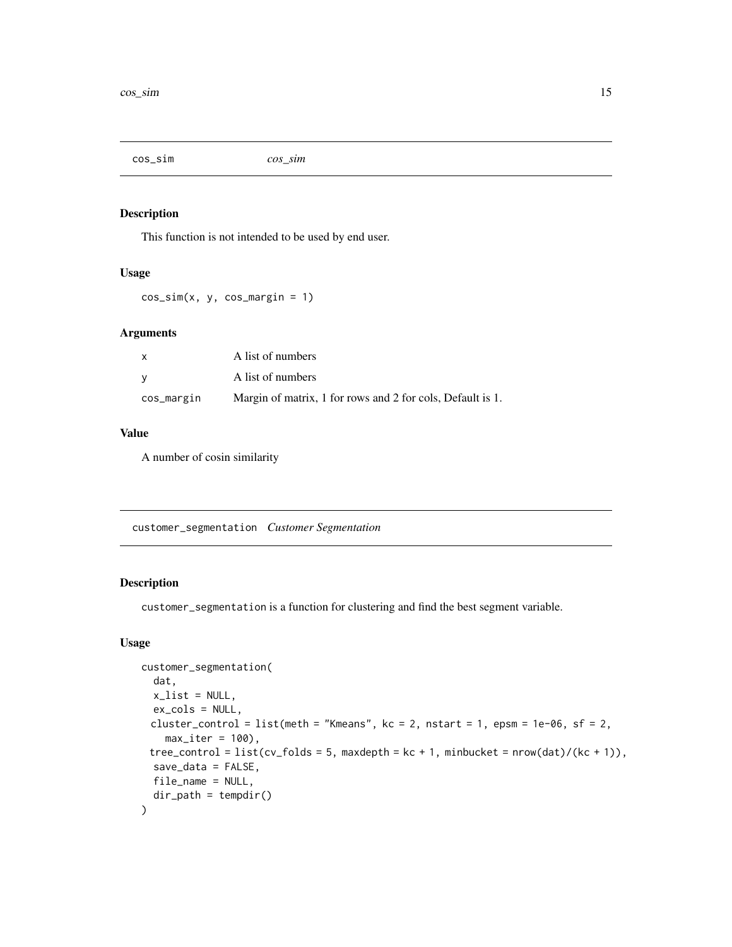<span id="page-14-0"></span>cos\_sim *cos\_sim*

#### Description

This function is not intended to be used by end user.

#### Usage

 $cos_sim(x, y, cos_margin = 1)$ 

# Arguments

| $\mathsf{x}$ | A list of numbers                                          |
|--------------|------------------------------------------------------------|
| <b>V</b>     | A list of numbers                                          |
| cos_margin   | Margin of matrix, 1 for rows and 2 for cols, Default is 1. |

# Value

A number of cosin similarity

customer\_segmentation *Customer Segmentation*

#### Description

customer\_segmentation is a function for clustering and find the best segment variable.

#### Usage

```
customer_segmentation(
  dat,
 x<sup>list = NULL</sup>,
 ex_cols = NULL,
 cluster_control = list(meth = "Kmeans", kc = 2, nstart = 1, epsm = 1e-06, sf = 2,
    max\_iter = 100,
 tree\_control = list(cv_folds = 5, maxdepth = kc + 1, minbucket = nrow(data)/(kc + 1)),save_data = FALSE,
 file_name = NULL,
  dir_path = tempdir()
)
```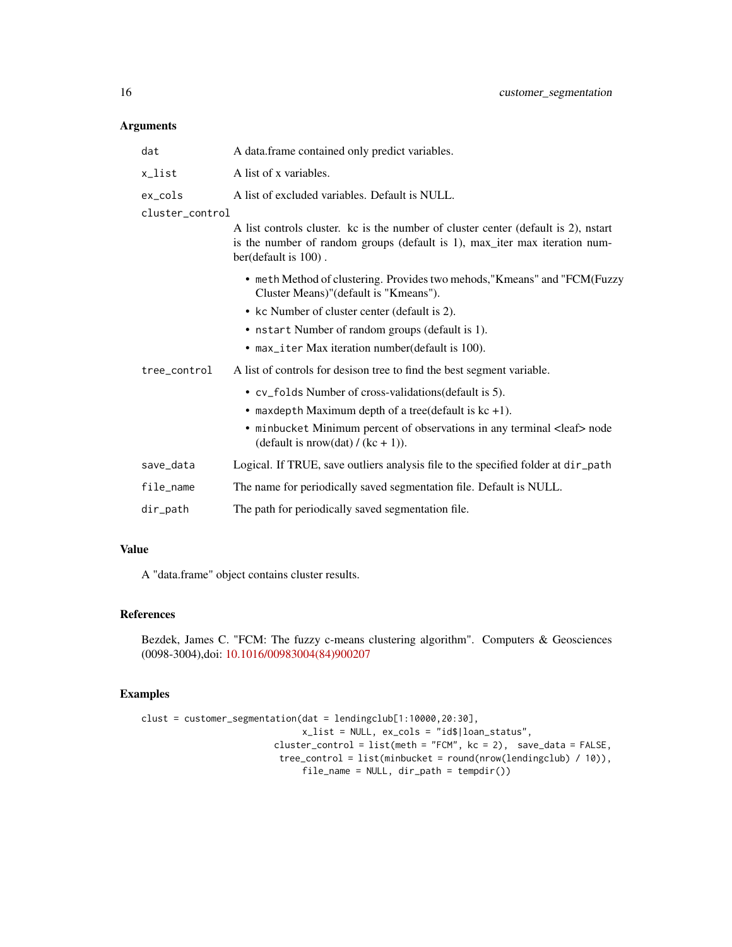# Arguments

| A data.frame contained only predict variables.                                                                                                                                              |
|---------------------------------------------------------------------------------------------------------------------------------------------------------------------------------------------|
| A list of x variables.                                                                                                                                                                      |
| A list of excluded variables. Default is NULL.                                                                                                                                              |
|                                                                                                                                                                                             |
| A list controls cluster. kc is the number of cluster center (default is 2), nstart<br>is the number of random groups (default is 1), max_iter max iteration num-<br>ber(default is $100$ ). |
| • meth Method of clustering. Provides two mehods, "Kmeans" and "FCM(Fuzzy<br>Cluster Means)" (default is "Kmeans").                                                                         |
| • kc Number of cluster center (default is 2).                                                                                                                                               |
| • nstart Number of random groups (default is 1).                                                                                                                                            |
| • max_iter Max iteration number(default is 100).                                                                                                                                            |
| A list of controls for desison tree to find the best segment variable.                                                                                                                      |
| • cv_folds Number of cross-validations(default is 5).                                                                                                                                       |
| • maxdepth Maximum depth of a tree(default is $kc +1$ ).                                                                                                                                    |
| • minbucket Minimum percent of observations in any terminal <leaf> node<br/>(default is nrow(dat) / (kc + 1)).</leaf>                                                                       |
| Logical. If TRUE, save outliers analysis file to the specified folder at dir_path                                                                                                           |
| The name for periodically saved segmentation file. Default is NULL.                                                                                                                         |
| The path for periodically saved segmentation file.                                                                                                                                          |
|                                                                                                                                                                                             |

#### Value

A "data.frame" object contains cluster results.

# References

Bezdek, James C. "FCM: The fuzzy c-means clustering algorithm". Computers & Geosciences (0098-3004),doi: [10.1016/00983004\(84\)900207](https://doi.org/10.1016/0098-3004(84)90020-7)

# Examples

```
clust = customer_segmentation(dat = lendingclub[1:10000,20:30],
                              x_list = NULL, ex_cols = "id$|loan_status",
                         cluster_control = list(meth = "FCM", kc = 2), save_data = FALSE,
                         tree_control = list(minbucket = round(nrow(lendingclub) / 10)),
                              file_name = NULL, dir_path = tempdir())
```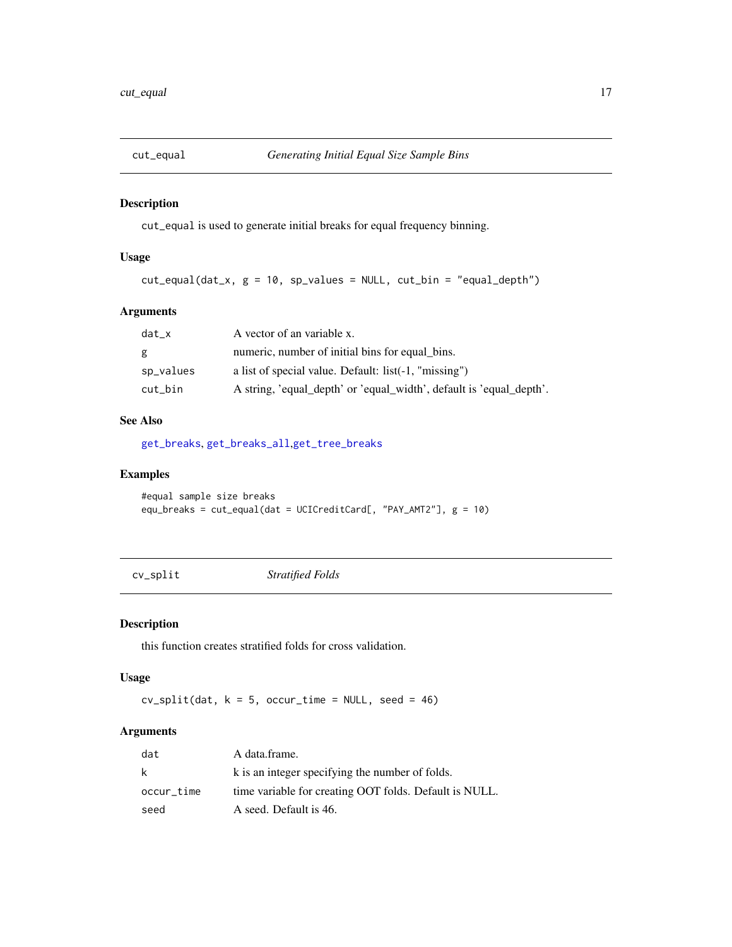<span id="page-16-0"></span>

cut\_equal is used to generate initial breaks for equal frequency binning.

# Usage

 $cut_equal(data_x, g = 10, sp_values = NULL, cut\_bin = "equal_dept")$ 

# Arguments

| dat x     | A vector of an variable x.                                          |
|-----------|---------------------------------------------------------------------|
| g.        | numeric, number of initial bins for equal bins.                     |
| sp_values | a list of special value. Default: list(-1, "missing")               |
| cut bin   | A string, 'equal_depth' or 'equal_width', default is 'equal_depth'. |

# See Also

[get\\_breaks](#page-38-1), [get\\_breaks\\_all](#page-38-2),[get\\_tree\\_breaks](#page-56-1)

#### Examples

```
#equal sample size breaks
equ_breaks = cut_equal(dat = UCICreditCard[, "PAY_AMT2"], g = 10)
```
cv\_split *Stratified Folds*

# Description

this function creates stratified folds for cross validation.

#### Usage

 $cv\_split(data, k = 5, occur_time = NULL, seed = 46)$ 

| dat        | A data frame.                                          |
|------------|--------------------------------------------------------|
| k          | k is an integer specifying the number of folds.        |
| occur_time | time variable for creating OOT folds. Default is NULL. |
| seed       | A seed. Default is 46.                                 |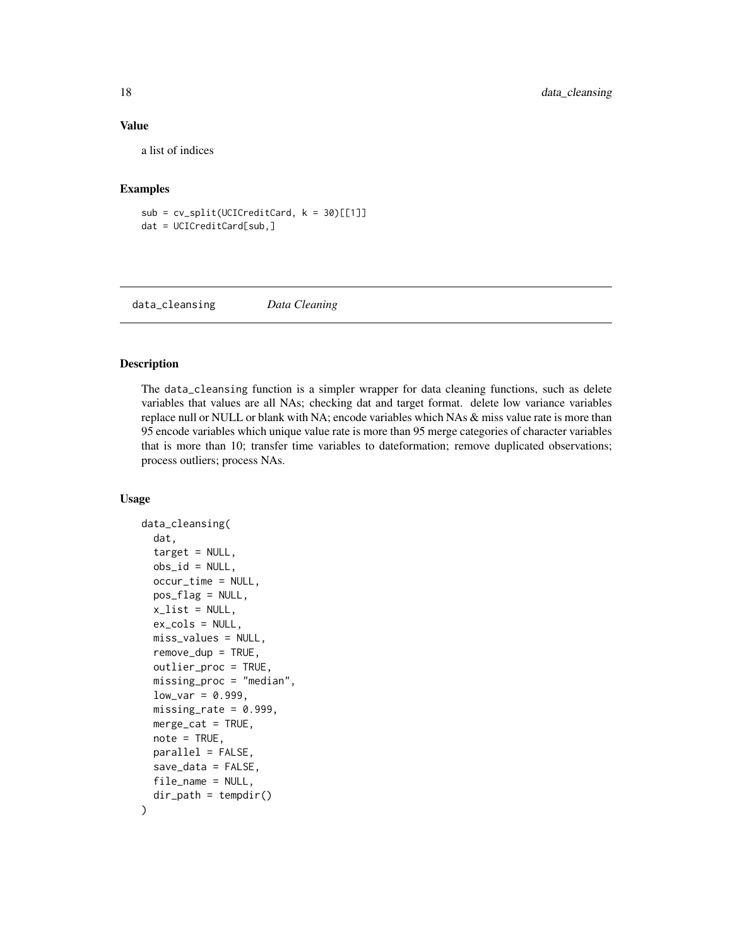#### Value

a list of indices

#### Examples

 $sub = cv_split(UCICredictCard, k = 30)[[1]]$ dat = UCICreditCard[sub,]

data\_cleansing *Data Cleaning*

# Description

The data\_cleansing function is a simpler wrapper for data cleaning functions, such as delete variables that values are all NAs; checking dat and target format. delete low variance variables replace null or NULL or blank with NA; encode variables which NAs & miss value rate is more than 95 encode variables which unique value rate is more than 95 merge categories of character variables that is more than 10; transfer time variables to dateformation; remove duplicated observations; process outliers; process NAs.

# Usage

```
data_cleansing(
  dat,
  target = NULL,obs_id = NULL,occur_time = NULL,
 pos_flag = NULL,
  x<sup>list = NULL</sup>,
  ex_cols = NULL,
 miss_values = NULL,
  remove_dup = TRUE,
  outlier_proc = TRUE,
  missing_proc = "median",
  low\_var = 0.999,
  missing_rate = 0.999,
 merge_cat = TRUE,
  note = TRUE,
 parallel = FALSE,
  save_data = FALSE,
  file_name = NULL,
  dir_path = tempdir()
)
```
<span id="page-17-0"></span>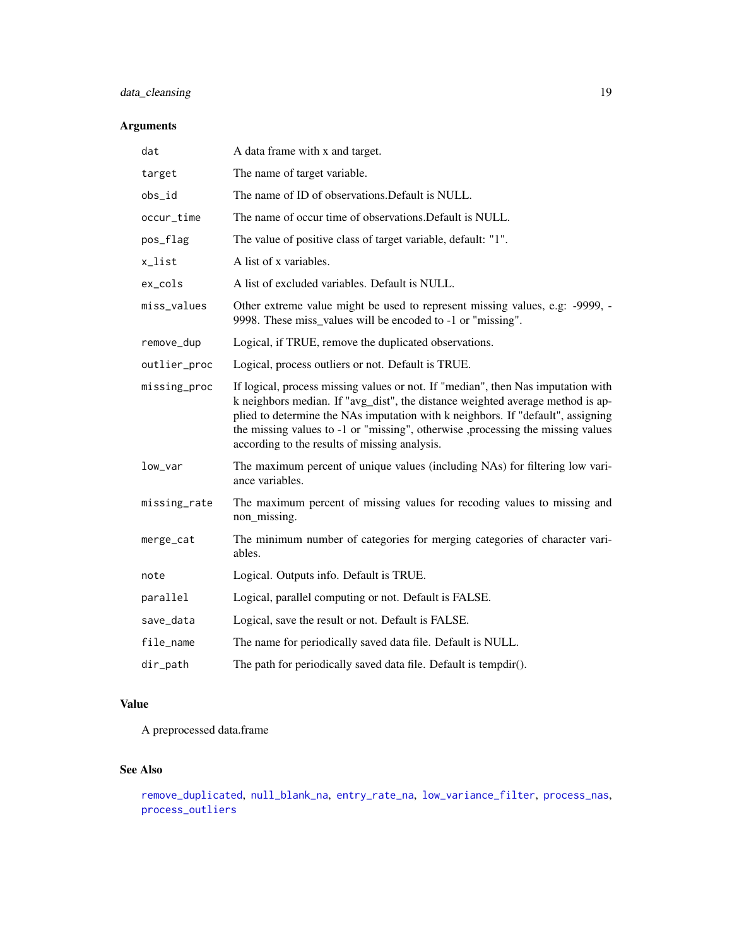# data\_cleansing 19

# Arguments

| A data frame with x and target.                                                                                                                                                                                                                                                                                                                                                           |
|-------------------------------------------------------------------------------------------------------------------------------------------------------------------------------------------------------------------------------------------------------------------------------------------------------------------------------------------------------------------------------------------|
| The name of target variable.                                                                                                                                                                                                                                                                                                                                                              |
| The name of ID of observations. Default is NULL.                                                                                                                                                                                                                                                                                                                                          |
| The name of occur time of observations. Default is NULL.                                                                                                                                                                                                                                                                                                                                  |
| The value of positive class of target variable, default: "1".                                                                                                                                                                                                                                                                                                                             |
| A list of x variables.                                                                                                                                                                                                                                                                                                                                                                    |
| A list of excluded variables. Default is NULL.                                                                                                                                                                                                                                                                                                                                            |
| Other extreme value might be used to represent missing values, e.g: -9999, -<br>9998. These miss_values will be encoded to -1 or "missing".                                                                                                                                                                                                                                               |
| Logical, if TRUE, remove the duplicated observations.                                                                                                                                                                                                                                                                                                                                     |
| Logical, process outliers or not. Default is TRUE.                                                                                                                                                                                                                                                                                                                                        |
| If logical, process missing values or not. If "median", then Nas imputation with<br>k neighbors median. If "avg_dist", the distance weighted average method is ap-<br>plied to determine the NAs imputation with k neighbors. If "default", assigning<br>the missing values to -1 or "missing", otherwise ,processing the missing values<br>according to the results of missing analysis. |
| The maximum percent of unique values (including NAs) for filtering low vari-<br>ance variables.                                                                                                                                                                                                                                                                                           |
| The maximum percent of missing values for recoding values to missing and<br>non_missing.                                                                                                                                                                                                                                                                                                  |
| The minimum number of categories for merging categories of character vari-<br>ables.                                                                                                                                                                                                                                                                                                      |
| Logical. Outputs info. Default is TRUE.                                                                                                                                                                                                                                                                                                                                                   |
| Logical, parallel computing or not. Default is FALSE.                                                                                                                                                                                                                                                                                                                                     |
| Logical, save the result or not. Default is FALSE.                                                                                                                                                                                                                                                                                                                                        |
| The name for periodically saved data file. Default is NULL.                                                                                                                                                                                                                                                                                                                               |
| The path for periodically saved data file. Default is tempdir().                                                                                                                                                                                                                                                                                                                          |
|                                                                                                                                                                                                                                                                                                                                                                                           |

# Value

A preprocessed data.frame

# See Also

```
remove_duplicated, null_blank_na, entry_rate_na, low_variance_filter, process_nas,
process_outliers
```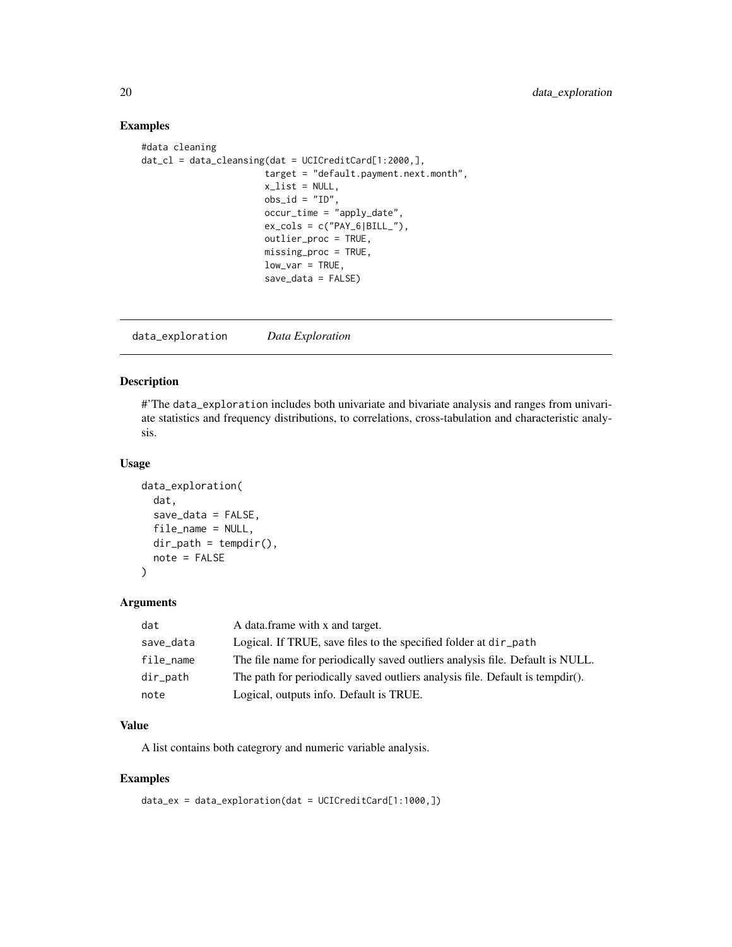# Examples

```
#data cleaning
dat_cl = data_clensing(data = UCICreditCard[1:2000,],target = "default.payment.next.month",
                       x<sup>list = NULL</sup>,
                       obs_id = "ID".occur_time = "apply_date",
                       ex\_cols = c("PAY_6|BILL",
                       outlier_proc = TRUE,
                       missing_proc = TRUE,
                       low\_var = TRUE,save_data = FALSE)
```
data\_exploration *Data Exploration*

#### Description

#'The data\_exploration includes both univariate and bivariate analysis and ranges from univariate statistics and frequency distributions, to correlations, cross-tabulation and characteristic analysis.

#### Usage

```
data_exploration(
  dat,
  save_data = FALSE,
  file_name = NULL,
  dir\_path = tempdir(),note = FALSE
)
```
#### Arguments

| dat         | A data.frame with x and target.                                               |
|-------------|-------------------------------------------------------------------------------|
| save_data   | Logical. If TRUE, save files to the specified folder at dir_path              |
| file_name   | The file name for periodically saved outliers analysis file. Default is NULL. |
| $dir$ -path | The path for periodically saved outliers analysis file. Default is tempdir(). |
| note        | Logical, outputs info. Default is TRUE.                                       |

#### Value

A list contains both categrory and numeric variable analysis.

#### Examples

data\_ex = data\_exploration(dat = UCICreditCard[1:1000,])

<span id="page-19-0"></span>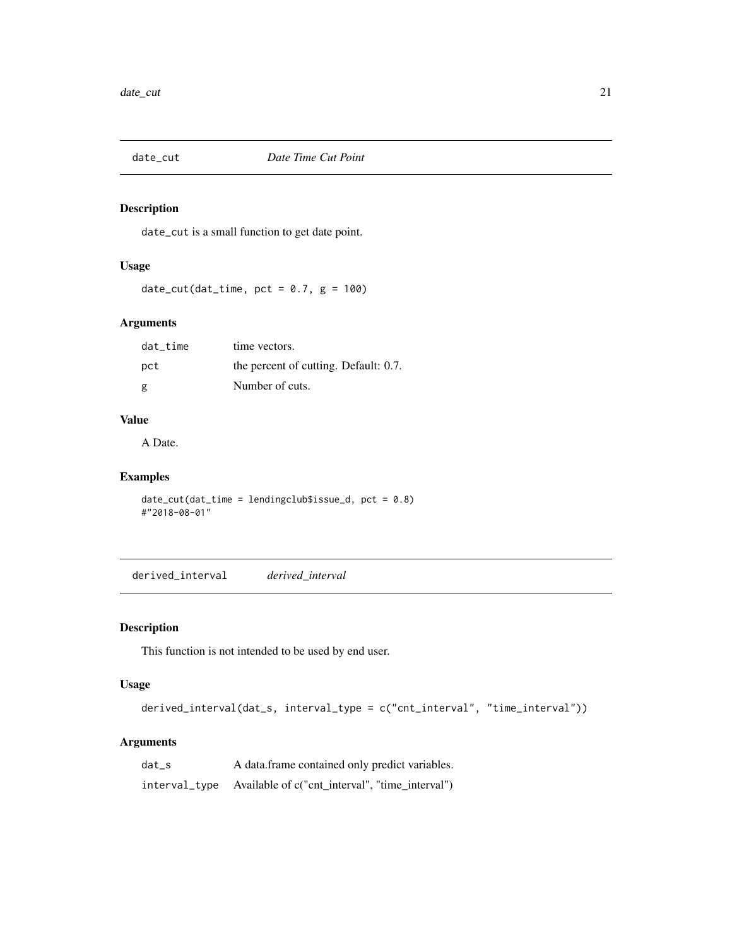<span id="page-20-0"></span>

date\_cut is a small function to get date point.

#### Usage

date\_cut(dat\_time, pct =  $0.7$ , g = 100)

#### Arguments

| dat time | time vectors.                         |
|----------|---------------------------------------|
| pct      | the percent of cutting. Default: 0.7. |
| g        | Number of cuts.                       |

#### Value

A Date.

# Examples

date\_cut(dat\_time = lendingclub\$issue\_d, pct = 0.8) #"2018-08-01"

derived\_interval *derived\_interval*

# Description

This function is not intended to be used by end user.

# Usage

```
derived_interval(dat_s, interval_type = c("cnt_interval", "time_interval"))
```

| dat s | A data frame contained only predict variables.                |
|-------|---------------------------------------------------------------|
|       | interval_type Available of c("cnt_interval", "time_interval") |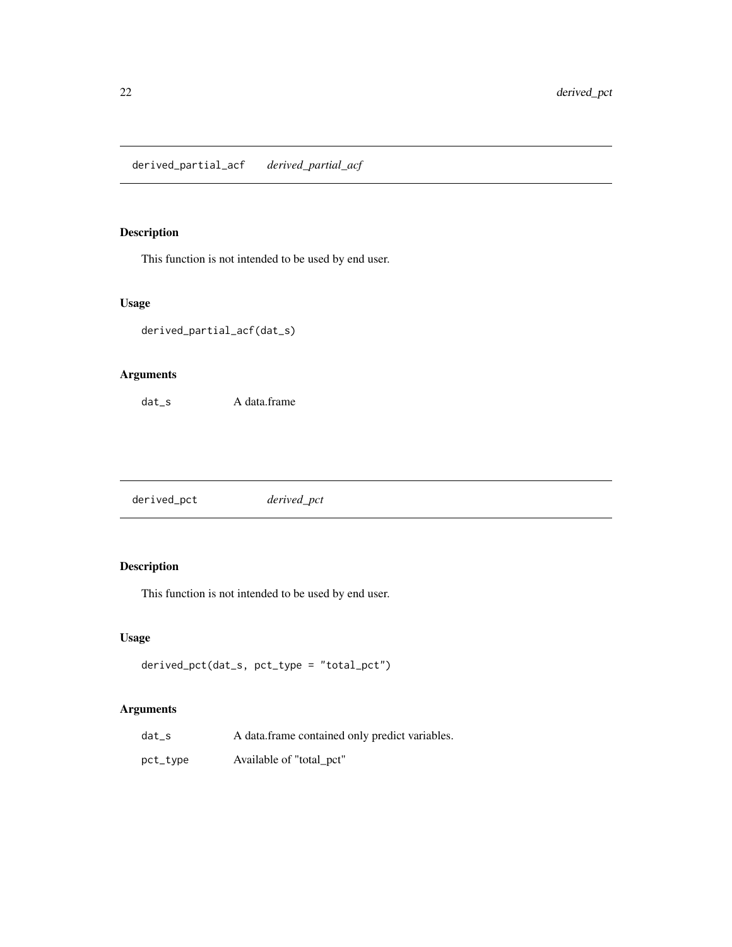<span id="page-21-0"></span>derived\_partial\_acf *derived\_partial\_acf*

# Description

This function is not intended to be used by end user.

# Usage

```
derived_partial_acf(dat_s)
```
# Arguments

dat\_s A data.frame

derived\_pct *derived\_pct*

# Description

This function is not intended to be used by end user.

# Usage

```
derived_pct(dat_s, pct_type = "total_pct")
```

| $dat_s$  | A data frame contained only predict variables. |
|----------|------------------------------------------------|
| pct_type | Available of "total_pct"                       |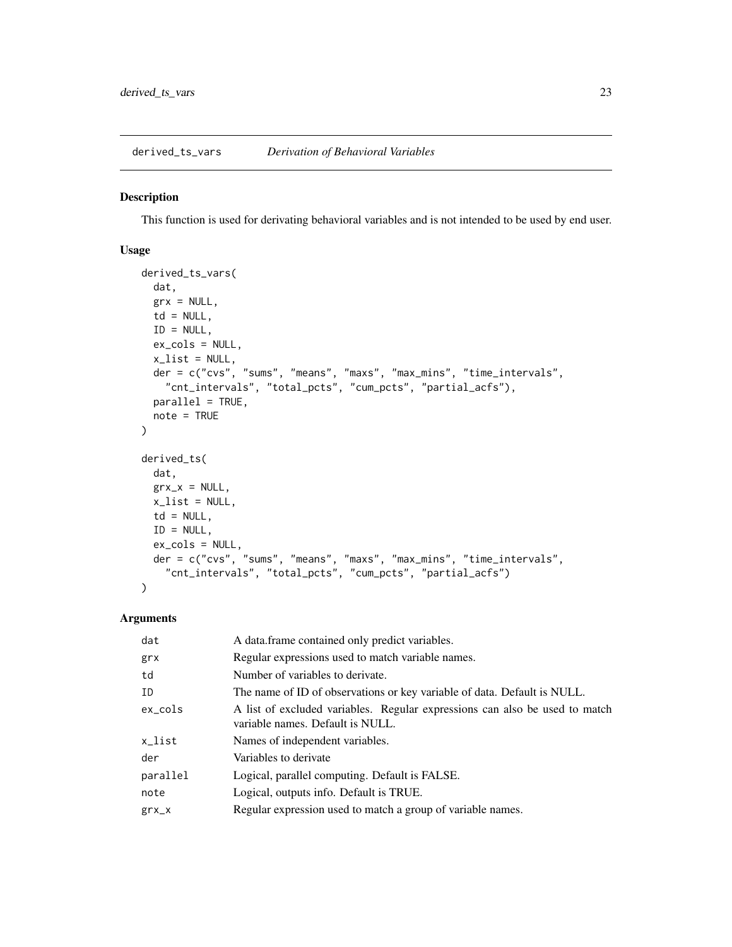<span id="page-22-0"></span>derived\_ts\_vars *Derivation of Behavioral Variables*

#### Description

This function is used for derivating behavioral variables and is not intended to be used by end user.

# Usage

```
derived_ts_vars(
  dat,
  grx = NULL,td = NULL,ID = NULL,ex_cols = NULL,
  x<sup>-</sup>list = NULL,
 der = c("cvs", "sums", "means", "maxs", "max_mins", "time_intervals",
    "cnt_intervals", "total_pcts", "cum_pcts", "partial_acfs"),
 parallel = TRUE,
 note = TRUE
)
derived_ts(
  dat,
  grx_x = NULL,x<sup>list = NULL</sup>,
  td = NULL,ID = NULL,ex_cols = NULL,
  der = c("cvs", "sums", "means", "maxs", "max_mins", "time_intervals",
    "cnt_intervals", "total_pcts", "cum_pcts", "partial_acfs")
)
```

| dat        | A data frame contained only predict variables.                                                                  |
|------------|-----------------------------------------------------------------------------------------------------------------|
| grx        | Regular expressions used to match variable names.                                                               |
| td         | Number of variables to derivate.                                                                                |
| ID         | The name of ID of observations or key variable of data. Default is NULL.                                        |
| $ex\_cols$ | A list of excluded variables. Regular expressions can also be used to match<br>variable names. Default is NULL. |
| x_list     | Names of independent variables.                                                                                 |
| der        | Variables to derivate                                                                                           |
| parallel   | Logical, parallel computing. Default is FALSE.                                                                  |
| note       | Logical, outputs info. Default is TRUE.                                                                         |
| $grx_{X}$  | Regular expression used to match a group of variable names.                                                     |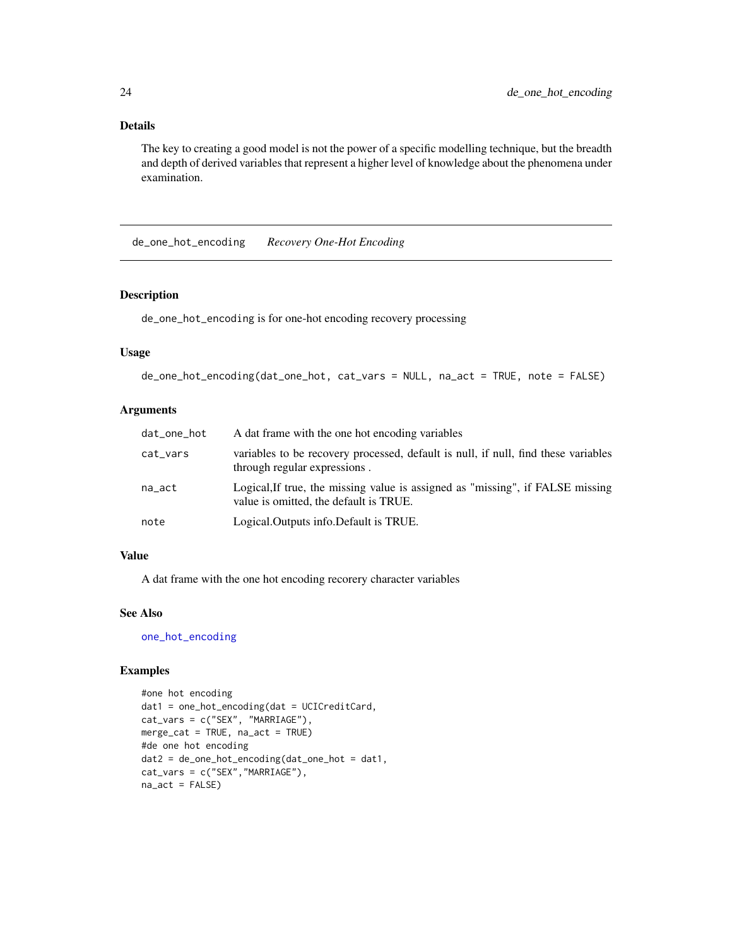#### <span id="page-23-0"></span>Details

The key to creating a good model is not the power of a specific modelling technique, but the breadth and depth of derived variables that represent a higher level of knowledge about the phenomena under examination.

de\_one\_hot\_encoding *Recovery One-Hot Encoding*

#### Description

de\_one\_hot\_encoding is for one-hot encoding recovery processing

#### Usage

```
de_one_hot_encoding(dat_one_hot, cat_vars = NULL, na_act = TRUE, note = FALSE)
```
#### Arguments

| dat_one_hot | A dat frame with the one hot encoding variables                                                                          |
|-------------|--------------------------------------------------------------------------------------------------------------------------|
| cat_vars    | variables to be recovery processed, default is null, if null, find these variables<br>through regular expressions.       |
| na_act      | Logical, If true, the missing value is assigned as "missing", if FALSE missing<br>value is omitted, the default is TRUE. |
| note        | Logical. Outputs info. Default is TRUE.                                                                                  |

#### Value

A dat frame with the one hot encoding recorery character variables

#### See Also

[one\\_hot\\_encoding](#page-80-1)

#### Examples

```
#one hot encoding
dat1 = one_hot_encoding(dat = UCICreditCard,
cat_vars = c("SEX", "MARRIAGE"),
merge_cat = TRUE, na_act = TRUE)
#de one hot encoding
dat2 = de_one_hot_encoding(dat_one_hot = dat1,
cat_vars = c("SEX","MARRIAGE"),
na\_act = FALSE)
```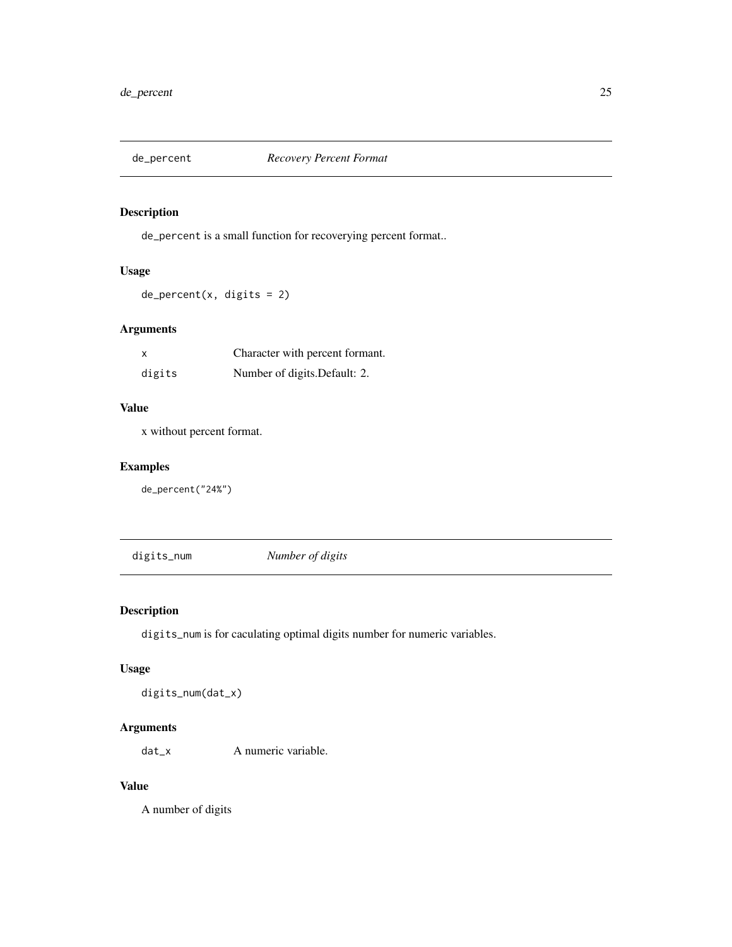<span id="page-24-0"></span>

de\_percent is a small function for recoverying percent format..

# Usage

de\_percent(x, digits = 2)

# Arguments

|        | Character with percent formant. |
|--------|---------------------------------|
| digits | Number of digits. Default: 2.   |

#### Value

x without percent format.

# Examples

de\_percent("24%")

digits\_num *Number of digits*

# Description

digits\_num is for caculating optimal digits number for numeric variables.

#### Usage

digits\_num(dat\_x)

#### Arguments

dat\_x A numeric variable.

#### Value

A number of digits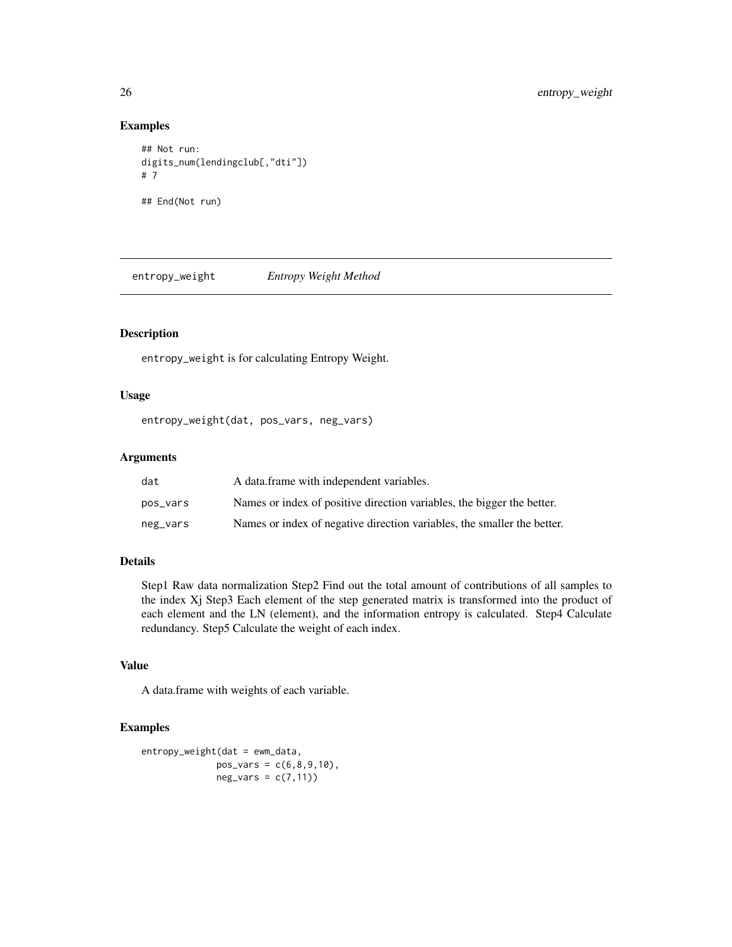#### Examples

```
## Not run:
digits_num(lendingclub[,"dti"])
# 7
## End(Not run)
```
entropy\_weight *Entropy Weight Method*

# Description

entropy\_weight is for calculating Entropy Weight.

# Usage

```
entropy_weight(dat, pos_vars, neg_vars)
```
#### Arguments

| dat      | A data frame with independent variables.                                |
|----------|-------------------------------------------------------------------------|
| pos_vars | Names or index of positive direction variables, the bigger the better.  |
| neg_vars | Names or index of negative direction variables, the smaller the better. |

#### Details

Step1 Raw data normalization Step2 Find out the total amount of contributions of all samples to the index Xj Step3 Each element of the step generated matrix is transformed into the product of each element and the LN (element), and the information entropy is calculated. Step4 Calculate redundancy. Step5 Calculate the weight of each index.

#### Value

A data.frame with weights of each variable.

#### Examples

```
entropy_weight(dat = ewm_data,
              pos\_vars = c(6, 8, 9, 10),
              neg\_vars = c(7,11)
```
<span id="page-25-0"></span>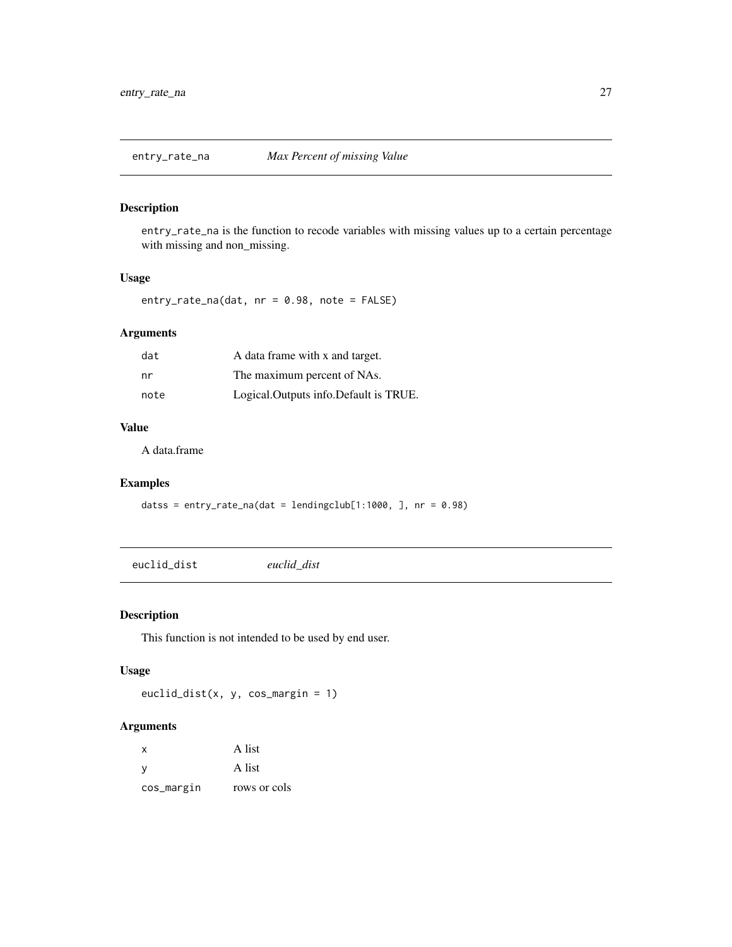<span id="page-26-1"></span><span id="page-26-0"></span>

entry\_rate\_na is the function to recode variables with missing values up to a certain percentage with missing and non\_missing.

#### Usage

entry\_rate\_na(dat, nr = 0.98, note = FALSE)

# Arguments

| dat  | A data frame with x and target.       |
|------|---------------------------------------|
| nr   | The maximum percent of NAs.           |
| note | Logical.Outputs info.Default is TRUE. |

# Value

A data.frame

# Examples

datss = entry\_rate\_na(dat = lendingclub[1:1000, ], nr = 0.98)

euclid\_dist *euclid\_dist*

# Description

This function is not intended to be used by end user.

# Usage

euclid\_dist(x, y, cos\_margin = 1)

| X          | A list       |
|------------|--------------|
| <b>V</b>   | A list       |
| cos_margin | rows or cols |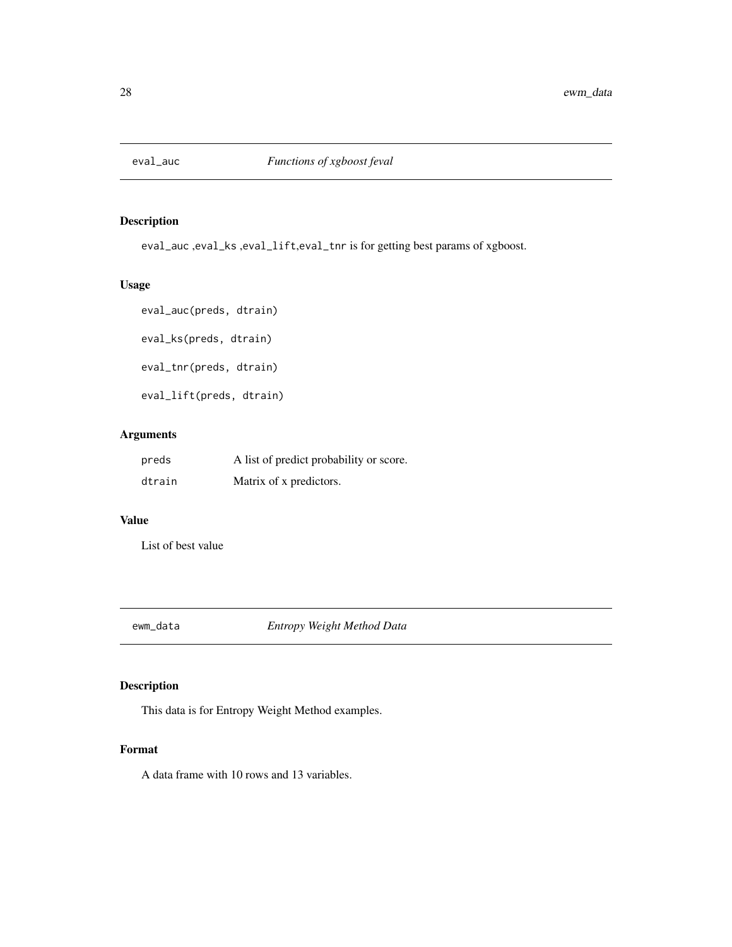<span id="page-27-0"></span>

eval\_auc ,eval\_ks ,eval\_lift,eval\_tnr is for getting best params of xgboost.

# Usage

```
eval_auc(preds, dtrain)
eval_ks(preds, dtrain)
eval_tnr(preds, dtrain)
eval_lift(preds, dtrain)
```
# Arguments

| preds  | A list of predict probability or score. |
|--------|-----------------------------------------|
| dtrain | Matrix of x predictors.                 |

#### Value

List of best value

ewm\_data *Entropy Weight Method Data*

# Description

This data is for Entropy Weight Method examples.

# Format

A data frame with 10 rows and 13 variables.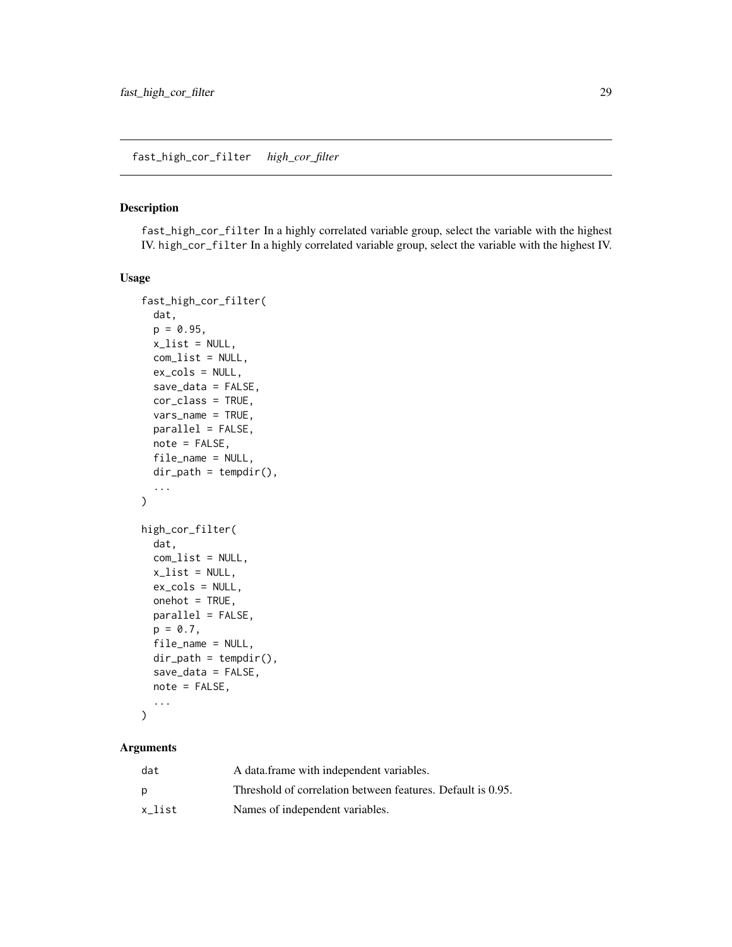<span id="page-28-0"></span>fast\_high\_cor\_filter In a highly correlated variable group, select the variable with the highest IV. high\_cor\_filter In a highly correlated variable group, select the variable with the highest IV.

#### Usage

```
fast_high_cor_filter(
  dat,
  p = 0.95,
  x<sup>-</sup>list = NULL,
  com_list = NULL,
  ex_cols = NULL,
  save_data = FALSE,
  cor_class = TRUE,
  vars_name = TRUE,
 parallel = FALSE,
 note = FALSE,
  file_name = NULL,
  dir\_path = tempdir(),...
)
high_cor_filter(
  dat,
  com_list = NULL,
  x<sup>list = NULL</sup>,
  ex_cols = NULL,
  onehot = TRUE,
 parallel = FALSE,
 p = 0.7,
  file_name = NULL,
  dir\_path = tempdir(),
  save_data = FALSE,
  note = FALSE,
  ...
)
```

| dat    | A data frame with independent variables.                    |
|--------|-------------------------------------------------------------|
| D      | Threshold of correlation between features. Default is 0.95. |
| x list | Names of independent variables.                             |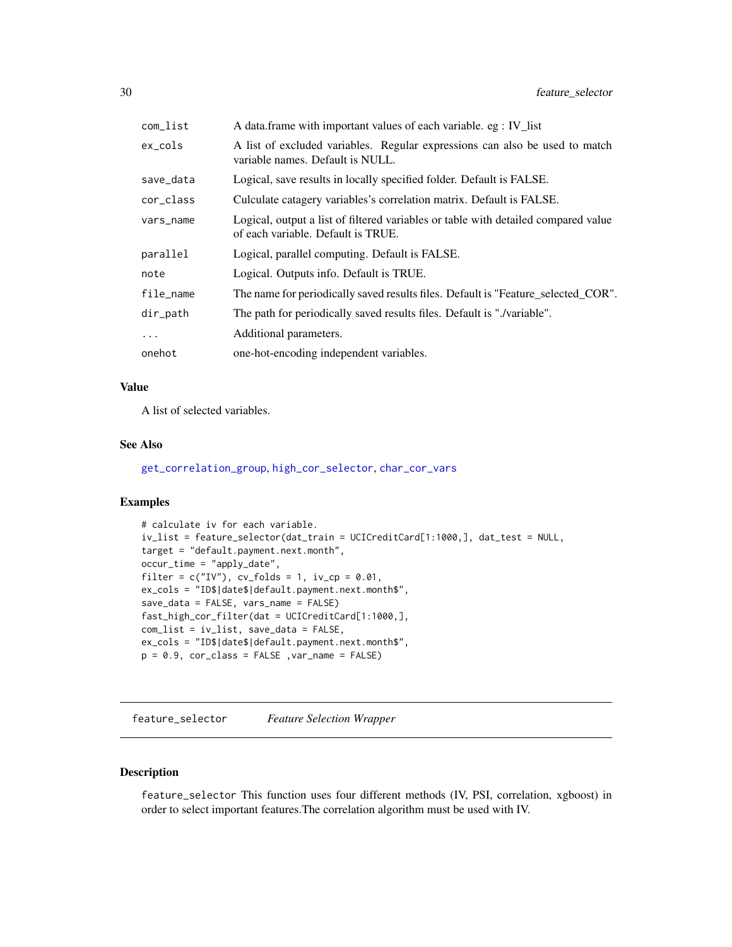<span id="page-29-0"></span>

| com_list  | A data.frame with important values of each variable. eg : IV_list                                                        |
|-----------|--------------------------------------------------------------------------------------------------------------------------|
| ex_cols   | A list of excluded variables. Regular expressions can also be used to match<br>variable names. Default is NULL.          |
| save_data | Logical, save results in locally specified folder. Default is FALSE.                                                     |
| cor_class | Culculate catagery variables's correlation matrix. Default is FALSE.                                                     |
| vars_name | Logical, output a list of filtered variables or table with detailed compared value<br>of each variable. Default is TRUE. |
| parallel  | Logical, parallel computing. Default is FALSE.                                                                           |
| note      | Logical. Outputs info. Default is TRUE.                                                                                  |
| file_name | The name for periodically saved results files. Default is "Feature_selected_COR".                                        |
| dir_path  | The path for periodically saved results files. Default is "./variable".                                                  |
| $\ddotsc$ | Additional parameters.                                                                                                   |
| onehot    | one-hot-encoding independent variables.                                                                                  |

#### Value

A list of selected variables.

#### See Also

[get\\_correlation\\_group](#page-41-1), [high\\_cor\\_selector](#page-58-1), [char\\_cor\\_vars](#page-8-1)

#### Examples

```
# calculate iv for each variable.
iv_list = feature_selector(dat_train = UCICreditCard[1:1000,], dat_test = NULL,
target = "default.payment.next.month",
occur_time = "apply_date",
filter = c("IV"), cv_folds = 1, iv_ccp = 0.01,
ex_cols = "ID$|date$|default.payment.next.month$",
save_data = FALSE, vars_name = FALSE)
fast_high_cor_filter(dat = UCICreditCard[1:1000,],
com_list = iv_list, save_data = FALSE,
ex_cols = "ID$|date$|default.payment.next.month$",
p = 0.9, cor_{class} = FALSE, var_name = FALSE
```
<span id="page-29-1"></span>feature\_selector *Feature Selection Wrapper*

# Description

feature\_selector This function uses four different methods (IV, PSI, correlation, xgboost) in order to select important features.The correlation algorithm must be used with IV.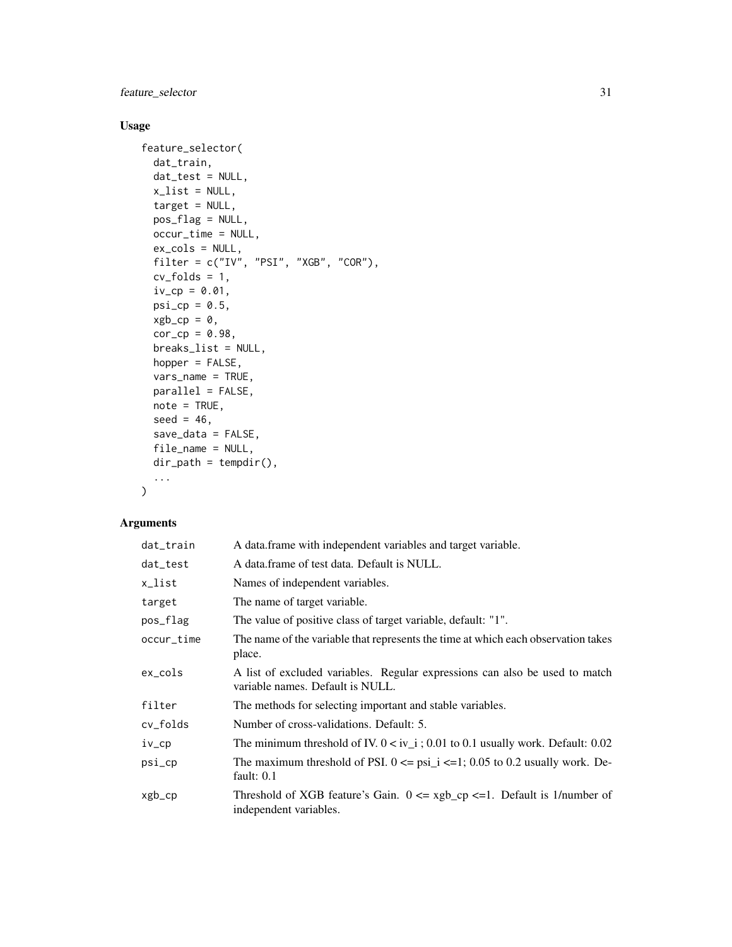feature\_selector 31

# Usage

```
feature_selector(
 dat_train,
 dat_test = NULL,
 x<sup>list = NULL</sup>,
  target = NULL,pos_flag = NULL,
 occur_time = NULL,
  ex_cols = NULL,
 filter = c("IV", "PSI", "XGB", "COR"),
  cv_folds = 1,
  iv_{-}cp = 0.01,
 psi_cpsi_cp = 0.5,
 xgb_cp = 0,
  cor_{cp} = 0.98,
 breaks_list = NULL,
 hopper = FALSE,vars_name = TRUE,
 parallel = FALSE,
 note = TRUE,
  seed = 46,
  save_data = FALSE,
  file_name = NULL,
 dir\_path = tempdir(),
  ...
\mathcal{L}
```

| dat_train  | A data frame with independent variables and target variable.                                                    |
|------------|-----------------------------------------------------------------------------------------------------------------|
| dat_test   | A data frame of test data. Default is NULL.                                                                     |
| x_list     | Names of independent variables.                                                                                 |
| target     | The name of target variable.                                                                                    |
| pos_flag   | The value of positive class of target variable, default: "1".                                                   |
| occur_time | The name of the variable that represents the time at which each observation takes<br>place.                     |
| ex_cols    | A list of excluded variables. Regular expressions can also be used to match<br>variable names. Default is NULL. |
| filter     | The methods for selecting important and stable variables.                                                       |
| cv_folds   | Number of cross-validations. Default: 5.                                                                        |
| iv_cp      | The minimum threshold of IV. $0 < iv_i$ ; 0.01 to 0.1 usually work. Default: 0.02                               |
| psi_cp     | The maximum threshold of PSI. $0 \leq psi_i \leq -1$ ; 0.05 to 0.2 usually work. De-<br>fault: $0.1$            |
| xgb_cp     | Threshold of XGB feature's Gain. $0 \le xgb_c$ = 1. Default is 1/number of<br>independent variables.            |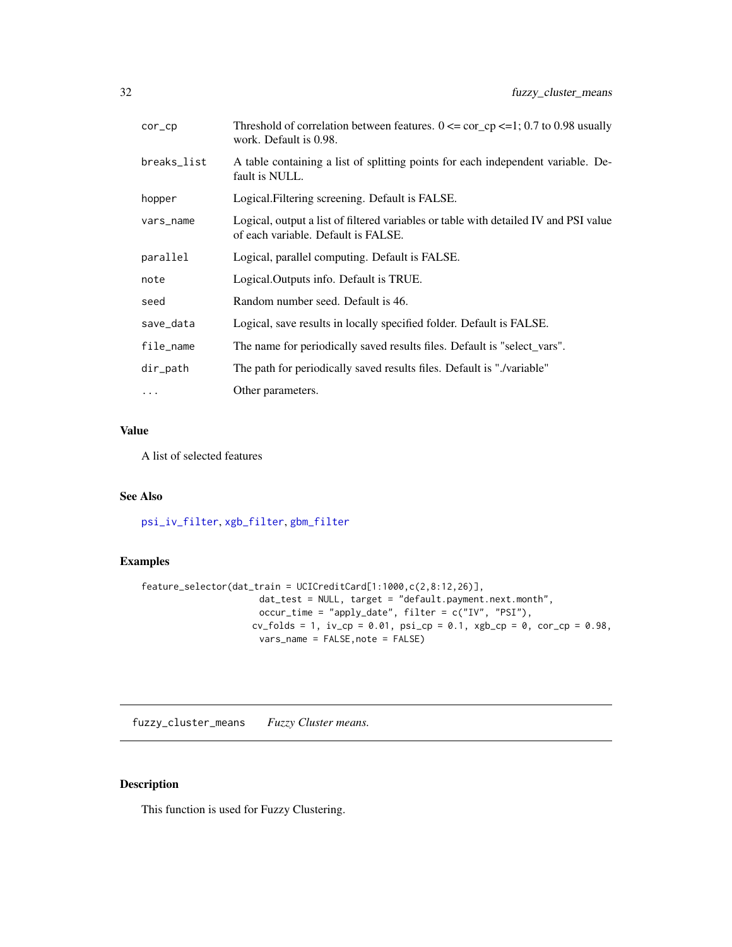<span id="page-31-0"></span>

| cor_cp      | Threshold of correlation between features. $0 \leq \text{cor\_cp} \leq 1$ ; 0.7 to 0.98 usually<br>work. Default is 0.98.   |
|-------------|-----------------------------------------------------------------------------------------------------------------------------|
| breaks_list | A table containing a list of splitting points for each independent variable. De-<br>fault is NULL.                          |
| hopper      | Logical. Filtering screening. Default is FALSE.                                                                             |
| vars_name   | Logical, output a list of filtered variables or table with detailed IV and PSI value<br>of each variable. Default is FALSE. |
| parallel    | Logical, parallel computing. Default is FALSE.                                                                              |
| note        | Logical. Outputs info. Default is TRUE.                                                                                     |
| seed        | Random number seed. Default is 46.                                                                                          |
| save_data   | Logical, save results in locally specified folder. Default is FALSE.                                                        |
| file_name   | The name for periodically saved results files. Default is "select_vars".                                                    |
| dir_path    | The path for periodically saved results files. Default is "./variable"                                                      |
| $\cdots$    | Other parameters.                                                                                                           |

#### Value

A list of selected features

#### See Also

[psi\\_iv\\_filter](#page-92-1), [xgb\\_filter](#page-132-1), [gbm\\_filter](#page-33-1)

#### Examples

```
feature_selector(dat_train = UCICreditCard[1:1000,c(2,8:12,26)],
                       dat_test = NULL, target = "default.payment.next.month",
                       occur_time = "apply_date", filter = c("IV", "PSI"),
                     cv_folds = 1, iv_ccp = 0.01, psi_ccp = 0.1, xgb_ccp = 0, cor_ccp = 0.98,
                      vars_name = FALSE,note = FALSE)
```
fuzzy\_cluster\_means *Fuzzy Cluster means.*

# Description

This function is used for Fuzzy Clustering.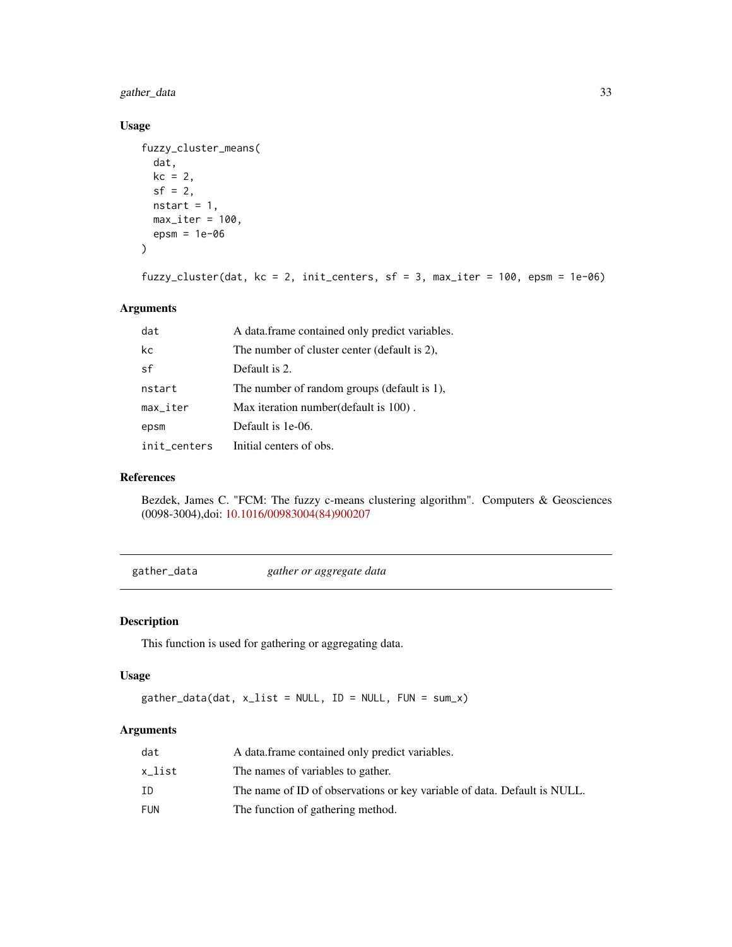<span id="page-32-0"></span>gather\_data 33

# Usage

```
fuzzy_cluster_means(
 dat,
 kc = 2,
 sf = 2,nstart = 1,
 max\_iter = 100,
 epsm = 1e-06
```

```
)
```

```
fuzzy_cluster(dat, kc = 2, init_centers, sf = 3, max_iter = 100, epsm = 1e-06)
```
# Arguments

| dat                    | A data frame contained only predict variables. |
|------------------------|------------------------------------------------|
| kc                     | The number of cluster center (default is 2).   |
| sf                     | Default is 2.                                  |
| nstart                 | The number of random groups (default is 1),    |
| $max$ <sub>Liter</sub> | Max iteration number (default is 100).         |
| epsm                   | Default is 1e-06.                              |
| init_centers           | Initial centers of obs.                        |

# References

Bezdek, James C. "FCM: The fuzzy c-means clustering algorithm". Computers & Geosciences (0098-3004),doi: [10.1016/00983004\(84\)900207](https://doi.org/10.1016/0098-3004(84)90020-7)

gather\_data *gather or aggregate data*

#### Description

This function is used for gathering or aggregating data.

#### Usage

```
gather\_data(data, x_list = NULL, ID = NULL, FUN = sum_x)
```

| dat    | A data frame contained only predict variables.                           |
|--------|--------------------------------------------------------------------------|
| x_list | The names of variables to gather.                                        |
| ΙD     | The name of ID of observations or key variable of data. Default is NULL. |
| FUN    | The function of gathering method.                                        |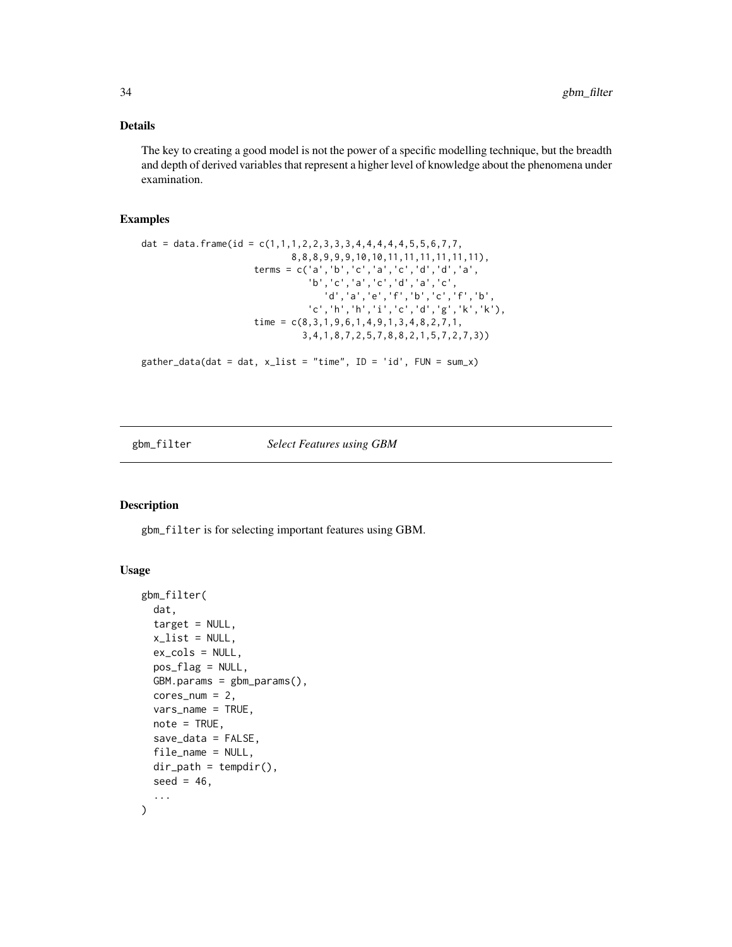#### <span id="page-33-0"></span>Details

The key to creating a good model is not the power of a specific modelling technique, but the breadth and depth of derived variables that represent a higher level of knowledge about the phenomena under examination.

# Examples

```
dat = data.frame(id = c(1,1,1,2,2,3,3,3,4,4,4,4,4,5,5,6,7,7,8,8,8,9,9,9,10,10,11,11,11,11,11,11),
                     terms = c('a','b','c','a','c','d','d','a',
                                'b','c','a','c','d','a','c',
                                  'd','a','e','f','b','c','f','b',
                               'c','h','h','i','c','d','g','k','k'),
                     time = c(8,3,1,9,6,1,4,9,1,3,4,8,2,7,1,
                              3,4,1,8,7,2,5,7,8,8,2,1,5,7,2,7,3))
```
gather\_data(dat = dat,  $x$ \_list = "time", ID = 'id', FUN = sum\_x)

#### <span id="page-33-1"></span>gbm\_filter *Select Features using GBM*

#### Description

gbm\_filter is for selecting important features using GBM.

#### Usage

```
gbm_filter(
  dat,
  target = NULL,x<sup>list = NULL</sup>,
 ex_cols = NULL,
 pos_flag = NULL,
 GBM.params = gbm_params(),
 cores\_num = 2,vars_name = TRUE,
  note = TRUE,
  save_data = FALSE,
  file_name = NULL,
  dir\_path = tempdir(),
  seed = 46,
  ...
)
```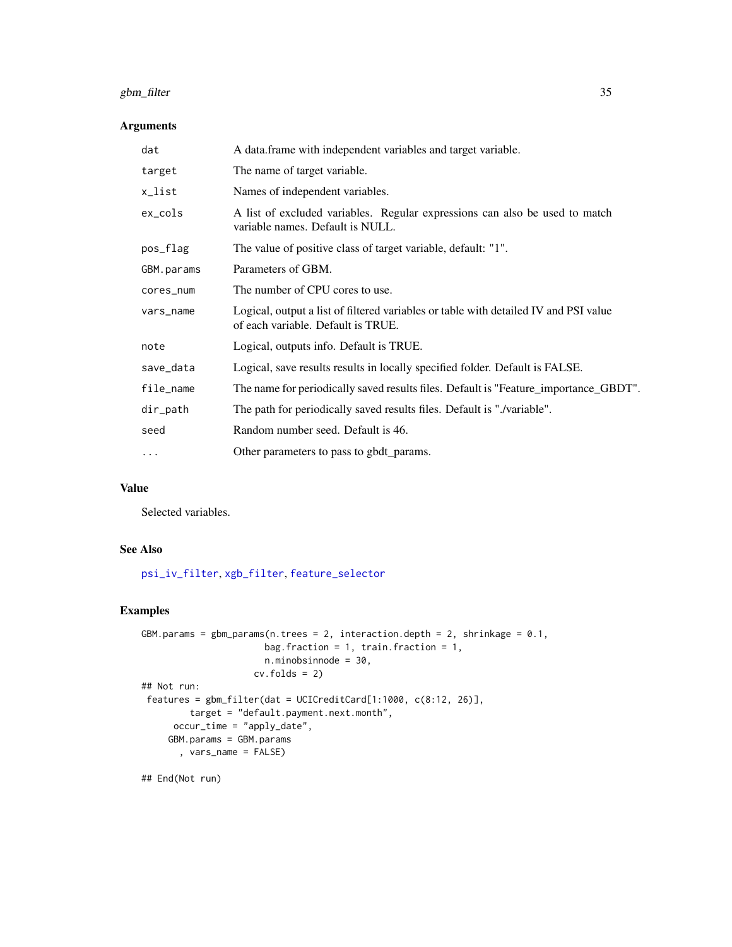# gbm\_filter 35

# Arguments

| A data.frame with independent variables and target variable.                                                               |
|----------------------------------------------------------------------------------------------------------------------------|
| The name of target variable.                                                                                               |
| Names of independent variables.                                                                                            |
| A list of excluded variables. Regular expressions can also be used to match<br>variable names. Default is NULL.            |
| The value of positive class of target variable, default: "1".                                                              |
| Parameters of GBM.                                                                                                         |
| The number of CPU cores to use.                                                                                            |
| Logical, output a list of filtered variables or table with detailed IV and PSI value<br>of each variable. Default is TRUE. |
| Logical, outputs info. Default is TRUE.                                                                                    |
| Logical, save results results in locally specified folder. Default is FALSE.                                               |
| The name for periodically saved results files. Default is "Feature_importance_GBDT".                                       |
| The path for periodically saved results files. Default is "./variable".                                                    |
| Random number seed. Default is 46.                                                                                         |
| Other parameters to pass to gbdt_params.                                                                                   |
|                                                                                                                            |

# Value

Selected variables.

#### See Also

[psi\\_iv\\_filter](#page-92-1), [xgb\\_filter](#page-132-1), [feature\\_selector](#page-29-1)

# Examples

```
GBM.params = gbm_params(n.trees = 2, interaction.depth = 2, shrinkage = 0.1,
                      bag.fraction = 1, train.fraction = 1,
                      n.minobsinnode = 30,
                    cv.folds = 2)## Not run:
 features = gbm_filter(dat = UCICreditCard[1:1000, c(8:12, 26)],
        target = "default.payment.next.month",
     occur_time = "apply_date",
     GBM.params = GBM.params
       , vars_name = FALSE)
```
## End(Not run)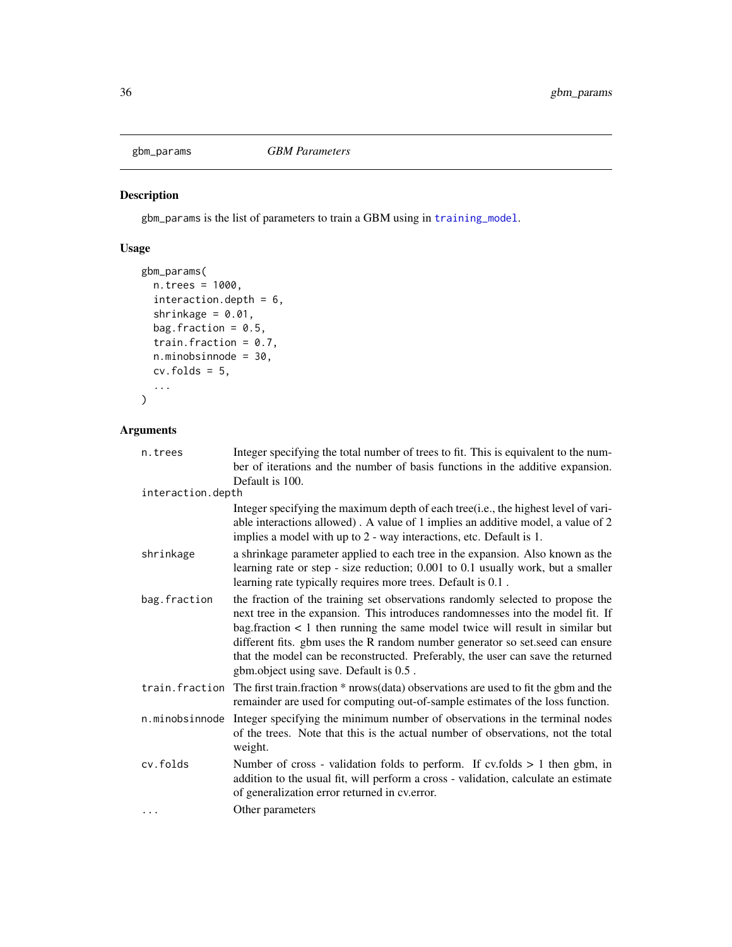<span id="page-35-0"></span>

gbm\_params is the list of parameters to train a GBM using in [training\\_model](#page-121-1).

# Usage

```
gbm_params(
 n.trees = 1000,
 interaction.depth = 6,
  shrinkage = 0.01,
 bag.fraction = 0.5,
  train.fraction = 0.7,
 n.minobsinnode = 30,
  cv.folds = 5,
  ...
)
```

| n.trees           | Integer specifying the total number of trees to fit. This is equivalent to the num-<br>ber of iterations and the number of basis functions in the additive expansion.                                                                                                                                                                                                                                                                                                 |
|-------------------|-----------------------------------------------------------------------------------------------------------------------------------------------------------------------------------------------------------------------------------------------------------------------------------------------------------------------------------------------------------------------------------------------------------------------------------------------------------------------|
|                   | Default is 100.                                                                                                                                                                                                                                                                                                                                                                                                                                                       |
| interaction.depth |                                                                                                                                                                                                                                                                                                                                                                                                                                                                       |
|                   | Integer specifying the maximum depth of each tree(i.e., the highest level of vari-<br>able interactions allowed). A value of 1 implies an additive model, a value of 2<br>implies a model with up to 2 - way interactions, etc. Default is 1.                                                                                                                                                                                                                         |
| shrinkage         | a shrinkage parameter applied to each tree in the expansion. Also known as the<br>learning rate or step - size reduction; 0.001 to 0.1 usually work, but a smaller<br>learning rate typically requires more trees. Default is 0.1.                                                                                                                                                                                                                                    |
| bag.fraction      | the fraction of the training set observations randomly selected to propose the<br>next tree in the expansion. This introduces randomnesses into the model fit. If<br>bag. fraction $\lt 1$ then running the same model twice will result in similar but<br>different fits. gbm uses the R random number generator so set seed can ensure<br>that the model can be reconstructed. Preferably, the user can save the returned<br>gbm.object using save. Default is 0.5. |
| train.fraction    | The first train. fraction * nrows (data) observations are used to fit the gbm and the<br>remainder are used for computing out-of-sample estimates of the loss function.                                                                                                                                                                                                                                                                                               |
| n.minobsinnode    | Integer specifying the minimum number of observations in the terminal nodes<br>of the trees. Note that this is the actual number of observations, not the total<br>weight.                                                                                                                                                                                                                                                                                            |
| cv.folds          | Number of cross - validation folds to perform. If cv.folds $> 1$ then gbm, in<br>addition to the usual fit, will perform a cross - validation, calculate an estimate<br>of generalization error returned in cv.error.                                                                                                                                                                                                                                                 |
| .                 | Other parameters                                                                                                                                                                                                                                                                                                                                                                                                                                                      |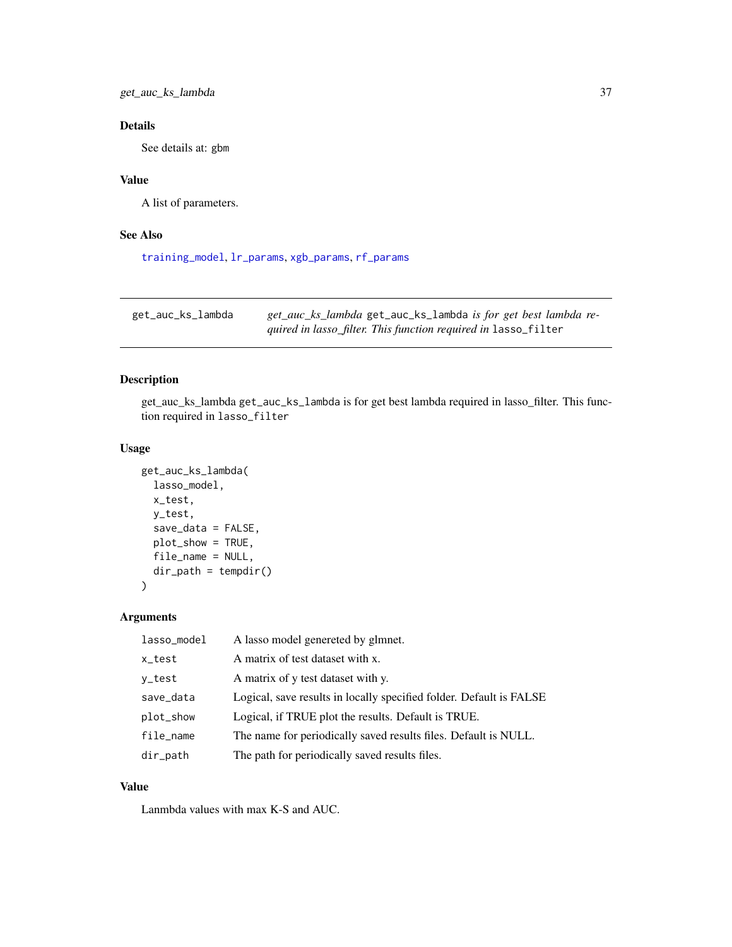get\_auc\_ks\_lambda 37

# Details

See details at: gbm

### Value

A list of parameters.

## See Also

[training\\_model](#page-121-0), [lr\\_params](#page-69-0), [xgb\\_params](#page-134-0), [rf\\_params](#page-103-0)

get\_auc\_ks\_lambda *get\_auc\_ks\_lambda* get\_auc\_ks\_lambda *is for get best lambda required in lasso\_filter. This function required in* lasso\_filter

## Description

get\_auc\_ks\_lambda get\_auc\_ks\_lambda is for get best lambda required in lasso\_filter. This function required in lasso\_filter

### Usage

```
get_auc_ks_lambda(
  lasso_model,
  x_test,
  y_test,
  save_data = FALSE,
  plot_show = TRUE,
  file_name = NULL,
  dir_path = tempdir()
\mathcal{E}
```
## Arguments

| lasso_model | A lasso model genereted by glmnet.                                  |
|-------------|---------------------------------------------------------------------|
| x_test      | A matrix of test dataset with x.                                    |
| y_test      | A matrix of y test dataset with y.                                  |
| save_data   | Logical, save results in locally specified folder. Default is FALSE |
| plot_show   | Logical, if TRUE plot the results. Default is TRUE.                 |
| file_name   | The name for periodically saved results files. Default is NULL.     |
| dir_path    | The path for periodically saved results files.                      |

### Value

Lanmbda values with max K-S and AUC.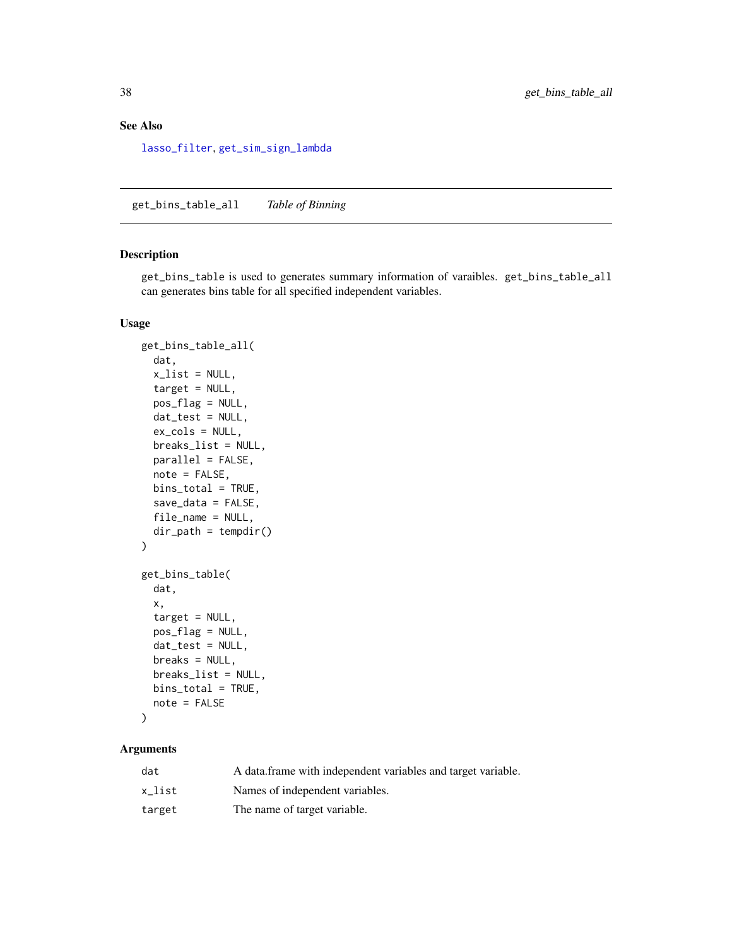## See Also

[lasso\\_filter](#page-62-0), [get\\_sim\\_sign\\_lambda](#page-55-0)

get\_bins\_table\_all *Table of Binning*

### <span id="page-37-0"></span>Description

get\_bins\_table is used to generates summary information of varaibles. get\_bins\_table\_all can generates bins table for all specified independent variables.

### Usage

```
get_bins_table_all(
 dat,
  x<sup>list = NULL</sup>,
  target = NULL,pos_flag = NULL,
 dat_test = NULL,
 ex_cols = NULL,
 breaks_list = NULL,
 parallel = FALSE,
 note = FALSE,
 bins_total = TRUE,
  save_data = FALSE,
 file_name = NULL,
 dir_path = tempdir()
)
get_bins_table(
 dat,
  x,
  target = NULL,pos_flag = NULL,
 dat_test = NULL,
 breaks = NULL,
 breaks_list = NULL,
 bins_total = TRUE,
 note = FALSE
\mathcal{L}
```

| dat    | A data frame with independent variables and target variable. |
|--------|--------------------------------------------------------------|
| x list | Names of independent variables.                              |
| target | The name of target variable.                                 |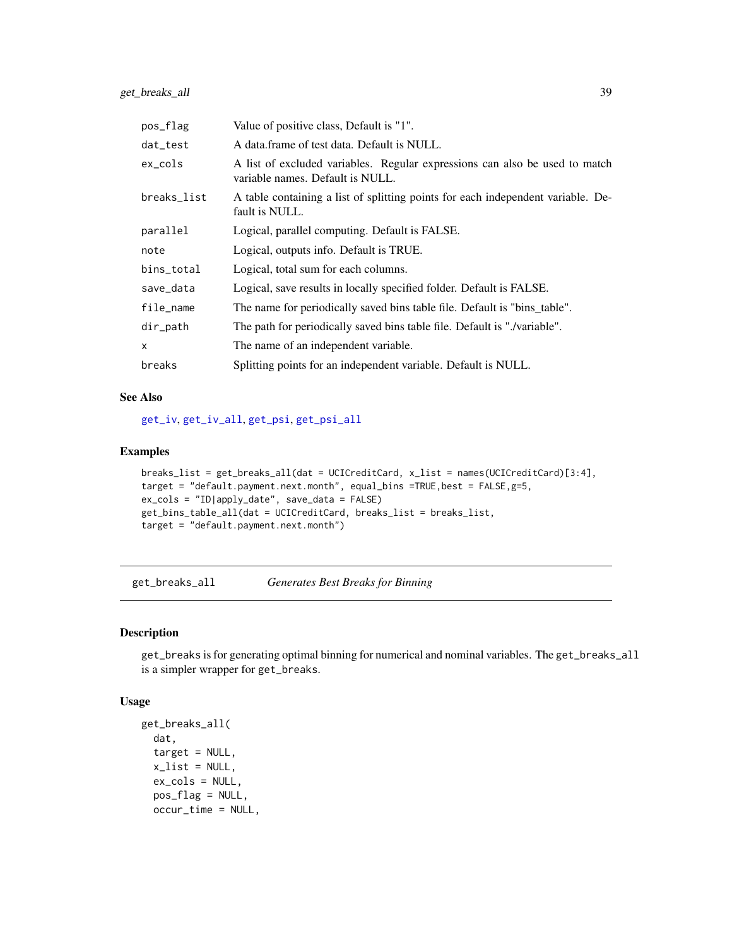| pos_flag    | Value of positive class, Default is "1".                                                                        |
|-------------|-----------------------------------------------------------------------------------------------------------------|
| dat_test    | A data frame of test data. Default is NULL.                                                                     |
| ex_cols     | A list of excluded variables. Regular expressions can also be used to match<br>variable names. Default is NULL. |
| breaks_list | A table containing a list of splitting points for each independent variable. De-<br>fault is NULL.              |
| parallel    | Logical, parallel computing. Default is FALSE.                                                                  |
| note        | Logical, outputs info. Default is TRUE.                                                                         |
| bins_total  | Logical, total sum for each columns.                                                                            |
| save_data   | Logical, save results in locally specified folder. Default is FALSE.                                            |
| file_name   | The name for periodically saved bins table file. Default is "bins_table".                                       |
| dir_path    | The path for periodically saved bins table file. Default is "./variable".                                       |
| X           | The name of an independent variable.                                                                            |
| breaks      | Splitting points for an independent variable. Default is NULL.                                                  |

### See Also

[get\\_iv](#page-42-0), [get\\_iv\\_all](#page-42-1), [get\\_psi](#page-47-0), [get\\_psi\\_all](#page-47-1)

### Examples

```
breaks_list = get_breaks_all(dat = UCICreditCard, x_list = names(UCICreditCard)[3:4],
target = "default.payment.next.month", equal_bins =TRUE,best = FALSE,g=5,
ex_cols = "ID|apply_date", save_data = FALSE)
get_bins_table_all(dat = UCICreditCard, breaks_list = breaks_list,
target = "default.payment.next.month")
```
<span id="page-38-1"></span>get\_breaks\_all *Generates Best Breaks for Binning*

### <span id="page-38-0"></span>Description

get\_breaks is for generating optimal binning for numerical and nominal variables. The get\_breaks\_all is a simpler wrapper for get\_breaks.

### Usage

```
get_breaks_all(
  dat,
  target = NULL,
  x<sup>-</sup>list = NULL,
  ex_cols = NULL,
  pos_flag = NULL,
  occur_time = NULL,
```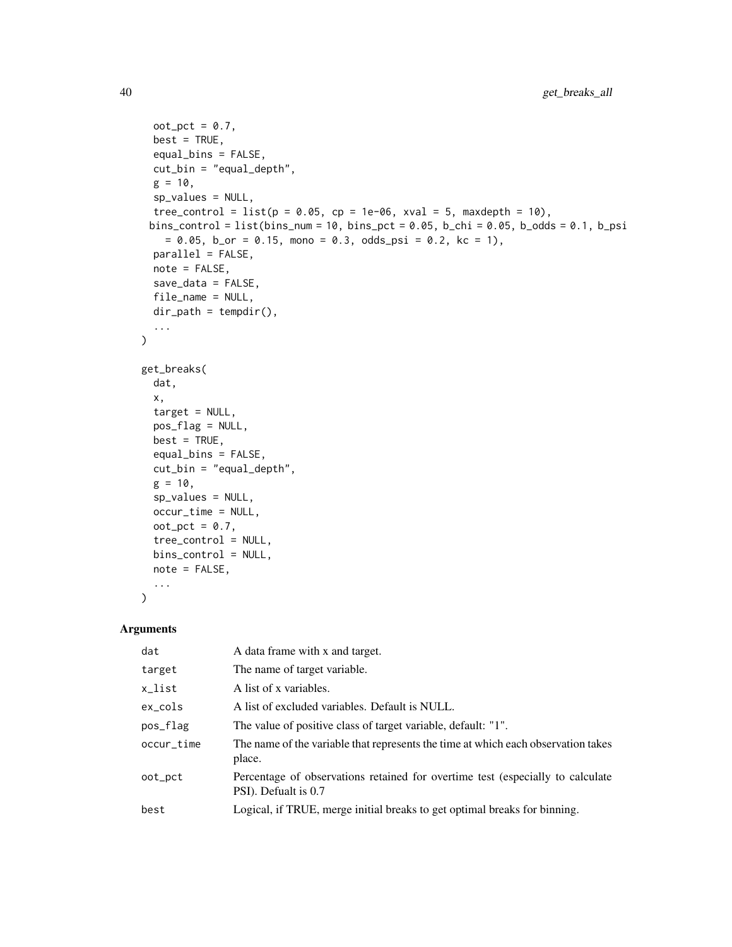```
oot_pct = 0.7,
 best = TRUE,equal_bins = FALSE,
 cut_bin = "equal_depth",
 g = 10,
 sp_values = NULL,
  tree_control = list(p = 0.05, cp = 1e-06, xval = 5, maxdepth = 10),
 bins_control = list(bins_num = 10, bins_pct = 0.05, b_chi = 0.05, b_odds = 0.1, b_psi
   = 0.05, b_{or} = 0.15, mono = 0.3, odds_psi = 0.2, kc = 1),
 parallel = FALSE,
 note = FALSE,
 save_data = FALSE,
 file_name = NULL,
 dir\_path = tempdir(),...
\mathcal{L}get_breaks(
 dat,
 x,
 target = NULL,pos_flag = NULL,
 best = TRUE,equal_bins = FALSE,
 cut_bin = "equal_depth",
 g = 10,
 sp_values = NULL,
 occur_time = NULL,
 oot_pct = 0.7,
 tree_control = NULL,
 bins_control = NULL,
 note = FALSE,
  ...
```

```
\mathcal{L}
```

| dat        | A data frame with x and target.                                                                        |
|------------|--------------------------------------------------------------------------------------------------------|
| target     | The name of target variable.                                                                           |
| x_list     | A list of x variables.                                                                                 |
| $ex\_cols$ | A list of excluded variables. Default is NULL.                                                         |
| pos_flag   | The value of positive class of target variable, default: "1".                                          |
| occur_time | The name of the variable that represents the time at which each observation takes<br>place.            |
| oot_pct    | Percentage of observations retained for overtime test (especially to calculate<br>PSI). Defualt is 0.7 |
| best       | Logical, if TRUE, merge initial breaks to get optimal breaks for binning.                              |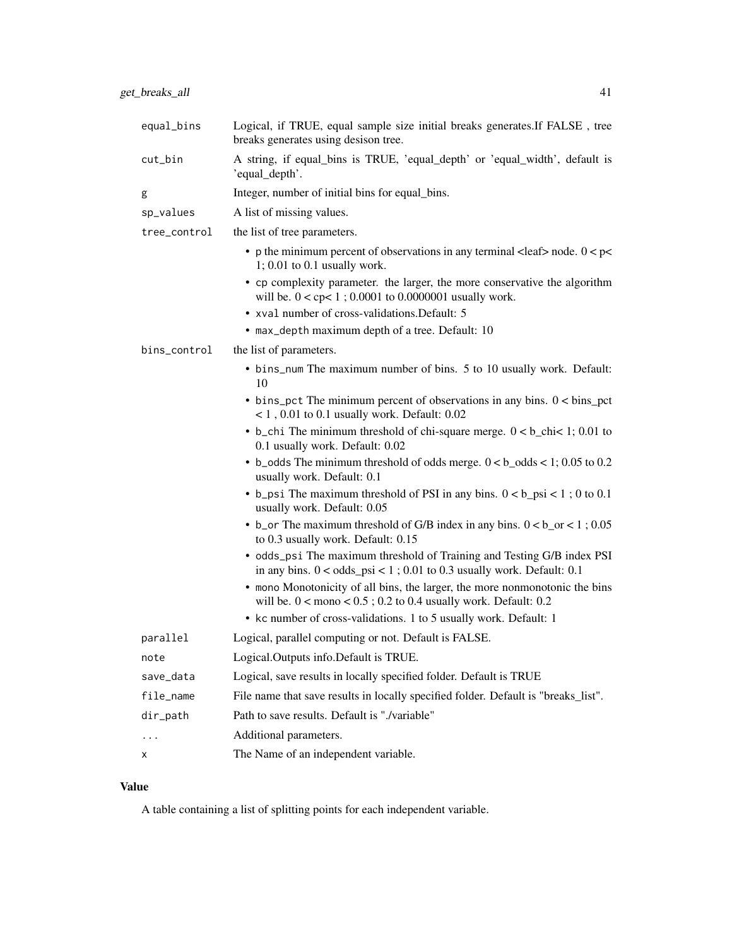| equal_bins   | Logical, if TRUE, equal sample size initial breaks generates. If FALSE, tree<br>breaks generates using desison tree.                                              |
|--------------|-------------------------------------------------------------------------------------------------------------------------------------------------------------------|
| cut_bin      | A string, if equal bins is TRUE, 'equal depth' or 'equal width', default is<br>'equal_depth'.                                                                     |
| g            | Integer, number of initial bins for equal_bins.                                                                                                                   |
| sp_values    | A list of missing values.                                                                                                                                         |
| tree_control | the list of tree parameters.                                                                                                                                      |
|              | • p the minimum percent of observations in any terminal <leaf> node. <math>0 &lt; p &lt;</math><br/><math>1; 0.01</math> to <math>0.1</math> usually work.</leaf> |
|              | • cp complexity parameter. the larger, the more conservative the algorithm<br>will be. $0 <$ cp $< 1$ ; 0.0001 to 0.0000001 usually work.                         |
|              | • xval number of cross-validations. Default: 5                                                                                                                    |
|              | • max_depth maximum depth of a tree. Default: 10                                                                                                                  |
| bins_control | the list of parameters.                                                                                                                                           |
|              | • bins_num The maximum number of bins. 5 to 10 usually work. Default:<br>10                                                                                       |
|              | $\bullet$ bins_pct The minimum percent of observations in any bins. $0 < \text{bins\_pot}$<br>$< 1$ , 0.01 to 0.1 usually work. Default: 0.02                     |
|              | • b_chi The minimum threshold of chi-square merge. $0 < b$ _chi< 1; 0.01 to<br>0.1 usually work. Default: 0.02                                                    |
|              | • b_odds The minimum threshold of odds merge. $0 < b$ _odds < 1; 0.05 to 0.2<br>usually work. Default: 0.1                                                        |
|              | • b_psi The maximum threshold of PSI in any bins. $0 < b$ _psi < 1; 0 to 0.1<br>usually work. Default: 0.05                                                       |
|              | • b_or The maximum threshold of G/B index in any bins. $0 < b$ _or < 1; 0.05                                                                                      |

- to 0.3 usually work. Default: 0.15 • odds\_psi The maximum threshold of Training and Testing G/B index PSI in any bins. 0 < odds\_psi < 1 ; 0.01 to 0.3 usually work. Default: 0.1
- mono Monotonicity of all bins, the larger, the more nonmonotonic the bins will be.  $0 <$  mono  $< 0.5$ ; 0.2 to 0.4 usually work. Default: 0.2
- kc number of cross-validations. 1 to 5 usually work. Default: 1

| parallel    | Logical, parallel computing or not. Default is FALSE.                              |
|-------------|------------------------------------------------------------------------------------|
| note        | Logical. Outputs info. Default is TRUE.                                            |
| save_data   | Logical, save results in locally specified folder. Default is TRUE                 |
| file_name   | File name that save results in locally specified folder. Default is "breaks_list". |
| $dir$ -path | Path to save results. Default is "./variable"                                      |
| $\ddotsc$   | Additional parameters.                                                             |
| X           | The Name of an independent variable.                                               |
|             |                                                                                    |

## Value

A table containing a list of splitting points for each independent variable.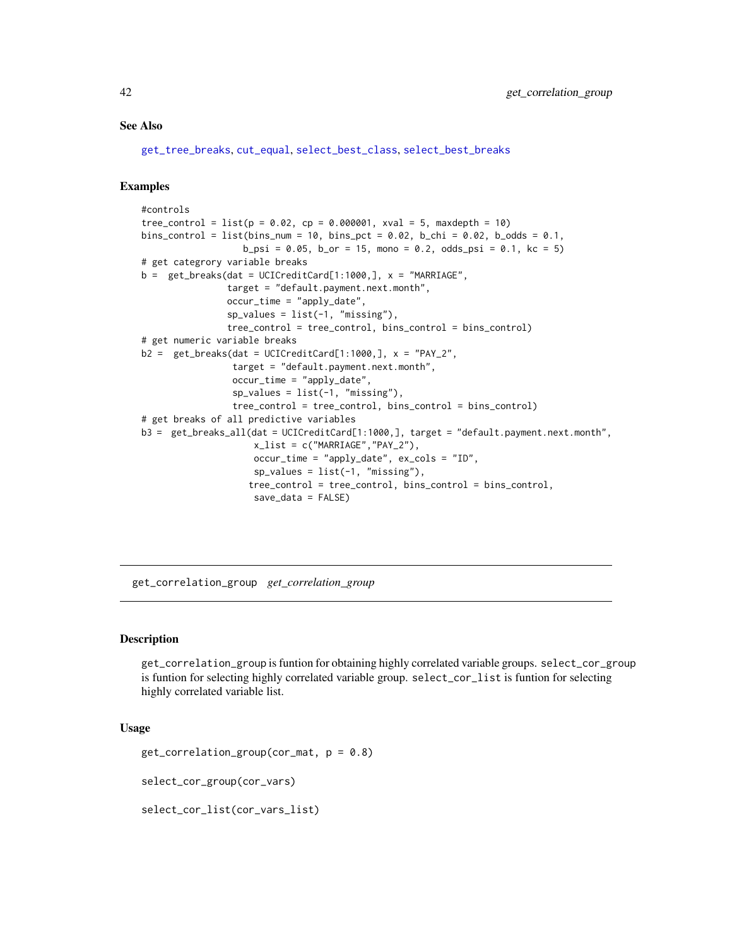### See Also

[get\\_tree\\_breaks](#page-56-0), [cut\\_equal](#page-16-0), [select\\_best\\_class](#page-107-0), [select\\_best\\_breaks](#page-107-1)

### Examples

```
#controls
tree_{control = list(p = 0.02, cp = 0.000001, xval = 5, maxdepth = 10)bins_control = list(bins_num = 10, bins_pct = 0.02, b_chi = 0.02, b_odds = 0.1,
                   b_psi = 0.05, b_por = 15, mono = 0.2, odds_psi = 0.1, kc = 5)
# get categrory variable breaks
b = get\_breaks(data = UCICreditCard[1:1000,], x = "MARKIAGE",target = "default.payment.next.month",
                occur_time = "apply_date",
                sp_values = list(-1, "missing"),tree_control = tree_control, bins_control = bins_control)
# get numeric variable breaks
b2 = get_breaks(data = UCICreditCard[1:1000,], x = "PAY_2",target = "default.payment.next.month",
                 occur_time = "apply_date",
                 sp_values = list(-1, "missing"),tree_control = tree_control, bins_control = bins_control)
# get breaks of all predictive variables
b3 = get_breaks_all(dat = UCICreditCard[1:1000,], target = "default.payment.next.month",
                     x<sup>1</sup>ist = c("MARRIAGE","PAY<sup>2</sup>"),
                     occur_time = "apply_date", ex_cols = "ID",
                     sp_values = list(-1, "missing"),
                    tree_control = tree_control, bins_control = bins_control,
                     save_data = FALSE)
```
get\_correlation\_group *get\_correlation\_group*

## **Description**

get\_correlation\_group is funtion for obtaining highly correlated variable groups. select\_cor\_group is funtion for selecting highly correlated variable group. select\_cor\_list is funtion for selecting highly correlated variable list.

### Usage

```
get_correlation_group(cor_mat, p = 0.8)
```
select\_cor\_group(cor\_vars)

select\_cor\_list(cor\_vars\_list)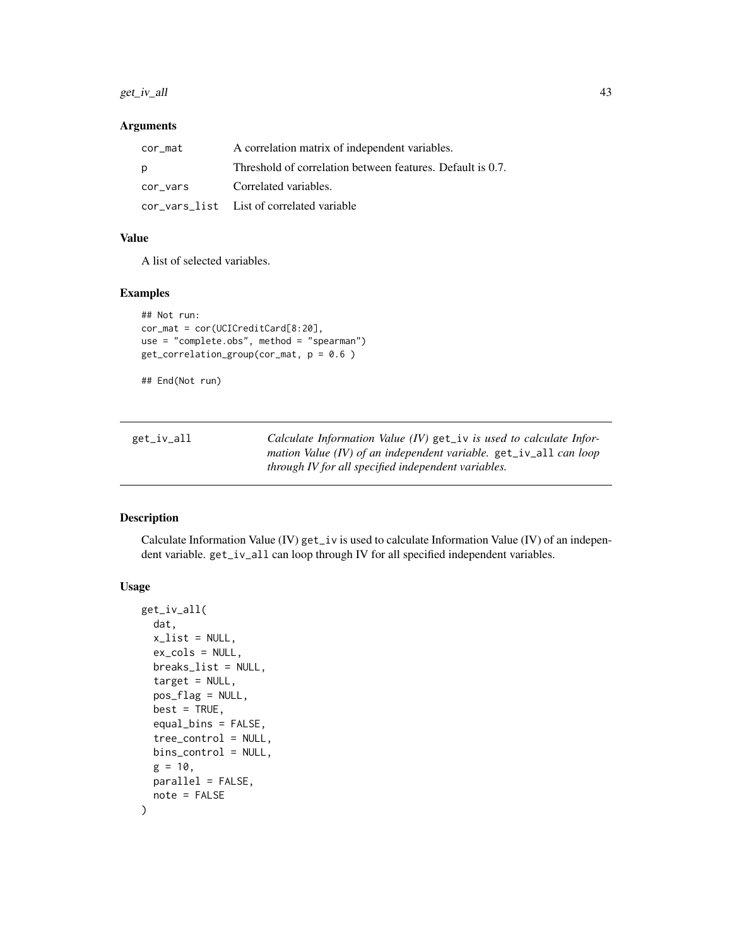### $get\_iv\_all$  43

## Arguments

| cor mat  | A correlation matrix of independent variables.             |
|----------|------------------------------------------------------------|
| p        | Threshold of correlation between features. Default is 0.7. |
| cor vars | Correlated variables.                                      |
|          | cor vars list List of correlated variable                  |

# Value

A list of selected variables.

### Examples

```
## Not run:
cor_mat = cor(UCICreditCard[8:20],
use = "complete.obs", method = "spearman")
get_correlation_group(cor_mat, p = 0.6 )
```
## End(Not run)

<span id="page-42-1"></span>

| get_iv_all | Calculate Information Value $(IV)$ get iv is used to calculate Infor- |
|------------|-----------------------------------------------------------------------|
|            | mation Value (IV) of an independent variable. get_iv_all can loop     |
|            | through IV for all specified independent variables.                   |

## <span id="page-42-0"></span>Description

Calculate Information Value (IV) get\_iv is used to calculate Information Value (IV) of an independent variable. get\_iv\_all can loop through IV for all specified independent variables.

### Usage

```
get_iv_all(
  dat,
  x<sup>list = NULL</sup>,
  ex_cols = NULL,
 breaks_list = NULL,
  target = NULL,
  pos_flag = NULL,
  best = TRUE,equal_bins = FALSE,
  tree_control = NULL,
 bins_control = NULL,
 g = 10,
 parallel = FALSE,
  note = FALSE
)
```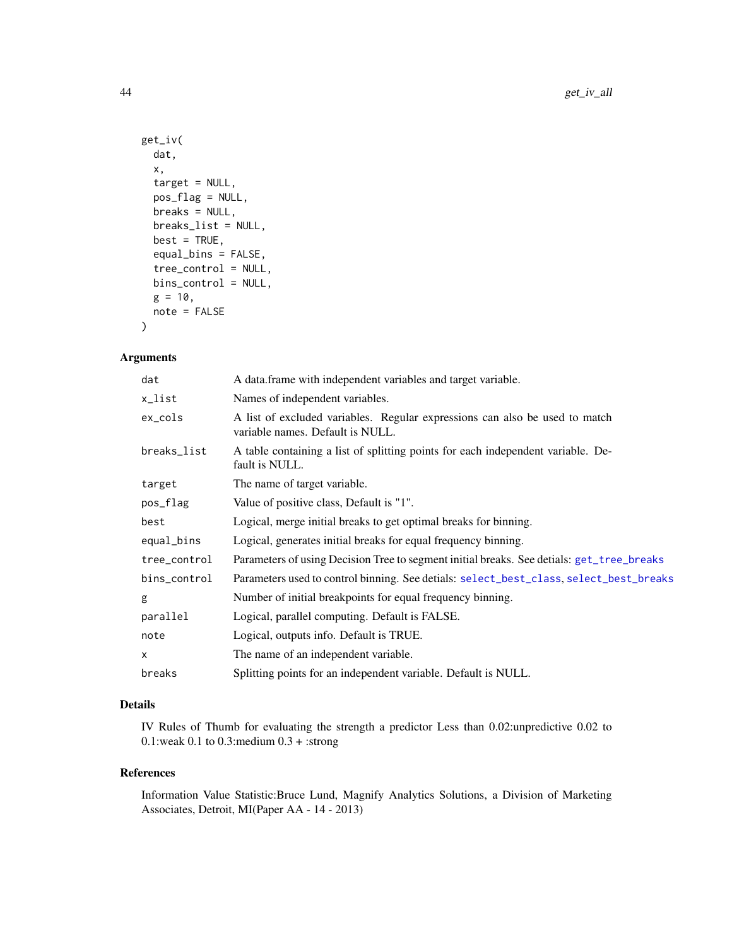```
get_iv(
  dat,
  x,
  target = NULL,pos_flag = NULL,
 breaks = NULL,
 breaks_list = NULL,
 best = TRUE,equal_bins = FALSE,
  tree_control = NULL,
 bins_control = NULL,
 g = 10,
 note = FALSE
)
```
## Arguments

| dat          | A data frame with independent variables and target variable.                                                    |
|--------------|-----------------------------------------------------------------------------------------------------------------|
| x_list       | Names of independent variables.                                                                                 |
| ex_cols      | A list of excluded variables. Regular expressions can also be used to match<br>variable names. Default is NULL. |
| breaks_list  | A table containing a list of splitting points for each independent variable. De-<br>fault is NULL.              |
| target       | The name of target variable.                                                                                    |
| pos_flag     | Value of positive class, Default is "1".                                                                        |
| best         | Logical, merge initial breaks to get optimal breaks for binning.                                                |
| equal_bins   | Logical, generates initial breaks for equal frequency binning.                                                  |
| tree_control | Parameters of using Decision Tree to segment initial breaks. See detials: get_tree_breaks                       |
| bins_control | Parameters used to control binning. See detials: select_best_class, select_best_breaks                          |
| g            | Number of initial breakpoints for equal frequency binning.                                                      |
| parallel     | Logical, parallel computing. Default is FALSE.                                                                  |
| note         | Logical, outputs info. Default is TRUE.                                                                         |
| X            | The name of an independent variable.                                                                            |
| breaks       | Splitting points for an independent variable. Default is NULL.                                                  |

# Details

IV Rules of Thumb for evaluating the strength a predictor Less than 0.02:unpredictive 0.02 to 0.1:weak 0.1 to 0.3:medium 0.3 + :strong

### References

Information Value Statistic:Bruce Lund, Magnify Analytics Solutions, a Division of Marketing Associates, Detroit, MI(Paper AA - 14 - 2013)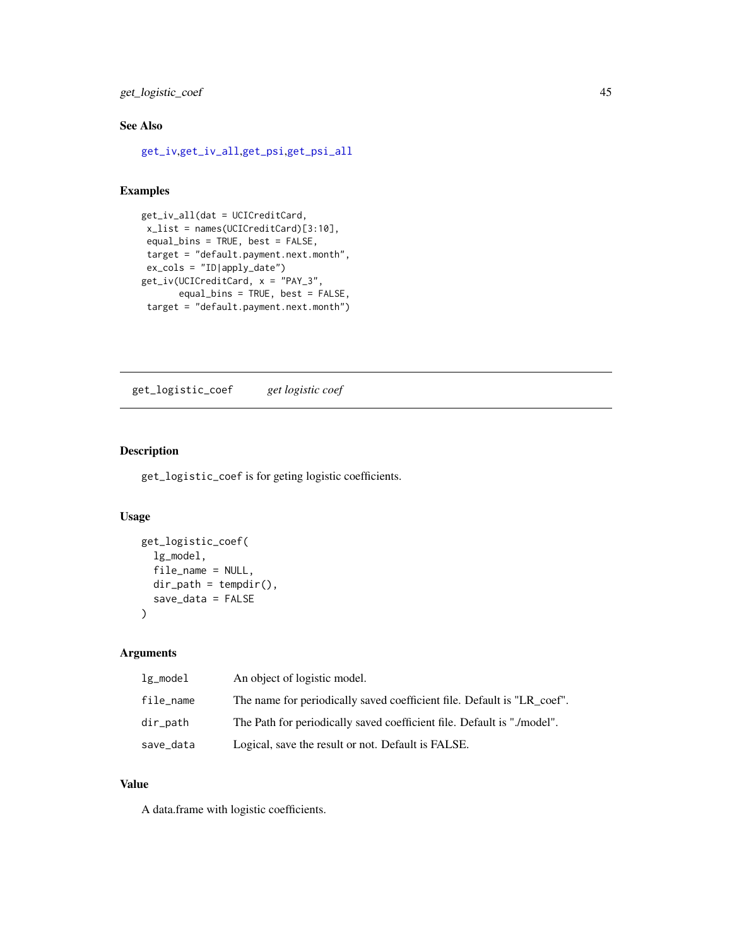get\_logistic\_coef 45

# See Also

[get\\_iv](#page-42-0),[get\\_iv\\_all](#page-42-1),[get\\_psi](#page-47-0),[get\\_psi\\_all](#page-47-1)

# Examples

```
get_iv_all(dat = UCICreditCard,
 x_list = names(UCICreditCard)[3:10],
 equal_bins = TRUE, best = FALSE,
 target = "default.payment.next.month",
 ex\_cols = "ID|apply_data")get_iv(UCICreditCard, x = "PAY_3",
      equal_bins = TRUE, best = FALSE,
 target = "default.payment.next.month")
```
get\_logistic\_coef *get logistic coef*

## Description

get\_logistic\_coef is for geting logistic coefficients.

### Usage

```
get_logistic_coef(
 lg_model,
  file_name = NULL,
 dir\_path = tempdir(),save_data = FALSE
)
```
# Arguments

| $lg$ _model | An object of logistic model.                                            |
|-------------|-------------------------------------------------------------------------|
| file_name   | The name for periodically saved coefficient file. Default is "LR coef". |
| dir_path    | The Path for periodically saved coefficient file. Default is "./model". |
| save_data   | Logical, save the result or not. Default is FALSE.                      |

# Value

A data.frame with logistic coefficients.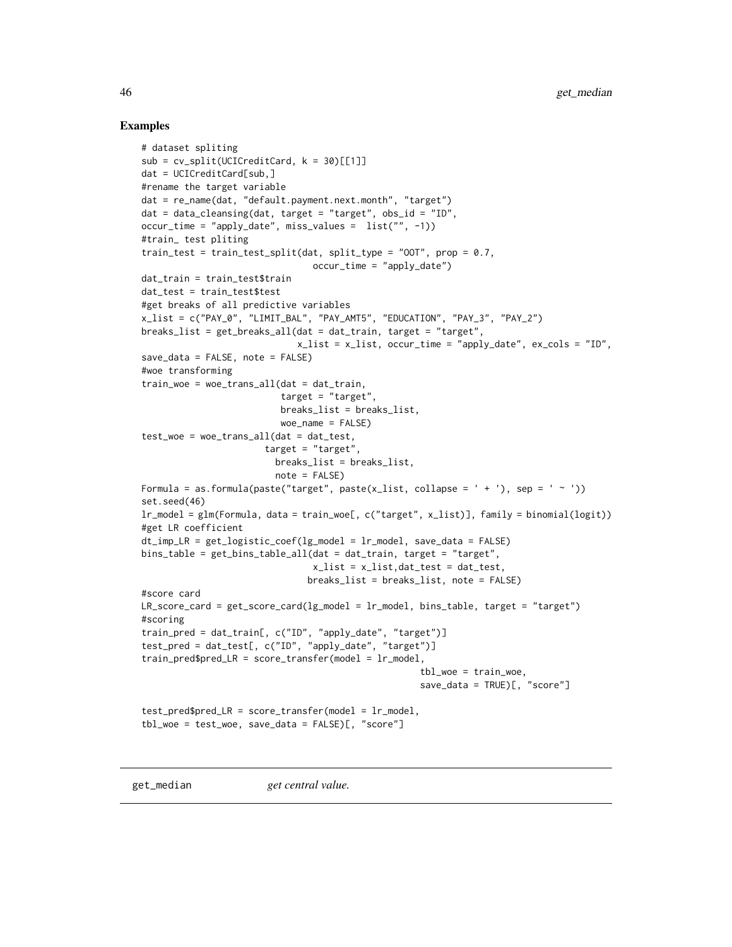### Examples

```
# dataset spliting
sub = cv_split(UCICredictCard, k = 30)[[1]]dat = UCICreditCard[sub,]
#rename the target variable
dat = re_name(dat, "default.payment.next.month", "target")
dat = data_cleanging(data, target = "target", obs_id = "ID",occur_time = "apply_date", miss_values = list("", -1))
#train_ test pliting
train_test = train_test_split(dat, split_type = "00T", prop = 0.7,
                                occur_time = "apply_data")dat_train = train_test$train
dat_test = train_test$test
#get breaks of all predictive variables
x_list = c("PAY_0", "LIMIT_BAL", "PAY_AMT5", "EDUCATION", "PAY_3", "PAY_2")
breaks_list = get_breaks_all(dat = dat_train, target = "target",
                             x_list = x_list, occur_time = "apply_date", ex_cols = "ID",
save_data = FALSE, note = FALSE)
#woe transforming
train_woe = woe_trans_all(dat = dat_train,
                          target = "target",breaks_list = breaks_list,
                          woe_name = FALSE)
test\_woe = woe\_trans\_all(data = dat\_test,target = "target",
                         breaks_list = breaks_list,
                         note = FALSE)
Formula = as.formula(paste("target", paste(x_list, collapse = ' + '), sep = ' ~ '))
set.seed(46)
lr_model = glm(Formula, data = train_woe[, c("target", x_list)], family = binomial(logit))
#get LR coefficient
dt_imp_LR = get_logistic_coef(lg_model = lr_model, save_data = FALSE)
bins_table = get_bins_table_all(dat = dat_train, target = "target",
                                x_list = x_list,dat_test = dat_test,
                               breaks_list = breaks_list, note = FALSE)
#score card
LR_score_card = get_score_card(lg_model = lr_model, bins_table, target = "target")
#scoring
train_pred = dat_train[, c("ID", "apply_date", "target")]
test_pred = dat_test[, c("ID", "apply_date", "target")]
train\_pred\LR = score_transfer(model = lr\_model,
                                                    tbl_woe = train_woe,
                                                    save_data = TRUE)[, "score"]
test_pred$pred_LR = score_transfer(model = lr_model,
tbl_woe = test_woe, save_data = FALSE)[, "score"]
```
get\_median *get central value.*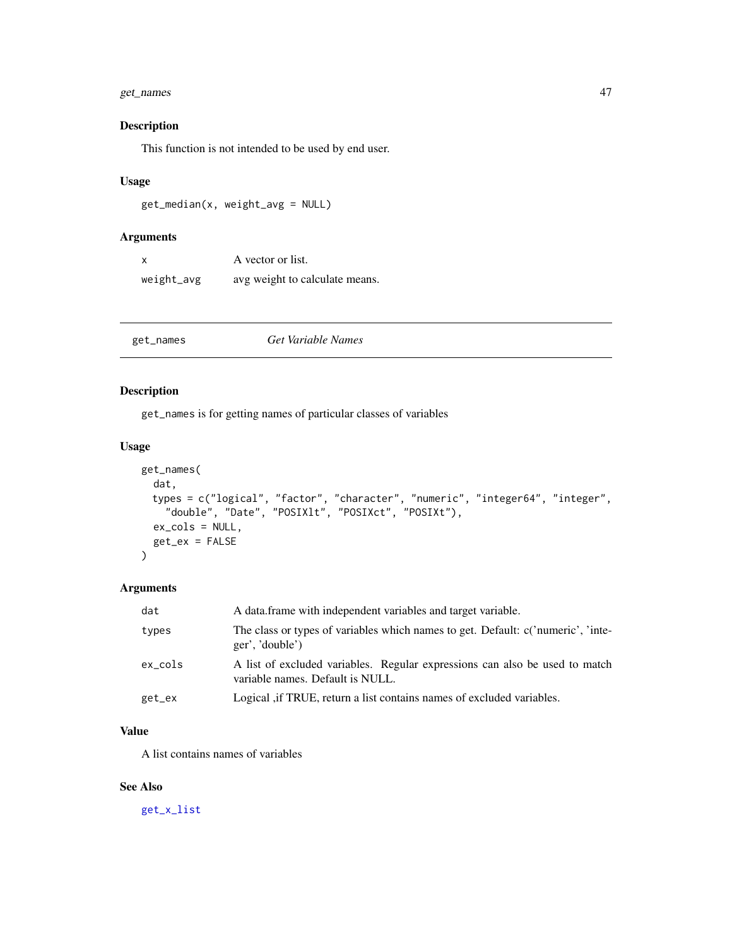## get\_names 47

## Description

This function is not intended to be used by end user.

## Usage

get\_median(x, weight\_avg = NULL)

## Arguments

| $\boldsymbol{\mathsf{x}}$ | A vector or list.              |
|---------------------------|--------------------------------|
| weight_avg                | avg weight to calculate means. |

<span id="page-46-0"></span>

| get_names |
|-----------|

### Description

get\_names is for getting names of particular classes of variables

# Usage

```
get_names(
  dat,
  types = c("logical", "factor", "character", "numeric", "integer64", "integer",
    "double", "Date", "POSIXlt", "POSIXct", "POSIXt"),
  ex_cols = NULL,
  get_ex = FALSE
\overline{)}
```
## Arguments

| dat     | A data frame with independent variables and target variable.                                                    |
|---------|-----------------------------------------------------------------------------------------------------------------|
| types   | The class or types of variables which names to get. Default: c('numeric', 'inte-<br>ger', 'double')             |
| ex_cols | A list of excluded variables. Regular expressions can also be used to match<br>variable names. Default is NULL. |
| get_ex  | Logical, if TRUE, return a list contains names of excluded variables.                                           |

# Value

A list contains names of variables

## See Also

[get\\_x\\_list](#page-57-0)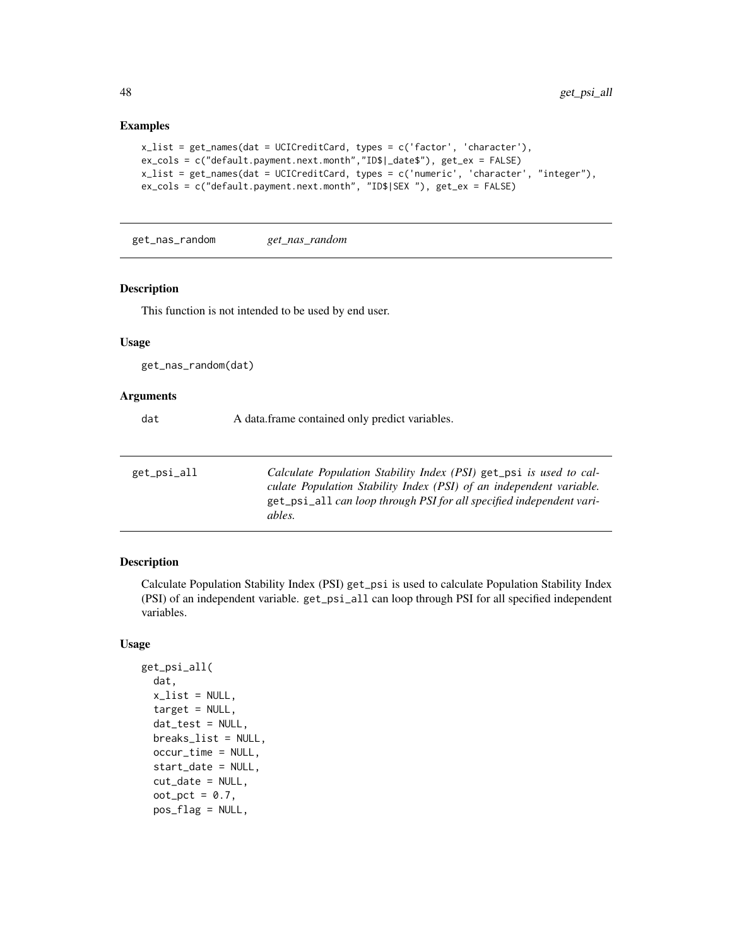### Examples

```
x_list = get_names(dat = UCICreditCard, types = c('factor', 'character'),
ex_cols = c("default.payment.next.month","ID$|_date$"), get_ex = FALSE)
x_list = get_names(dat = UCICreditCard, types = c('numeric', 'character', "integer"),
ex_cols = c("default.payment.next.month", "ID$|SEX "), get_ex = FALSE)
```
get\_nas\_random *get\_nas\_random*

### Description

This function is not intended to be used by end user.

## Usage

get\_nas\_random(dat)

### Arguments

dat A data.frame contained only predict variables.

<span id="page-47-1"></span>

| get_psi_all | Calculate Population Stability Index (PSI) get_psi is used to cal-   |
|-------------|----------------------------------------------------------------------|
|             | culate Population Stability Index (PSI) of an independent variable.  |
|             | get_psi_all can loop through PSI for all specified independent vari- |
|             | ables.                                                               |
|             |                                                                      |

### <span id="page-47-0"></span>Description

Calculate Population Stability Index (PSI) get\_psi is used to calculate Population Stability Index (PSI) of an independent variable. get\_psi\_all can loop through PSI for all specified independent variables.

### Usage

```
get_psi_all(
  dat,
  x_list = NULL,
  target = NULL,dat_test = NULL,
  breaks_list = NULL,
  occur_time = NULL,
  start_date = NULL,
  cut_date = NULL,
  oot_pct = 0.7,
  pos_flag = NULL,
```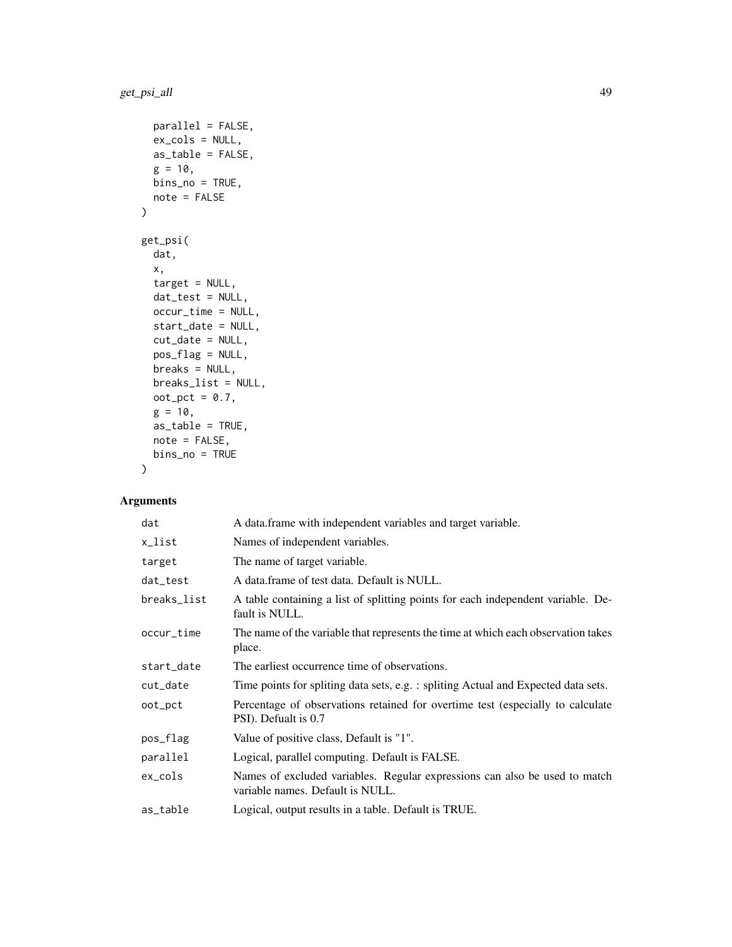```
parallel = FALSE,
 ex_cols = NULL,
 as_table = FALSE,
 g = 10,
 bins_no = TRUE,
 note = FALSE
\mathcal{L}get_psi(
 dat,
 x,
  target = NULL,dat_test = NULL,
 occur_time = NULL,
 start_date = NULL,
  cut_date = NULL,
 pos_flag = NULL,
 breaks = NULL,
 breaks_list = NULL,
 oot_pct = 0.7,
 g = 10,
 as_table = TRUE,
 note = FALSE,
 bins_no = TRUE
\mathcal{L}
```

| dat         | A data.frame with independent variables and target variable.                                                   |
|-------------|----------------------------------------------------------------------------------------------------------------|
| x_list      | Names of independent variables.                                                                                |
| target      | The name of target variable.                                                                                   |
| dat_test    | A data frame of test data. Default is NULL.                                                                    |
| breaks_list | A table containing a list of splitting points for each independent variable. De-<br>fault is NULL.             |
| occur_time  | The name of the variable that represents the time at which each observation takes<br>place.                    |
| start_date  | The earliest occurrence time of observations.                                                                  |
| cut_date    | Time points for spliting data sets, e.g. : spliting Actual and Expected data sets.                             |
| oot_pct     | Percentage of observations retained for overtime test (especially to calculate<br>PSI). Defualt is 0.7         |
| pos_flag    | Value of positive class, Default is "1".                                                                       |
| parallel    | Logical, parallel computing. Default is FALSE.                                                                 |
| $ex\_cols$  | Names of excluded variables. Regular expressions can also be used to match<br>variable names. Default is NULL. |
| as_table    | Logical, output results in a table. Default is TRUE.                                                           |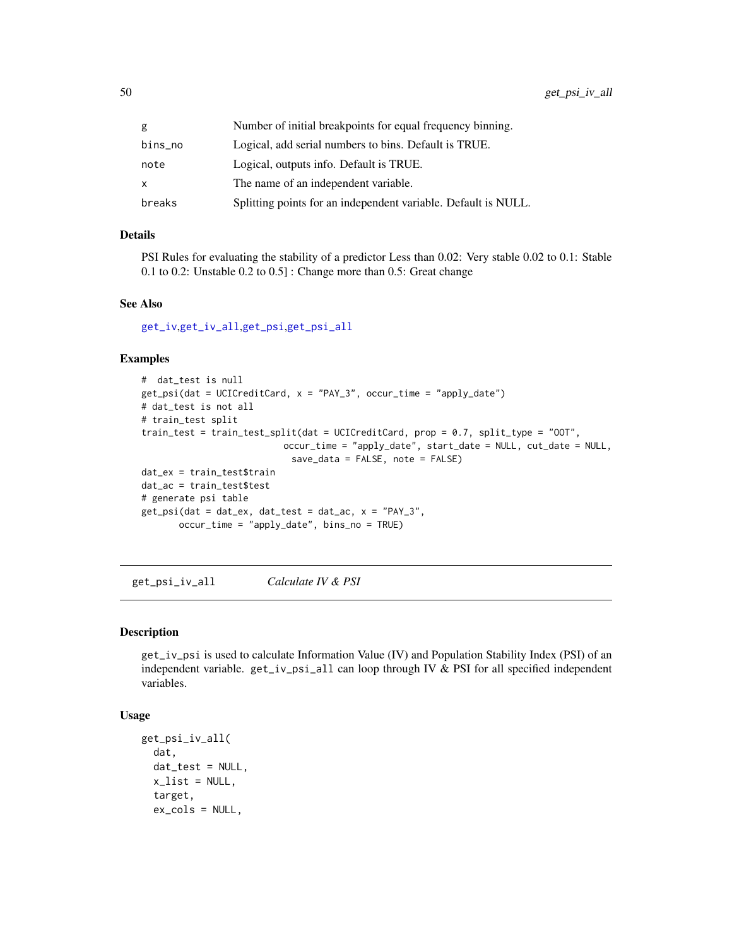| g       | Number of initial breakpoints for equal frequency binning.     |
|---------|----------------------------------------------------------------|
| bins_no | Logical, add serial numbers to bins. Default is TRUE.          |
| note    | Logical, outputs info. Default is TRUE.                        |
| x       | The name of an independent variable.                           |
| breaks  | Splitting points for an independent variable. Default is NULL. |

### Details

PSI Rules for evaluating the stability of a predictor Less than 0.02: Very stable 0.02 to 0.1: Stable 0.1 to 0.2: Unstable 0.2 to 0.5] : Change more than 0.5: Great change

## See Also

[get\\_iv](#page-42-0),[get\\_iv\\_all](#page-42-1),[get\\_psi](#page-47-0),[get\\_psi\\_all](#page-47-1)

### Examples

```
# dat_test is null
get_psi(dat = UCICreditCard, x = "PAY_3", occur_time = "apply_date")
# dat_test is not all
# train_test split
train_test = train_test_split(dat = UCICreditCard, prop = 0.7, split_type = "OOT",
                          occur_time = "apply_date", start_date = NULL, cut_date = NULL,
                            save_data = FALSE, note = FALSE)
dat_ex = train_test$train
dat_ac = train_test$test
# generate psi table
get_psi(dat = dat_ex, dat_test = dat_ac, x = "PAY_3",
       occur_time = "apply_date", bins_no = TRUE)
```
get\_psi\_iv\_all *Calculate IV & PSI*

## Description

get\_iv\_psi is used to calculate Information Value (IV) and Population Stability Index (PSI) of an independent variable. get\_iv\_psi\_all can loop through IV & PSI for all specified independent variables.

### Usage

```
get_psi_iv_all(
  dat,
  dat_test = NULL,
  x<sup>-</sup>list = NULL,
  target,
  ex_cols = NULL,
```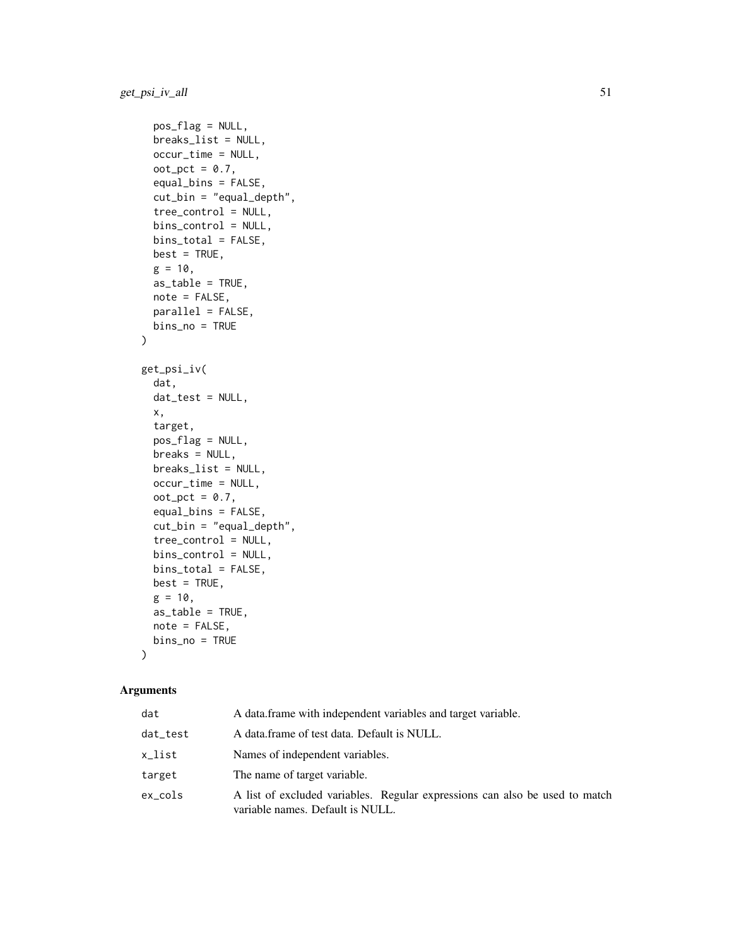```
pos_flag = NULL,
  breaks_list = NULL,
  occur_time = NULL,
  oot_pct = 0.7,
  equal_bins = FALSE,
  cut_bin = "equal_depth",
  tree_control = NULL,
 bins_control = NULL,
 bins_total = FALSE,
 best = TRUE,g = 10,
 as_table = TRUE,
 note = FALSE,
 parallel = FALSE,
 bins_no = TRUE
\mathcal{L}get_psi_iv(
  dat,
  dat_test = NULL,
 x,
  target,
  pos_flag = NULL,
 breaks = NULL,
 breaks_list = NULL,
 occur_time = NULL,
  oot\_pot = 0.7,
  equal_bins = FALSE,
  cut_bin = "equal_depth",
  tree_control = NULL,
 bins_control = NULL,
 bins_total = FALSE,
 best = TRUE,g = 10,
 as_table = TRUE,
 note = FALSE,
 bins_no = TRUE
)
```

| dat      | A data frame with independent variables and target variable.                                                    |
|----------|-----------------------------------------------------------------------------------------------------------------|
| dat_test | A data frame of test data. Default is NULL.                                                                     |
| x_list   | Names of independent variables.                                                                                 |
| target   | The name of target variable.                                                                                    |
| ex_cols  | A list of excluded variables. Regular expressions can also be used to match<br>variable names. Default is NULL. |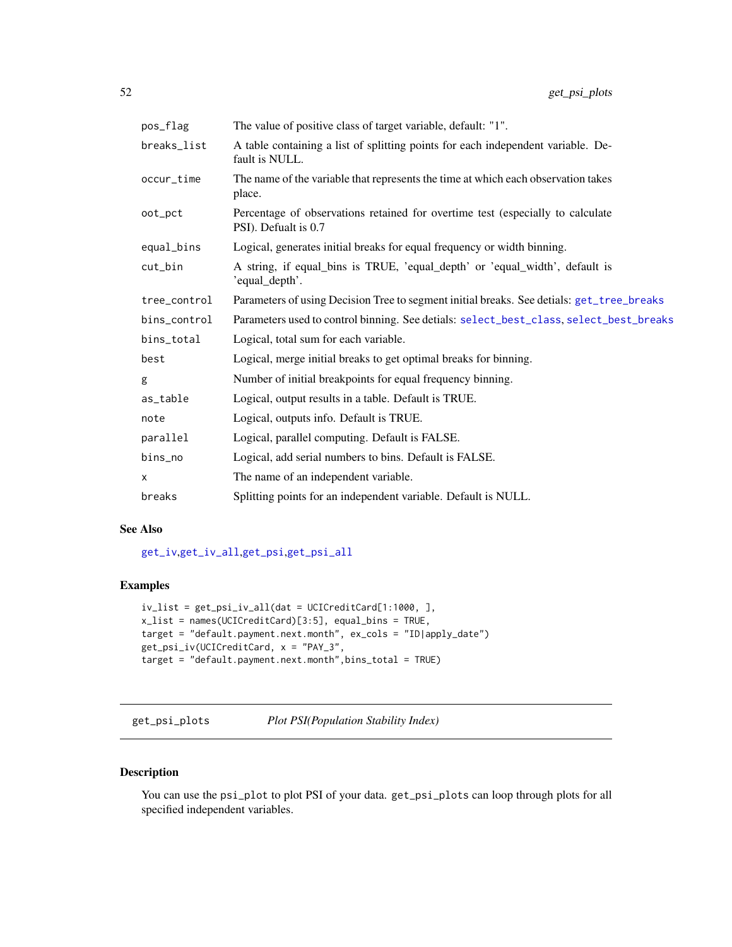| pos_flag     | The value of positive class of target variable, default: "1".                                          |
|--------------|--------------------------------------------------------------------------------------------------------|
| breaks_list  | A table containing a list of splitting points for each independent variable. De-<br>fault is NULL.     |
| occur_time   | The name of the variable that represents the time at which each observation takes<br>place.            |
| oot_pct      | Percentage of observations retained for overtime test (especially to calculate<br>PSI). Defualt is 0.7 |
| equal_bins   | Logical, generates initial breaks for equal frequency or width binning.                                |
| cut_bin      | A string, if equal_bins is TRUE, 'equal_depth' or 'equal_width', default is<br>'equal_depth'.          |
| tree_control | Parameters of using Decision Tree to segment initial breaks. See detials: get_tree_breaks              |
| bins_control | Parameters used to control binning. See detials: select_best_class, select_best_breaks                 |
| bins_total   | Logical, total sum for each variable.                                                                  |
| best         | Logical, merge initial breaks to get optimal breaks for binning.                                       |
| g            | Number of initial breakpoints for equal frequency binning.                                             |
| as_table     | Logical, output results in a table. Default is TRUE.                                                   |
| note         | Logical, outputs info. Default is TRUE.                                                                |
| parallel     | Logical, parallel computing. Default is FALSE.                                                         |
| bins_no      | Logical, add serial numbers to bins. Default is FALSE.                                                 |
| x            | The name of an independent variable.                                                                   |
| breaks       | Splitting points for an independent variable. Default is NULL.                                         |

## See Also

[get\\_iv](#page-42-0),[get\\_iv\\_all](#page-42-1),[get\\_psi](#page-47-0),[get\\_psi\\_all](#page-47-1)

# Examples

```
iv_list = get_psi_iv_all(dat = UCICreditCard[1:1000, ],
x_list = names(UCICreditCard)[3:5], equal_bins = TRUE,
target = "default.payment.next.month", ex_cols = "ID|apply_date")
get_psi_iv(UCICreditCard, x = "PAY_3",
target = "default.payment.next.month",bins_total = TRUE)
```
get\_psi\_plots *Plot PSI(Population Stability Index)*

# Description

You can use the psi\_plot to plot PSI of your data. get\_psi\_plots can loop through plots for all specified independent variables.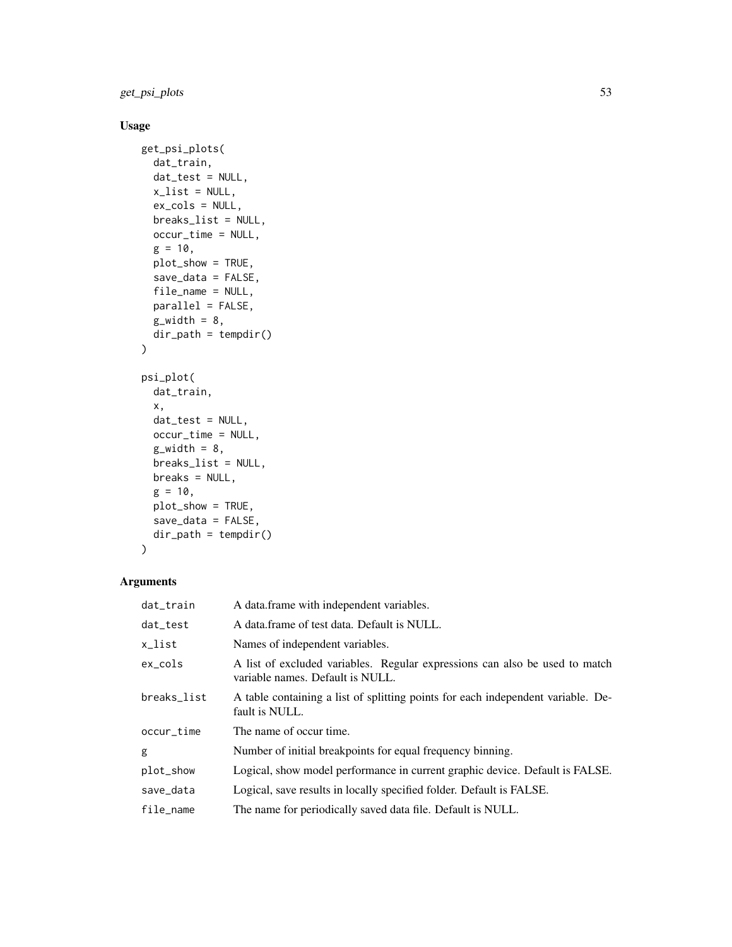get\_psi\_plots 53

# Usage

```
get_psi_plots(
  dat_train,
  dat_test = NULL,
  x<sup>list = NULL</sup>,
  ex_cols = NULL,
  breaks_list = NULL,
  occur_time = NULL,
  g = 10,
  plot_show = TRUE,
  save_data = FALSE,
  file_name = NULL,
  parallel = FALSE,
  g_width = 8,
  dir_path = tempdir()
\mathcal{L}psi_plot(
  dat_train,
  x,
  dat_test = NULL,
  occur_time = NULL,
  g_width = 8,
  breaks_list = NULL,
  breaks = NULL,
  g = 10,
  plot_show = TRUE,
  save_data = FALSE,
  dir_path = tempdir()
\mathcal{L}
```

| dat_train   | A data frame with independent variables.                                                                        |
|-------------|-----------------------------------------------------------------------------------------------------------------|
| dat_test    | A data frame of test data. Default is NULL.                                                                     |
| x_list      | Names of independent variables.                                                                                 |
| $ex\_cols$  | A list of excluded variables. Regular expressions can also be used to match<br>variable names. Default is NULL. |
| breaks_list | A table containing a list of splitting points for each independent variable. De-<br>fault is NULL.              |
| occur_time  | The name of occur time.                                                                                         |
| g           | Number of initial breakpoints for equal frequency binning.                                                      |
| plot_show   | Logical, show model performance in current graphic device. Default is FALSE.                                    |
| save_data   | Logical, save results in locally specified folder. Default is FALSE.                                            |
| file_name   | The name for periodically saved data file. Default is NULL.                                                     |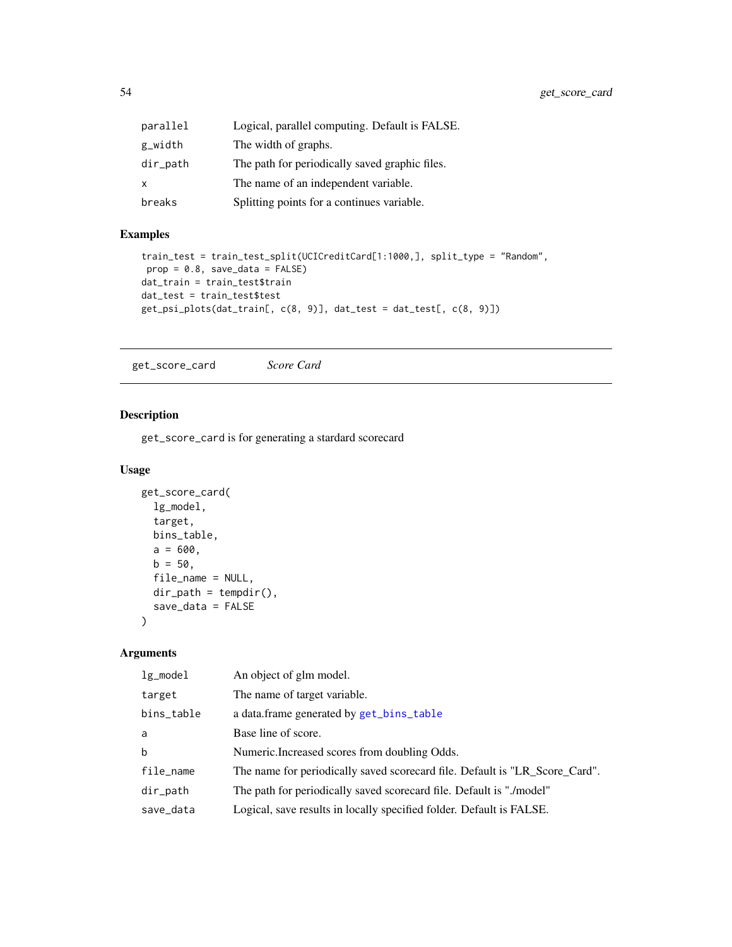| parallel     | Logical, parallel computing. Default is FALSE. |
|--------------|------------------------------------------------|
| g_width      | The width of graphs.                           |
| dir_path     | The path for periodically saved graphic files. |
| $\mathsf{x}$ | The name of an independent variable.           |
| breaks       | Splitting points for a continues variable.     |

## Examples

```
train_test = train_test_split(UCICreditCard[1:1000,], split_type = "Random",
prop = 0.8, save_data = FALSE)dat_train = train_test$train
dat_test = train_test$test
get_psi_plots(dat_train[, c(8, 9)], dat_test = dat_test[, c(8, 9)])
```
get\_score\_card *Score Card*

# Description

get\_score\_card is for generating a stardard scorecard

### Usage

```
get_score_card(
 lg_model,
 target,
 bins_table,
 a = 600,b = 50,file_name = NULL,
 dir\_path = tempdir(),
 save_data = FALSE
)
```

| $lg$ _model | An object of glm model.                                                     |
|-------------|-----------------------------------------------------------------------------|
| target      | The name of target variable.                                                |
| bins_table  | a data.frame generated by get_bins_table                                    |
| a           | Base line of score.                                                         |
| $\mathbf b$ | Numeric. Increased scores from doubling Odds.                               |
| file_name   | The name for periodically saved scorecard file. Default is "LR_Score_Card". |
| dir_path    | The path for periodically saved scorecard file. Default is "./model"        |
| save_data   | Logical, save results in locally specified folder. Default is FALSE.        |
|             |                                                                             |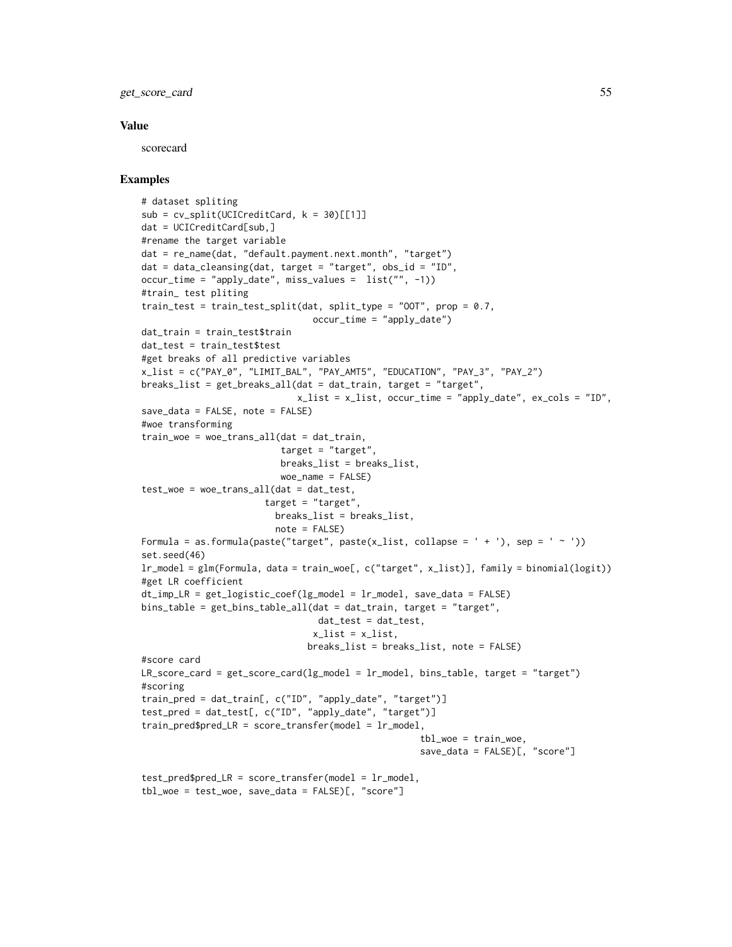get\_score\_card 55

### Value

scorecard

### Examples

```
# dataset spliting
sub = cv_split(UCICredictCard, k = 30)[[1]]dat = UCICreditCard[sub,]
#rename the target variable
dat = re_name(dat, "default.payment.next.month", "target")
dat = data_cleanging(data, target = "target", obs_id = "ID",occur_time = "apply_date", miss_values = list("", -1))
#train_ test pliting
train_test = train_test_split(dat, split_type = "OOT", prop = 0.7,
                                 occur_time = "apply_data")dat_train = train_test$train
dat_test = train_test$test
#get breaks of all predictive variables
x_list = c("PAY_0", "LIMIT_BAL", "PAY_AMT5", "EDUCATION", "PAY_3", "PAY_2")
breaks_list = get_breaks_all(dat = dat_train, target = "target",
                              x<sub>L</sub>ist = x<sub>L</sub>list, occur_time = "apply_date", ex_cols = "ID",
save_data = FALSE, note = FALSE)
#woe transforming
train_woe = woe_trans_all(dat = dat_train,
                          target = "target",
                          breaks_list = breaks_list,
                          woe_name = FALSE)
test_woe = woe_trans_all(dat = dat_test,
                       target = "target",
                         breaks_list = breaks_list,
                         note = FALSE)
Formula = as.formula(paste("target", paste(x_list, collapse = ' + '), sep = ' ~ '))
set.seed(46)
lr_model = glm(Formula, data = train_woe[, c("target", x_list)], family = binomial(logit))
#get LR coefficient
dt_imp_LR = get_logistic_coef(lg_model = lr_model, save_data = FALSE)
bins_table = get_bins_table_all(dat = dat_train, target = "target",
                                 dat_test = dat_test,
                                 x<sup>list = x<sup>list</sup>,</sup>
                                breaks_list = breaks_list, note = FALSE)
#score card
LR\_score\_card = get\_score\_card(lg\_model = lr\_model, bins\_table, target = "target")#scoring
train_pred = dat_train[, c("ID", "apply_date", "target")]
test_pred = dat_test[, c("ID", "apply_date", "target")]
train\_pred\LR = score\_transfer(model = lr_model,tbl_woe = train_woe,
                                                      save_data = FALSE)[, "score"]
test\_pred\$pred\_LR = score\_transfer(model = lr_model,tbl_woe = test_woe, save_data = FALSE)[, "score"]
```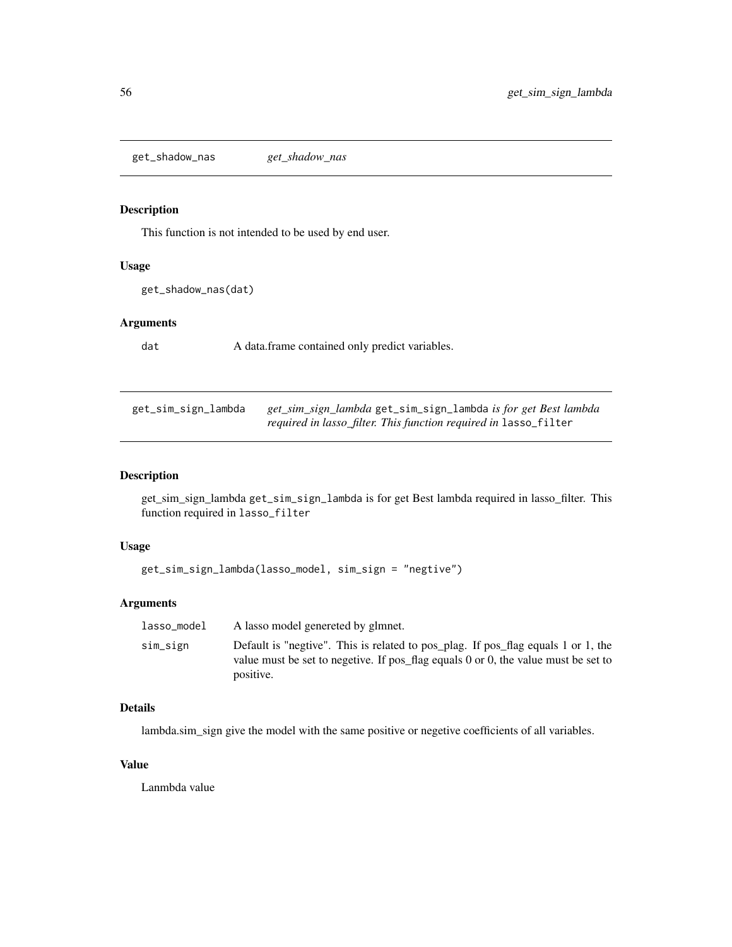get\_shadow\_nas *get\_shadow\_nas*

## Description

This function is not intended to be used by end user.

### Usage

```
get_shadow_nas(dat)
```
## Arguments

dat A data.frame contained only predict variables.

<span id="page-55-0"></span>

| get_sim_sign_lambda | get_sim_sign_lambdaget_sim_sign_lambda is for get Best lambda           |
|---------------------|-------------------------------------------------------------------------|
|                     | <i>required in lasso_filter. This function required in lasso_filter</i> |

### Description

get\_sim\_sign\_lambda get\_sim\_sign\_lambda is for get Best lambda required in lasso\_filter. This function required in lasso\_filter

## Usage

```
get_sim_sign_lambda(lasso_model, sim_sign = "negtive")
```
## Arguments

| lasso model | A lasso model genereted by glmnet.                                                                                                                                                        |
|-------------|-------------------------------------------------------------------------------------------------------------------------------------------------------------------------------------------|
| sim_sign    | Default is "negtive". This is related to pos plag. If pos flag equals 1 or 1, the<br>value must be set to negetive. If pos_flag equals $0$ or $0$ , the value must be set to<br>positive. |

### Details

lambda.sim\_sign give the model with the same positive or negetive coefficients of all variables.

## Value

Lanmbda value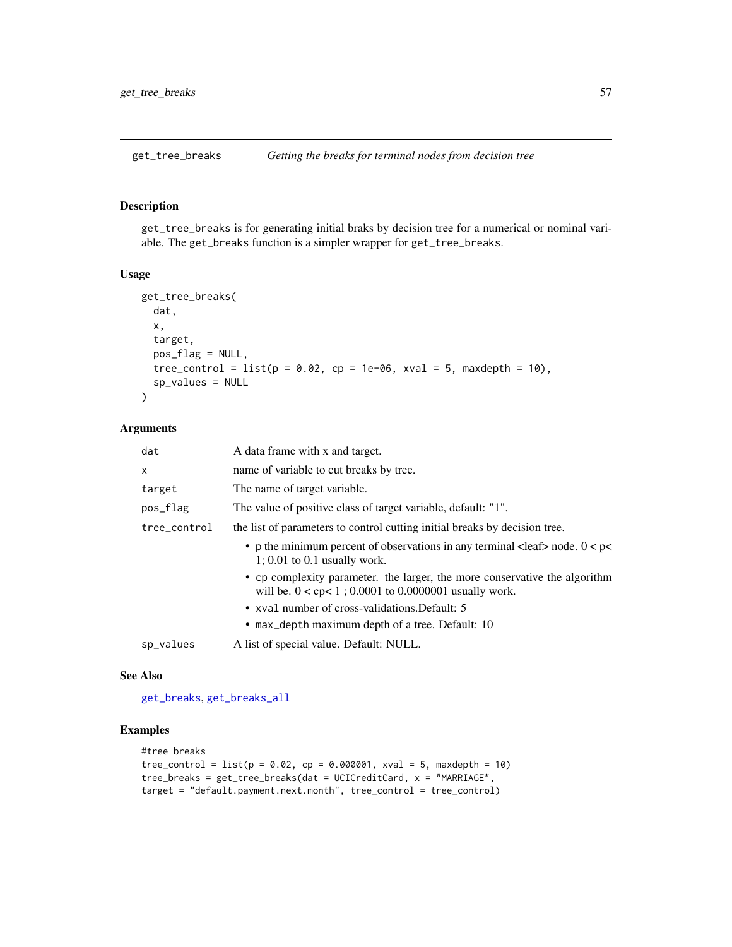<span id="page-56-0"></span>

### Description

get\_tree\_breaks is for generating initial braks by decision tree for a numerical or nominal variable. The get\_breaks function is a simpler wrapper for get\_tree\_breaks.

### Usage

```
get_tree_breaks(
 dat,
  x,
  target,
  pos_flag = NULL,
  tree\_control = list(p = 0.02, cp = 1e-06, xval = 5, maxdepth = 10),
  sp_values = NULL
)
```
### Arguments

| dat          | A data frame with x and target.                                                                                                           |
|--------------|-------------------------------------------------------------------------------------------------------------------------------------------|
| $\mathsf{x}$ | name of variable to cut breaks by tree.                                                                                                   |
| target       | The name of target variable.                                                                                                              |
| pos_flag     | The value of positive class of target variable, default: "1".                                                                             |
| tree_control | the list of parameters to control cutting initial breaks by decision tree.                                                                |
|              | • p the minimum percent of observations in any terminal $\langle$ leaf> node. 0 $\langle$ p $\langle$<br>$1: 0.01$ to 0.1 usually work.   |
|              | • cp complexity parameter. the larger, the more conservative the algorithm<br>will be. $0 <$ cp $< 1$ ; 0.0001 to 0.0000001 usually work. |
|              | • xval number of cross-validations. Default: 5                                                                                            |
|              | • max_depth maximum depth of a tree. Default: 10                                                                                          |
| sp_values    | A list of special value. Default: NULL.                                                                                                   |

### See Also

[get\\_breaks](#page-38-0), [get\\_breaks\\_all](#page-38-1)

# Examples

```
#tree breaks
tree\_control = list(p = 0.02, cp = 0.000001, xval = 5, maxdepth = 10)tree_breaks = get_tree_breaks(dat = UCICreditCard, x = "MARRIAGE",
target = "default.payment.next.month", tree_control = tree_control)
```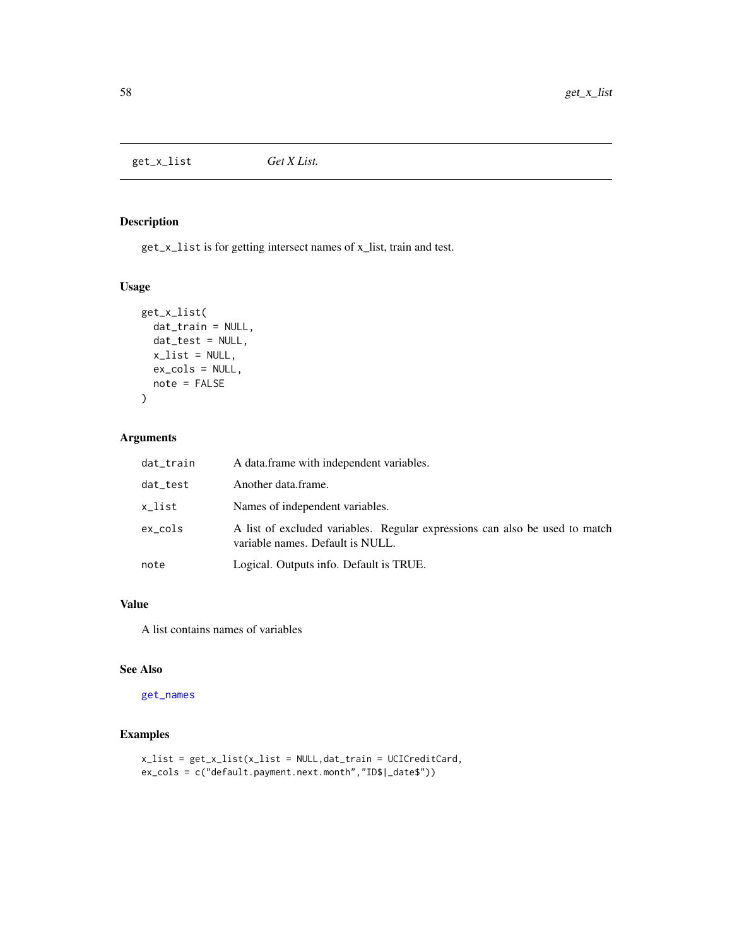<span id="page-57-0"></span>get\_x\_list *Get X List.*

## Description

get\_x\_list is for getting intersect names of x\_list, train and test.

### Usage

```
get_x_list(
  dat_train = NULL,
  dat_test = NULL,
  x<sup>list = NULL</sup>,
  ex_cols = NULL,
  note = FALSE
\mathcal{L}
```
## Arguments

| dat_train | A data frame with independent variables.                                                                        |
|-----------|-----------------------------------------------------------------------------------------------------------------|
| dat_test  | Another data frame.                                                                                             |
| x_list    | Names of independent variables.                                                                                 |
| ex cols   | A list of excluded variables. Regular expressions can also be used to match<br>variable names. Default is NULL. |
| note      | Logical. Outputs info. Default is TRUE.                                                                         |

## Value

A list contains names of variables

### See Also

[get\\_names](#page-46-0)

# Examples

```
x_list = get_x_list(x_list = NULL,dat_train = UCICreditCard,
ex_cols = c("default.payment.next.month","ID$|_date$"))
```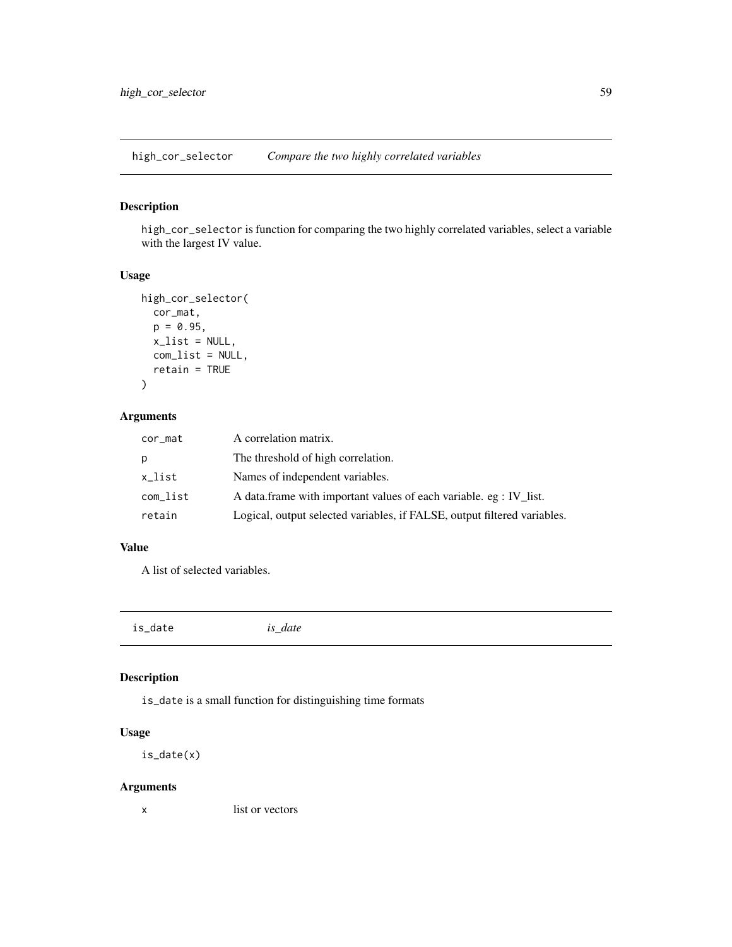high\_cor\_selector *Compare the two highly correlated variables*

## Description

high\_cor\_selector is function for comparing the two highly correlated variables, select a variable with the largest IV value.

# Usage

```
high_cor_selector(
  cor_mat,
  p = 0.95,
  x<sup>list = NULL</sup>,
  com_list = NULL,
  retain = TRUE
\mathcal{L}
```
# Arguments

| cor_mat  | A correlation matrix.                                                    |
|----------|--------------------------------------------------------------------------|
| р        | The threshold of high correlation.                                       |
| x_list   | Names of independent variables.                                          |
| com_list | A data.frame with important values of each variable. eg : IV_list.       |
| retain   | Logical, output selected variables, if FALSE, output filtered variables. |

# Value

A list of selected variables.

is\_date *is\_date*

# Description

is\_date is a small function for distinguishing time formats

## Usage

is\_date(x)

## Arguments

x list or vectors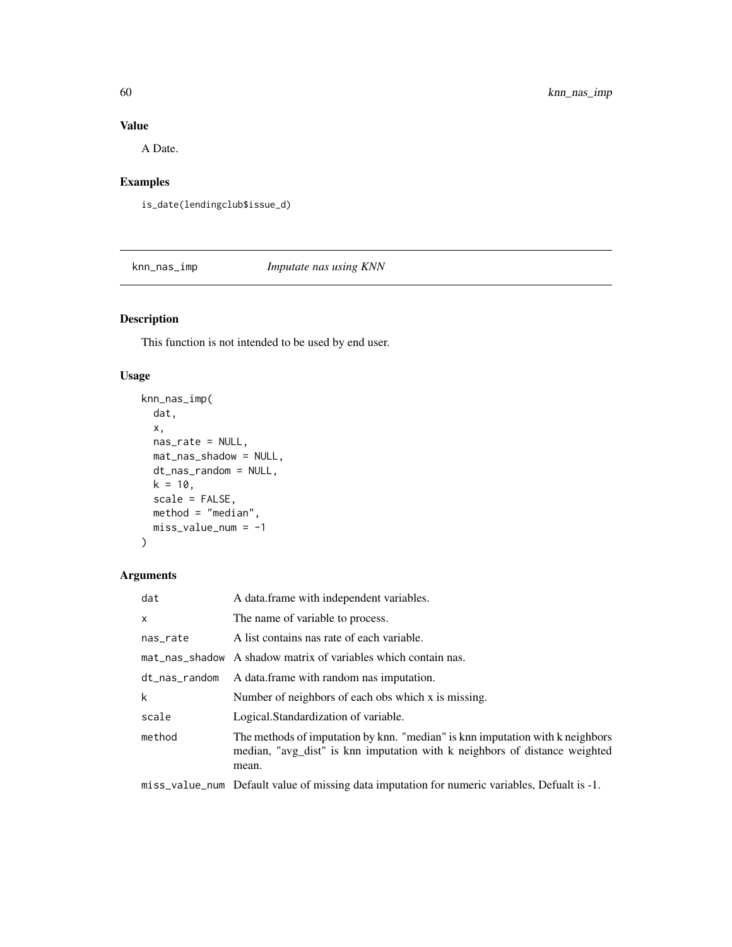# Value

A Date.

# Examples

is\_date(lendingclub\$issue\_d)

knn\_nas\_imp *Imputate nas using KNN*

# Description

This function is not intended to be used by end user.

# Usage

```
knn_nas_imp(
 dat,
  x,
 nas_rate = NULL,
 mat_nas_shadow = NULL,
 dt_nas_random = NULL,
 k = 10,
  scale = FALSE,
 method = "median",
 miss_value_num = -1
\mathcal{L}
```
## Arguments

| dat           | A data frame with independent variables.                                                                                                                             |
|---------------|----------------------------------------------------------------------------------------------------------------------------------------------------------------------|
| $\mathsf{x}$  | The name of variable to process.                                                                                                                                     |
| nas_rate      | A list contains nas rate of each variable.                                                                                                                           |
|               | mat_nas_shadow A shadow matrix of variables which contain nas.                                                                                                       |
| dt_nas_random | A data frame with random nas imputation.                                                                                                                             |
| k             | Number of neighbors of each obs which x is missing.                                                                                                                  |
| scale         | Logical.Standardization of variable.                                                                                                                                 |
| method        | The methods of imputation by knn. "median" is knn imputation with k neighbors<br>median, "avg_dist" is knn imputation with k neighbors of distance weighted<br>mean. |

miss\_value\_num Default value of missing data imputation for numeric variables, Defualt is -1.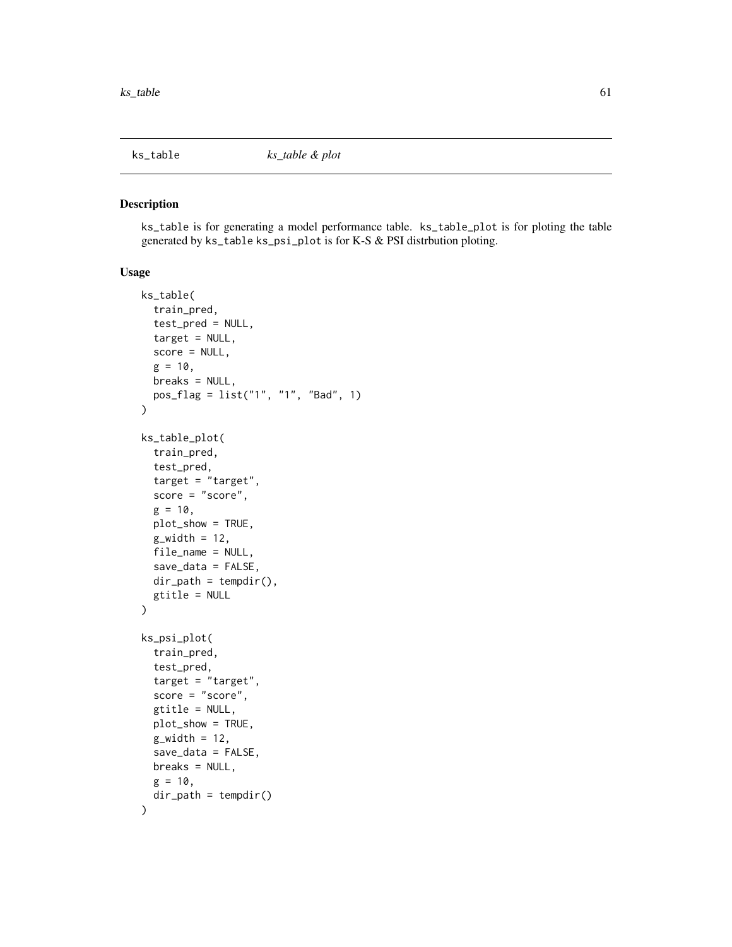<span id="page-60-0"></span>

### Description

ks\_table is for generating a model performance table. ks\_table\_plot is for ploting the table generated by ks\_table ks\_psi\_plot is for K-S & PSI distrbution ploting.

### Usage

```
ks_table(
  train_pred,
  test_pred = NULL,
  target = NULL,score = NULL,
  g = 10,
 breaks = NULL,
 pos_flag = list("1", "1", "Bad", 1)
)
ks_table_plot(
  train_pred,
  test_pred,
  target = "target",
  score = "score",
  g = 10,
 plot_show = TRUE,
  g_width = 12,
  file_name = NULL,
  save_data = FALSE,
  dir\_path = tempdir(),gtitle = NULL
)
ks_psi_plot(
  train_pred,
  test_pred,
  target = "target",
  score = "score",
  gtitle = NULL,
 plot_show = TRUE,
  g_width = 12,
  save_data = FALSE,
 breaks = NULL,
  g = 10,
  dir\_path = tempdir())
```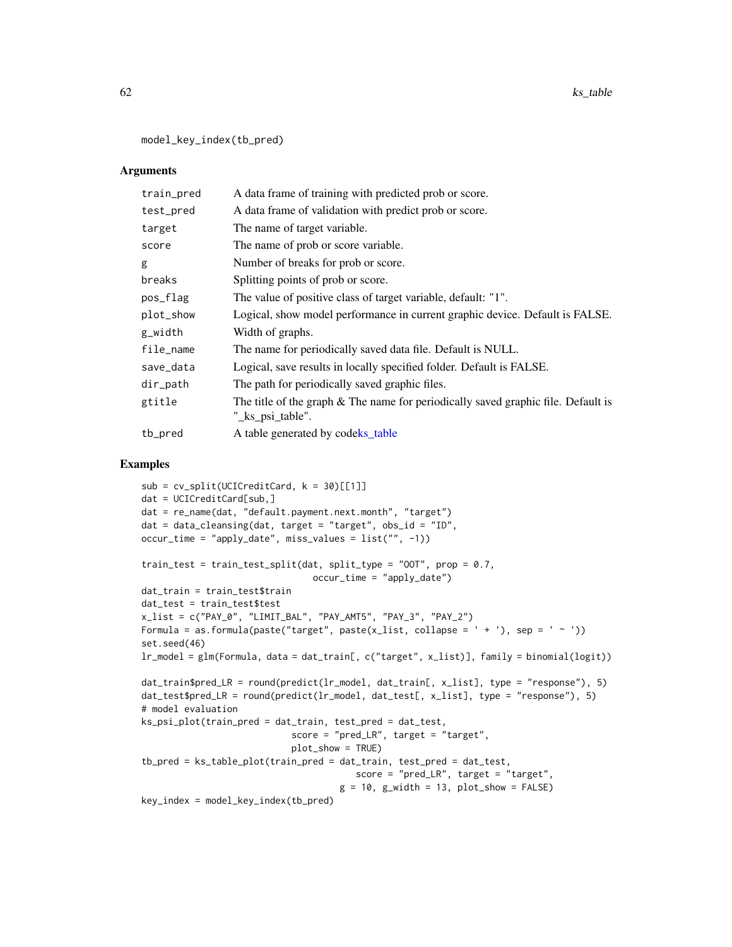model\_key\_index(tb\_pred)

## Arguments

| train_pred | A data frame of training with predicted prob or score.                                                |
|------------|-------------------------------------------------------------------------------------------------------|
| test_pred  | A data frame of validation with predict prob or score.                                                |
| target     | The name of target variable.                                                                          |
| score      | The name of prob or score variable.                                                                   |
| g          | Number of breaks for prob or score.                                                                   |
| breaks     | Splitting points of prob or score.                                                                    |
| pos_flag   | The value of positive class of target variable, default: "1".                                         |
| plot_show  | Logical, show model performance in current graphic device. Default is FALSE.                          |
| g_width    | Width of graphs.                                                                                      |
| file_name  | The name for periodically saved data file. Default is NULL.                                           |
| save_data  | Logical, save results in locally specified folder. Default is FALSE.                                  |
| dir_path   | The path for periodically saved graphic files.                                                        |
| gtitle     | The title of the graph & The name for periodically saved graphic file. Default is<br>"_ks_psi_table". |
| tb_pred    | A table generated by codeks_table                                                                     |

### Examples

```
sub = cv_split(UCICredictCard, k = 30)[[1]]dat = UCICreditCard[sub,]
dat = re_name(dat, "default.payment.next.month", "target")
dat = data_cleansing(dat, target = "target", obs_id = "ID",
occur_time = "apply_date", miss_values = list("", -1))
train_test = train_test_split(dat, split_type = "00T", prop = 0.7,
                                occur_time = "apply_date")
dat_train = train_test$train
dat_test = train_test$test
x_list = c("PAY_0", "LIMIT_BAL", "PAY_AMT5", "PAY_3", "PAY_2")
Formula = as.formula(paste("target", paste(x_list, collapse = ' + '), sep = ' ~ '))
set.seed(46)
lr_model = glm(Formula, data = dat_train[, c("target", x_list)], family = binomial(logit))
dat_train$pred_LR = round(predict(lr_model, dat_train[, x_list], type = "response"), 5)
dat_test$pred_LR = round(predict(lr_model, dat_test[, x_list], type = "response"), 5)
# model evaluation
ks_psi_plot(train_pred = dat_train, test_pred = dat_test,
                            score = "pred_LR", target = "target",plot_show = TRUE)
tb_pred = ks_table_plot(train_pred = dat_train, test_pred = dat_test,
                                        score = "pred_LR", target = "target",
                                     g = 10, g_width = 13, plot_show = FALSEkey_index = model_key_index(tb_pred)
```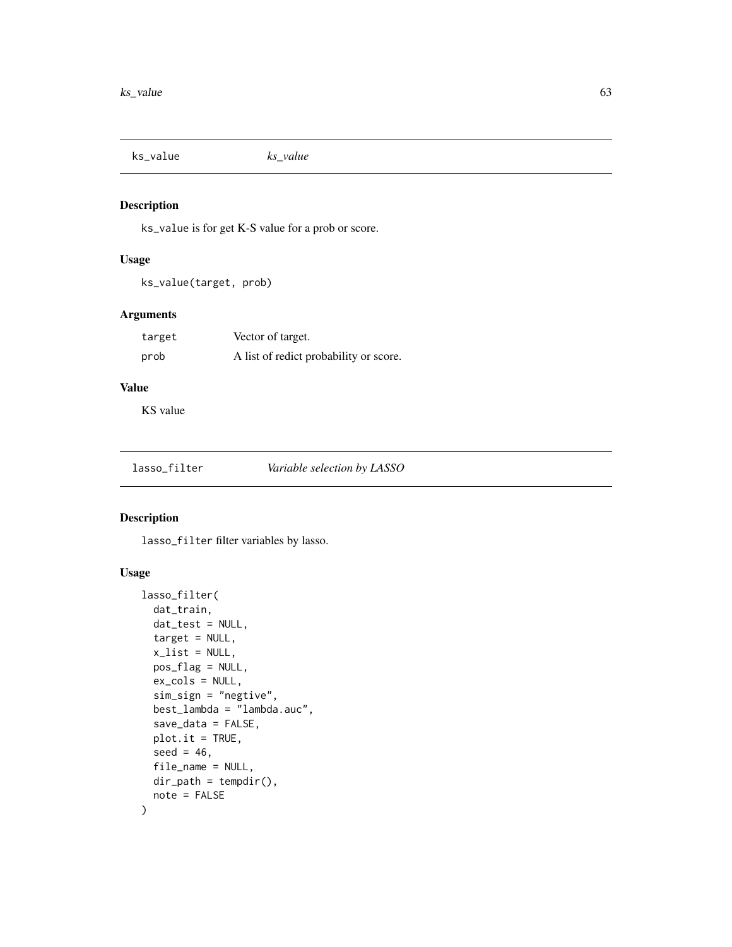ks\_value *ks\_value*

## Description

ks\_value is for get K-S value for a prob or score.

## Usage

```
ks_value(target, prob)
```
## Arguments

| target | Vector of target.                      |
|--------|----------------------------------------|
| prob   | A list of redict probability or score. |

# Value

KS value

<span id="page-62-0"></span>

## Description

lasso\_filter filter variables by lasso.

## Usage

```
lasso_filter(
  dat_train,
  dat_test = NULL,
  target = NULL,
  x<sup>-</sup>list = NULL,
  pos_flag = NULL,
  ex_cols = NULL,
  sim_sign = "negtive",
  best_lambda = "lambda.auc",
  save_data = FALSE,
  plot.it = TRUE,
  seed = 46,
  file_name = NULL,
  dir\_path = tempdir(),
  note = FALSE
\mathcal{L}
```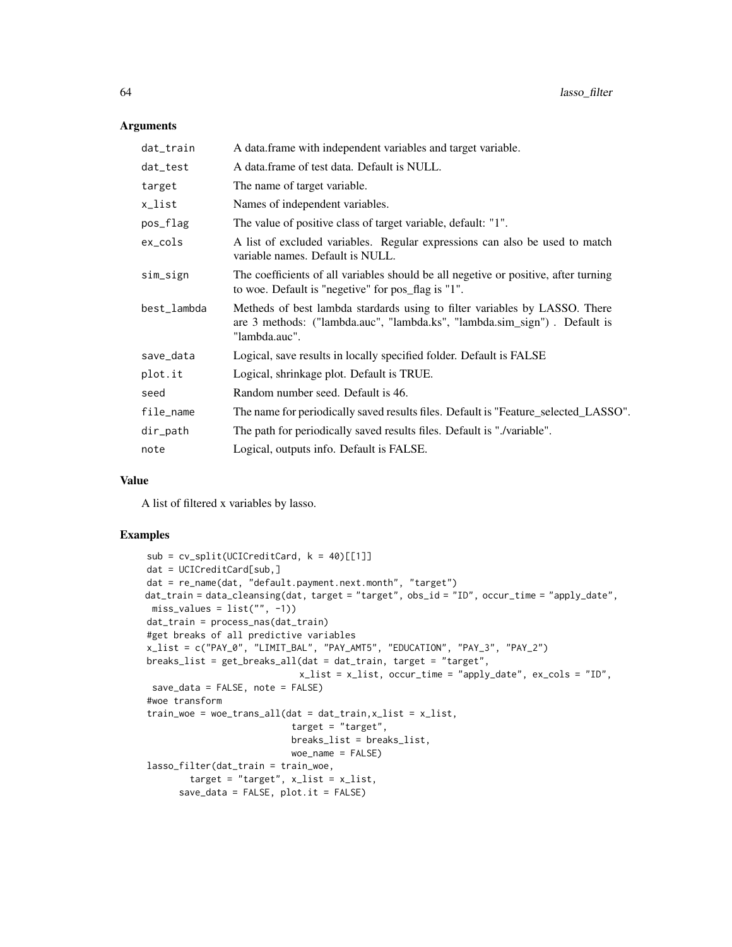### Arguments

| dat_train   | A data.frame with independent variables and target variable.                                                                                                             |  |
|-------------|--------------------------------------------------------------------------------------------------------------------------------------------------------------------------|--|
| dat_test    | A data frame of test data. Default is NULL.                                                                                                                              |  |
| target      | The name of target variable.                                                                                                                                             |  |
| x_list      | Names of independent variables.                                                                                                                                          |  |
| pos_flag    | The value of positive class of target variable, default: "1".                                                                                                            |  |
| ex_cols     | A list of excluded variables. Regular expressions can also be used to match<br>variable names. Default is NULL.                                                          |  |
| sim_sign    | The coefficients of all variables should be all negetive or positive, after turning<br>to woe. Default is "negetive" for pos_flag is "1".                                |  |
| best_lambda | Metheds of best lambda stardards using to filter variables by LASSO. There<br>are 3 methods: ("lambda.auc", "lambda.ks", "lambda.sim_sign"). Default is<br>"lambda.auc". |  |
| save_data   | Logical, save results in locally specified folder. Default is FALSE                                                                                                      |  |
| plot.it     | Logical, shrinkage plot. Default is TRUE.                                                                                                                                |  |
| seed        | Random number seed. Default is 46.                                                                                                                                       |  |
| file_name   | The name for periodically saved results files. Default is "Feature_selected_LASSO".                                                                                      |  |
| dir_path    | The path for periodically saved results files. Default is "./variable".                                                                                                  |  |
| note        | Logical, outputs info. Default is FALSE.                                                                                                                                 |  |
|             |                                                                                                                                                                          |  |

### Value

A list of filtered x variables by lasso.

### Examples

```
sub = cv_split(UCICredictCard, k = 40)[[1]]dat = UCICreditCard[sub,]
dat = re_name(dat, "default.payment.next.month", "target")
dat_train = data_cleansing(dat, target = "target", obs_id = "ID", occur_time = "apply_date",
miss\_values = list("", -1))dat_train = process_nas(dat_train)
#get breaks of all predictive variables
x_list = c("PAY_0", "LIMIT_BAL", "PAY_AMT5", "EDUCATION", "PAY_3", "PAY_2")
breaks_list = get_breaks_all(dat = dat_train, target = "target",
                             x_list = x_list, occur_time = "apply_date", ex_cols = "ID",
 save_data = FALSE, note = FALSE)
#woe transform
train\_woe = woe\_trans\_all(data = dat\_train, x\_list = x\_list,target = "target",
                           breaks_list = breaks_list,
                           woe_name = FALSE)
lasso_filter(dat_train = train_woe,
        target = "target", x_list = x_list,
      save_data = FALSE, plot.it = FALSE)
```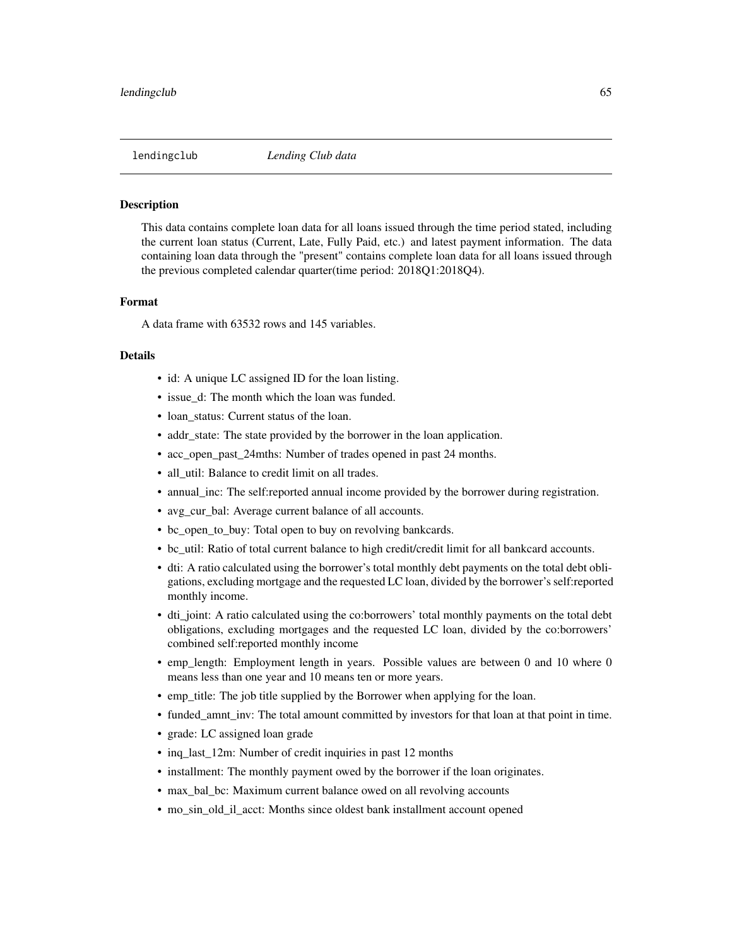### **Description**

This data contains complete loan data for all loans issued through the time period stated, including the current loan status (Current, Late, Fully Paid, etc.) and latest payment information. The data containing loan data through the "present" contains complete loan data for all loans issued through the previous completed calendar quarter(time period: 2018Q1:2018Q4).

### Format

A data frame with 63532 rows and 145 variables.

### Details

- id: A unique LC assigned ID for the loan listing.
- issue d: The month which the loan was funded.
- loan status: Current status of the loan.
- addr\_state: The state provided by the borrower in the loan application.
- acc\_open\_past\_24mths: Number of trades opened in past 24 months.
- all\_util: Balance to credit limit on all trades.
- annual\_inc: The self:reported annual income provided by the borrower during registration.
- avg\_cur\_bal: Average current balance of all accounts.
- bc\_open\_to\_buy: Total open to buy on revolving bankcards.
- bc util: Ratio of total current balance to high credit/credit limit for all bankcard accounts.
- dti: A ratio calculated using the borrower's total monthly debt payments on the total debt obligations, excluding mortgage and the requested LC loan, divided by the borrower's self:reported monthly income.
- dti joint: A ratio calculated using the co:borrowers' total monthly payments on the total debt obligations, excluding mortgages and the requested LC loan, divided by the co:borrowers' combined self:reported monthly income
- emp length: Employment length in years. Possible values are between 0 and 10 where 0 means less than one year and 10 means ten or more years.
- emp\_title: The job title supplied by the Borrower when applying for the loan.
- funded\_amnt\_inv: The total amount committed by investors for that loan at that point in time.
- grade: LC assigned loan grade
- inq\_last\_12m: Number of credit inquiries in past 12 months
- installment: The monthly payment owed by the borrower if the loan originates.
- max bal bc: Maximum current balance owed on all revolving accounts
- mo\_sin\_old\_il\_acct: Months since oldest bank installment account opened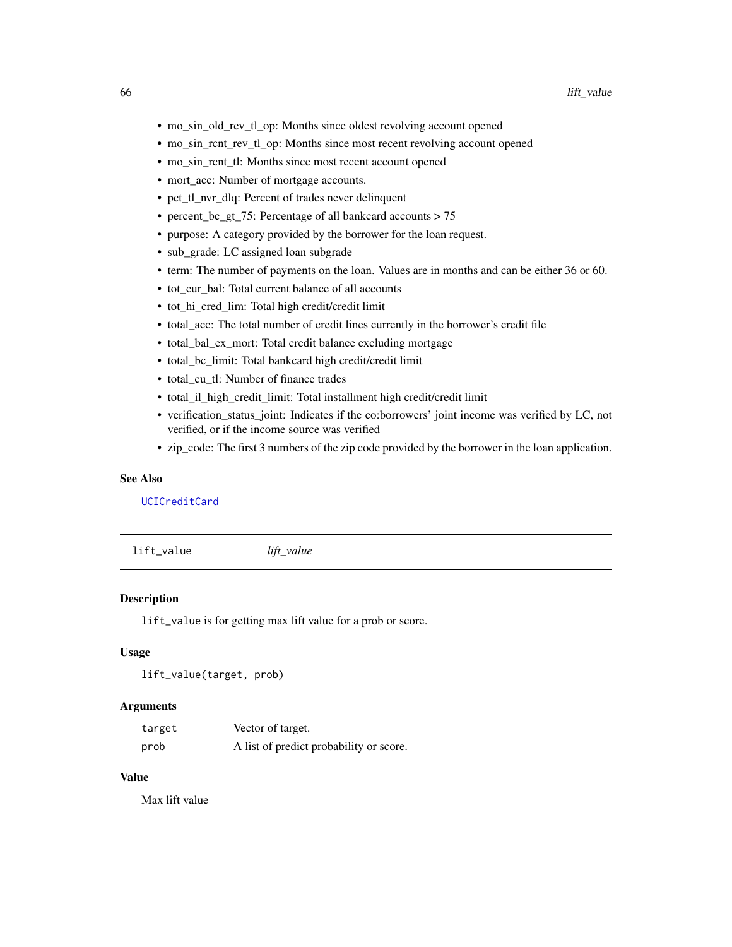- mo\_sin\_old\_rev\_tl\_op: Months since oldest revolving account opened
- mo\_sin\_rcnt\_rev\_tl\_op: Months since most recent revolving account opened
- mo\_sin\_rcnt\_tl: Months since most recent account opened
- mort acc: Number of mortgage accounts.
- pct\_tl\_nvr\_dlq: Percent of trades never delinquent
- percent\_bc\_gt\_75: Percentage of all bankcard accounts > 75
- purpose: A category provided by the borrower for the loan request.
- sub\_grade: LC assigned loan subgrade
- term: The number of payments on the loan. Values are in months and can be either 36 or 60.
- tot\_cur\_bal: Total current balance of all accounts
- tot\_hi\_cred\_lim: Total high credit/credit limit
- total\_acc: The total number of credit lines currently in the borrower's credit file
- total\_bal\_ex\_mort: Total credit balance excluding mortgage
- total\_bc\_limit: Total bankcard high credit/credit limit
- total\_cu\_tl: Number of finance trades
- total il high credit limit: Total installment high credit/credit limit
- verification\_status\_joint: Indicates if the co:borrowers' joint income was verified by LC, not verified, or if the income source was verified
- zip\_code: The first 3 numbers of the zip code provided by the borrower in the loan application.

### See Also

[UCICreditCard](#page-127-0)

lift\_value *lift\_value*

### Description

lift\_value is for getting max lift value for a prob or score.

### Usage

lift\_value(target, prob)

### **Arguments**

| target | Vector of target.                       |
|--------|-----------------------------------------|
| prob   | A list of predict probability or score. |

# Value

Max lift value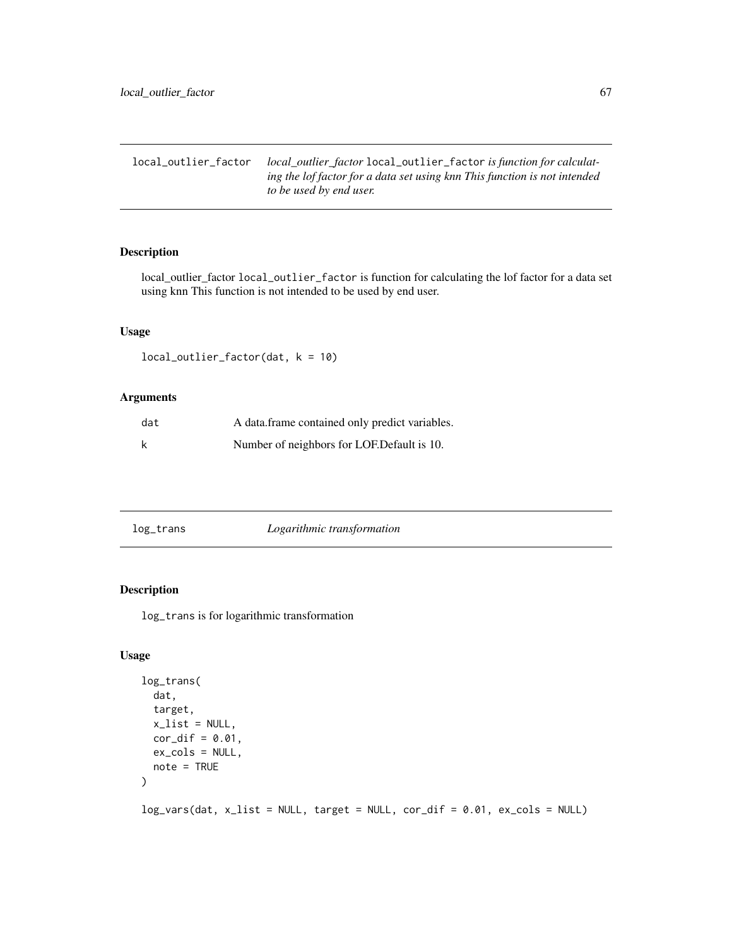local\_outlier\_factor *local\_outlier\_factor* local\_outlier\_factor *is function for calculating the lof factor for a data set using knn This function is not intended to be used by end user.*

### Description

local\_outlier\_factor local\_outlier\_factor is function for calculating the lof factor for a data set using knn This function is not intended to be used by end user.

### Usage

```
local_outlier_factor(dat, k = 10)
```
### Arguments

| dat | A data frame contained only predict variables. |
|-----|------------------------------------------------|
|     | Number of neighbors for LOF. Default is 10.    |

| log_trans | Logarithmic transformation |
|-----------|----------------------------|

### Description

log\_trans is for logarithmic transformation

### Usage

```
log_trans(
  dat,
  target,
 x<sup>list = NULL</sup>,
  cor\_dif = 0.01,ex_cols = NULL,
 note = TRUE
)
log_vars(dat, x_list = NULL, target = NULL, cor_dif = 0.01, ex_cols = NULL)
```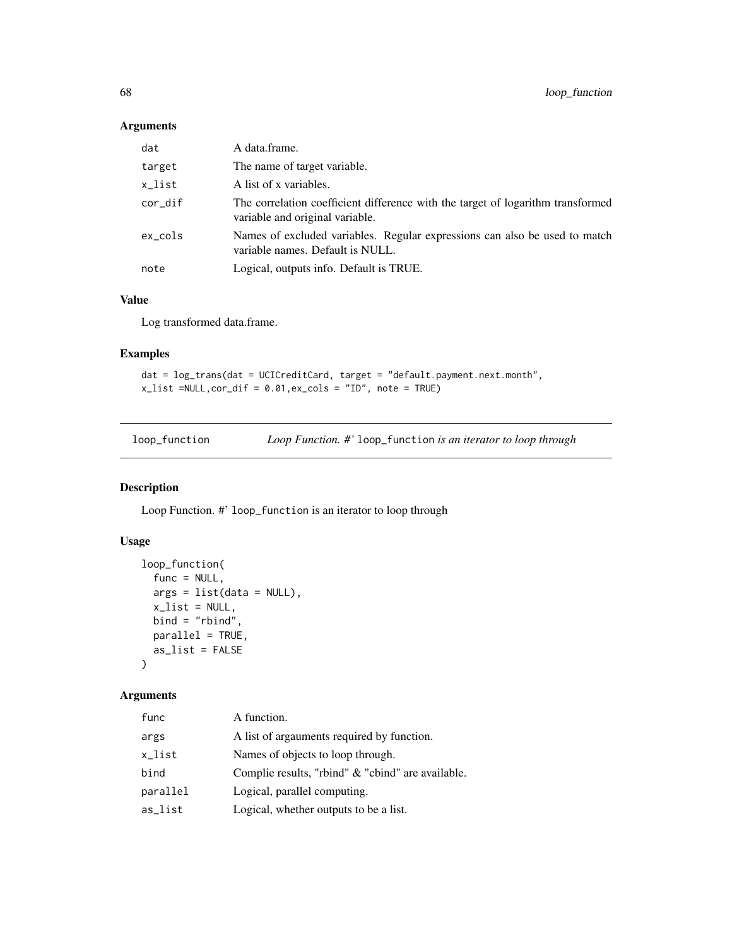### Arguments

| dat     | A data frame.                                                                                                      |
|---------|--------------------------------------------------------------------------------------------------------------------|
| target  | The name of target variable.                                                                                       |
| x_list  | A list of x variables.                                                                                             |
| cor_dif | The correlation coefficient difference with the target of logarithm transformed<br>variable and original variable. |
| ex_cols | Names of excluded variables. Regular expressions can also be used to match<br>variable names. Default is NULL.     |
| note    | Logical, outputs info. Default is TRUE.                                                                            |

## Value

Log transformed data.frame.

## Examples

dat = log\_trans(dat = UCICreditCard, target = "default.payment.next.month", x\_list =NULL,cor\_dif = 0.01,ex\_cols = "ID", note = TRUE)

loop\_function *Loop Function. #'* loop\_function *is an iterator to loop through*

# Description

Loop Function. #' loop\_function is an iterator to loop through

## Usage

```
loop_function(
  func = NULL,
  args = list(data = NULL),x<sup>list = NULL</sup>,
 bind = "rbind",parallel = TRUE,
 as_list = FALSE
)
```

| func     | A function.                                       |
|----------|---------------------------------------------------|
| args     | A list of argainents required by function.        |
| x_list   | Names of objects to loop through.                 |
| bind     | Complie results, "rbind" & "cbind" are available. |
| parallel | Logical, parallel computing.                      |
| as_list  | Logical, whether outputs to be a list.            |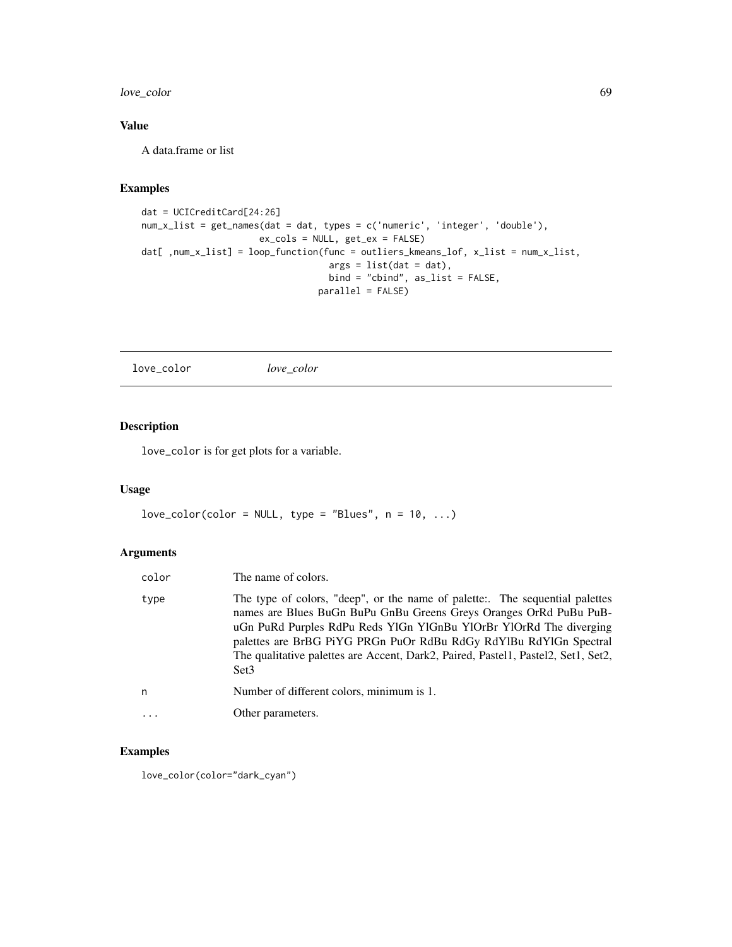## love\_color 69

# Value

A data.frame or list

# Examples

```
dat = UCICreditCard[24:26]
num_x_list = get_names(dat = dat, types = c('numeric', 'integer', 'double'),
                     ex_cols = NULL, get_ex = FALSE)
dat[ ,num_x_list] = loop_function(func = outliers_kmeans_lof, x_list = num_x_list,
                                   args = list(data = dat),bind = "cbind", as_list = FALSE,
                                 parallel = FALSE)
```
love\_color *love\_color*

## Description

love\_color is for get plots for a variable.

### Usage

```
love\_color(color = NULL, type = "Blues", n = 10, ...)
```
## Arguments

| color    | The name of colors.                                                                                                                                                                                                                                                                                                                                                                                    |
|----------|--------------------------------------------------------------------------------------------------------------------------------------------------------------------------------------------------------------------------------------------------------------------------------------------------------------------------------------------------------------------------------------------------------|
| type     | The type of colors, "deep", or the name of palette:. The sequential palettes<br>names are Blues BuGn BuPu GnBu Greens Greys Oranges OrRd PuBu PuB-<br>uGn PuRd Purples RdPu Reds YlGn YlGnBu YlOrBr YlOrRd The diverging<br>palettes are BrBG PiYG PRGn PuOr RdBu RdGy RdYlBu RdYlGn Spectral<br>The qualitative palettes are Accent, Dark2, Paired, Pastel1, Pastel2, Set1, Set2,<br>Set <sub>3</sub> |
| n        | Number of different colors, minimum is 1.                                                                                                                                                                                                                                                                                                                                                              |
| $\ddots$ | Other parameters.                                                                                                                                                                                                                                                                                                                                                                                      |

### Examples

love\_color(color="dark\_cyan")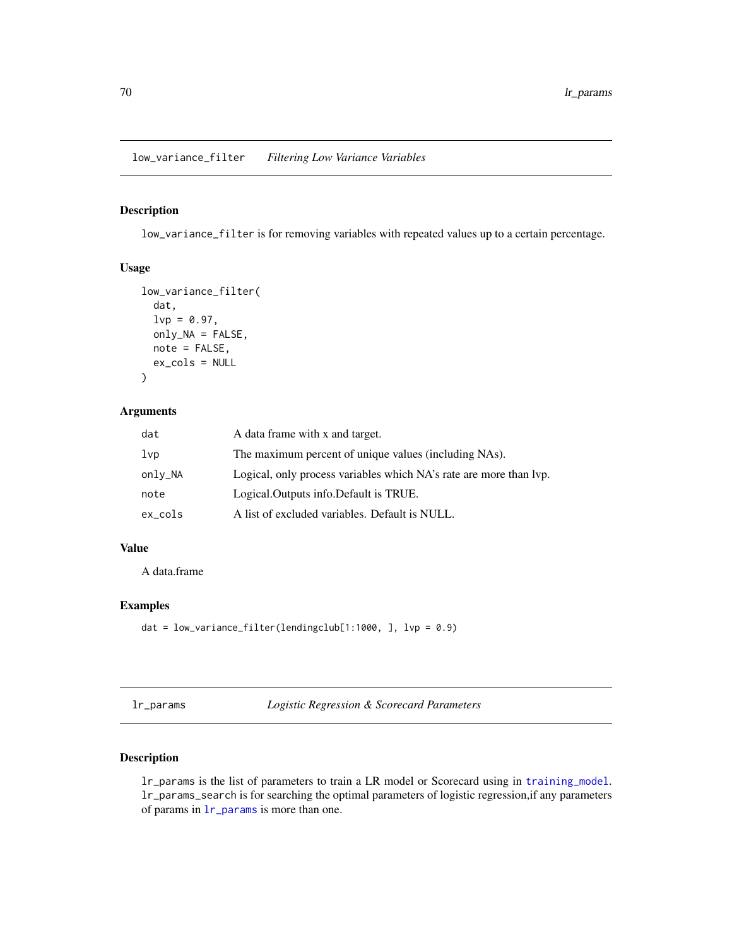low\_variance\_filter *Filtering Low Variance Variables*

## Description

low\_variance\_filter is for removing variables with repeated values up to a certain percentage.

### Usage

```
low_variance_filter(
  dat,
  lvp = 0.97,only_NA = FALSE,
 note = FALSE,
  ex_cols = NULL
)
```
## Arguments

| dat             | A data frame with x and target.                                    |
|-----------------|--------------------------------------------------------------------|
| 1 <sub>vp</sub> | The maximum percent of unique values (including NAs).              |
| only_NA         | Logical, only process variables which NA's rate are more than lvp. |
| note            | Logical.Outputs info.Default is TRUE.                              |
| ex_cols         | A list of excluded variables. Default is NULL.                     |

## Value

A data.frame

## Examples

```
dat = low_variance_filter(lendingclub[1:1000, ], lvp = 0.9)
```
<span id="page-69-0"></span>lr\_params *Logistic Regression & Scorecard Parameters*

### Description

lr\_params is the list of parameters to train a LR model or Scorecard using in [training\\_model](#page-121-0). lr\_params\_search is for searching the optimal parameters of logistic regression,if any parameters of params in [lr\\_params](#page-69-0) is more than one.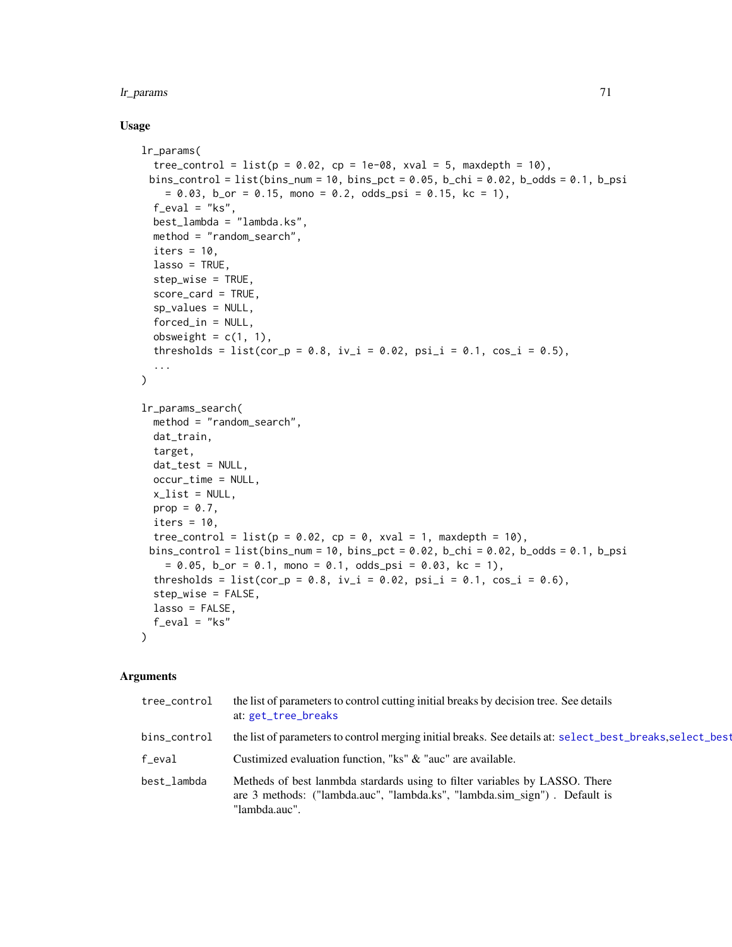### lr\_params 71

### Usage

```
lr_params(
  tree_control = list(p = 0.02, cp = 1e-08, xval = 5, maxdepth = 10),
 bins_control = list(bins_num = 10, bins_pct = 0.05, b_chi = 0.02, b_odds = 0.1, b_psi
    = 0.03, b_or = 0.15, mono = 0.2, odds_psi = 0.15, kc = 1),
  f_eval = "ks",
 best_lambda = "lambda.ks",
  method = "random_search",
  iters = 10,
  lasso = TRUE,
  step_wise = TRUE,
  score_card = TRUE,
  sp_values = NULL,
  forced_in = NULL,obsweight = c(1, 1),
  thresholds = list(cor_p = 0.8, iv_i = 0.02, psi_i = 0.1, cos_i = 0.5),
  ...
)
lr_params_search(
  method = "random_search",
 dat_train,
  target,
  dat_test = NULL,
  occur_time = NULL,
  x<sup>-</sup>list = NULL,
 prop = 0.7,
  iters = 10,
  tree_control = list(p = 0.02, cp = 0, xval = 1, maxdepth = 10),
 bins_control = list(bins_num = 10, bins_pct = 0.02, b_chi = 0.02, b_odds = 0.1, b_psi
    = 0.05, b_{\text{or}} = 0.1, mono = 0.1, odds_psi = 0.03, kc = 1),
  thresholds = list(cor_p = 0.8, iv_i = 0.02, psi_i = 0.1, cos_i = 0.6),
  step_wise = FALSE,
  lasso = FALSE,
  f<sub>eval</sub> = "ks"
\lambda
```

| tree_control | the list of parameters to control cutting initial breaks by decision tree. See details<br>at: get_tree_breaks                                                             |
|--------------|---------------------------------------------------------------------------------------------------------------------------------------------------------------------------|
| bins_control | the list of parameters to control merging initial breaks. See details at: select_best_breaks, select_best                                                                 |
| f_eval       | Custimized evaluation function, "ks" & "auc" are available.                                                                                                               |
| best_lambda  | Metheds of best lanmbda stardards using to filter variables by LASSO. There<br>are 3 methods: ("lambda.auc", "lambda.ks", "lambda.sim sign"). Default is<br>"lambda.auc". |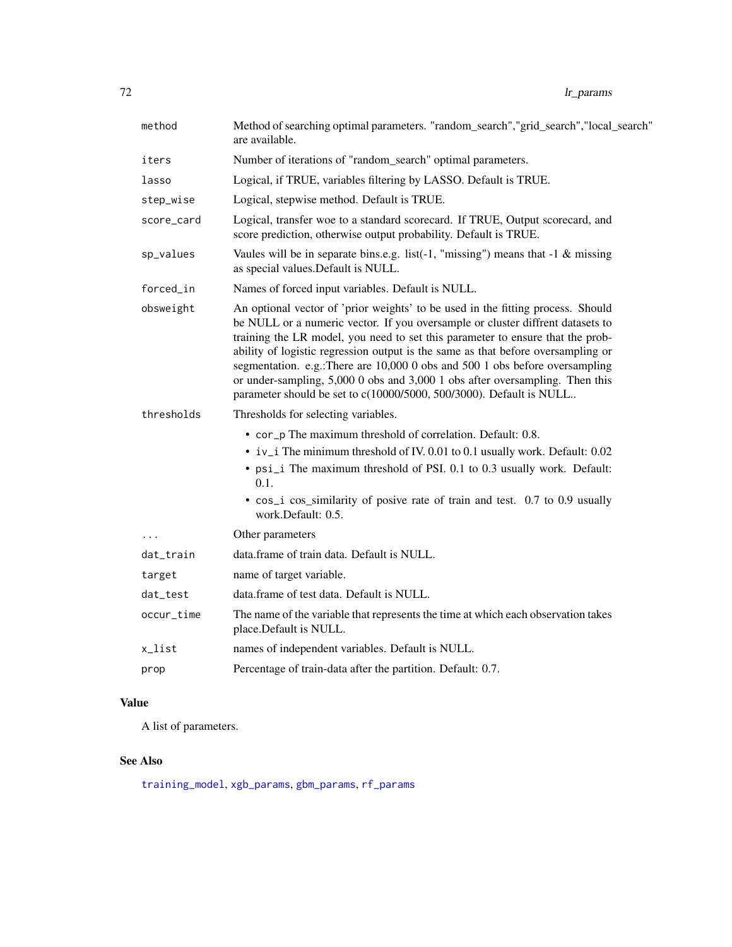| method     | Method of searching optimal parameters. "random_search","grid_search","local_search"<br>are available.                                                                                                                                                                                                                                                                                                                                                                                                                                                                        |
|------------|-------------------------------------------------------------------------------------------------------------------------------------------------------------------------------------------------------------------------------------------------------------------------------------------------------------------------------------------------------------------------------------------------------------------------------------------------------------------------------------------------------------------------------------------------------------------------------|
| iters      | Number of iterations of "random_search" optimal parameters.                                                                                                                                                                                                                                                                                                                                                                                                                                                                                                                   |
| lasso      | Logical, if TRUE, variables filtering by LASSO. Default is TRUE.                                                                                                                                                                                                                                                                                                                                                                                                                                                                                                              |
| step_wise  | Logical, stepwise method. Default is TRUE.                                                                                                                                                                                                                                                                                                                                                                                                                                                                                                                                    |
| score_card | Logical, transfer woe to a standard scorecard. If TRUE, Output scorecard, and<br>score prediction, otherwise output probability. Default is TRUE.                                                                                                                                                                                                                                                                                                                                                                                                                             |
| sp_values  | Vaules will be in separate bins.e.g. list(-1, "missing") means that $-1$ & missing<br>as special values. Default is NULL.                                                                                                                                                                                                                                                                                                                                                                                                                                                     |
| forced_in  | Names of forced input variables. Default is NULL.                                                                                                                                                                                                                                                                                                                                                                                                                                                                                                                             |
| obsweight  | An optional vector of 'prior weights' to be used in the fitting process. Should<br>be NULL or a numeric vector. If you oversample or cluster diffrent datasets to<br>training the LR model, you need to set this parameter to ensure that the prob-<br>ability of logistic regression output is the same as that before oversampling or<br>segmentation. e.g.:There are 10,000 0 obs and 500 1 obs before oversampling<br>or under-sampling, 5,000 0 obs and 3,000 1 obs after oversampling. Then this<br>parameter should be set to c(10000/5000, 500/3000). Default is NULL |
| thresholds | Thresholds for selecting variables.                                                                                                                                                                                                                                                                                                                                                                                                                                                                                                                                           |
|            | • cor_p The maximum threshold of correlation. Default: 0.8.<br>• iv_i The minimum threshold of IV. 0.01 to 0.1 usually work. Default: 0.02<br>• psi_i The maximum threshold of PSI. 0.1 to 0.3 usually work. Default:<br>0.1.<br>• cos_i cos_similarity of posive rate of train and test. 0.7 to 0.9 usually<br>work.Default: 0.5.                                                                                                                                                                                                                                            |
| $\cdots$   | Other parameters                                                                                                                                                                                                                                                                                                                                                                                                                                                                                                                                                              |
| dat_train  | data.frame of train data. Default is NULL.                                                                                                                                                                                                                                                                                                                                                                                                                                                                                                                                    |
| target     | name of target variable.                                                                                                                                                                                                                                                                                                                                                                                                                                                                                                                                                      |
| dat_test   | data.frame of test data. Default is NULL.                                                                                                                                                                                                                                                                                                                                                                                                                                                                                                                                     |
| occur_time | The name of the variable that represents the time at which each observation takes<br>place.Default is NULL.                                                                                                                                                                                                                                                                                                                                                                                                                                                                   |
| x_list     | names of independent variables. Default is NULL.                                                                                                                                                                                                                                                                                                                                                                                                                                                                                                                              |
| prop       | Percentage of train-data after the partition. Default: 0.7.                                                                                                                                                                                                                                                                                                                                                                                                                                                                                                                   |

# Value

A list of parameters.

# See Also

[training\\_model](#page-121-0), [xgb\\_params](#page-134-0), [gbm\\_params](#page-35-0), [rf\\_params](#page-103-0)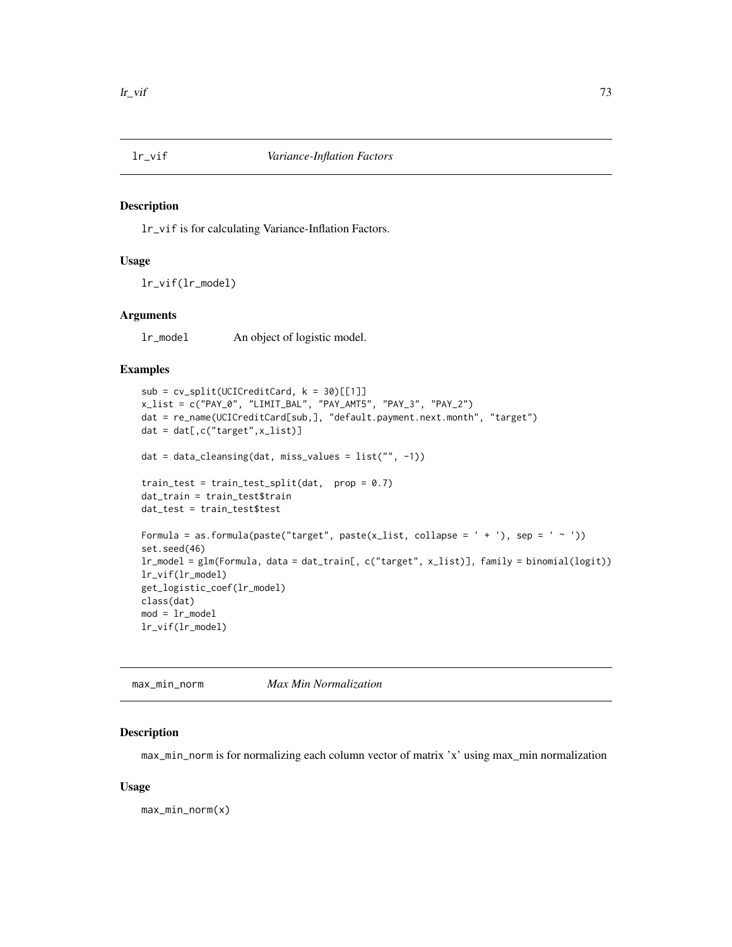#### Description

lr\_vif is for calculating Variance-Inflation Factors.

#### Usage

lr\_vif(lr\_model)

#### Arguments

lr\_model An object of logistic model.

#### Examples

```
sub = cv_split(UCICreditCard, k = 30)[[1]]x_list = c("PAY_0", "LIMIT_BAL", "PAY_AMT5", "PAY_3", "PAY_2")
dat = re_name(UCICreditCard[sub,], "default.payment.next.month", "target")
dat = dat[,c("target",x_list)]
dat = data_cleansing(dat, miss_values = list("", -1))
train_test = train_test_split(dat, prop = 0.7)
dat_train = train_test$train
dat_test = train_test$test
Formula = as.formula(paste("target", paste(x_list, collapse = ' + '), sep = ' ~ '))
set.seed(46)
lr_model = glm(Formula, data = dat_train[, c("target", x_list)], family = binomial(logit))
lr_vif(lr_model)
get_logistic_coef(lr_model)
class(dat)
mod = 1r model
lr_vif(lr_model)
```
max\_min\_norm *Max Min Normalization*

#### Description

max\_min\_norm is for normalizing each column vector of matrix 'x' using max\_min normalization

#### Usage

max\_min\_norm(x)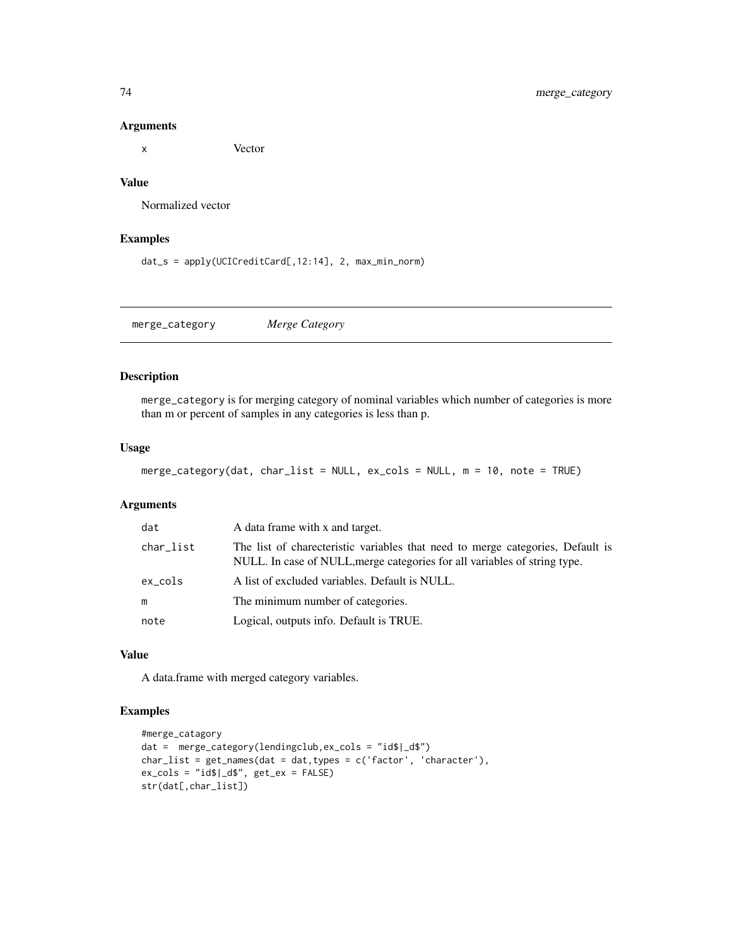x Vector

#### Value

Normalized vector

#### Examples

dat\_s = apply(UCICreditCard[,12:14], 2, max\_min\_norm)

merge\_category *Merge Category*

#### Description

merge\_category is for merging category of nominal variables which number of categories is more than m or percent of samples in any categories is less than p.

#### Usage

```
merge_category(dat, char_list = NULL, ex_cols = NULL, m = 10, note = TRUE)
```
#### Arguments

| dat        | A data frame with x and target.                                                                                                                             |
|------------|-------------------------------------------------------------------------------------------------------------------------------------------------------------|
| char_list  | The list of charecteristic variables that need to merge categories, Default is<br>NULL. In case of NULL, merge categories for all variables of string type. |
| $ex\_cols$ | A list of excluded variables. Default is NULL.                                                                                                              |
| m          | The minimum number of categories.                                                                                                                           |
| note       | Logical, outputs info. Default is TRUE.                                                                                                                     |

#### Value

A data.frame with merged category variables.

#### Examples

```
#merge_catagory
dat = merge_category(lendingclub,ex_cols = "id$|_d$")
char\_list = get\_names(data = dat, types = c('factor', 'character'),ex\_cols = "ids|_ds", get\_ex = FALSE)str(dat[,char_list])
```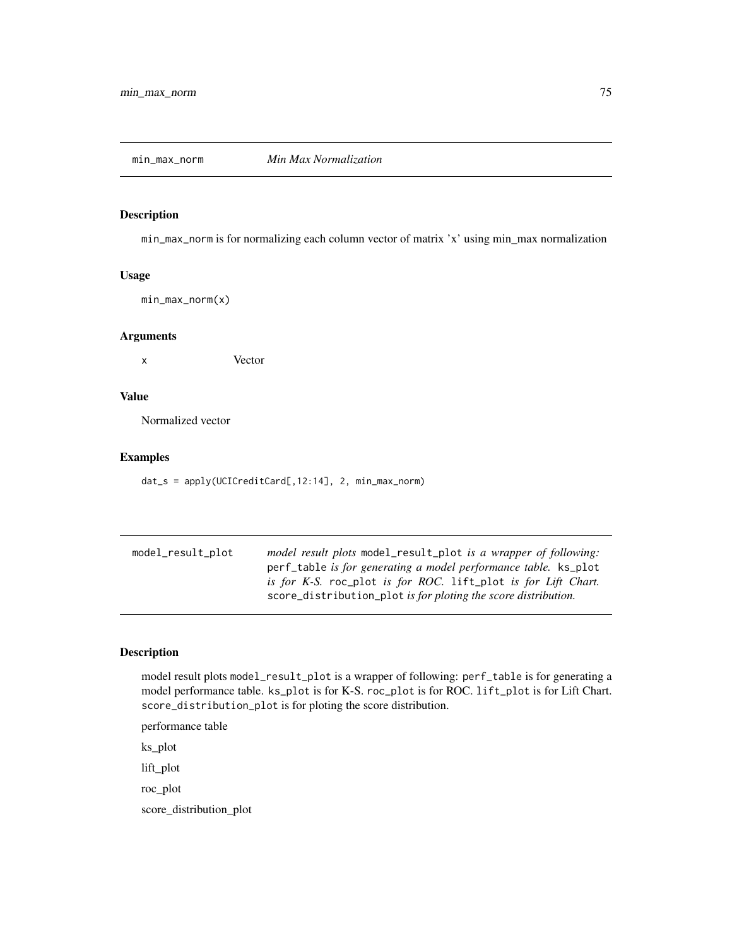## Description

min\_max\_norm is for normalizing each column vector of matrix 'x' using min\_max normalization

## Usage

min\_max\_norm(x)

#### Arguments

x Vector

#### Value

Normalized vector

#### Examples

dat\_s = apply(UCICreditCard[,12:14], 2, min\_max\_norm)

| model_result_plot | <i>model result plots</i> model_result_plot <i>is a wrapper of following</i> : |
|-------------------|--------------------------------------------------------------------------------|
|                   | perf_table <i>is for generating a model performance table</i> . ks_plot        |
|                   | is for K-S. roc_plot is for ROC. lift_plot is for Lift Chart.                  |
|                   | score_distribution_plot is for ploting the score distribution.                 |

# Description

model result plots model\_result\_plot is a wrapper of following: perf\_table is for generating a model performance table. ks\_plot is for K-S. roc\_plot is for ROC. lift\_plot is for Lift Chart. score\_distribution\_plot is for ploting the score distribution.

performance table

ks\_plot

lift\_plot

roc\_plot

score\_distribution\_plot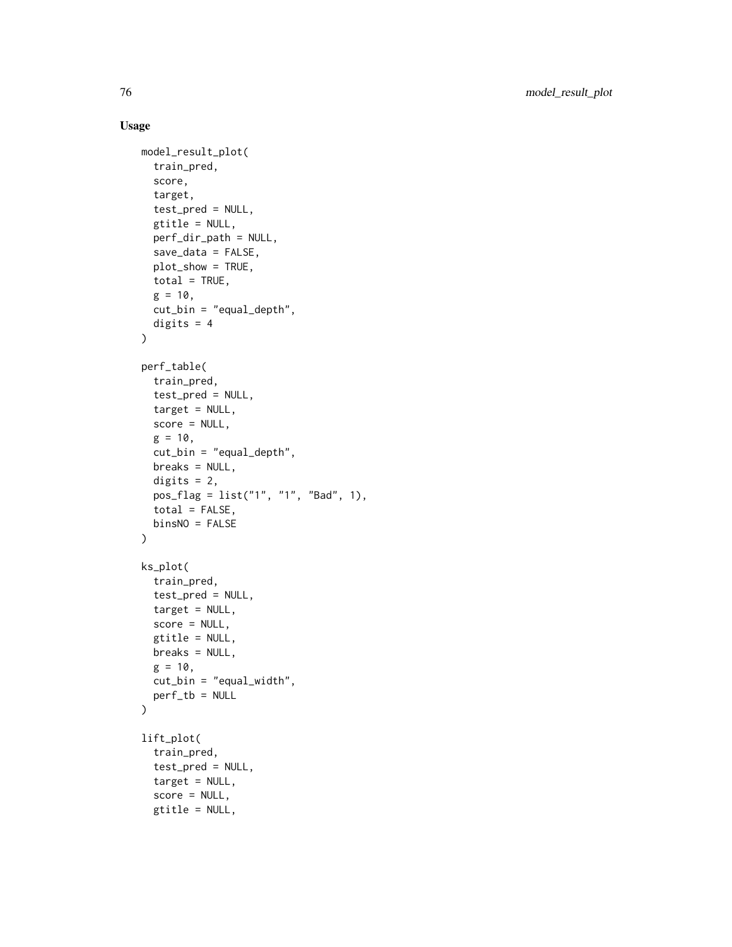```
model_result_plot(
  train_pred,
  score,
  target,
  test_pred = NULL,
 gtitle = NULL,
 perf_dir_path = NULL,
  save_data = FALSE,
 plot_show = TRUE,
 total = TRUE,g = 10,
 cut_bin = "equal_depth",
 digits = 4\mathcal{L}perf_table(
  train_pred,
  test_pred = NULL,
  target = NULL,score = NULL,
 g = 10,
  cut_bin = "equal_depth",
 breaks = NULL,
 digits = 2,
 pos_flag = list("1", "1", "Bad", 1),
 total = FALSE,binsNO = FALSE
)
ks_plot(
  train_pred,
  test_pred = NULL,
  target = NULL,score = NULL,
 gtitle = NULL,
 breaks = NULL,
 g = 10,
 cut_bin = "equal_width",
 perf_tb = NULL
\mathcal{L}lift_plot(
  train_pred,
  test_pred = NULL,
  target = NULL,score = NULL,
  gtitle = NULL,
```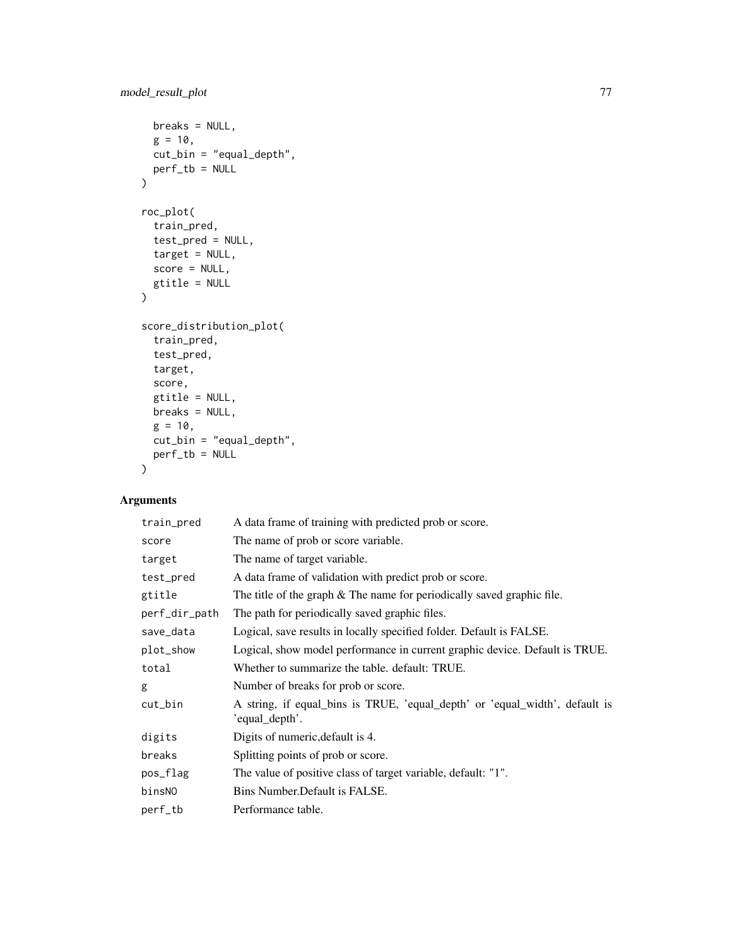```
breaks = NULL,
  g = 10,
  cut_bin = "equal_depth",
  perf_tb = NULL
\mathcal{L}roc_plot(
  train_pred,
  test_pred = NULL,
  target = NULL,score = NULL,
  gtitle = NULL
\mathcal{L}score_distribution_plot(
  train_pred,
  test_pred,
  target,
  score,
  gtitle = NULL,
  breaks = NULL,
  g = 10,
  cut_bin = "equal_depth",
  perf_tb = NULL
\mathcal{L}
```

| train_pred    | A data frame of training with predicted prob or score.                                        |
|---------------|-----------------------------------------------------------------------------------------------|
| score         | The name of prob or score variable.                                                           |
| target        | The name of target variable.                                                                  |
| test_pred     | A data frame of validation with predict prob or score.                                        |
| gtitle        | The title of the graph $&$ The name for periodically saved graphic file.                      |
| perf_dir_path | The path for periodically saved graphic files.                                                |
| save_data     | Logical, save results in locally specified folder. Default is FALSE.                          |
| plot_show     | Logical, show model performance in current graphic device. Default is TRUE.                   |
| total         | Whether to summarize the table. default: TRUE.                                                |
| g             | Number of breaks for prob or score.                                                           |
| cut_bin       | A string, if equal_bins is TRUE, 'equal_depth' or 'equal_width', default is<br>'equal_depth'. |
| digits        | Digits of numeric, default is 4.                                                              |
| breaks        | Splitting points of prob or score.                                                            |
| pos_flag      | The value of positive class of target variable, default: "1".                                 |
| binsNO        | Bins Number. Default is FALSE.                                                                |
| $perf_t$      | Performance table.                                                                            |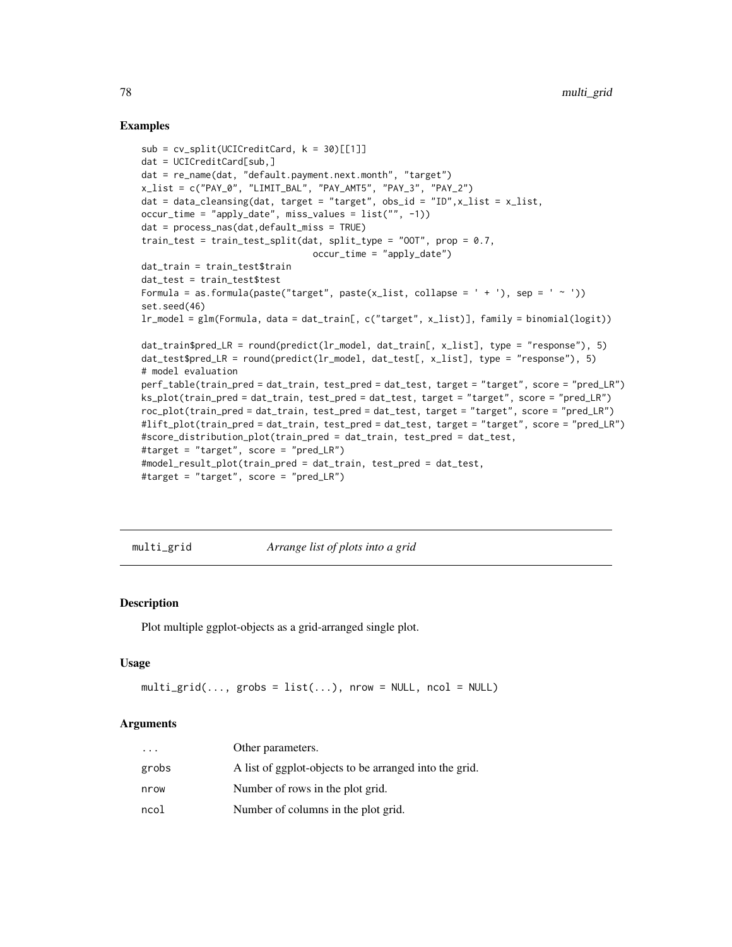#### Examples

```
sub = cv_split(UCICredictCard, k = 30)[[1]]dat = UCICreditCard[sub,]
dat = re_name(dat, "default.payment.next.month", "target")
x_list = c("PAY_0", "LIMIT_BAL", "PAY_AMT5", "PAY_3", "PAY_2")
dat = data_cleansing(dat, target = "target", obs_id = "ID", x_list = x_list,occur_time = "apply_date", miss_values = list("", -1))
dat = process_nas(dat,default_miss = TRUE)
train_test = train_test_split(dat, split_type = "OOT", prop = 0.7,
                                occur_time = "apply_date")
dat_train = train_test$train
dat_test = train_test$test
Formula = as.formula(paste("target", paste(x_list, collapse = ' + '), sep = ' \sim '))
set.seed(46)
lr_model = glm(Formula, data = dat_train[, c("target", x_list)], family = binomial(logit))
dat_train$pred_LR = round(predict(lr_model, dat_train[, x_list], type = "response"), 5)
dat_test$pred_LR = round(predict(lr_model, dat_test[, x_list], type = "response"), 5)
# model evaluation
perf_table(train_pred = dat_train, test_pred = dat_test, target = "target", score = "pred_LR")
ks_plot(train_pred = dat_train, test_pred = dat_test, target = "target", score = "pred_LR")
roc_plot(train_pred = dat_train, test_pred = dat_test, target = "target", score = "pred_LR")
#lift_plot(train_pred = dat_train, test_pred = dat_test, target = "target", score = "pred_LR")
#score_distribution_plot(train_pred = dat_train, test_pred = dat_test,
#target = "target", score = "pred_LR")
#model_result_plot(train_pred = dat_train, test_pred = dat_test,
#target = "target", score = "pred_LR")
```
multi\_grid *Arrange list of plots into a grid*

#### **Description**

Plot multiple ggplot-objects as a grid-arranged single plot.

#### Usage

```
multi\_grid(..., grobs = list(...), nrow = NULL, ncol = NULL)
```

| $\cdot$ $\cdot$ $\cdot$ | Other parameters.                                      |
|-------------------------|--------------------------------------------------------|
| grobs                   | A list of ggplot-objects to be arranged into the grid. |
| nrow                    | Number of rows in the plot grid.                       |
| ncol                    | Number of columns in the plot grid.                    |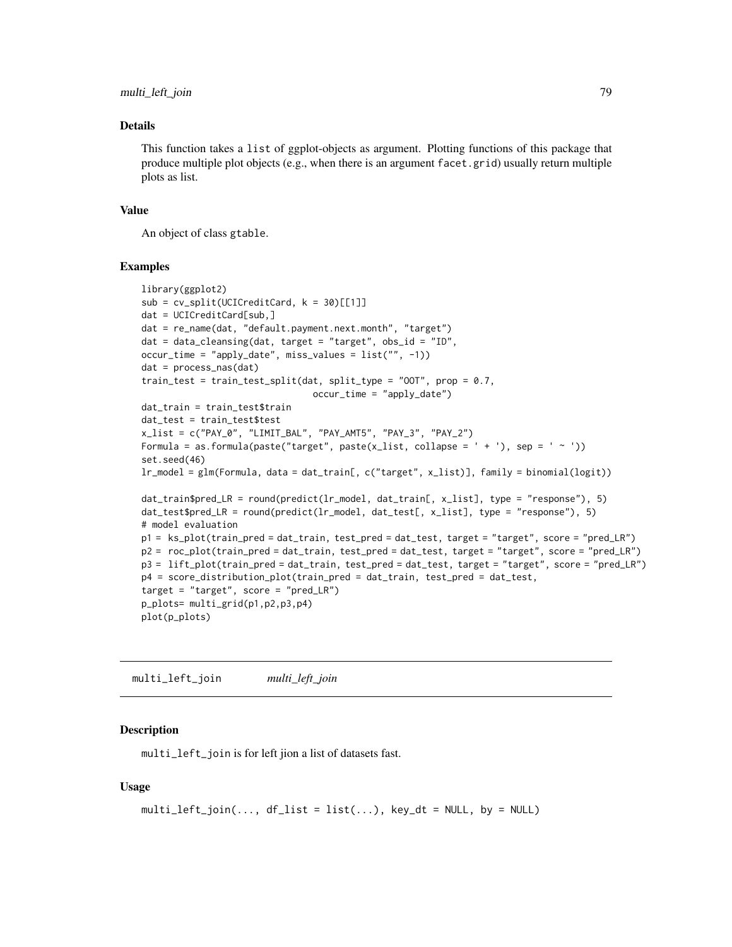#### Details

This function takes a list of ggplot-objects as argument. Plotting functions of this package that produce multiple plot objects (e.g., when there is an argument facet.grid) usually return multiple plots as list.

#### Value

An object of class gtable.

#### Examples

```
library(ggplot2)
sub = cv_split(UCICredictCard, k = 30)[[1]]dat = UCICreditCard[sub,]
dat = re_name(dat, "default.payment.next.month", "target")
dat = data_cleansing(dat, target = "target", obs_id = "ID",
occur_time = "apply_date", miss_values = list("", -1))
dat = process_nas(dat)
train_test = train_test_split(dat, split_type = "00T", prop = 0.7,
                                occur_time = "apply_date")
dat_train = train_test$train
dat_test = train_test$test
x_list = c("PAY_0", "LIMIT_BAL", "PAY_AMT5", "PAY_3", "PAY_2")
Formula = as.formula(paste("target", paste(x_list, collapse = ' + '), sep = ' ~ '))
set.seed(46)
lr_model = glm(Formula, data = dat_train[, c("target", x_list)], family = binomial(logit))
dat_train$pred_LR = round(predict(lr_model, dat_train[, x_list], type = "response"), 5)
dat_test$pred_LR = round(predict(lr_model, dat_test[, x_list], type = "response"), 5)
# model evaluation
p1 = ks_plot(train_pred = dat_train, test_pred = dat_test, target = "target", score = "pred_LR")
p2 = roc_plot(train_pred = dat_train, test_pred = dat_test, target = "target", score = "pred_LR")
p3 = lift_plot(train_pred = dat_train, test_pred = dat_test, target = "target", score = "pred_LR")
p4 = score_distribution_plot(train_pred = dat_train, test_pred = dat_test,
target = "target", score = "pred_LR")p_plots= multi_grid(p1,p2,p3,p4)
plot(p_plots)
```
multi\_left\_join *multi\_left\_join*

#### Description

multi\_left\_join is for left jion a list of datasets fast.

```
multi\_left\_join(..., df\_list = list(...), key\_dt = NULL, by = NULL)
```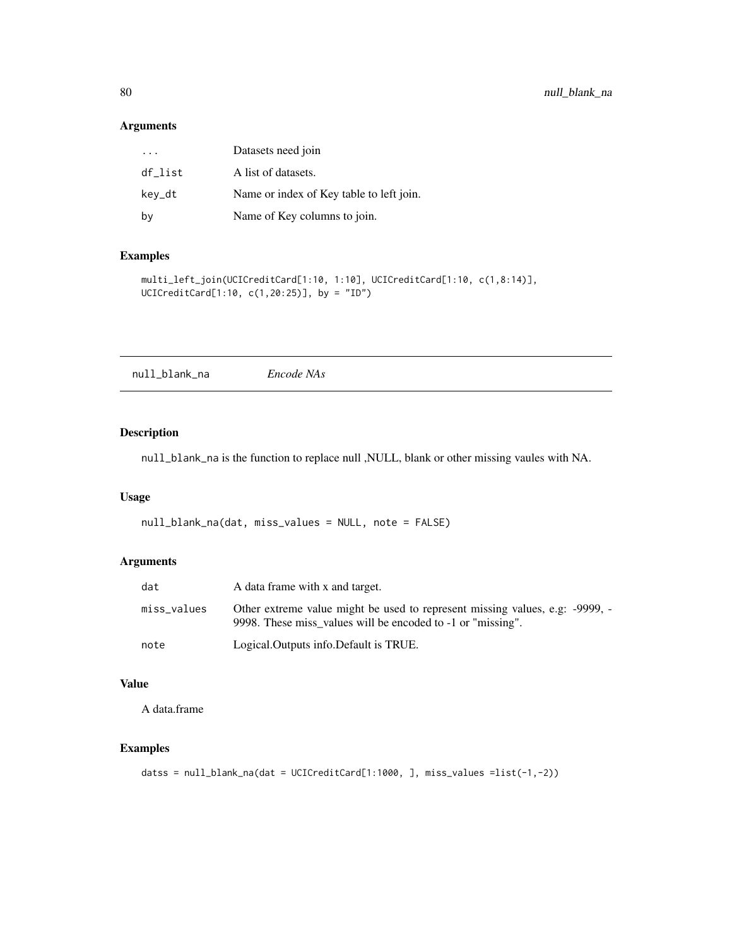| $\cdot$ $\cdot$ $\cdot$ | Datasets need join                       |
|-------------------------|------------------------------------------|
| df list                 | A list of datasets.                      |
| kev_dt                  | Name or index of Key table to left join. |
| by                      | Name of Key columns to join.             |

## Examples

```
multi_left_join(UCICreditCard[1:10, 1:10], UCICreditCard[1:10, c(1,8:14)],
UCICreditCard[1:10, c(1,20:25)], by = "ID")
```
null\_blank\_na *Encode NAs*

## Description

null\_blank\_na is the function to replace null ,NULL, blank or other missing vaules with NA.

## Usage

```
null_blank_na(dat, miss_values = NULL, note = FALSE)
```
## Arguments

| dat         | A data frame with x and target.                                                                                                             |
|-------------|---------------------------------------------------------------------------------------------------------------------------------------------|
| miss_values | Other extreme value might be used to represent missing values, e.g: -9999, -<br>9998. These miss values will be encoded to -1 or "missing". |
| note        | Logical. Outputs info. Default is TRUE.                                                                                                     |

# Value

A data.frame

# Examples

```
datss = null_blank_na(dat = UCICreditCard[1:1000, ], miss_values =list(-1,-2))
```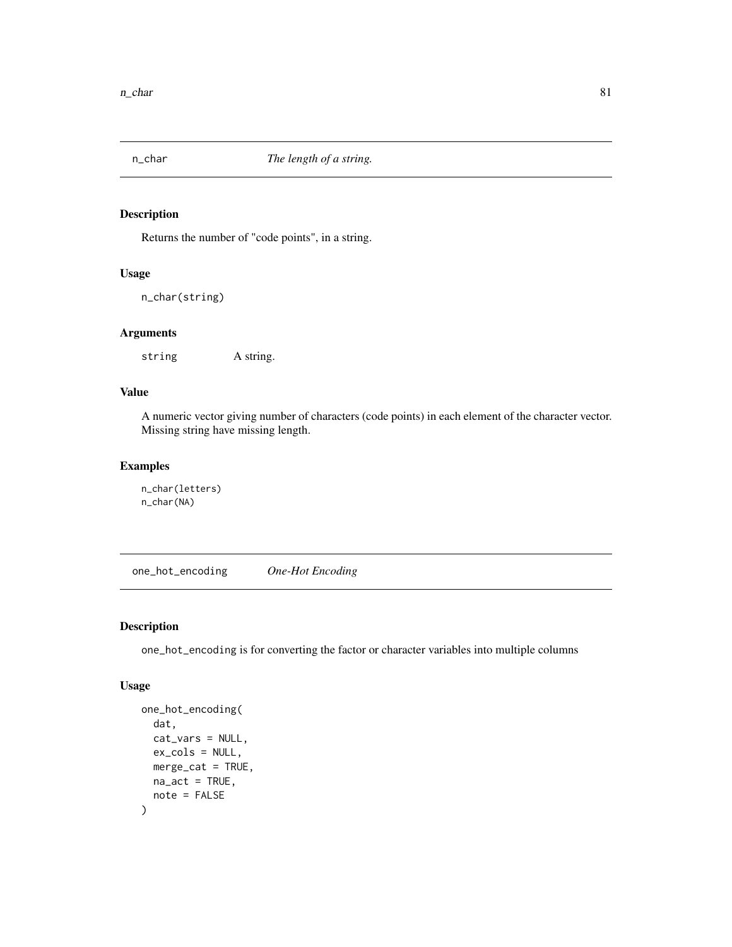# Description

Returns the number of "code points", in a string.

# Usage

n\_char(string)

# Arguments

string A string.

#### Value

A numeric vector giving number of characters (code points) in each element of the character vector. Missing string have missing length.

# Examples

n\_char(letters) n\_char(NA)

one\_hot\_encoding *One-Hot Encoding*

#### Description

one\_hot\_encoding is for converting the factor or character variables into multiple columns

```
one_hot_encoding(
  dat,
  cat_vars = NULL,
  ex_cols = NULL,
  merge_cat = TRUE,
  na\_act = TRUE,note = FALSE
\mathcal{E}
```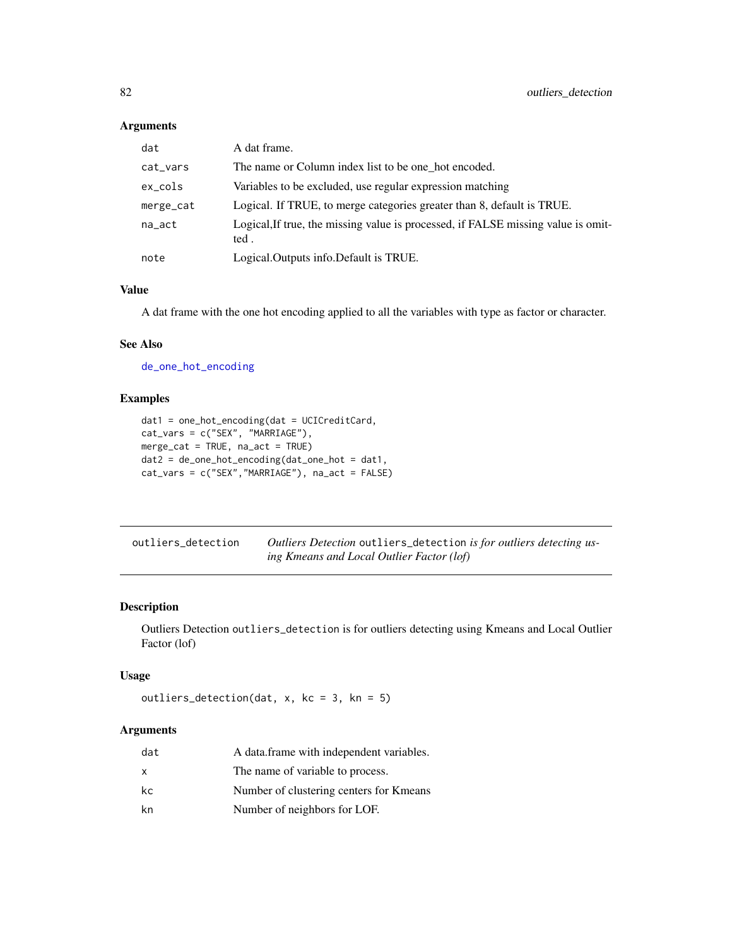| dat       | A dat frame.                                                                              |
|-----------|-------------------------------------------------------------------------------------------|
| cat_vars  | The name or Column index list to be one hot encoded.                                      |
| ex_cols   | Variables to be excluded, use regular expression matching                                 |
| merge_cat | Logical. If TRUE, to merge categories greater than 8, default is TRUE.                    |
| na_act    | Logical, If true, the missing value is processed, if FALSE missing value is omit-<br>ted. |
| note      | Logical. Outputs info. Default is TRUE.                                                   |

# Value

A dat frame with the one hot encoding applied to all the variables with type as factor or character.

# See Also

[de\\_one\\_hot\\_encoding](#page-23-0)

# Examples

```
dat1 = one_hot_encoding(dat = UCICreditCard,
cat_vars = c("SEX", "MARRIAGE"),
merge_cat = TRUE, na_act = TRUE)
dat2 = de_one_hot_encoding(dat_one_hot = dat1,
cat_vars = c("SEX","MARRIAGE"), na_act = FALSE)
```

| outliers detection | Outliers Detection outliers_detection is for outliers detecting us- |
|--------------------|---------------------------------------------------------------------|
|                    | ing Kmeans and Local Outlier Factor (lof)                           |

## Description

Outliers Detection outliers\_detection is for outliers detecting using Kmeans and Local Outlier Factor (lof)

#### Usage

```
outliers_detection(dat, x, kc = 3, kn = 5)
```

| dat | A data.frame with independent variables. |
|-----|------------------------------------------|
| x   | The name of variable to process.         |
| kc  | Number of clustering centers for Kmeans  |
| kn  | Number of neighbors for LOF.             |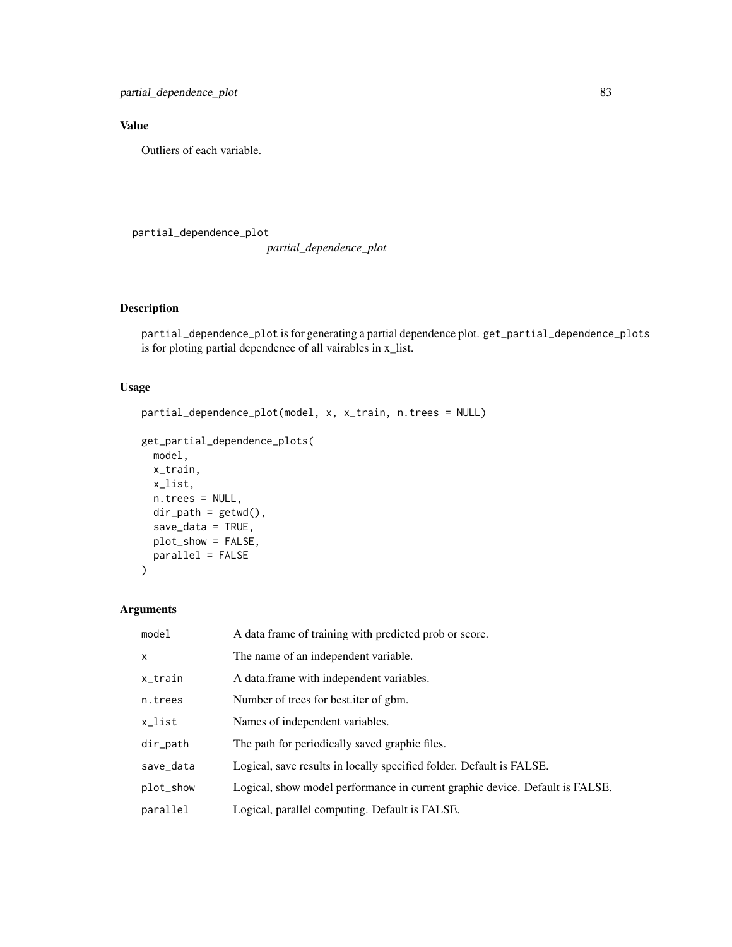# Value

Outliers of each variable.

partial\_dependence\_plot

*partial\_dependence\_plot*

## Description

partial\_dependence\_plot is for generating a partial dependence plot. get\_partial\_dependence\_plots is for ploting partial dependence of all vairables in x\_list.

#### Usage

```
partial_dependence_plot(model, x, x_train, n.trees = NULL)
```

```
get_partial_dependence_plots(
 model,
 x_train,
 x_list,
 n.trees = NULL,
 dir\_path = getwd(),
 save_data = TRUE,
 plot_show = FALSE,
 parallel = FALSE
)
```

| model        | A data frame of training with predicted prob or score.                       |
|--------------|------------------------------------------------------------------------------|
| $\mathsf{x}$ | The name of an independent variable.                                         |
| x_train      | A data.frame with independent variables.                                     |
| n.trees      | Number of trees for best iter of gbm.                                        |
| x_list       | Names of independent variables.                                              |
| dir_path     | The path for periodically saved graphic files.                               |
| save_data    | Logical, save results in locally specified folder. Default is FALSE.         |
| plot_show    | Logical, show model performance in current graphic device. Default is FALSE. |
| parallel     | Logical, parallel computing. Default is FALSE.                               |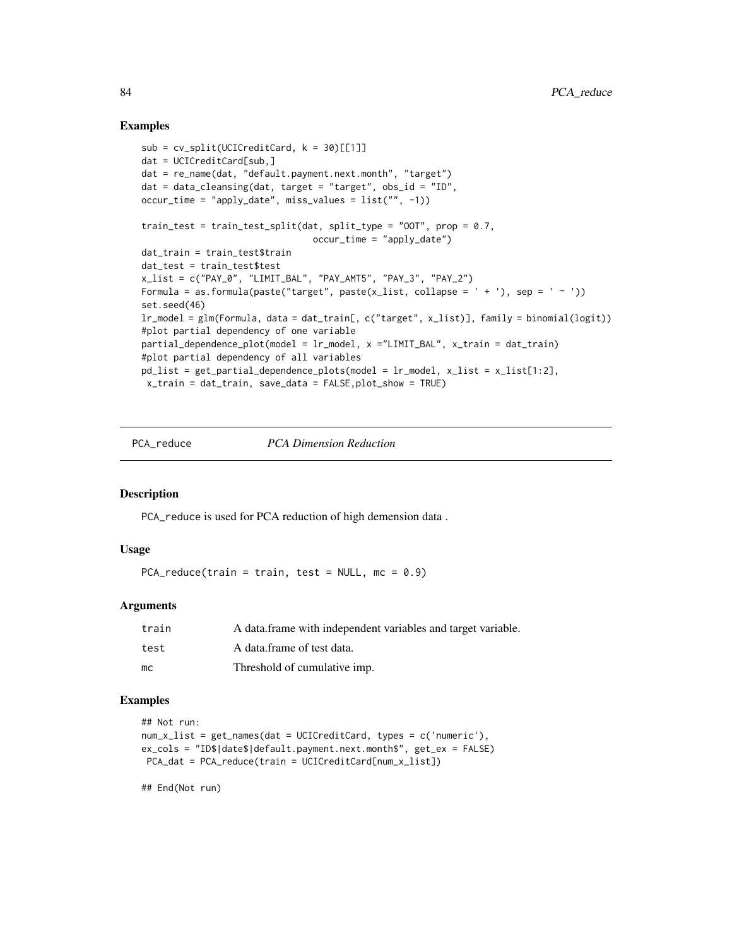#### Examples

```
sub = cv_split(UCICredictCard, k = 30)[[1]]dat = UCICreditCard[sub,]
dat = re_name(dat, "default.payment.next.month", "target")
dat = data_cleanging(data, target = "target", obs_id = "ID",occur_time = "apply_date", miss_values = list("", -1))
train_test = train_test_split(dat, split_type = "OOT", prop = 0.7,
                                occur_time = "apply_data")dat_train = train_test$train
dat_test = train_test$test
x_list = c("PAY_0", "LIMIT_BAL", "PAY_AMT5", "PAY_3", "PAY_2")
Formula = as.formula(paste("target", paste(x_list, collapse = ' + '), sep = ' ~ '))
set.seed(46)
lr_model = glm(Formula, data = dat_train[, c("target", x_list)], family = binomial(logit))
#plot partial dependency of one variable
partial_dependence_plot(model = lr_model, x ="LIMIT_BAL", x_train = dat_train)
#plot partial dependency of all variables
pd_list = get_partial_dependence_plots(model = lr_model, x_list = x_list[1:2],
 x_train = dat_train, save_data = FALSE,plot_show = TRUE)
```
PCA\_reduce *PCA Dimension Reduction*

#### Description

PCA\_reduce is used for PCA reduction of high demension data .

#### Usage

PCA\_reduce(train = train, test =  $NULL$ , mc = 0.9)

#### **Arguments**

| train | A data frame with independent variables and target variable. |
|-------|--------------------------------------------------------------|
| test  | A data frame of test data.                                   |
| mc    | Threshold of cumulative imp.                                 |

#### Examples

```
## Not run:
num_x_list = get_names(dat = UCICreditCard, types = c('numeric'),
ex_cols = "ID$|date$|default.payment.next.month$", get_ex = FALSE)
PCA_dat = PCA_reduce(train = UCICreditCard[num_x_list])
```
## End(Not run)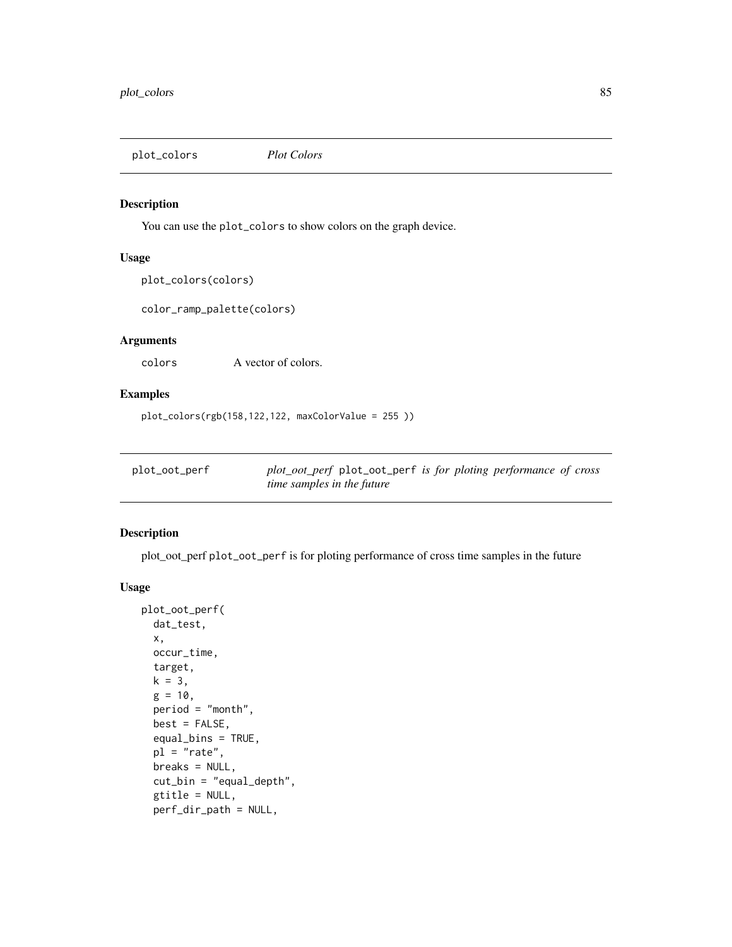plot\_colors *Plot Colors*

#### Description

You can use the plot\_colors to show colors on the graph device.

#### Usage

```
plot_colors(colors)
```
color\_ramp\_palette(colors)

#### Arguments

colors A vector of colors.

# Examples

```
plot_colors(rgb(158,122,122, maxColorValue = 255 ))
```

| plot_oot_perf | plot_oot_perf plot_oot_perf is for ploting performance of cross |
|---------------|-----------------------------------------------------------------|
|               | <i>time samples in the future</i>                               |

#### Description

plot\_oot\_perf plot\_oot\_perf is for ploting performance of cross time samples in the future

```
plot_oot_perf(
  dat_test,
 x,
 occur_time,
 target,
 k = 3,
 g = 10,
 period = "month",
 best = FALSE,
  equal_bins = TRUE,
 pl = "rate",
 breaks = NULL,
  cut_bin = "equal_depth",
  gtitle = NULL,
  perf_dir_path = NULL,
```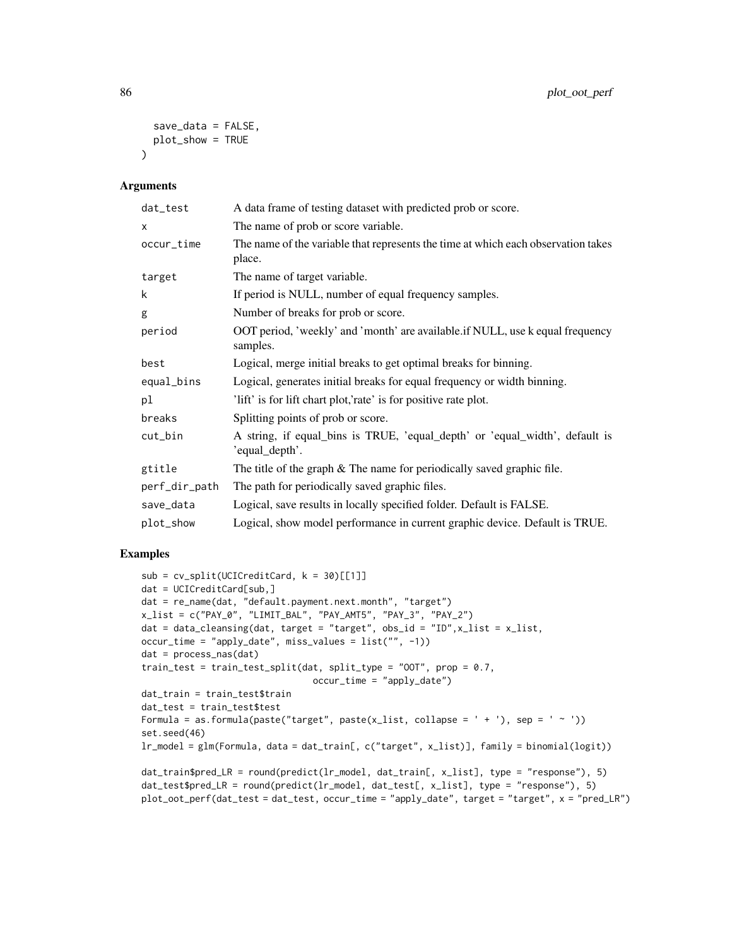```
save_data = FALSE,
 plot_show = TRUE
\lambda
```

| dat_test      | A data frame of testing dataset with predicted prob or score.                                 |
|---------------|-----------------------------------------------------------------------------------------------|
| x             | The name of prob or score variable.                                                           |
| occur_time    | The name of the variable that represents the time at which each observation takes<br>place.   |
| target        | The name of target variable.                                                                  |
| k             | If period is NULL, number of equal frequency samples.                                         |
| g             | Number of breaks for prob or score.                                                           |
| period        | OOT period, 'weekly' and 'month' are available.if NULL, use k equal frequency<br>samples.     |
| best          | Logical, merge initial breaks to get optimal breaks for binning.                              |
| equal_bins    | Logical, generates initial breaks for equal frequency or width binning.                       |
| рl            | 'lift' is for lift chart plot, 'rate' is for positive rate plot.                              |
| breaks        | Splitting points of prob or score.                                                            |
| cut_bin       | A string, if equal_bins is TRUE, 'equal_depth' or 'equal_width', default is<br>'equal_depth'. |
| gtitle        | The title of the graph $&$ The name for periodically saved graphic file.                      |
| perf_dir_path | The path for periodically saved graphic files.                                                |
| save_data     | Logical, save results in locally specified folder. Default is FALSE.                          |
| plot_show     | Logical, show model performance in current graphic device. Default is TRUE.                   |

## Examples

```
sub = cv_split(UCICredictCard, k = 30)[[1]]dat = UCICreditCard[sub,]
dat = re_name(dat, "default.payment.next.month", "target")
x_list = c("PAY_0", "LIMIT_BAL", "PAY_AMT5", "PAY_3", "PAY_2")
dat = data_cleansing(dat, target = "target", obs_id = "ID", x_list = x_list,occur_time = "apply_date", miss_values = list("", -1))
dat = process_nas(dat)
train_test = train_test_split(dat, split_type = "OOT", prop = 0.7,
                                occur_time = "apply_date")
dat_train = train_test$train
dat_test = train_test$test
Formula = as.formula(paste("target", paste(x_list, collapse = ' + '), sep = ' ~ '))
set.seed(46)
lr_model = glm(Formula, data = dat_train[, c("target", x_list)], family = binomial(logit))
dat_train$pred_LR = round(predict(lr_model, dat_train[, x_list], type = "response"), 5)
dat_test$pred_LR = round(predict(lr_model, dat_test[, x_list], type = "response"), 5)plot_oot_perf(dat_test = dat_test, occur_time = "apply_date", target = "target", x = "pred_LR")
```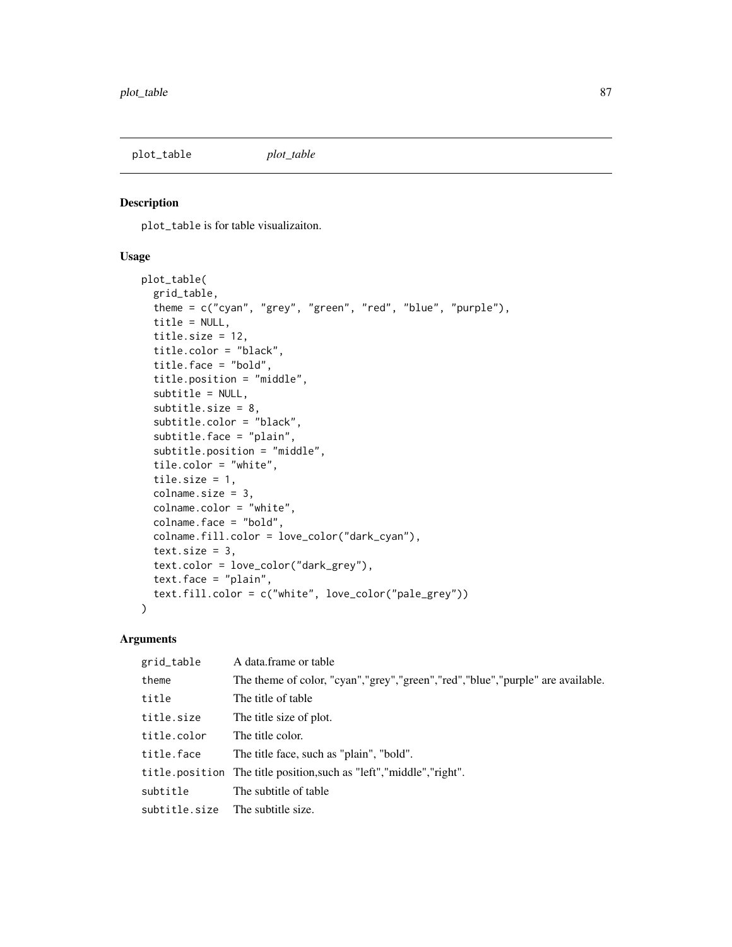plot\_table *plot\_table*

## Description

plot\_table is for table visualizaiton.

# Usage

```
plot_table(
  grid_table,
  theme = c("cyan", "grey", "green", "red", "blue", "purple"),
  title = NULL,
  title.size = 12,
  title.color = "black",
  title.face = "bold",
  title.position = "middle",
  subtitle = NULL,
  subtitle.size = 8,
  subtitle.color = "black",
  subtitle.face = "plain",
  subtitle.position = "middle",
  tile.color = "white",
  tile.size = 1,
  colname.size = 3,
  colname.color = "white",
  colname.face = "bold",
  colname.fill.color = love_color("dark_cyan"),
  text.size = 3,
  text.color = love_color("dark_grey"),
  text.face = "plain",
  text.fill.color = c("white", love_color("pale_grey"))
\mathcal{L}
```

| grid_table                       | A data frame or table                                                          |
|----------------------------------|--------------------------------------------------------------------------------|
| theme                            | The theme of color, "cyan","grey","green","red","blue","purple" are available. |
| title                            | The title of table                                                             |
| title.size                       | The title size of plot.                                                        |
| title.color                      | The title color.                                                               |
| title.face                       | The title face, such as "plain", "bold".                                       |
|                                  | title.position The title position, such as "left", "middle", "right".          |
| subtitle                         | The subtitle of table                                                          |
| subtitle.size The subtitle size. |                                                                                |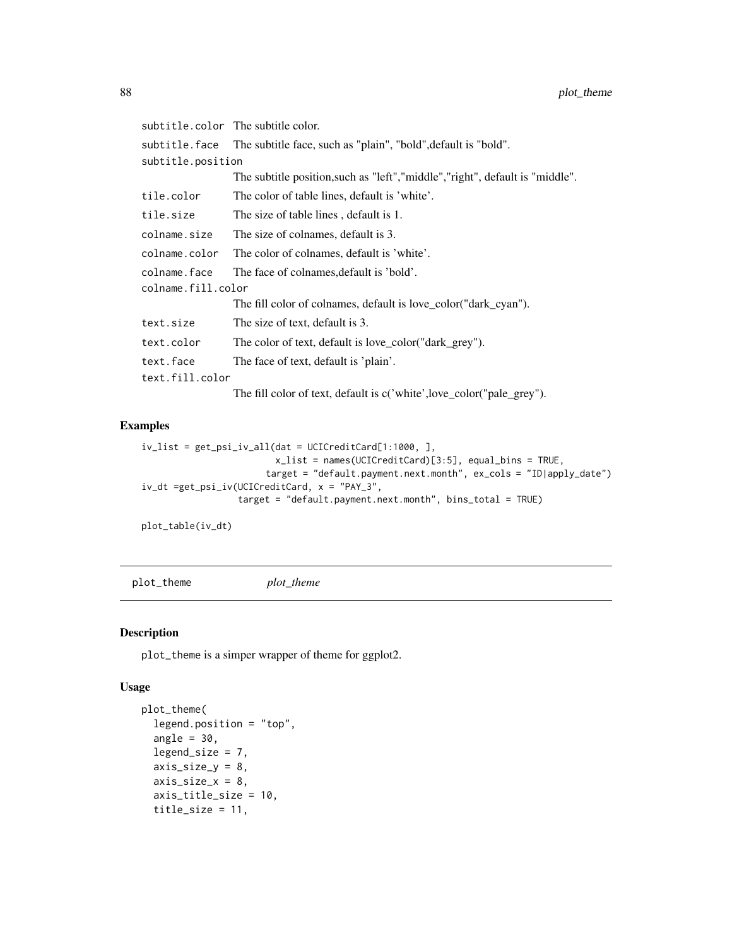|                    | subtitle.color The subtitle color.                                             |
|--------------------|--------------------------------------------------------------------------------|
|                    | subtitle.face The subtitle face, such as "plain", "bold",default is "bold".    |
| subtitle.position  |                                                                                |
|                    | The subtitle position, such as "left", "middle", "right", default is "middle". |
| tile.color         | The color of table lines, default is 'white'.                                  |
| tile.size          | The size of table lines, default is 1.                                         |
| colname.size       | The size of colnames, default is 3.                                            |
| colname.color      | The color of colnames, default is 'white'.                                     |
| colname.face       | The face of colnames, default is 'bold'.                                       |
| colname.fill.color |                                                                                |
|                    | The fill color of colnames, default is love_color("dark_cyan").                |
| text.size          | The size of text, default is 3.                                                |
| text.color         | The color of text, default is love_color("dark_grey").                         |
| text.face          | The face of text, default is 'plain'.                                          |
| text.fill.color    |                                                                                |
|                    | The fill color of text, default is c('white',love_color("pale_grey").          |

#### Examples

```
iv_list = get_psi_iv_all(dat = UCICreditCard[1:1000, ],
                         x_list = names(UCICreditCard)[3:5], equal_bins = TRUE,
                       target = "default.payment.next.month", ex_cols = "ID|apply_date")
iv_dt =get_psi_iv(UCICreditCard, x = "PAY_3",
                 target = "default.payment.next.month", bins_total = TRUE)
```
plot\_table(iv\_dt)

plot\_theme *plot\_theme*

# Description

plot\_theme is a simper wrapper of theme for ggplot2.

```
plot_theme(
  legend.position = "top",
  angle = 30.
  legend_size = 7,axis\_size_y = 8,
  axis_size_x = 8,
  axis_title_size = 10,
  title_size = 11,
```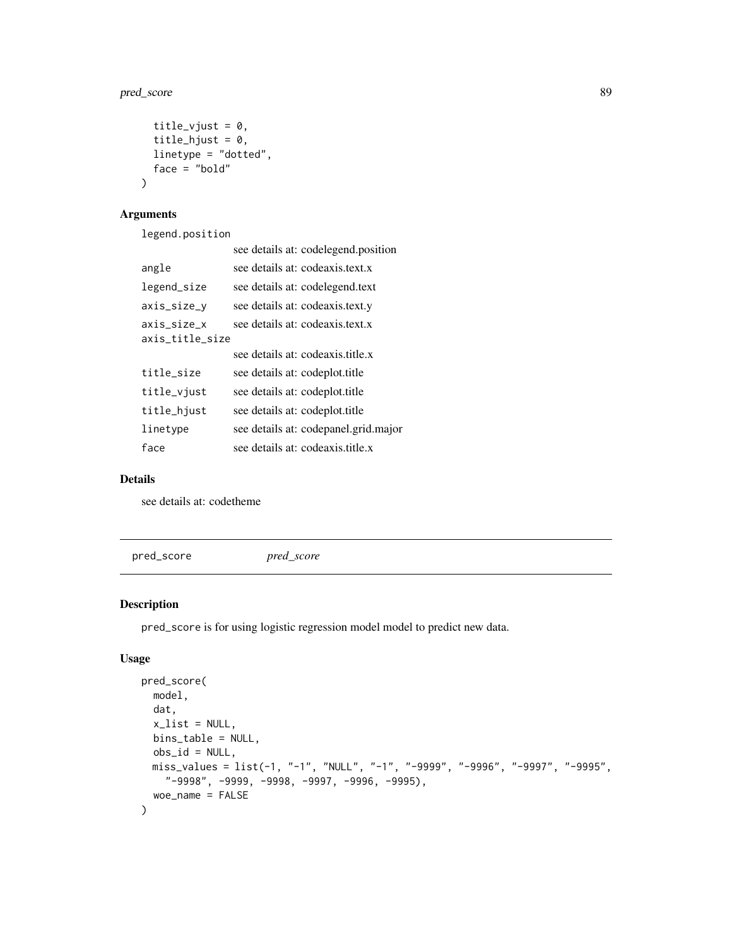## pred\_score 89

```
title_vjust = 0,
 title_hjust = 0,
 linetype = "dotted",
 face = "bold"
)
```
# Arguments

legend.position

|                                | see details at: codelegend.position  |
|--------------------------------|--------------------------------------|
| angle                          | see details at: codeaxis.text.x      |
| legend_size                    | see details at: codelegend.text      |
| axis_size_y                    | see details at: codeaxis.text.y      |
| axis_size_x<br>axis_title_size | see details at: codeaxis.text.x      |
|                                | see details at: codeaxis.title.x     |
| title_size                     | see details at: codeplot.title       |
| title_vjust                    | see details at: codeplot.title       |
| title_hjust                    | see details at: codeplot.title       |
| linetype                       | see details at: codepanel.grid.major |
| face                           | see details at: codeaxis title x     |

## Details

see details at: codetheme

<span id="page-88-0"></span>pred\_score *pred\_score*

# Description

pred\_score is for using logistic regression model model to predict new data.

```
pred_score(
  model,
  dat,
  x<sup>list = NULL</sup>,
  bins_table = NULL,
  obs_id = NULL,miss_values = list(-1, "-1", "NULL", "-1", "-9999", "-9996", "-9997", "-9995",
    "-9998", -9999, -9998, -9997, -9996, -9995),
  woe_name = FALSE
\mathcal{E}
```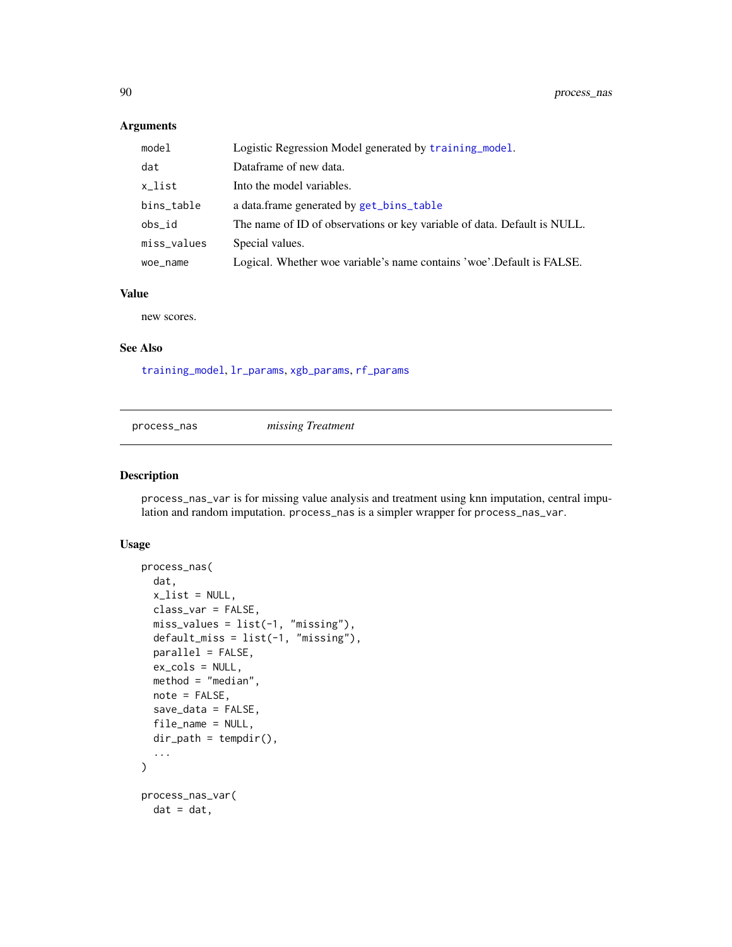| model       | Logistic Regression Model generated by training model.                   |
|-------------|--------------------------------------------------------------------------|
| dat         | Dataframe of new data.                                                   |
| x_list      | Into the model variables.                                                |
| bins_table  | a data.frame generated by get_bins_table                                 |
| obs id      | The name of ID of observations or key variable of data. Default is NULL. |
| miss_values | Special values.                                                          |
| woe_name    | Logical. Whether woe variable's name contains 'woe'. Default is FALSE.   |

#### Value

new scores.

#### See Also

[training\\_model](#page-121-0), [lr\\_params](#page-69-0), [xgb\\_params](#page-134-0), [rf\\_params](#page-103-0)

process\_nas *missing Treatment*

#### Description

process\_nas\_var is for missing value analysis and treatment using knn imputation, central impulation and random imputation. process\_nas is a simpler wrapper for process\_nas\_var.

```
process_nas(
 dat,
  x<sup>list = NULL</sup>,
 class_var = FALSE,
 miss_values = list(-1, "missing"),
 default_miss = list(-1, "missing"),
 parallel = FALSE,
 ex_cols = NULL,
 method = "median",
 note = FALSE,
  save_data = FALSE,
 file_name = NULL,
  dir\_path = tempdir(),
  ...
)
process_nas_var(
 dat = dat,
```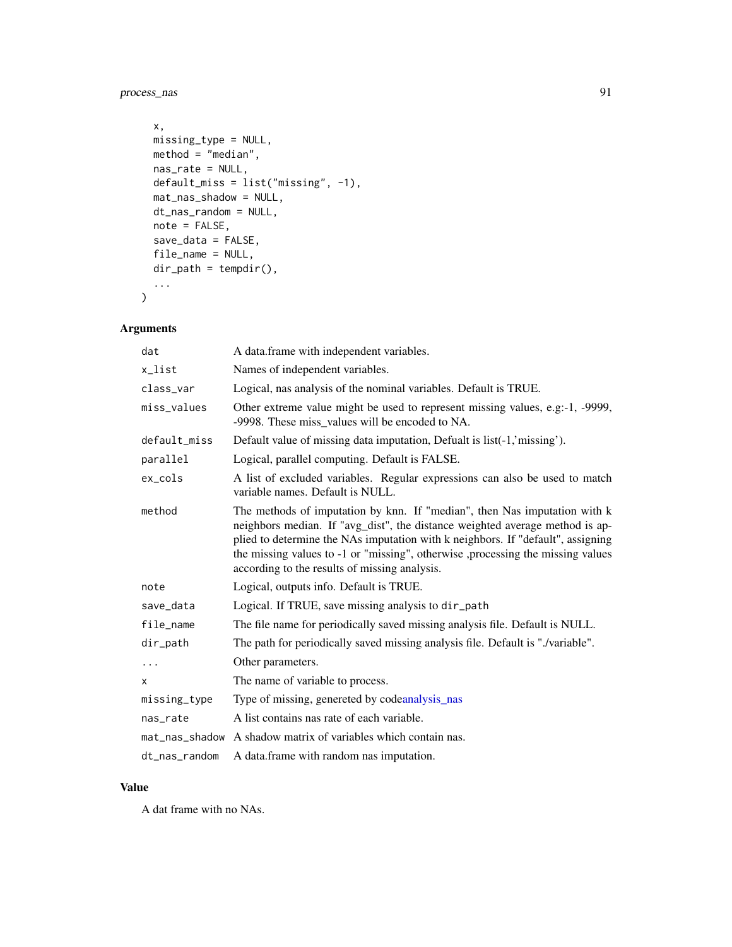process\_nas 91

```
x,
 missing_type = NULL,
 method = "median",
 nas_rate = NULL,
 default_miss = list("missing", -1),
 mat_nas_shadow = NULL,
 dt_nas_random = NULL,
 note = FALSE,
 save_data = FALSE,
 file_name = NULL,
 dir_path = tempdir(),
  ...
\mathcal{L}
```
# Arguments

| dat            | A data.frame with independent variables.                                                                                                                                                                                                                                                                                                                                         |
|----------------|----------------------------------------------------------------------------------------------------------------------------------------------------------------------------------------------------------------------------------------------------------------------------------------------------------------------------------------------------------------------------------|
| x_list         | Names of independent variables.                                                                                                                                                                                                                                                                                                                                                  |
| class_var      | Logical, nas analysis of the nominal variables. Default is TRUE.                                                                                                                                                                                                                                                                                                                 |
| miss_values    | Other extreme value might be used to represent missing values, e.g.-1, -9999,<br>-9998. These miss_values will be encoded to NA.                                                                                                                                                                                                                                                 |
| default_miss   | Default value of missing data imputation, Defualt is list(-1,'missing').                                                                                                                                                                                                                                                                                                         |
| parallel       | Logical, parallel computing. Default is FALSE.                                                                                                                                                                                                                                                                                                                                   |
| $ex\_cols$     | A list of excluded variables. Regular expressions can also be used to match<br>variable names. Default is NULL.                                                                                                                                                                                                                                                                  |
| method         | The methods of imputation by knn. If "median", then Nas imputation with k<br>neighbors median. If "avg_dist", the distance weighted average method is ap-<br>plied to determine the NAs imputation with k neighbors. If "default", assigning<br>the missing values to -1 or "missing", otherwise ,processing the missing values<br>according to the results of missing analysis. |
| note           | Logical, outputs info. Default is TRUE.                                                                                                                                                                                                                                                                                                                                          |
| save_data      | Logical. If TRUE, save missing analysis to dir_path                                                                                                                                                                                                                                                                                                                              |
| file_name      | The file name for periodically saved missing analysis file. Default is NULL.                                                                                                                                                                                                                                                                                                     |
| dir_path       | The path for periodically saved missing analysis file. Default is "./variable".                                                                                                                                                                                                                                                                                                  |
| $\cdots$       | Other parameters.                                                                                                                                                                                                                                                                                                                                                                |
| X              | The name of variable to process.                                                                                                                                                                                                                                                                                                                                                 |
| missing_type   | Type of missing, genereted by codeanalysis_nas                                                                                                                                                                                                                                                                                                                                   |
| nas_rate       | A list contains nas rate of each variable.                                                                                                                                                                                                                                                                                                                                       |
| mat_nas_shadow | A shadow matrix of variables which contain nas.                                                                                                                                                                                                                                                                                                                                  |
| dt_nas_random  | A data frame with random nas imputation.                                                                                                                                                                                                                                                                                                                                         |

#### Value

A dat frame with no NAs.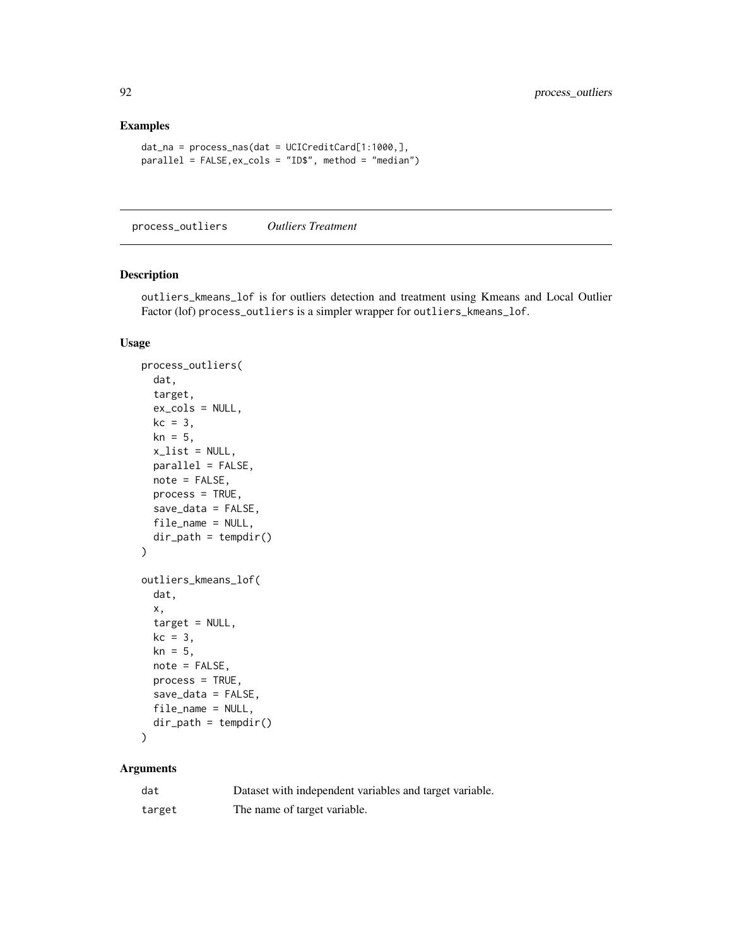## Examples

```
dat_na = process_nas(dat = UCICreditCard[1:1000,],
parallel = FALSE,ex_cols = "ID$", method = "median")
```
process\_outliers *Outliers Treatment*

#### Description

outliers\_kmeans\_lof is for outliers detection and treatment using Kmeans and Local Outlier Factor (lof) process\_outliers is a simpler wrapper for outliers\_kmeans\_lof.

#### Usage

```
process_outliers(
  dat,
  target,
  ex_cols = NULL,
  kc = 3,
  kn = 5,
  x<sup>list = NULL</sup>,
  parallel = FALSE,
  note = FALSE,
  process = TRUE,
  save_data = FALSE,
  file_name = NULL,
  dir\_path = tempdir()\mathcal{L}outliers_kmeans_lof(
  dat,
  x,
  target = NULL,
  kc = 3,
  kn = 5,
  note = FALSE,
  process = TRUE,
  save_data = FALSE,
  file_name = NULL,
  dir\_path = tempdir()\mathcal{E}
```

| dat    | Dataset with independent variables and target variable. |
|--------|---------------------------------------------------------|
| target | The name of target variable.                            |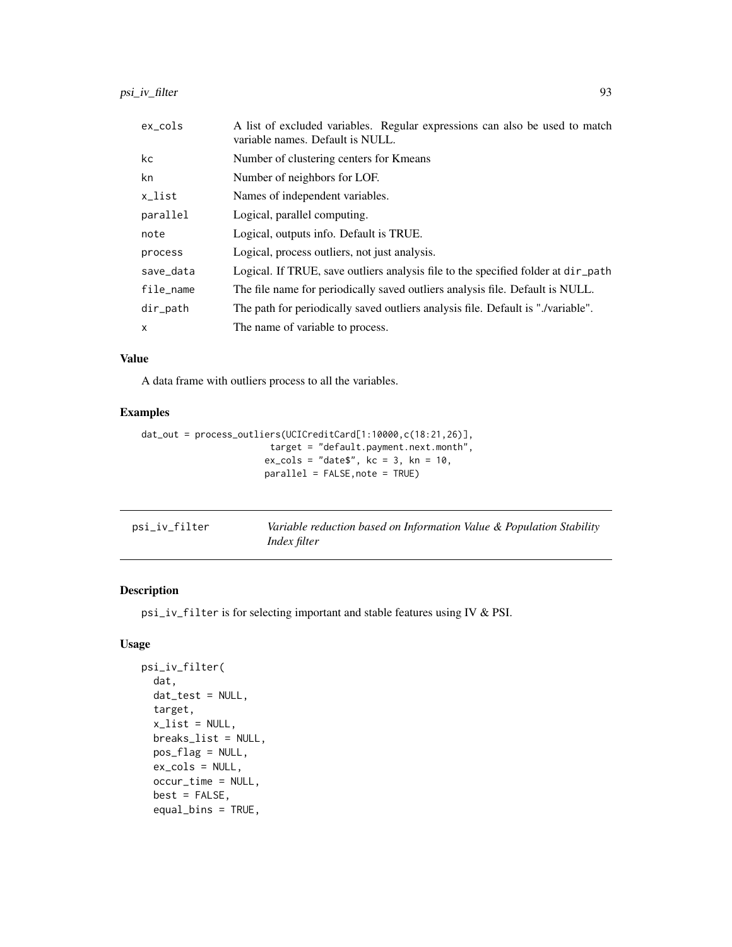| $ex\_cols$   | A list of excluded variables. Regular expressions can also be used to match<br>variable names. Default is NULL. |
|--------------|-----------------------------------------------------------------------------------------------------------------|
| kc           | Number of clustering centers for Kmeans                                                                         |
| kn           | Number of neighbors for LOF.                                                                                    |
| x_list       | Names of independent variables.                                                                                 |
| parallel     | Logical, parallel computing.                                                                                    |
| note         | Logical, outputs info. Default is TRUE.                                                                         |
| process      | Logical, process outliers, not just analysis.                                                                   |
| save_data    | Logical. If TRUE, save outliers analysis file to the specified folder at $dir$ -path                            |
| file_name    | The file name for periodically saved outliers analysis file. Default is NULL.                                   |
| $dir$ -path  | The path for periodically saved outliers analysis file. Default is "./variable".                                |
| $\mathsf{x}$ | The name of variable to process.                                                                                |

#### Value

A data frame with outliers process to all the variables.

# Examples

```
dat_out = process_outliers(UCICreditCard[1:10000,c(18:21,26)],
                        target = "default.payment.next.month",
                      ex\_cols = "date$", kc = 3, kn = 10,parallel = FALSE,note = TRUE)
```

| psi_iv_filter | Variable reduction based on Information Value & Population Stability |  |
|---------------|----------------------------------------------------------------------|--|
|               | <i>Index filter</i>                                                  |  |

## Description

psi\_iv\_filter is for selecting important and stable features using IV & PSI.

```
psi_iv_filter(
  dat,
  dat_test = NULL,
  target,
  x<sup>list = NULL</sup>,
  breaks_list = NULL,
 pos_flag = NULL,
  ex_cols = NULL,
  occur_time = NULL,
  best = FALSE,
  equal_bins = TRUE,
```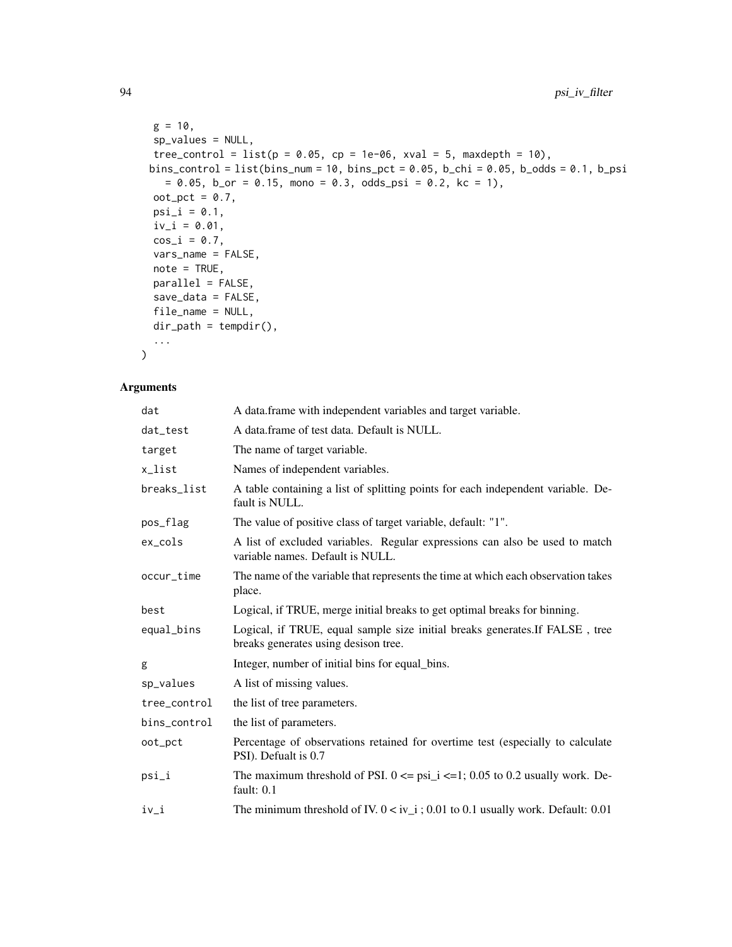```
g = 10,
 sp_values = NULL,
 tree_control = list(p = 0.05, cp = 1e-06, xval = 5, maxdepth = 10),
 bins_control = list(bins_num = 10, bins_pct = 0.05, b_chi = 0.05, b_odds = 0.1, b_psi
   = 0.05, b_or = 0.15, mono = 0.3, odds_psi = 0.2, kc = 1),
 oot_pct = 0.7,
 psi_i = 0.1,
 iv_i = 0.01,
 cos_i = 0.7,
 vars_name = FALSE,
 note = TRUE,parallel = FALSE,
 save_data = FALSE,
 file_name = NULL,
 dir_path = tempdir(),
  ...
\mathcal{L}
```

| dat          | A data.frame with independent variables and target variable.                                                         |
|--------------|----------------------------------------------------------------------------------------------------------------------|
| dat_test     | A data.frame of test data. Default is NULL.                                                                          |
| target       | The name of target variable.                                                                                         |
| x_list       | Names of independent variables.                                                                                      |
| breaks_list  | A table containing a list of splitting points for each independent variable. De-<br>fault is NULL.                   |
| pos_flag     | The value of positive class of target variable, default: "1".                                                        |
| ex_cols      | A list of excluded variables. Regular expressions can also be used to match<br>variable names. Default is NULL.      |
| occur_time   | The name of the variable that represents the time at which each observation takes<br>place.                          |
| best         | Logical, if TRUE, merge initial breaks to get optimal breaks for binning.                                            |
| equal_bins   | Logical, if TRUE, equal sample size initial breaks generates. If FALSE, tree<br>breaks generates using desison tree. |
| g            | Integer, number of initial bins for equal bins.                                                                      |
| sp_values    | A list of missing values.                                                                                            |
| tree_control | the list of tree parameters.                                                                                         |
| bins_control | the list of parameters.                                                                                              |
| oot_pct      | Percentage of observations retained for overtime test (especially to calculate<br>PSI). Defualt is 0.7               |
| psi_i        | The maximum threshold of PSI. $0 \leq psi_i \leq -1$ ; 0.05 to 0.2 usually work. De-<br>fault: $0.1$                 |
| iv_i         | The minimum threshold of IV. $0 < iv_i$ ; 0.01 to 0.1 usually work. Default: 0.01                                    |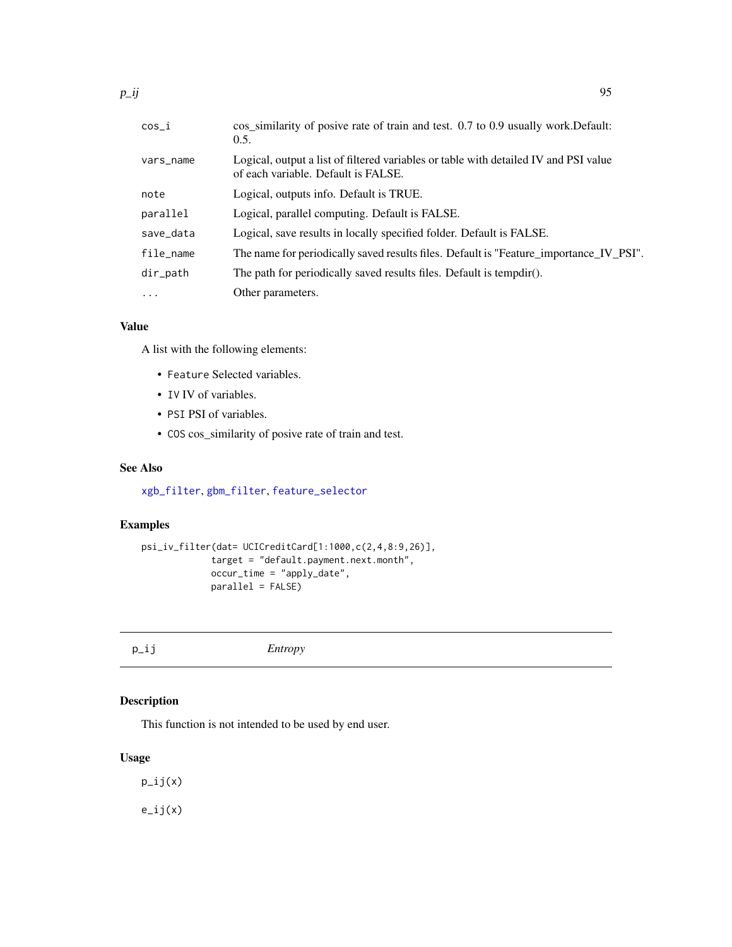| cos_i     | cos_similarity of posive rate of train and test. 0.7 to 0.9 usually work. Default:<br>0.5.                                  |
|-----------|-----------------------------------------------------------------------------------------------------------------------------|
| vars_name | Logical, output a list of filtered variables or table with detailed IV and PSI value<br>of each variable. Default is FALSE. |
| note      | Logical, outputs info. Default is TRUE.                                                                                     |
| parallel  | Logical, parallel computing. Default is FALSE.                                                                              |
| save_data | Logical, save results in locally specified folder. Default is FALSE.                                                        |
| file name | The name for periodically saved results files. Default is "Feature_importance_IV_PSI".                                      |
| dir_path  | The path for periodically saved results files. Default is tempdir().                                                        |
| $\cdots$  | Other parameters.                                                                                                           |
|           |                                                                                                                             |

## Value

A list with the following elements:

- Feature Selected variables.
- IV IV of variables.
- PSI PSI of variables.
- COS cos\_similarity of posive rate of train and test.

#### See Also

[xgb\\_filter](#page-132-0), [gbm\\_filter](#page-33-0), [feature\\_selector](#page-29-0)

## Examples

```
psi_iv_filter(dat= UCICreditCard[1:1000,c(2,4,8:9,26)],
             target = "default.payment.next.month",
             occur_time = "apply_date",
             parallel = FALSE)
```

| $p$ _ij | Entropy |
|---------|---------|
|---------|---------|

# Description

This function is not intended to be used by end user.

#### Usage

p\_ij(x)  $e$ \_ij $(x)$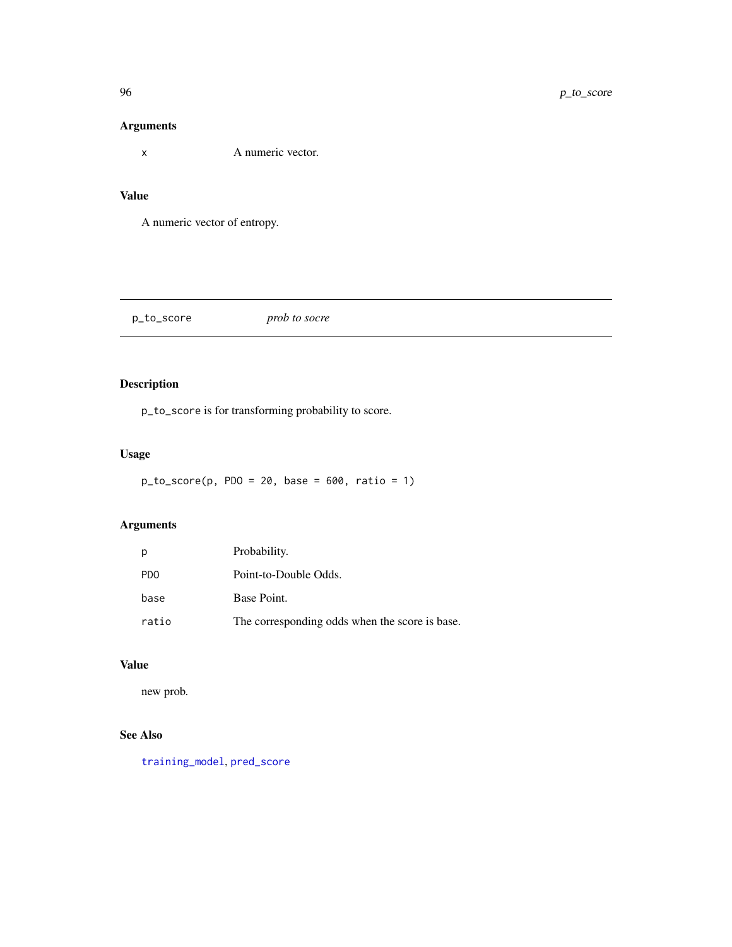x A numeric vector.

#### Value

A numeric vector of entropy.

p\_to\_score *prob to socre*

# Description

p\_to\_score is for transforming probability to score.

# Usage

```
p\_to\_score(p, PDO = 20, base = 600, ratio = 1)
```
## Arguments

| p                | Probability.                                   |
|------------------|------------------------------------------------|
| P <sub>D</sub> O | Point-to-Double Odds.                          |
| base             | Base Point.                                    |
| ratio            | The corresponding odds when the score is base. |

# Value

new prob.

# See Also

[training\\_model](#page-121-0), [pred\\_score](#page-88-0)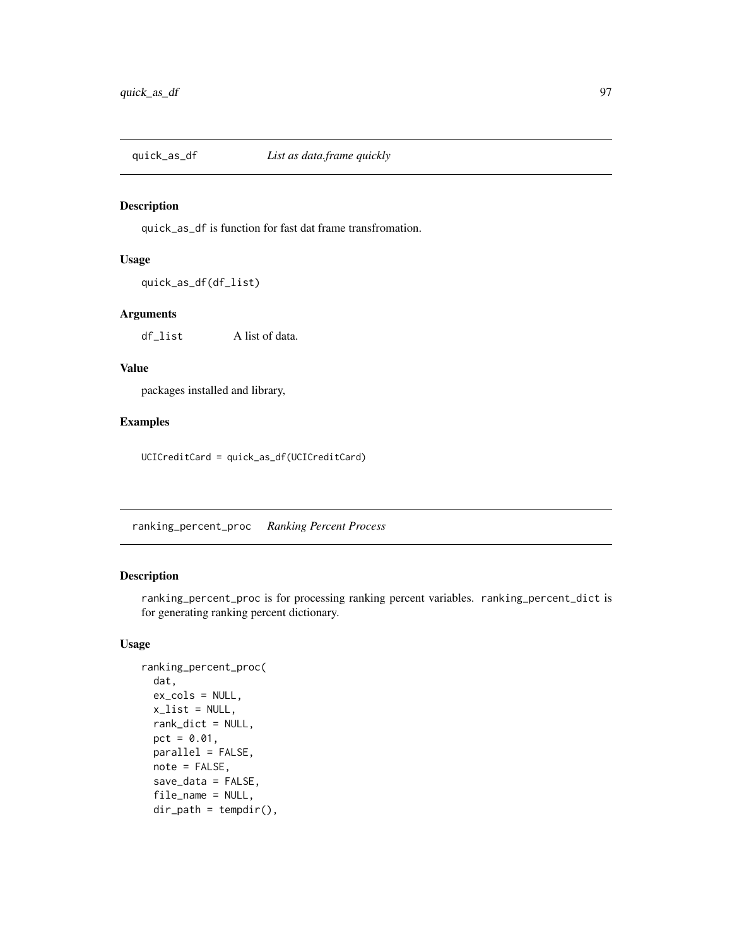## Description

quick\_as\_df is function for fast dat frame transfromation.

#### Usage

quick\_as\_df(df\_list)

#### Arguments

df\_list A list of data.

# Value

packages installed and library,

# Examples

UCICreditCard = quick\_as\_df(UCICreditCard)

ranking\_percent\_proc *Ranking Percent Process*

# Description

ranking\_percent\_proc is for processing ranking percent variables. ranking\_percent\_dict is for generating ranking percent dictionary.

```
ranking_percent_proc(
  dat,
 ex_cols = NULL,
 x<sup>-</sup>list = NULL,
 rank_dict = NULL,
 pct = 0.01,
 parallel = FALSE,
 note = FALSE,
  save_data = FALSE,
  file_name = NULL,
 dir\_path = tempdir(),
```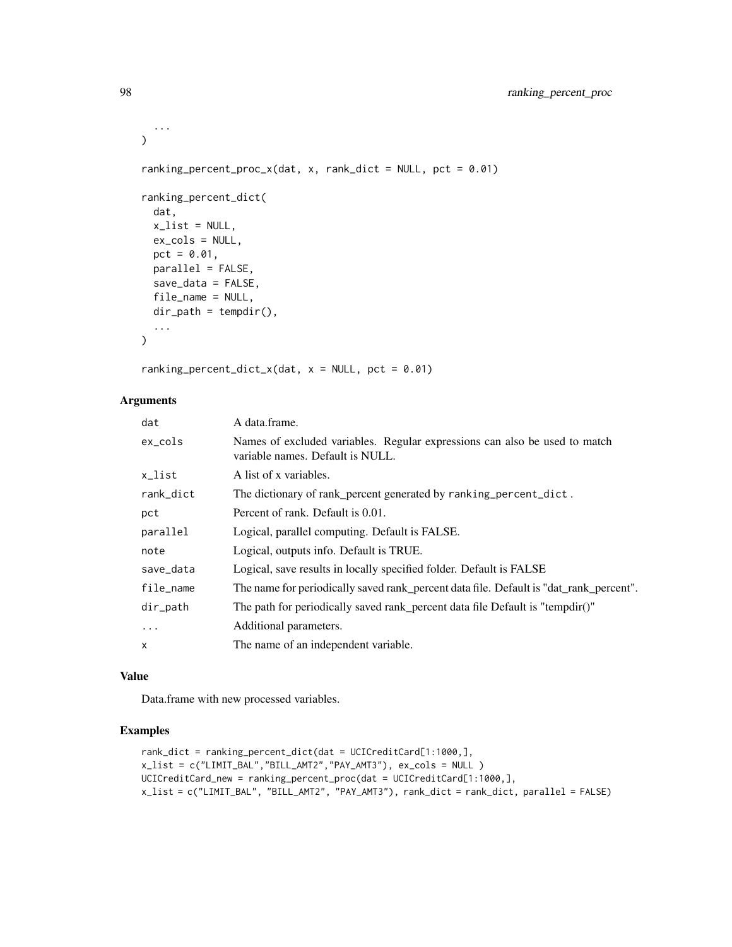```
...
\lambdaranking_percent_proc_x(dat, x, rank_dict = NULL, pct = 0.01)
ranking_percent_dict(
 dat,
 x<sup>list = NULL</sup>,
 ex_cols = NULL,
 pct = 0.01,
 parallel = FALSE,
  save_data = FALSE,
 file_name = NULL,
 dir\_path = tempdir(),...
\mathcal{L}
```
ranking\_percent\_dict\_x(dat,  $x = NULL$ , pct = 0.01)

# Arguments

| dat       | A data.frame.                                                                                                  |
|-----------|----------------------------------------------------------------------------------------------------------------|
| ex_cols   | Names of excluded variables. Regular expressions can also be used to match<br>variable names. Default is NULL. |
| x_list    | A list of x variables.                                                                                         |
| rank_dict | The dictionary of rank_percent generated by ranking_percent_dict.                                              |
| pct       | Percent of rank. Default is 0.01.                                                                              |
| parallel  | Logical, parallel computing. Default is FALSE.                                                                 |
| note      | Logical, outputs info. Default is TRUE.                                                                        |
| save_data | Logical, save results in locally specified folder. Default is FALSE                                            |
| file_name | The name for periodically saved rank_percent data file. Default is "dat_rank_percent".                         |
| dir_path  | The path for periodically saved rank_percent data file Default is "tempdir()"                                  |
| $\ddots$  | Additional parameters.                                                                                         |
| x         | The name of an independent variable.                                                                           |
|           |                                                                                                                |

# Value

Data.frame with new processed variables.

# Examples

```
rank_dict = ranking_percent_dict(dat = UCICreditCard[1:1000,],
x_list = c("LIMIT_BAL","BILL_AMT2","PAY_AMT3"), ex_cols = NULL )
UCICreditCard_new = ranking_percent_proc(dat = UCICreditCard[1:1000,],
x_list = c("LIMIT_BAL", "BILL_AMT2", "PAY_AMT3"), rank_dict = rank_dict, parallel = FALSE)
```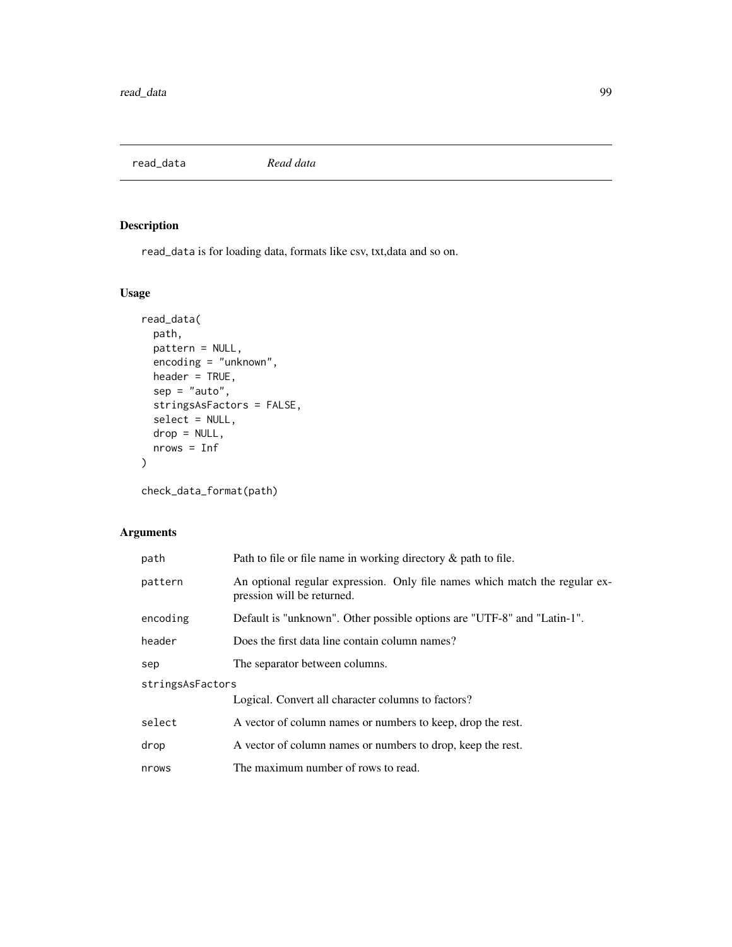read\_data *Read data*

# Description

read\_data is for loading data, formats like csv, txt,data and so on.

## Usage

```
read_data(
 path,
 pattern = NULL,
 encoding = "unknown",
 header = TRUE,
 sep = "auto",stringsAsFactors = FALSE,
 select = NULL,
 drop = NULL,
 nrows = Inf
)
```
check\_data\_format(path)

| path             | Path to file or file name in working directory $\&$ path to file.                                         |  |
|------------------|-----------------------------------------------------------------------------------------------------------|--|
| pattern          | An optional regular expression. Only file names which match the regular ex-<br>pression will be returned. |  |
| encoding         | Default is "unknown". Other possible options are "UTF-8" and "Latin-1".                                   |  |
| header           | Does the first data line contain column names?                                                            |  |
| sep              | The separator between columns.                                                                            |  |
| stringsAsFactors |                                                                                                           |  |
|                  | Logical. Convert all character columns to factors?                                                        |  |
| select           | A vector of column names or numbers to keep, drop the rest.                                               |  |
| drop             | A vector of column names or numbers to drop, keep the rest.                                               |  |
| nrows            | The maximum number of rows to read.                                                                       |  |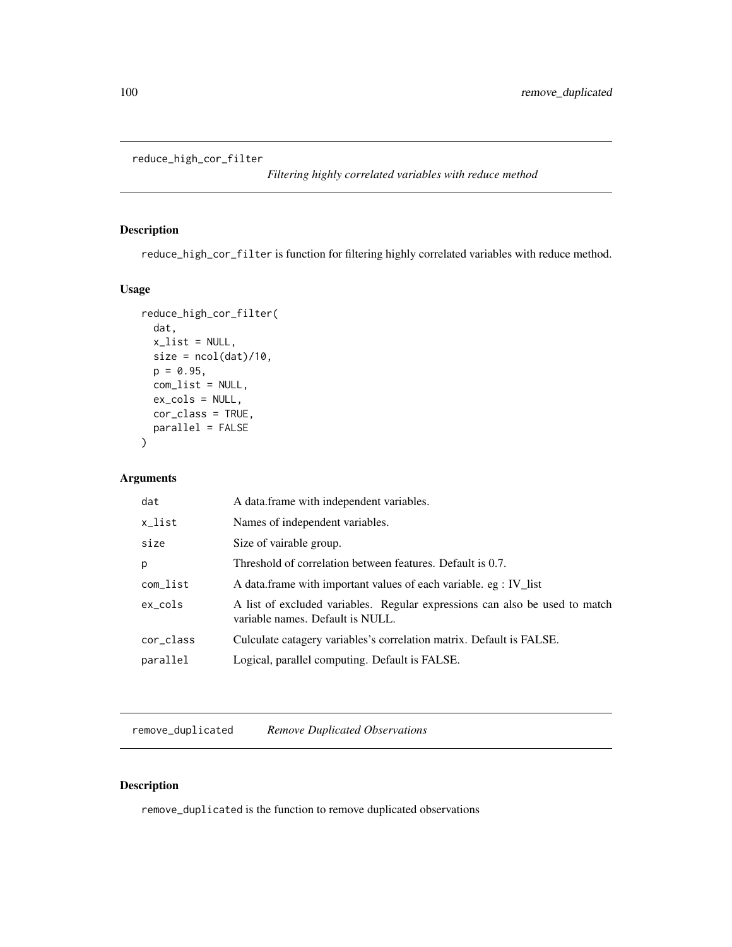reduce\_high\_cor\_filter

*Filtering highly correlated variables with reduce method*

#### Description

reduce\_high\_cor\_filter is function for filtering highly correlated variables with reduce method.

# Usage

```
reduce_high_cor_filter(
  dat,
 x<sup>list = NULL</sup>,
 size = ncol(data)/10,p = 0.95,
 com_list = NULL,
 ex_cols = NULL,
 cor_class = TRUE,
 parallel = FALSE
)
```
## Arguments

| dat       | A data frame with independent variables.                                                                        |
|-----------|-----------------------------------------------------------------------------------------------------------------|
| x_list    | Names of independent variables.                                                                                 |
| size      | Size of vairable group.                                                                                         |
| р         | Threshold of correlation between features. Default is 0.7.                                                      |
| com_list  | A data frame with important values of each variable. eg : IV_list                                               |
| ex_cols   | A list of excluded variables. Regular expressions can also be used to match<br>variable names. Default is NULL. |
| cor_class | Culculate catagery variables's correlation matrix. Default is FALSE.                                            |
| parallel  | Logical, parallel computing. Default is FALSE.                                                                  |

remove\_duplicated *Remove Duplicated Observations*

## Description

remove\_duplicated is the function to remove duplicated observations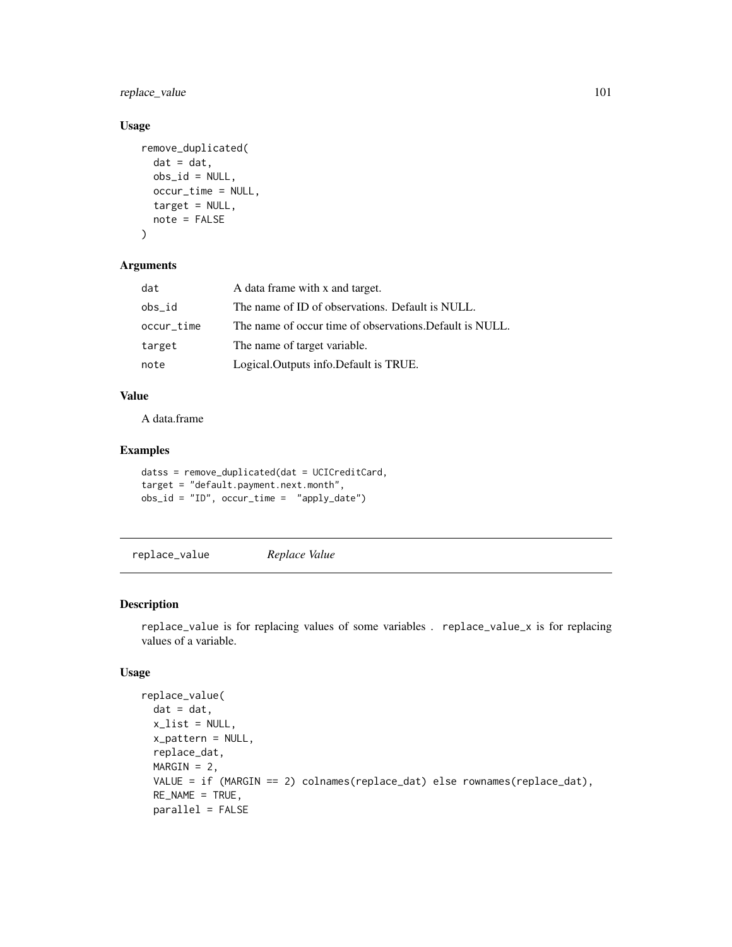replace\_value 101

#### Usage

```
remove_duplicated(
 dat = dat,obs_id = NULL,occur_time = NULL,
 target = NULL,note = FALSE
)
```
#### Arguments

| dat        | A data frame with x and target.                          |
|------------|----------------------------------------------------------|
| obs id     | The name of ID of observations. Default is NULL.         |
| occur_time | The name of occur time of observations. Default is NULL. |
| target     | The name of target variable.                             |
| note       | Logical. Outputs info. Default is TRUE.                  |

# Value

A data.frame

#### Examples

```
datss = remove_duplicated(dat = UCICreditCard,
target = "default.payment.next.month",
obs_id = "ID", occur_time = "apply_data")
```
replace\_value *Replace Value*

## Description

replace\_value is for replacing values of some variables . replace\_value\_x is for replacing values of a variable.

```
replace_value(
 dat = dat,x<sup>list = NULL</sup>,
  x_pattern = NULL,
  replace_dat,
 MARGIN = 2,
 VALUE = if (MARGIN == 2) colnames(replace_dat) else rownames(replace_dat),
 RE_NAME = TRUE,
 parallel = FALSE
```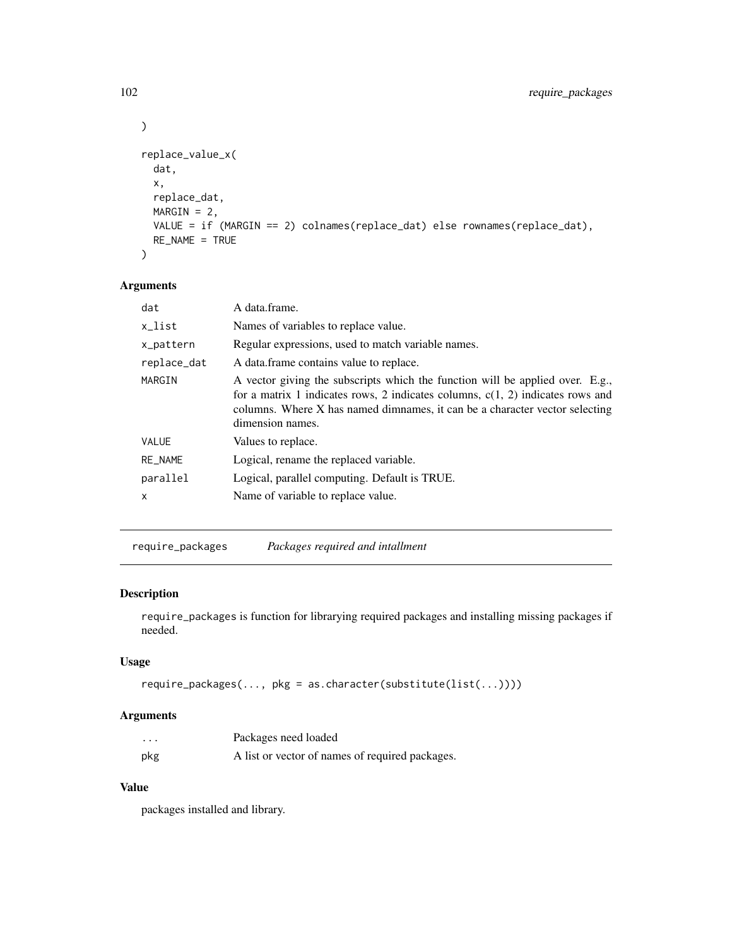```
\mathcal{L}replace_value_x(
  dat,
  x,
 replace_dat,
 MARGIN = 2,
 VALUE = if (MARGIN == 2) colnames(replace_dat) else rownames(replace_dat),
 RE_NAME = TRUE
)
```

| dat         | A data.frame.                                                                                                                                                                                                                                                        |  |
|-------------|----------------------------------------------------------------------------------------------------------------------------------------------------------------------------------------------------------------------------------------------------------------------|--|
| x_list      | Names of variables to replace value.                                                                                                                                                                                                                                 |  |
| x_pattern   | Regular expressions, used to match variable names.                                                                                                                                                                                                                   |  |
| replace_dat | A data frame contains value to replace.                                                                                                                                                                                                                              |  |
| MARGIN      | A vector giving the subscripts which the function will be applied over. E.g.,<br>for a matrix 1 indicates rows, 2 indicates columns, $c(1, 2)$ indicates rows and<br>columns. Where X has named dimnames, it can be a character vector selecting<br>dimension names. |  |
| VALUE       | Values to replace.                                                                                                                                                                                                                                                   |  |
| RE_NAME     | Logical, rename the replaced variable.                                                                                                                                                                                                                               |  |
| parallel    | Logical, parallel computing. Default is TRUE.                                                                                                                                                                                                                        |  |
| X           | Name of variable to replace value.                                                                                                                                                                                                                                   |  |
|             |                                                                                                                                                                                                                                                                      |  |

require\_packages *Packages required and intallment*

#### Description

require\_packages is function for librarying required packages and installing missing packages if needed.

# Usage

```
require_packages(..., pkg = as.character(substitute(list(...))))
```
## Arguments

| .   | Packages need loaded                            |
|-----|-------------------------------------------------|
| pkg | A list or vector of names of required packages. |

# Value

packages installed and library.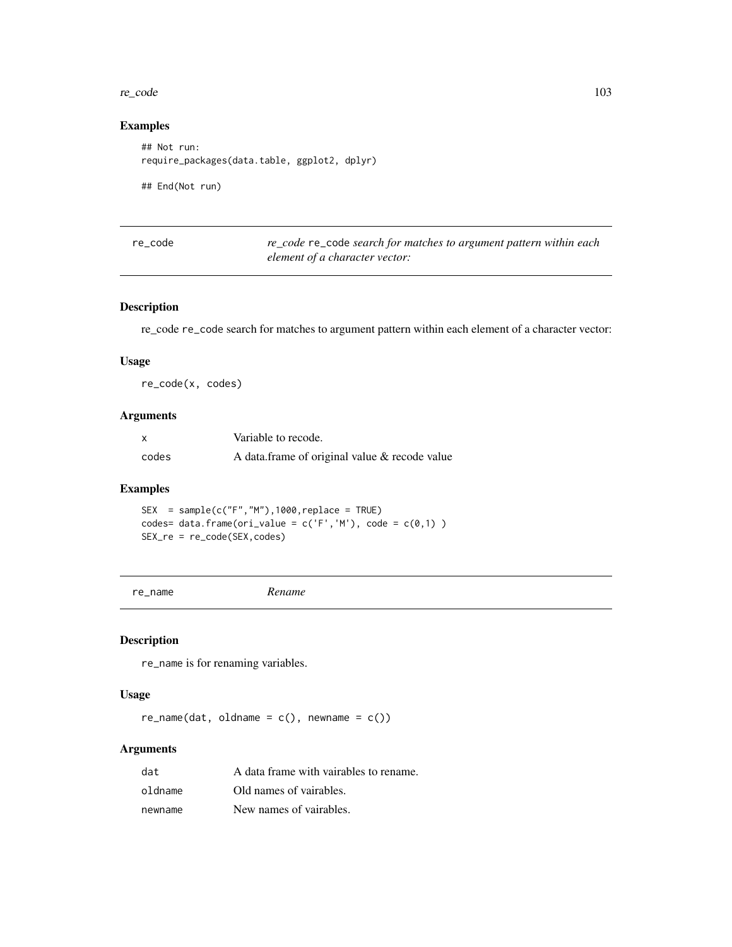#### re\_code 103

#### Examples

## Not run: require\_packages(data.table, ggplot2, dplyr)

## End(Not run)

| re code | re_code re_code search for matches to argument pattern within each |
|---------|--------------------------------------------------------------------|
|         | element of a character vector:                                     |

## Description

re\_code re\_code search for matches to argument pattern within each element of a character vector:

## Usage

re\_code(x, codes)

# Arguments

| $\boldsymbol{\mathsf{x}}$ | Variable to recode.                           |
|---------------------------|-----------------------------------------------|
| codes                     | A data frame of original value & recode value |

# Examples

 $SEX = sample(c("F", "M")$ , 1000, replace = TRUE) codes= data.frame(ori\_value =  $c('F', 'M')$ , code =  $c(\emptyset, 1)$ ) SEX\_re = re\_code(SEX,codes)

```
re_name Rename
```
## Description

re\_name is for renaming variables.

#### Usage

 $re\_name(data, oldname = c(), newname = c())$ 

| dat     | A data frame with vairables to rename. |
|---------|----------------------------------------|
| oldname | Old names of vairables.                |
| newname | New names of vairables.                |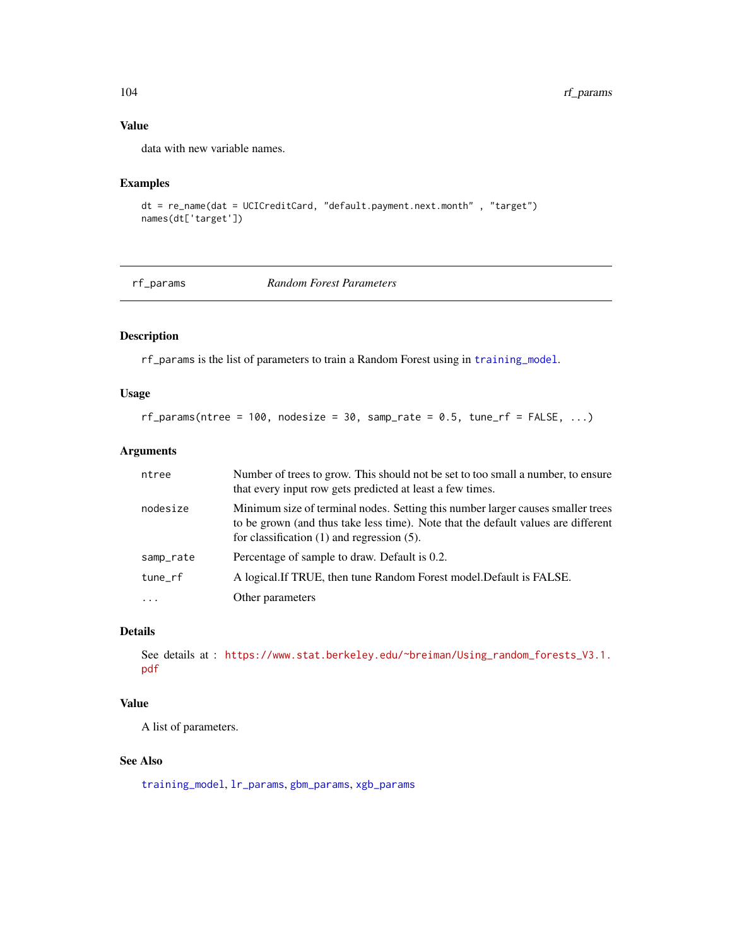# Value

data with new variable names.

## Examples

```
dt = re_name(dat = UCICreditCard, "default.payment.next.month" , "target")
names(dt['target'])
```
<span id="page-103-0"></span>rf\_params *Random Forest Parameters*

# Description

rf\_params is the list of parameters to train a Random Forest using in [training\\_model](#page-121-0).

#### Usage

 $rf_parameters(ntree = 100, nodesize = 30, sample_rate = 0.5, tune_rfs = FALSE, ...)$ 

## Arguments

| ntree     | Number of trees to grow. This should not be set to too small a number, to ensure<br>that every input row gets predicted at least a few times.                                                                           |
|-----------|-------------------------------------------------------------------------------------------------------------------------------------------------------------------------------------------------------------------------|
| nodesize  | Minimum size of terminal nodes. Setting this number larger causes smaller trees<br>to be grown (and thus take less time). Note that the default values are different<br>for classification $(1)$ and regression $(5)$ . |
| samp_rate | Percentage of sample to draw. Default is 0.2.                                                                                                                                                                           |
| tune_rf   | A logical. If TRUE, then tune Random Forest model. Default is FALSE.                                                                                                                                                    |
| $\ddotsc$ | Other parameters                                                                                                                                                                                                        |

# Details

See details at : [https://www.stat.berkeley.edu/~breiman/Using\\_random\\_forests\\_V3.1.](https://www.stat.berkeley.edu/~breiman/Using_random_forests_V3.1.pdf) [pdf](https://www.stat.berkeley.edu/~breiman/Using_random_forests_V3.1.pdf)

#### Value

A list of parameters.

#### See Also

[training\\_model](#page-121-0), [lr\\_params](#page-69-0), [gbm\\_params](#page-35-0), [xgb\\_params](#page-134-0)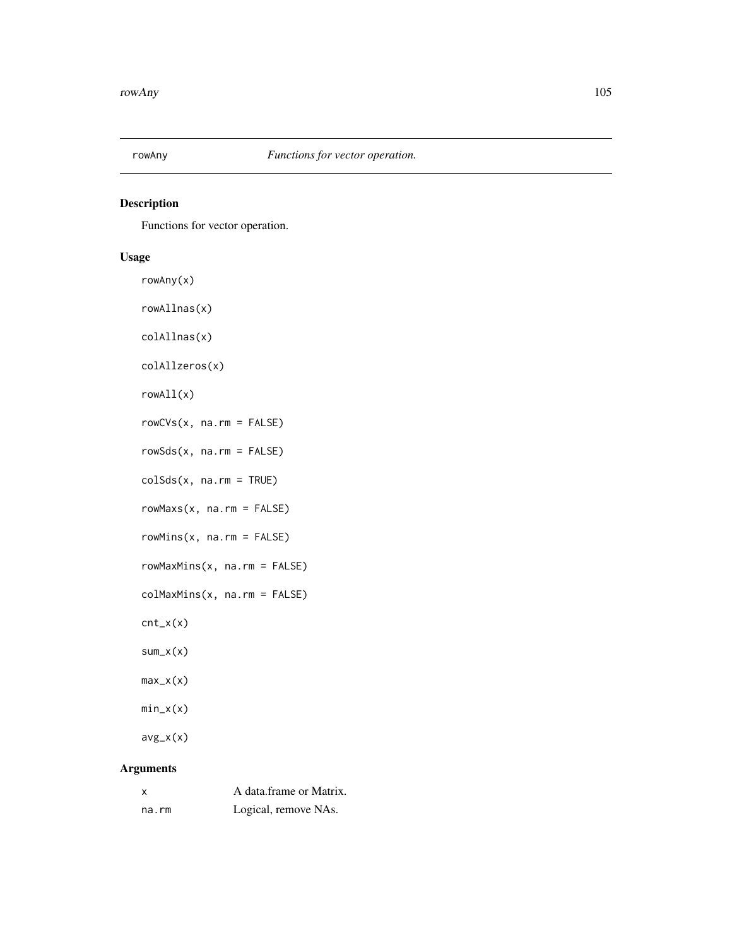## Description

Functions for vector operation.

# Usage

rowAny(x) rowAllnas(x) colAllnas(x) colAllzeros(x) rowAll(x) rowCVs(x, na.rm = FALSE) rowSds(x, na.rm = FALSE) colSds(x, na.rm = TRUE) rowMaxs(x, na.rm = FALSE) rowMins(x, na.rm = FALSE) rowMaxMins(x, na.rm = FALSE) colMaxMins(x, na.rm = FALSE) cnt\_x(x) sum\_x(x) max\_x(x) min\_x(x)  $avg_x(x)$ Arguments

| X     | A data.frame or Matrix. |
|-------|-------------------------|
| na.rm | Logical, remove NAs.    |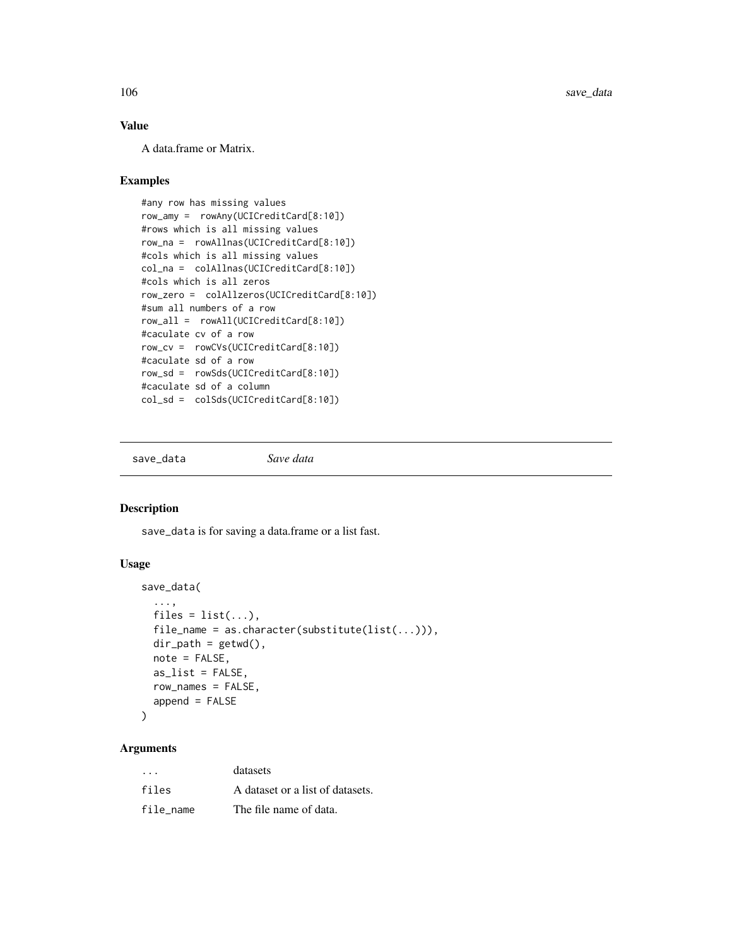106 save\_data

#### Value

A data.frame or Matrix.

#### Examples

```
#any row has missing values
row_amy = rowAny(UCICreditCard[8:10])
#rows which is all missing values
row_na = rowAllnas(UCICreditCard[8:10])
#cols which is all missing values
col_na = colAllnas(UCICreditCard[8:10])
#cols which is all zeros
row_zero = colAllzeros(UCICreditCard[8:10])
#sum all numbers of a row
row_all = rowAll(UCICreditCard[8:10])
#caculate cv of a row
row_cv = rowCVs(UCICreditCard[8:10])
#caculate sd of a row
row_sd = rowSds(UCICreditCard[8:10])
#caculate sd of a column
col_sd = colSds(UCICreditCard[8:10])
```
save\_data *Save data*

#### Description

save\_data is for saving a data.frame or a list fast.

#### Usage

```
save_data(
  ...,
 files = list(...),file_name = as.character(substitute(list(...))),
  dir\_path = getwd(),
 note = FALSE,
  as_list = FALSE,
  row_names = FALSE,
  append = FALSE)
```

| $\cdot$ $\cdot$ $\cdot$ | datasets                         |
|-------------------------|----------------------------------|
| files                   | A dataset or a list of datasets. |
| file name               | The file name of data.           |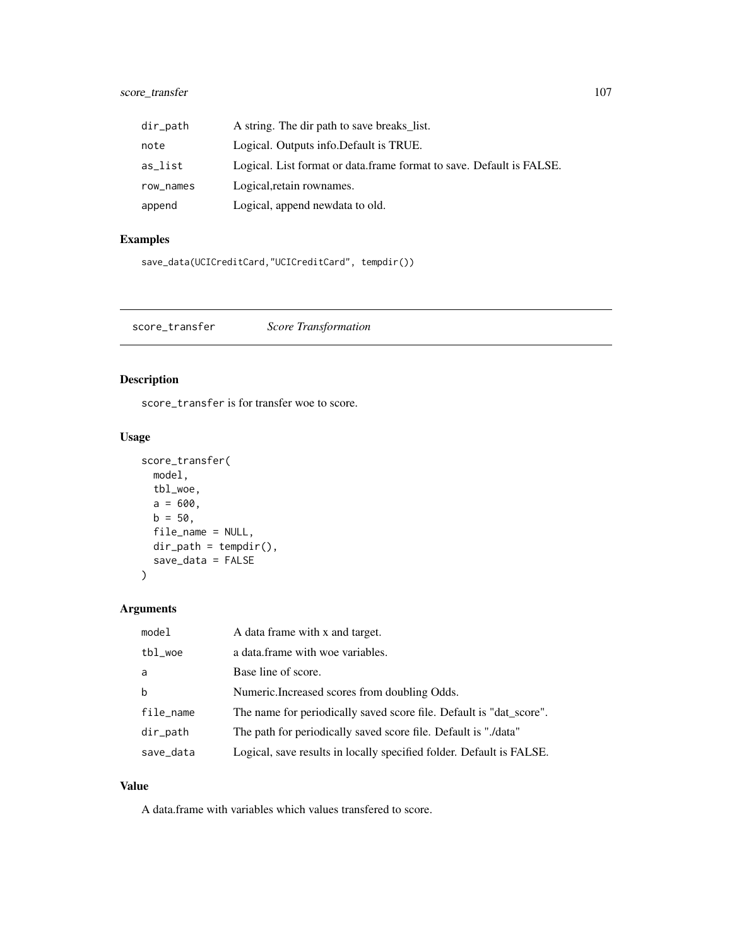# score\_transfer 107

| dir_path  | A string. The dir path to save breaks_list.                          |
|-----------|----------------------------------------------------------------------|
| note      | Logical. Outputs info. Default is TRUE.                              |
| as_list   | Logical. List format or data.frame format to save. Default is FALSE. |
| row_names | Logical, retain rownames.                                            |
| append    | Logical, append newdata to old.                                      |

# Examples

```
save_data(UCICreditCard,"UCICreditCard", tempdir())
```
score\_transfer *Score Transformation*

## Description

score\_transfer is for transfer woe to score.

# Usage

```
score_transfer(
 model,
 tbl_woe,
 a = 600,b = 50,
 file_name = NULL,
 dir\_path = tempdir(),
  save_data = FALSE
)
```
## Arguments

| model     | A data frame with x and target.                                      |
|-----------|----------------------------------------------------------------------|
| tbl_woe   | a data frame with woe variables.                                     |
| a         | Base line of score.                                                  |
| b         | Numeric. Increased scores from doubling Odds.                        |
| file_name | The name for periodically saved score file. Default is "dat_score".  |
| dir_path  | The path for periodically saved score file. Default is "./data"      |
| save_data | Logical, save results in locally specified folder. Default is FALSE. |

#### Value

A data.frame with variables which values transfered to score.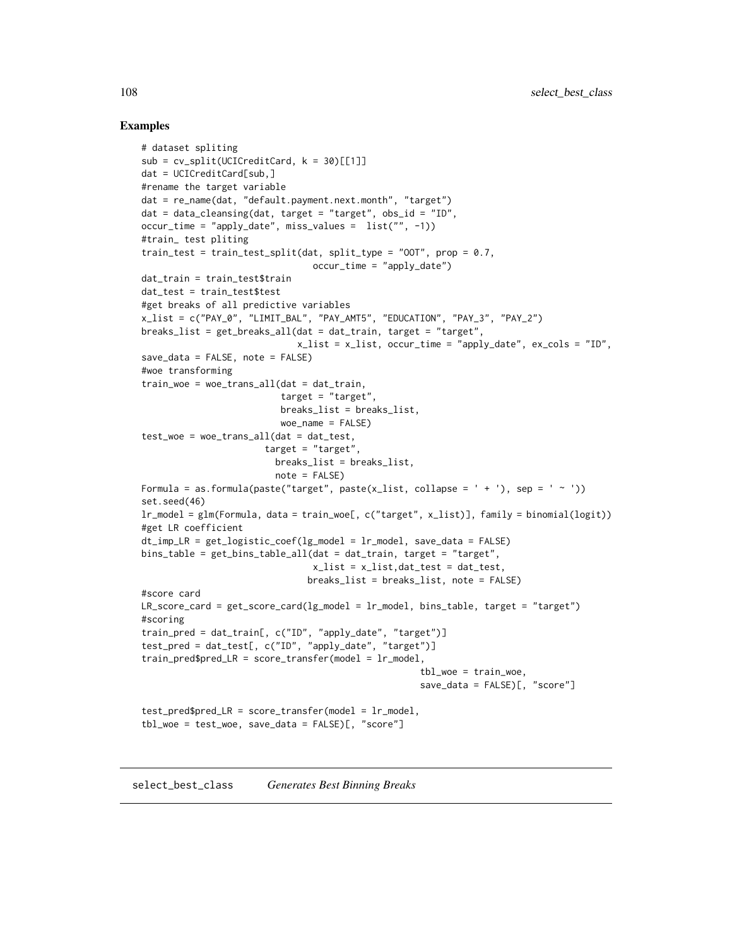#### Examples

```
# dataset spliting
sub = cv_split(UCICredictCard, k = 30)[[1]]dat = UCICreditCard[sub,]
#rename the target variable
dat = re_name(dat, "default.payment.next.month", "target")
dat = data_cleansing(dat, target = "target", obs_id = "ID",
occur_time = "apply_date", miss_values = list("", -1))
#train_ test pliting
train_test = train_test_split(dat, split_type = "00T", prop = 0.7,
                               occur_time = "apply_data")dat_train = train_test$train
dat_test = train_test$test
#get breaks of all predictive variables
x_list = c("PAY_0", "LIMIT_BAL", "PAY_AMT5", "EDUCATION", "PAY_3", "PAY_2")
breaks_list = get_breaks_all(dat = dat_train, target = "target",
                            x_list = x_list, occur_time = "apply_date", ex\_cols = "ID",save_data = FALSE, note = FALSE)
#woe transforming
train_woe = woe_trans_all(dat = dat_train,
                         target = "target",breaks_list = breaks_list,
                         woe_name = FALSE)
test\_woe = woe\_trans\_all(data = dat\_test,target = "target",
                        breaks_list = breaks_list,
                        note = FALSE)
Formula = as.formula(paste("target", paste(x_list, collapse = ' + '), sep = ' ~ '))
set.seed(46)
lr_model = glm(Formula, data = train_woe[, c("target", x_list)], family = binomial(logit))
#get LR coefficient
dt_imp_LR = get_logistic_coef(lg_model = lr_model, save_data = FALSE)
bins_table = get_bins_table_all(dat = dat_train, target = "target",
                               x_list = x_list,dat_test = dat_test,
                              breaks_list = breaks_list, note = FALSE)
#score card
LR_score_card = get_score_card(lg_model = lr_model, bins_table, target = "target")
#scoring
train_pred = dat_train[, c("ID", "apply_date", "target")]
test_pred = dat_test[, c("ID", "apply_date", "target")]
train\_pred\tbl_woe = train_woe,
                                                   save_data = FALSE)[, "score"]
test_pred$pred_LR = score_transfer(model = lr_model,
tbl_woe = test_woe, save_data = FALSE)[, "score"]
```
select\_best\_class *Generates Best Binning Breaks*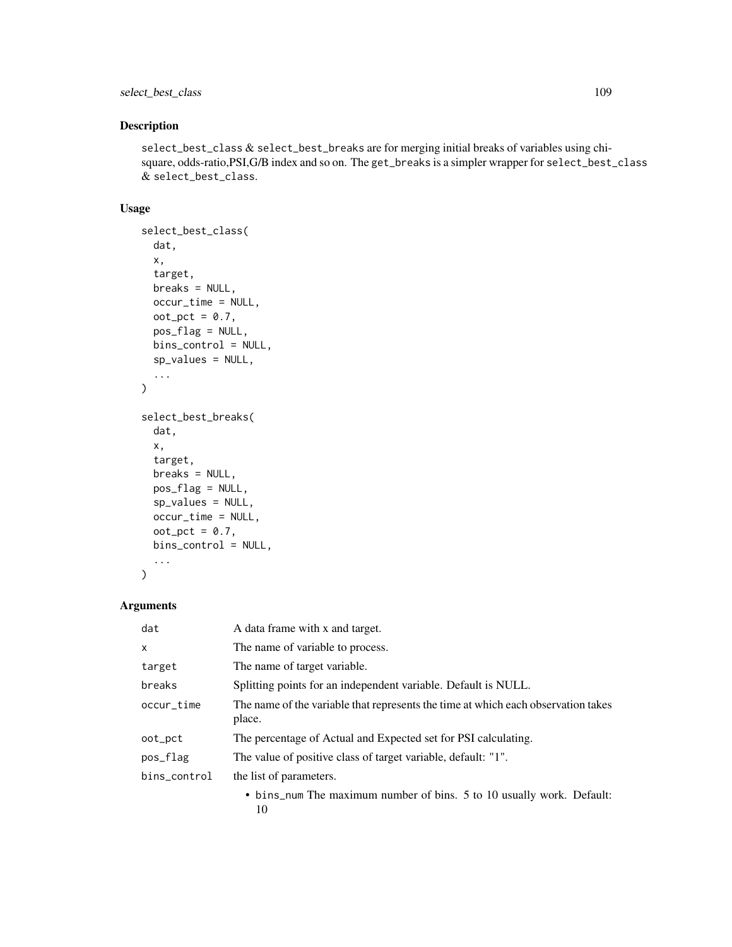# select\_best\_class 109

# Description

select\_best\_class & select\_best\_breaks are for merging initial breaks of variables using chisquare, odds-ratio,PSI,G/B index and so on. The get\_breaks is a simpler wrapper for select\_best\_class & select\_best\_class.

#### Usage

```
select_best_class(
  dat,
 x,
  target,
 breaks = NULL,
  occur_time = NULL,
 oot_pct = 0.7,
 pos_flag = NULL,
 bins_control = NULL,
  sp_values = NULL,
  ...
\mathcal{L}select_best_breaks(
 dat,
 x,
  target,
 breaks = NULL,
 pos_flag = NULL,
  sp_values = NULL,
  occur_time = NULL,
 oot_pct = 0.7,
 bins_control = NULL,
  ...
\mathcal{L}
```
# Arguments

| dat          | A data frame with x and target.                                                             |
|--------------|---------------------------------------------------------------------------------------------|
| X            | The name of variable to process.                                                            |
| target       | The name of target variable.                                                                |
| breaks       | Splitting points for an independent variable. Default is NULL.                              |
| occur_time   | The name of the variable that represents the time at which each observation takes<br>place. |
| oot_pct      | The percentage of Actual and Expected set for PSI calculating.                              |
| pos_flag     | The value of positive class of target variable, default: "1".                               |
| bins_control | the list of parameters.                                                                     |
|              | • bins_num The maximum number of bins. 5 to 10 usually work. Default:<br>10                 |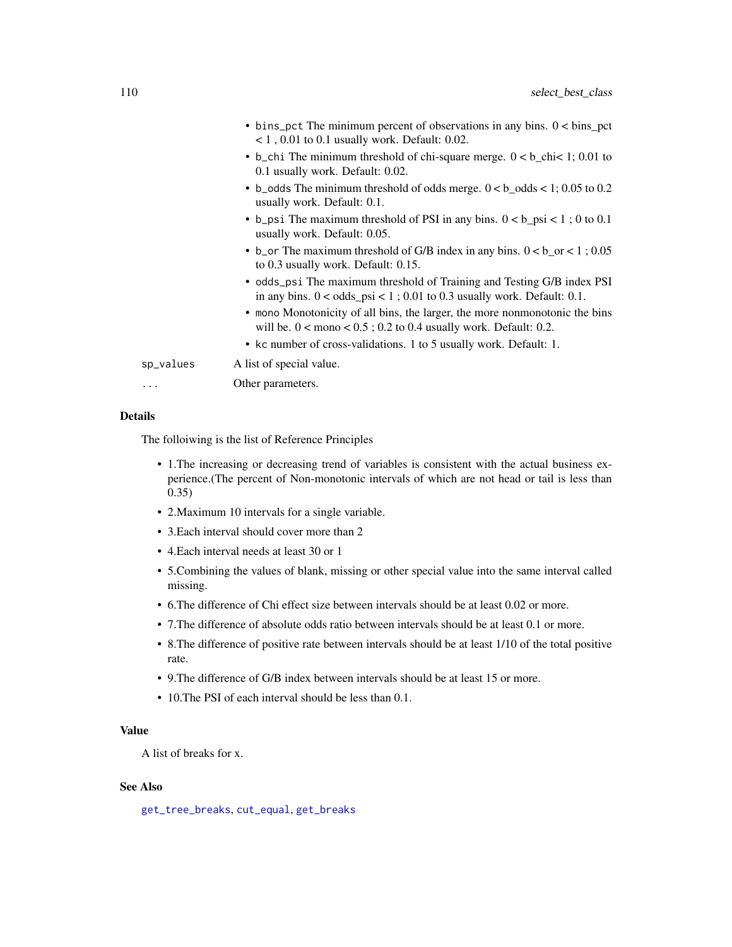<span id="page-109-0"></span>

|           | $\bullet$ bins_pct The minimum percent of observations in any bins. $0 < \text{bins\_pot}$<br>$<$ 1, 0.01 to 0.1 usually work. Default: 0.02.       |
|-----------|-----------------------------------------------------------------------------------------------------------------------------------------------------|
|           | • b_chi The minimum threshold of chi-square merge. $0 < b$ _chi< 1; 0.01 to<br>0.1 usually work. Default: 0.02.                                     |
|           | • b_odds The minimum threshold of odds merge. $0 < b$ _odds < 1; 0.05 to 0.2<br>usually work. Default: 0.1.                                         |
|           | • b_psi The maximum threshold of PSI in any bins. $0 < b$ _psi < 1; 0 to 0.1<br>usually work. Default: 0.05.                                        |
|           | • b_or The maximum threshold of G/B index in any bins. $0 < b$ _or < 1; 0.05<br>to 0.3 usually work. Default: 0.15.                                 |
|           | • odds_psi The maximum threshold of Training and Testing G/B index PSI<br>in any bins. $0 <$ odds_psi < 1 ; 0.01 to 0.3 usually work. Default: 0.1. |
|           | • mono Monotonicity of all bins, the larger, the more nonmonotonic the bins<br>will be. $0 <$ mono $< 0.5$ ; 0.2 to 0.4 usually work. Default: 0.2. |
|           | • kc number of cross-validations. 1 to 5 usually work. Default: 1.                                                                                  |
| sp_values | A list of special value.                                                                                                                            |
| .         | Other parameters.                                                                                                                                   |
|           |                                                                                                                                                     |

#### Details

The folloiwing is the list of Reference Principles

- 1.The increasing or decreasing trend of variables is consistent with the actual business experience.(The percent of Non-monotonic intervals of which are not head or tail is less than 0.35)
- 2.Maximum 10 intervals for a single variable.
- 3.Each interval should cover more than 2
- 4.Each interval needs at least 30 or 1
- 5.Combining the values of blank, missing or other special value into the same interval called missing.
- 6.The difference of Chi effect size between intervals should be at least 0.02 or more.
- 7.The difference of absolute odds ratio between intervals should be at least 0.1 or more.
- 8.The difference of positive rate between intervals should be at least 1/10 of the total positive rate.
- 9.The difference of G/B index between intervals should be at least 15 or more.
- 10.The PSI of each interval should be less than 0.1.

# Value

A list of breaks for x.

# See Also

[get\\_tree\\_breaks](#page-56-0), [cut\\_equal](#page-16-0), [get\\_breaks](#page-38-0)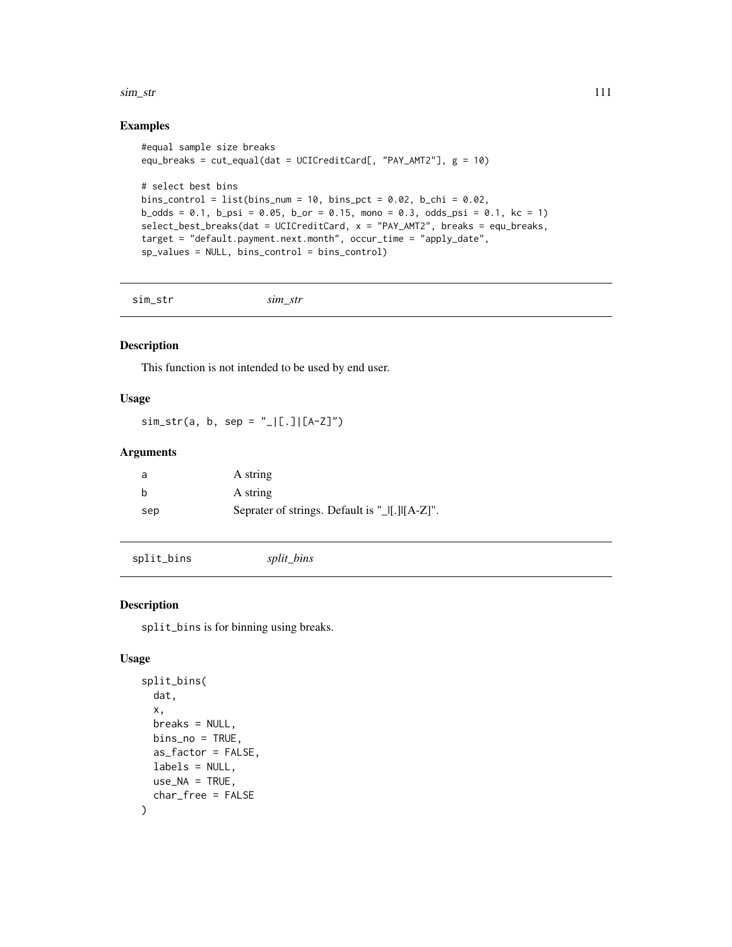<span id="page-110-0"></span> $\sin$ \_str 111

#### Examples

```
#equal sample size breaks
equ_breaks = cut_equal(dat = UCICreditCard[, "PAY_AMT2"], g = 10)
# select best bins
bins_control = list(bins_num = 10, bins_pct = 0.02, b_chi = 0.02,
b\_odds = 0.1, b\_psi = 0.05, b\_or = 0.15, mono = 0.3, odds_psi = 0.1, kc = 1)
select_best_breaks(dat = UCICreditCard, x = "PAY_AMT2", breaks = equ_breaks,
target = "default.payment.next.month", occur_time = "apply_date",
sp_values = NULL, bins_control = bins_control)
```
sim\_str *sim\_str*

#### Description

This function is not intended to be used by end user.

#### Usage

 $sim\_str(a, b, sep = "_{\_}|[.][A-Z]")$ 

#### Arguments

| a   | A string |
|-----|----------|
| b   | A string |
| sep |          |

split\_bins *split\_bins*

# Description

split\_bins is for binning using breaks.

#### Usage

```
split_bins(
 dat,
  x,
 breaks = NULL,
 bins\_no = TRUE,as_factor = FALSE,
 labels = NULL,
 use_N = TRUE,char_free = FALSE
)
```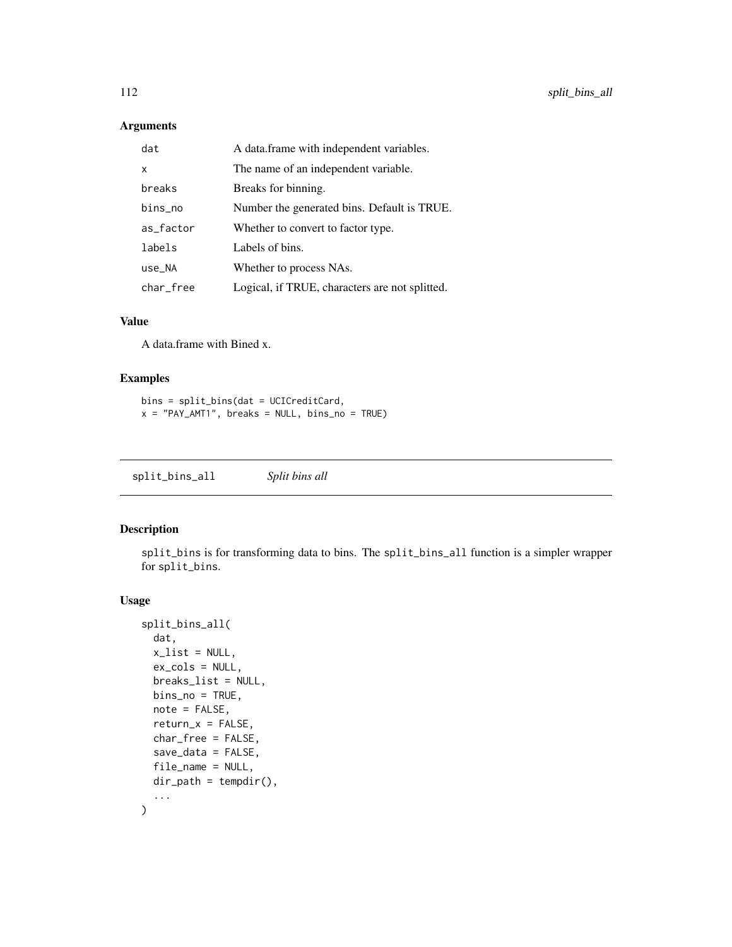#### <span id="page-111-0"></span>Arguments

| dat       | A data.frame with independent variables.       |
|-----------|------------------------------------------------|
| x         | The name of an independent variable.           |
| breaks    | Breaks for binning.                            |
| bins_no   | Number the generated bins. Default is TRUE.    |
| as_factor | Whether to convert to factor type.             |
| labels    | Labels of bins.                                |
| use_NA    | Whether to process NAs.                        |
| char_free | Logical, if TRUE, characters are not splitted. |

#### Value

A data.frame with Bined x.

#### Examples

```
bins = split_bins(dat = UCICreditCard,
x = "PAY\_AMT1", breaks = NULL, bins\_no = TRUE)
```
split\_bins\_all *Split bins all*

# Description

split\_bins is for transforming data to bins. The split\_bins\_all function is a simpler wrapper for split\_bins.

#### Usage

```
split_bins_all(
  dat,
  x<sup>list = NULL</sup>,
  ex_cols = NULL,
  breaks_list = NULL,
  bins_no = TRUE,
  note = FALSE,
  return_x = FALSE,
  char_free = FALSE,
  save_data = FALSE,
  file_name = NULL,
  dir\_path = tempdir(),...
\mathcal{L}
```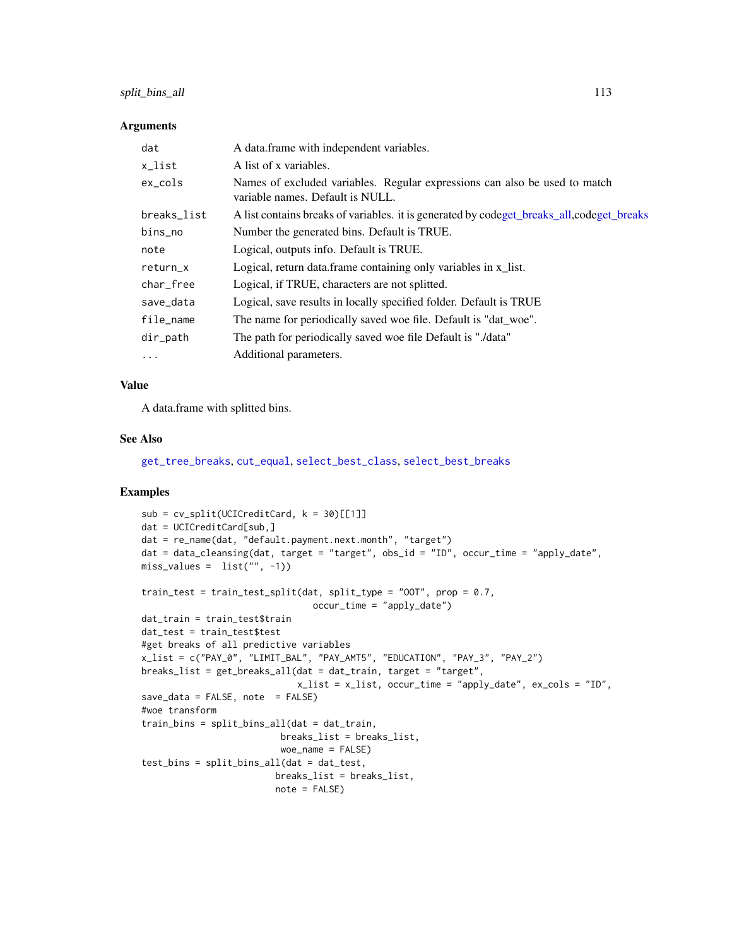# <span id="page-112-0"></span>split\_bins\_all 113

#### **Arguments**

| dat         | A data.frame with independent variables.                                                                       |
|-------------|----------------------------------------------------------------------------------------------------------------|
| x_list      | A list of x variables.                                                                                         |
| $ex\_cols$  | Names of excluded variables. Regular expressions can also be used to match<br>variable names. Default is NULL. |
| breaks_list | A list contains breaks of variables. it is generated by codeget_breaks_all,codeget_breaks                      |
| bins_no     | Number the generated bins. Default is TRUE.                                                                    |
| note        | Logical, outputs info. Default is TRUE.                                                                        |
| return_x    | Logical, return data.frame containing only variables in x_list.                                                |
| char_free   | Logical, if TRUE, characters are not splitted.                                                                 |
| save_data   | Logical, save results in locally specified folder. Default is TRUE                                             |
| file_name   | The name for periodically saved woe file. Default is "dat_woe".                                                |
| dir_path    | The path for periodically saved woe file Default is "./data"                                                   |
| $\ddots$ .  | Additional parameters.                                                                                         |

#### Value

A data.frame with splitted bins.

#### See Also

[get\\_tree\\_breaks](#page-56-0), [cut\\_equal](#page-16-0), [select\\_best\\_class](#page-107-0), [select\\_best\\_breaks](#page-107-1)

#### Examples

```
sub = cv_split(UCICredictCard, k = 30)[[1]]dat = UCICreditCard[sub,]
dat = re_name(dat, "default.payment.next.month", "target")
dat = data_cleansing(dat, target = "target", obs_id = "ID", occur_time = "apply_date",
miss_values = list("", -1))
train_test = train_test_split(dat, split_type = "OOT", prop = 0.7,
                                occur_time = "apply_date")
dat_train = train_test$train
dat_test = train_test$test
#get breaks of all predictive variables
x_list = c("PAY_0", "LIMIT_BAL", "PAY_AMT5", "EDUCATION", "PAY_3", "PAY_2")
breaks_list = get_breaks_all(dat = dat_train, target = "target",
                             x_list = x_list, occur_time = "apply_date", ex_cols = "ID",
save\_data = FALSE, note = FALSE)#woe transform
train_bins = split_bins_all(dat = dat_train,
                         breaks_list = breaks_list,
                          woe_name = FALSE)
test_bins = split_bins_all(dat = dat_test,
                        breaks_list = breaks_list,
                        note = FALSE)
```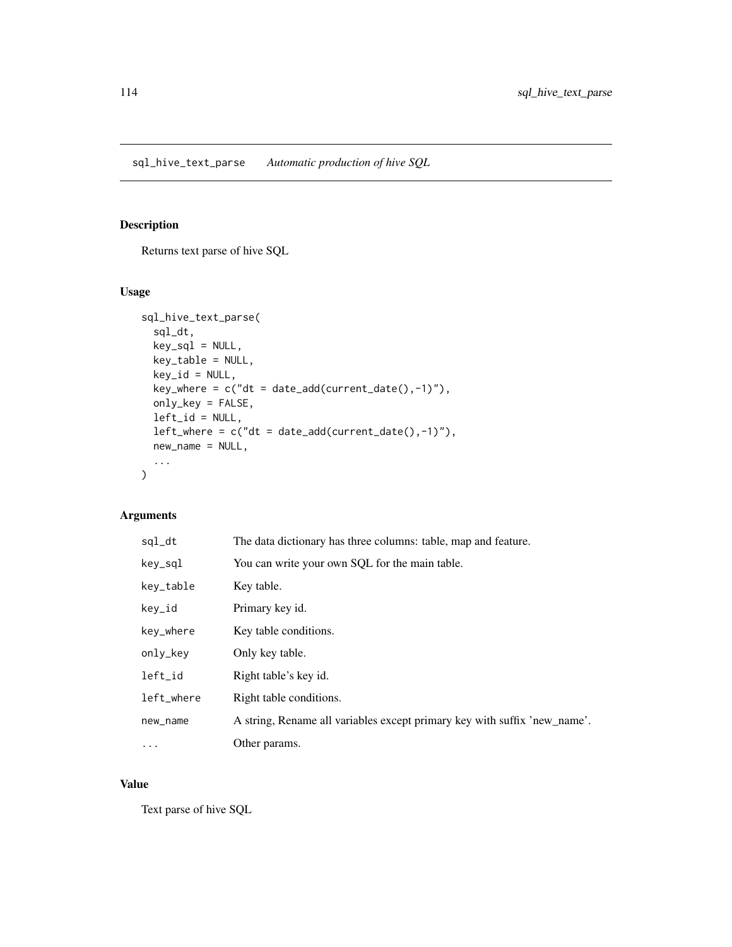# <span id="page-113-0"></span>Description

Returns text parse of hive SQL

#### Usage

```
sql_hive_text_parse(
  sql_dt,
 key_sql = NULL,key_table = NULL,
 key_id = NULL,
  key_where = c("dt = date\_add(current_data(), -1)"),
  only_key = FALSE,
  left_id = NULL,left\_where = c("dt = date\_add(current\_date(), -1)"),new_name = NULL,
  ...
\mathcal{L}
```
# Arguments

| sql_dt     | The data dictionary has three columns: table, map and feature.            |
|------------|---------------------------------------------------------------------------|
| key_sql    | You can write your own SQL for the main table.                            |
| key_table  | Key table.                                                                |
| key_id     | Primary key id.                                                           |
| key_where  | Key table conditions.                                                     |
| only_key   | Only key table.                                                           |
| left_id    | Right table's key id.                                                     |
| left_where | Right table conditions.                                                   |
| new_name   | A string, Rename all variables except primary key with suffix 'new_name'. |
| $\cdots$   | Other params.                                                             |

# Value

Text parse of hive SQL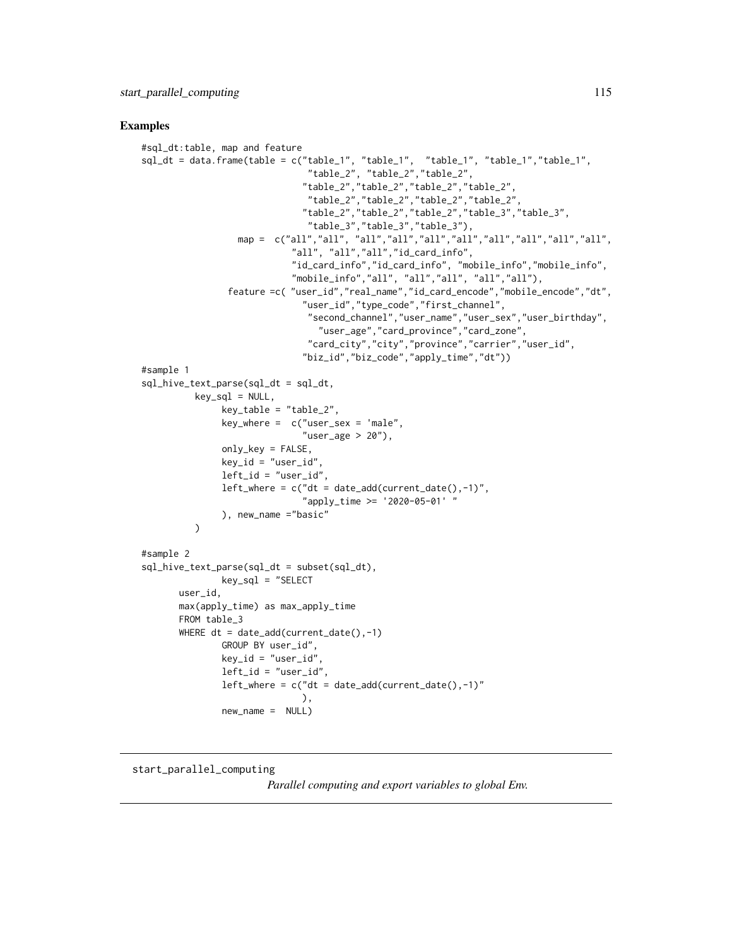#### <span id="page-114-0"></span>Examples

```
#sql_dt:table, map and feature
sql_dt = data.frame(table = c("table_1", "table_1", "table_1", "table_1","table_1",
                               "table_2", "table_2","table_2",
                              "table_2","table_2","table_2","table_2",
                               "table_2","table_2","table_2","table_2",
                              "table_2","table_2","table_2","table_3","table_3",
                               "table_3","table_3","table_3"),
                  map = c("all","all", "all","all","all","all","all","all","all","all",
                            "all", "all","all","id_card_info",
                            "id_card_info","id_card_info", "mobile_info","mobile_info",
                            "mobile_info","all", "all","all", "all","all"),
                feature =c( "user_id","real_name","id_card_encode","mobile_encode","dt",
                              "user_id","type_code","first_channel",
                               "second_channel","user_name","user_sex","user_birthday",
                                 "user_age","card_province","card_zone",
                               "card_city","city","province","carrier","user_id",
                              "biz_id","biz_code","apply_time","dt"))
#sample 1
sql_hive_text_parse(sql_dt = sql_dt,
          key_sql = NULL,
               key_table = "table_2",
               key\_where = c("user\_sex = 'male","user_age > 20"),
               only_key = FALSE,
               key_id = "user_id",left_id = "user_id",left\_where = c("dt = date\_add(current\_date(), -1)","apply_time >= '2020-05-01' "
               ), new_name ="basic"
         )
#sample 2
sql_hive_text_parse(sql_dt = subset(sql_dt),
               key_sql = "SELECTuser_id,
      max(apply_time) as max_apply_time
      FROM table_3
      WHERE dt = date_add(current_date(),-1)
               GROUP BY user_id",
               key_id = "user_id",
               left_id = "user_id",left\_where = c("dt = date\_add(current\_date(), -1)"),
               new_name = NULL)
```
#### start\_parallel\_computing

*Parallel computing and export variables to global Env.*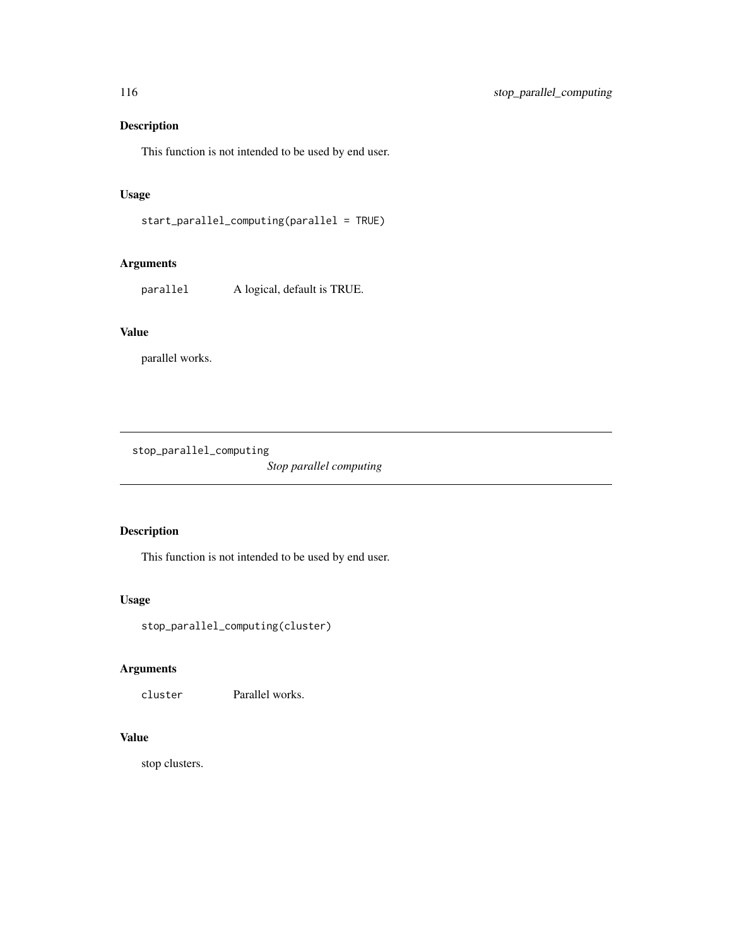# Description

This function is not intended to be used by end user.

# Usage

```
start_parallel_computing(parallel = TRUE)
```
# Arguments

parallel A logical, default is TRUE.

# Value

parallel works.

stop\_parallel\_computing

*Stop parallel computing*

# Description

This function is not intended to be used by end user.

#### Usage

stop\_parallel\_computing(cluster)

# Arguments

cluster Parallel works.

# Value

stop clusters.

<span id="page-115-0"></span>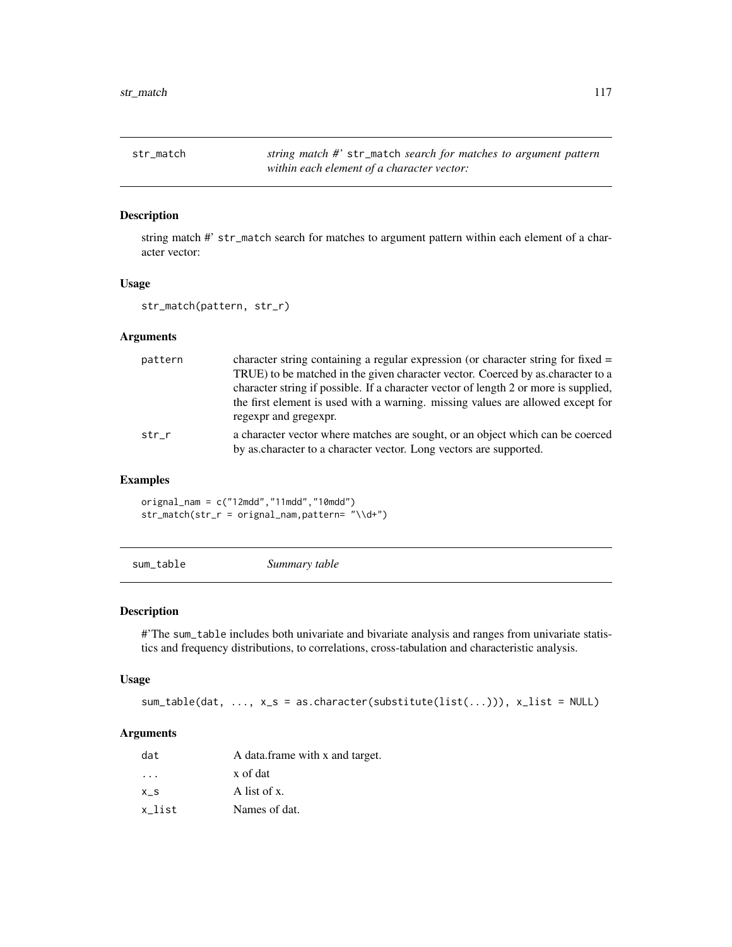<span id="page-116-0"></span>str\_match *string match #'* str\_match *search for matches to argument pattern within each element of a character vector:*

# Description

string match #' str\_match search for matches to argument pattern within each element of a character vector:

#### Usage

```
str_match(pattern, str_r)
```
#### Arguments

| pattern | character string containing a regular expression (or character string for fixed $=$  |
|---------|--------------------------------------------------------------------------------------|
|         | TRUE) to be matched in the given character vector. Coerced by as character to a      |
|         | character string if possible. If a character vector of length 2 or more is supplied, |
|         | the first element is used with a warning. missing values are allowed except for      |
|         | regexpr and gregexpr.                                                                |
| str r   | a character vector where matches are sought, or an object which can be coerced       |
|         | by as character to a character vector. Long vectors are supported.                   |

# Examples

orignal\_nam =  $c("12 \text{mdd", "11} \text{mdd", "10} \text{mdd")}$ str\_match(str\_r = orignal\_nam,pattern= "\\d+")

sum\_table *Summary table*

# Description

#'The sum\_table includes both univariate and bivariate analysis and ranges from univariate statistics and frequency distributions, to correlations, cross-tabulation and characteristic analysis.

#### Usage

 $sum_table(data, ..., x_s = as.charAtcrete(substitute(list(...)), x_list = NULL)$ 

#### Arguments

| dat                     | A data.frame with x and target. |
|-------------------------|---------------------------------|
| $\cdot$ $\cdot$ $\cdot$ | x of dat                        |
| x s                     | A list of x.                    |
| x list                  | Names of dat.                   |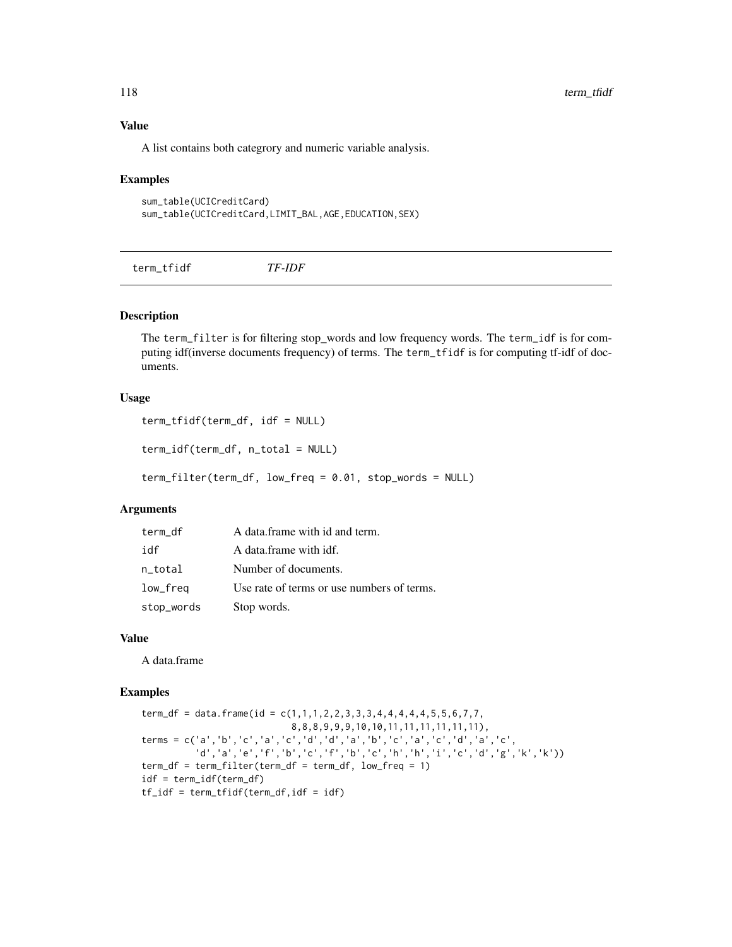#### Value

A list contains both categrory and numeric variable analysis.

#### Examples

```
sum_table(UCICreditCard)
sum_table(UCICreditCard,LIMIT_BAL,AGE,EDUCATION,SEX)
```
term\_tfidf *TF-IDF*

# Description

The term\_filter is for filtering stop\_words and low frequency words. The term\_idf is for computing idf(inverse documents frequency) of terms. The term\_tfidf is for computing tf-idf of documents.

#### Usage

```
term_tfidf(term_df, idf = NULL)
```

```
term_idf(term_df, n_total = NULL)
```
term\_filter(term\_df, low\_freq = 0.01, stop\_words = NULL)

#### Arguments

| term df    | A data frame with id and term.             |
|------------|--------------------------------------------|
| idf        | A data frame with idf.                     |
| n_total    | Number of documents.                       |
| low_freq   | Use rate of terms or use numbers of terms. |
| stop_words | Stop words.                                |

#### Value

A data.frame

# Examples

```
term_df = data.frame(id = c(1,1,1,2,2,3,3,3,4,4,4,4,4,5,5,6,7,7,
                            8,8,8,9,9,9,10,10,11,11,11,11,11,11),
terms = c('a','b','c','a','c','d','d','a','b','c','a','c','d','a','c',
          'd','a','e','f','b','c','f','b','c','h','h','i','c','d','g','k','k'))
term_df = term_filter(term_df = term_df, low_freq = 1)
idf = term_idf(term_df)
tf_idf = term_tfidf(term_df,idf = idf)
```
<span id="page-117-0"></span>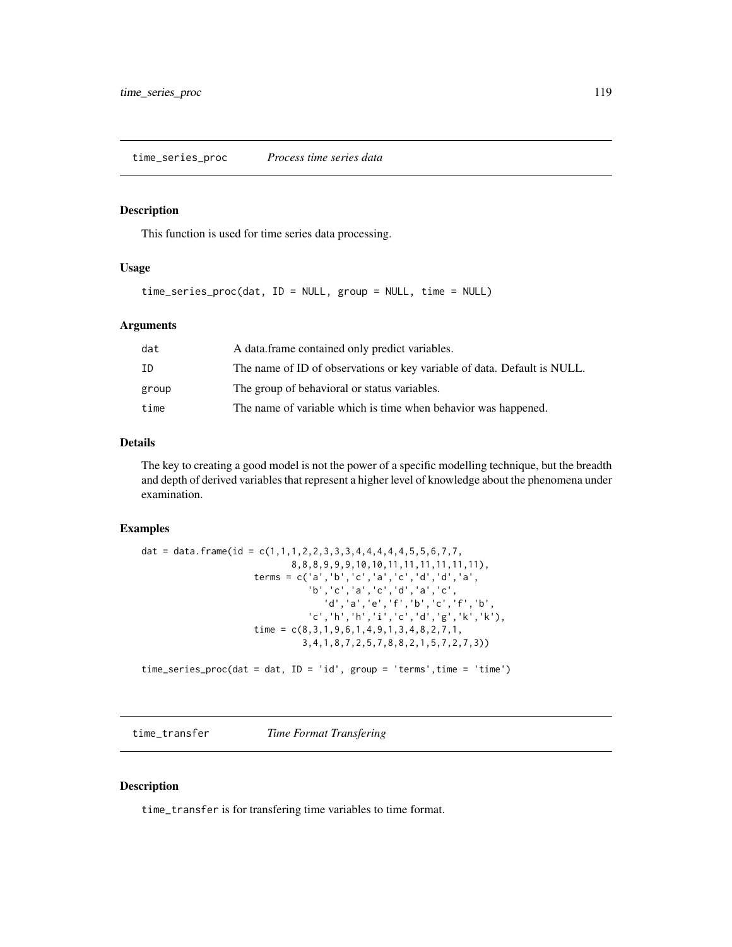# <span id="page-118-0"></span>Description

This function is used for time series data processing.

#### Usage

```
time_series_proc(dat, ID = NULL, group = NULL, time = NULL)
```
#### Arguments

| dat   | A data.frame contained only predict variables.                           |
|-------|--------------------------------------------------------------------------|
| ΙD    | The name of ID of observations or key variable of data. Default is NULL. |
| group | The group of behavioral or status variables.                             |
| time  | The name of variable which is time when behavior was happened.           |

#### Details

The key to creating a good model is not the power of a specific modelling technique, but the breadth and depth of derived variables that represent a higher level of knowledge about the phenomena under examination.

#### Examples

```
dat = data.frame(id = c(1,1,1,2,2,3,3,3,4,4,4,4,4,5,5,6,7,7,8,8,8,9,9,9,10,10,11,11,11,11,11,11),
                     terms = c('a','b','c','a','c','d','d','a',
                               'b','c','a','c','d','a','c',
                                   'd','a','e','f','b','c','f','b',
                                'c','h','h','i','c','d','g','k','k'),
                     time = c(8,3,1,9,6,1,4,9,1,3,4,8,2,7,1,
                              3,4,1,8,7,2,5,7,8,8,2,1,5,7,2,7,3))
time_series_proc(dat = dat, ID = 'id', group = 'terms',time = 'time')
```
time\_transfer *Time Format Transfering*

#### Description

time\_transfer is for transfering time variables to time format.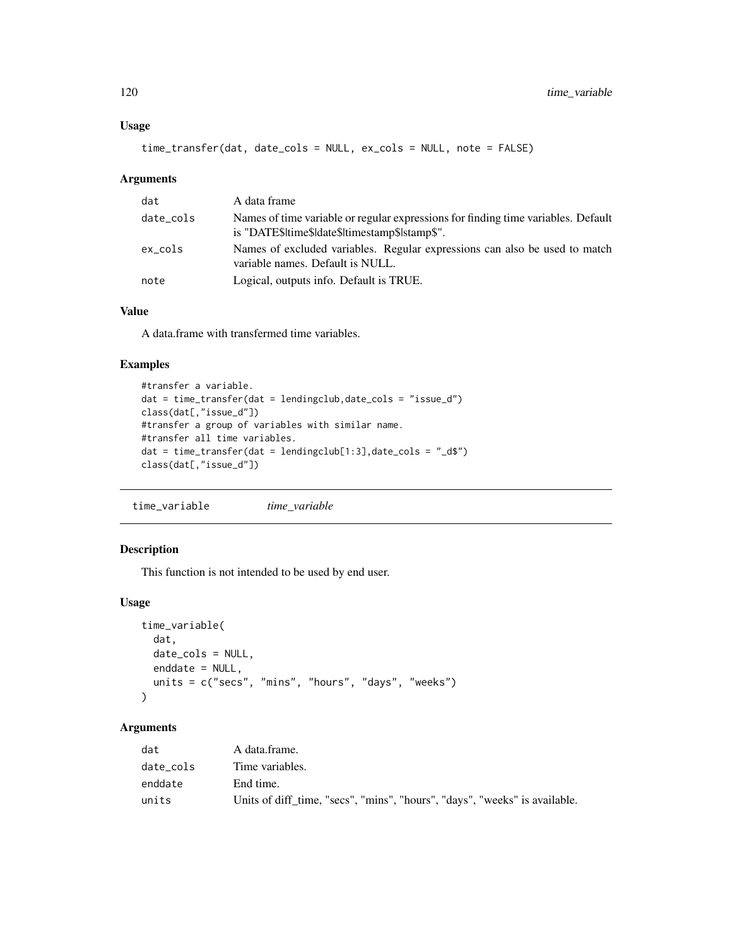#### <span id="page-119-0"></span>Usage

time\_transfer(dat, date\_cols = NULL, ex\_cols = NULL, note = FALSE)

#### Arguments

| dat       | A data frame                                                                                                                        |
|-----------|-------------------------------------------------------------------------------------------------------------------------------------|
| date_cols | Names of time variable or regular expressions for finding time variables. Default<br>is "DATE\$ time\$ date\$ timestamp\$ stamp\$". |
| ex_cols   | Names of excluded variables. Regular expressions can also be used to match<br>variable names. Default is NULL.                      |
| note      | Logical, outputs info. Default is TRUE.                                                                                             |

# Value

A data.frame with transfermed time variables.

#### Examples

```
#transfer a variable.
dat = time_transfer(dat = lendingclub,date_cols = "issue_d")
class(dat[,"issue_d"])
#transfer a group of variables with similar name.
#transfer all time variables.
dat = time_transform(data = lendingLink[1:3], date\_cols = "_d$")class(dat[,"issue_d"])
```
time\_variable *time\_variable*

#### Description

This function is not intended to be used by end user.

#### Usage

```
time_variable(
  dat,
  date_cols = NULL,
  enddate = NULL,
  units = c("secs", "mins", "hours", "days", "weeks")
\mathcal{L}
```
# Arguments

| dat       | A data frame.                                                              |
|-----------|----------------------------------------------------------------------------|
| date cols | Time variables.                                                            |
| enddate   | End time.                                                                  |
| units     | Units of diff_time, "secs", "mins", "hours", "days", "weeks" is available. |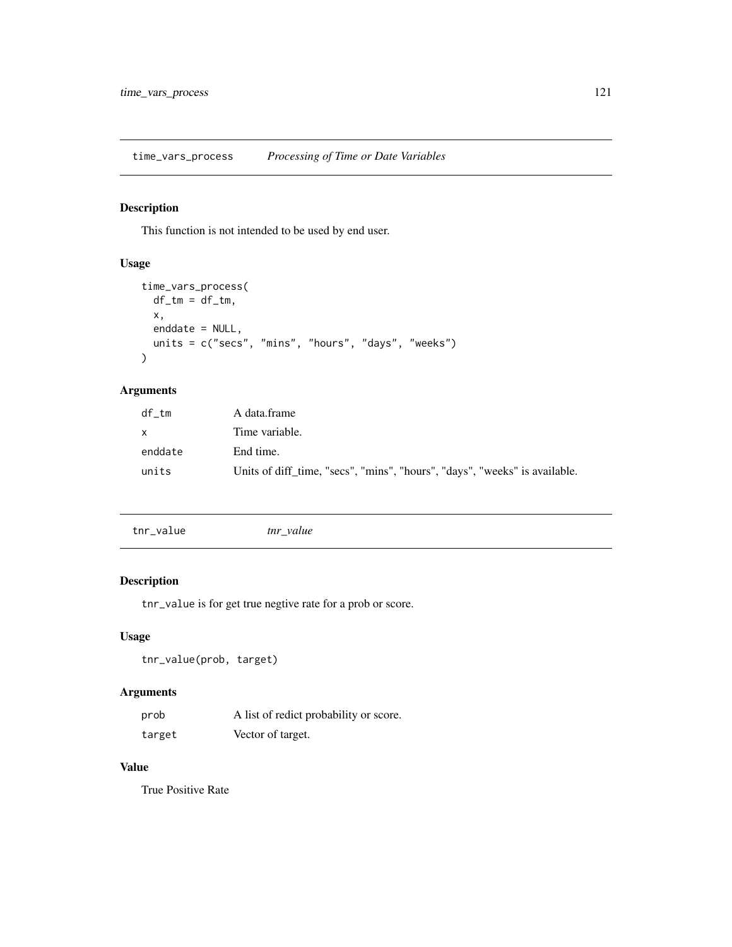<span id="page-120-0"></span>time\_vars\_process *Processing of Time or Date Variables*

# Description

This function is not intended to be used by end user.

# Usage

```
time_vars_process(
 df_t = df_t,x,
 enddate = NULL,
 units = c("secs", "mins", "hours", "days", "weeks")
\mathcal{L}
```
# Arguments

| df tm    | A data.frame                                                               |
|----------|----------------------------------------------------------------------------|
| <b>X</b> | Time variable.                                                             |
| enddate  | End time.                                                                  |
| units    | Units of diff time, "secs", "mins", "hours", "days", "weeks" is available. |

| tnr_value | tnr value |
|-----------|-----------|
|           |           |

# Description

tnr\_value is for get true negtive rate for a prob or score.

# Usage

```
tnr_value(prob, target)
```
# Arguments

| prob   | A list of redict probability or score. |
|--------|----------------------------------------|
| target | Vector of target.                      |

# Value

True Positive Rate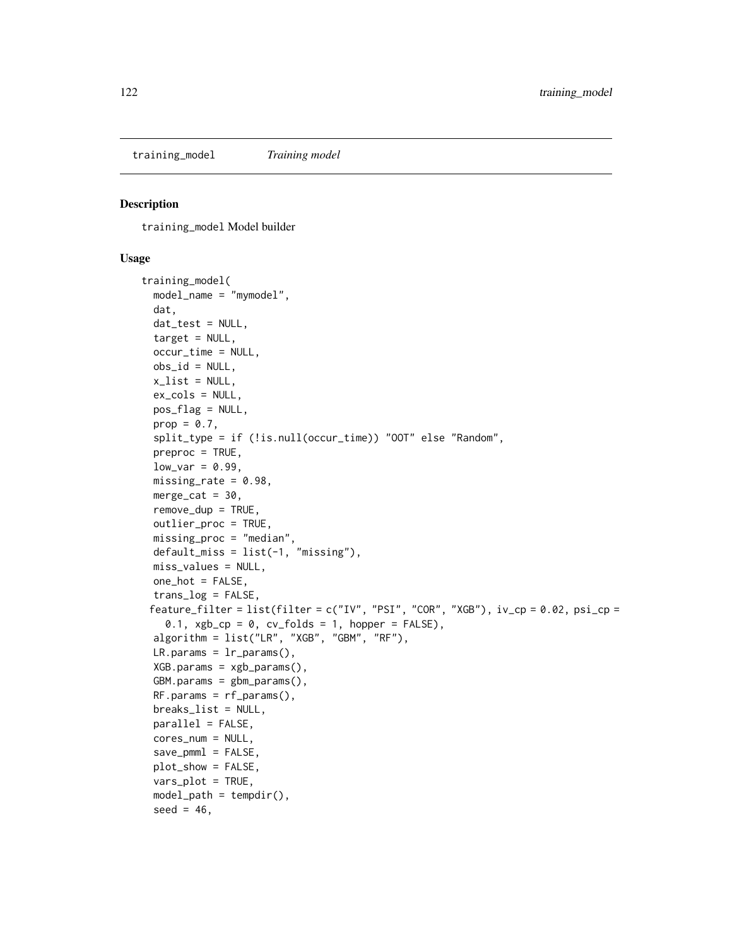<span id="page-121-1"></span><span id="page-121-0"></span>training\_model *Training model*

#### Description

training\_model Model builder

#### Usage

```
training_model(
  model_name = "mymodel",
  dat,
  dat_test = NULL,
  target = NULL,
  occur_time = NULL,
 obs_id = NULL,x<sup>list = NULL</sup>,
 ex_cols = NULL,
 pos_flag = NULL,
 prop = 0.7,
  split_type = if (!is.null(occur_time)) "OOT" else "Random",
  preproc = TRUE,
  low\_var = 0.99,
 missing_rate = 0.98,
 merge_cat = 30.
  remove_dup = TRUE,
  outlier_proc = TRUE,
 missing_proc = "median",
  default_miss = list(-1, 'missing'),miss_values = NULL,
 one_hot = FALSE,
  trans_log = FALSE,
 feature_filter = list(filter = c("IV", "PSI", "COR", "XGB"), iv\_cp = 0.02, psi\_cp =0.1, xgb_cp = 0, cv_folds = 1, hopper = FALSE),
  algorithm = list("LR", "XGB", "GBM", "RF"),
 LR.params = lr_params(),
 XGB.params = xgb-params(),
  GBM.params = gbm_params(),
 RF.params = rf_params(),
 breaks_list = NULL,
 parallel = FALSE,
  cores_num = NULL,
  save_pmml = FALSE,
 plot_show = FALSE,
  vars_plot = TRUE,
  model<sub>-</sub>path = tempdir(),
  seed = 46,
```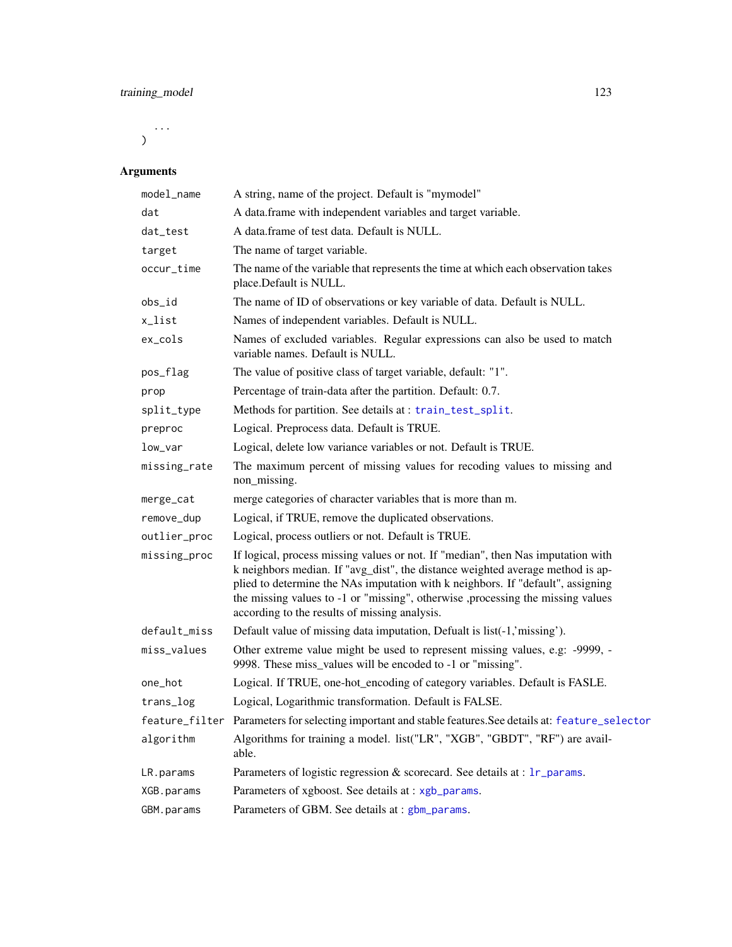<span id="page-122-0"></span>...  $\mathcal{L}$ 

# Arguments

| model_name   | A string, name of the project. Default is "mymodel"                                                                                                                                                                                                                                                                                                                                       |
|--------------|-------------------------------------------------------------------------------------------------------------------------------------------------------------------------------------------------------------------------------------------------------------------------------------------------------------------------------------------------------------------------------------------|
| dat          | A data.frame with independent variables and target variable.                                                                                                                                                                                                                                                                                                                              |
| dat_test     | A data frame of test data. Default is NULL.                                                                                                                                                                                                                                                                                                                                               |
| target       | The name of target variable.                                                                                                                                                                                                                                                                                                                                                              |
| occur_time   | The name of the variable that represents the time at which each observation takes<br>place.Default is NULL.                                                                                                                                                                                                                                                                               |
| obs_id       | The name of ID of observations or key variable of data. Default is NULL.                                                                                                                                                                                                                                                                                                                  |
| x_list       | Names of independent variables. Default is NULL.                                                                                                                                                                                                                                                                                                                                          |
| ex_cols      | Names of excluded variables. Regular expressions can also be used to match<br>variable names. Default is NULL.                                                                                                                                                                                                                                                                            |
| pos_flag     | The value of positive class of target variable, default: "1".                                                                                                                                                                                                                                                                                                                             |
| prop         | Percentage of train-data after the partition. Default: 0.7.                                                                                                                                                                                                                                                                                                                               |
| split_type   | Methods for partition. See details at: train_test_split.                                                                                                                                                                                                                                                                                                                                  |
| preproc      | Logical. Preprocess data. Default is TRUE.                                                                                                                                                                                                                                                                                                                                                |
| low_var      | Logical, delete low variance variables or not. Default is TRUE.                                                                                                                                                                                                                                                                                                                           |
| missing_rate | The maximum percent of missing values for recoding values to missing and<br>non_missing.                                                                                                                                                                                                                                                                                                  |
| merge_cat    | merge categories of character variables that is more than m.                                                                                                                                                                                                                                                                                                                              |
| remove_dup   | Logical, if TRUE, remove the duplicated observations.                                                                                                                                                                                                                                                                                                                                     |
| outlier_proc | Logical, process outliers or not. Default is TRUE.                                                                                                                                                                                                                                                                                                                                        |
| missing_proc | If logical, process missing values or not. If "median", then Nas imputation with<br>k neighbors median. If "avg_dist", the distance weighted average method is ap-<br>plied to determine the NAs imputation with k neighbors. If "default", assigning<br>the missing values to -1 or "missing", otherwise ,processing the missing values<br>according to the results of missing analysis. |
| default_miss | Default value of missing data imputation, Defualt is list(-1,'missing').                                                                                                                                                                                                                                                                                                                  |
| miss_values  | Other extreme value might be used to represent missing values, e.g: -9999, -<br>9998. These miss_values will be encoded to -1 or "missing".                                                                                                                                                                                                                                               |
| one_hot      | Logical. If TRUE, one-hot_encoding of category variables. Default is FASLE.                                                                                                                                                                                                                                                                                                               |
| trans_log    | Logical, Logarithmic transformation. Default is FALSE.                                                                                                                                                                                                                                                                                                                                    |
|              | feature_filter Parameters for selecting important and stable features. See details at: feature_selector                                                                                                                                                                                                                                                                                   |
| algorithm    | Algorithms for training a model. list("LR", "XGB", "GBDT", "RF") are avail-<br>able.                                                                                                                                                                                                                                                                                                      |
| LR.params    | Parameters of logistic regression & scorecard. See details at : 1r_params.                                                                                                                                                                                                                                                                                                                |
| XGB.params   | Parameters of xgboost. See details at : xgb_params.                                                                                                                                                                                                                                                                                                                                       |
| GBM.params   | Parameters of GBM. See details at : gbm_params.                                                                                                                                                                                                                                                                                                                                           |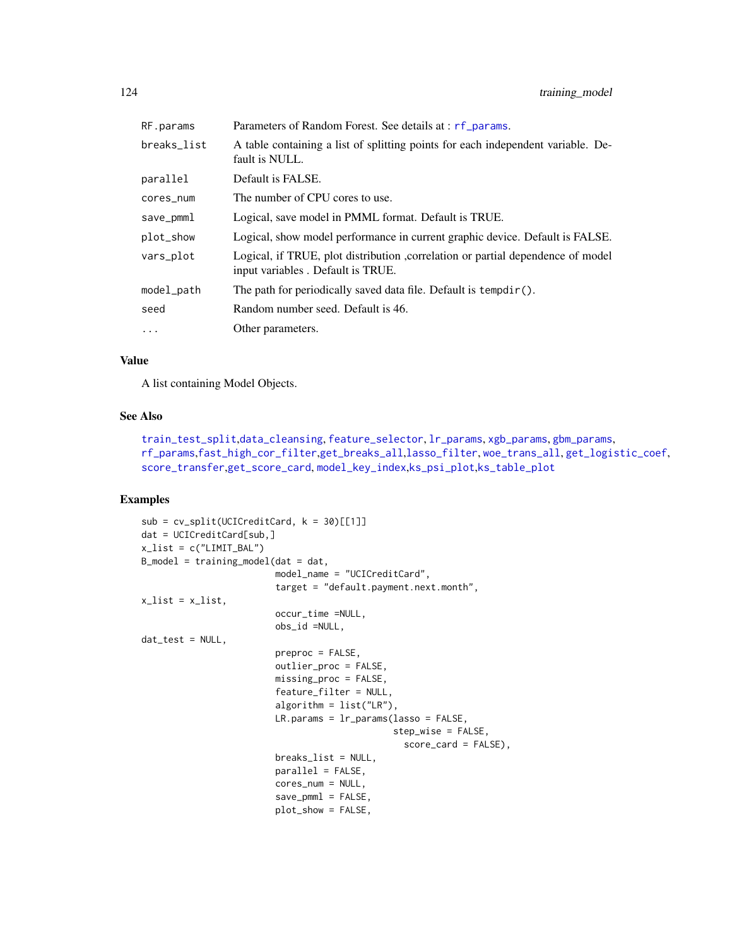<span id="page-123-0"></span>

| RF.params   | Parameters of Random Forest. See details at : rf_params.                                                              |
|-------------|-----------------------------------------------------------------------------------------------------------------------|
| breaks_list | A table containing a list of splitting points for each independent variable. De-<br>fault is NULL.                    |
| parallel    | Default is FALSE.                                                                                                     |
| cores_num   | The number of CPU cores to use.                                                                                       |
| save_pmml   | Logical, save model in PMML format. Default is TRUE.                                                                  |
| plot_show   | Logical, show model performance in current graphic device. Default is FALSE.                                          |
| vars_plot   | Logical, if TRUE, plot distribution , correlation or partial dependence of model<br>input variables. Default is TRUE. |
| model_path  | The path for periodically saved data file. Default is $tempdir()$ .                                                   |
| seed        | Random number seed. Default is 46.                                                                                    |
| $\cdots$    | Other parameters.                                                                                                     |
|             |                                                                                                                       |

# Value

A list containing Model Objects.

# See Also

```
train_test_split,data_cleansing, feature_selector, lr_params, xgb_params, gbm_params,
rf_params,fast_high_cor_filter,get_breaks_all,lasso_filter, woe_trans_all, get_logistic_coef,
score_transfer,get_score_card, model_key_index,ks_psi_plot,ks_table_plot
```
# Examples

```
sub = cv_split(UCICredictCard, k = 30)[[1]]dat = UCICreditCard[sub,]
x_list = c("LIMIT_BAL")B_{model} = training_{model}(dat = dat,model_name = "UCICreditCard",
                          target = "default.payment.next.month",
x<sup>list = x<sup>list</sup>,</sup>
                          occur_time =NULL,
                          obs_id =NULL,
dat_test = NULL,
                          preproc = FALSE,
                          outlier_proc = FALSE,
                          missing_proc = FALSE,
                          feature_filter = NULL,
                          algorithm = list("LR"),
                          LR.params = lr_params(lasso = FALSE,
                                                step_wise = FALSE,
                                                   score_card = FALSE),
                          breaks_list = NULL,
                          parallel = FALSE,
                          cores_num = NULL,
                          save_pmml = FALSE,
                          plot_show = FALSE,
```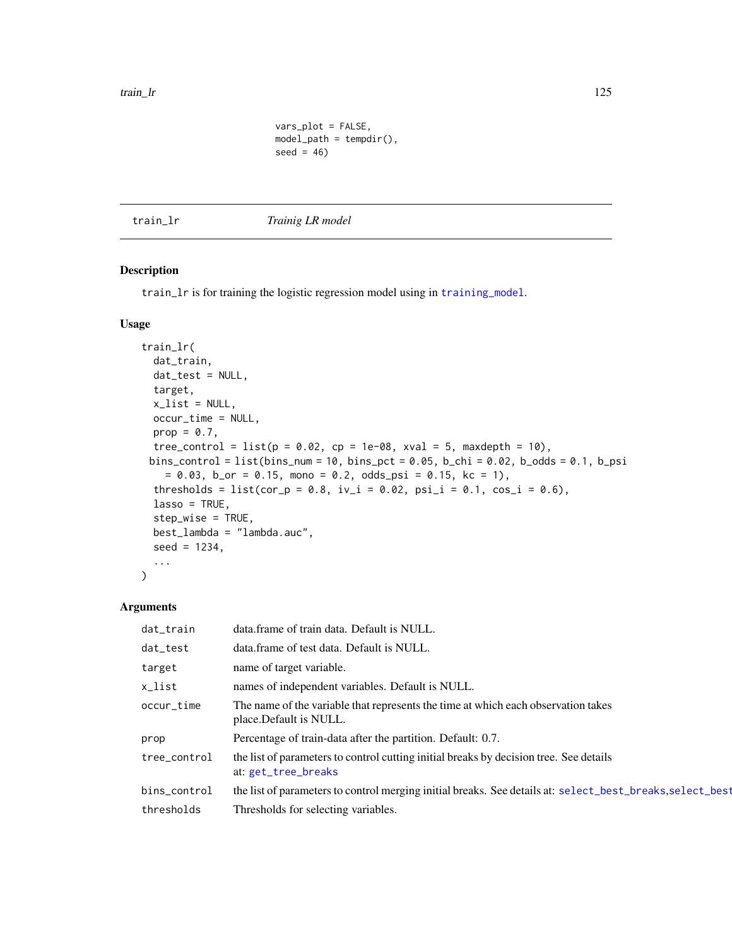```
vars_plot = FALSE,
model<sub>-</sub>path = tempdir(),
seed = 46)
```
<span id="page-124-0"></span>train\_lr *Trainig LR model*

# Description

train\_1r is for training the logistic regression model using in [training\\_model](#page-121-0).

#### Usage

```
train_lr(
  dat_train,
  dat_test = NULL,
  target,
  x<sup>list = NULL</sup>,
 occur_time = NULL,
 prop = 0.7,
  tree_control = list(p = 0.02, cp = 1e-08, xval = 5, maxdepth = 10),
 bins_control = list(bins_num = 10, bins_pct = 0.05, b_chi = 0.02, b_odds = 0.1, b_psi
    = 0.03, b_or = 0.15, mono = 0.2, odds_psi = 0.15, kc = 1),
  thresholds = list(cor_p = 0.8, iv_i = 0.02, psi_i = 0.1, cos_i = 0.6),
  lasso = TRUE,step_wise = TRUE,
 best_lambda = "lambda.auc",
  seed = 1234,
  ...
)
```
#### Arguments

| dat_train    | data.frame of train data. Default is NULL.                                                                    |
|--------------|---------------------------------------------------------------------------------------------------------------|
| dat_test     | data.frame of test data. Default is NULL.                                                                     |
| target       | name of target variable.                                                                                      |
| x_list       | names of independent variables. Default is NULL.                                                              |
| occur_time   | The name of the variable that represents the time at which each observation takes<br>place. Default is NULL.  |
| prop         | Percentage of train-data after the partition. Default: 0.7.                                                   |
| tree_control | the list of parameters to control cutting initial breaks by decision tree. See details<br>at: get_tree_breaks |
| bins_control | the list of parameters to control merging initial breaks. See details at: select_best_breaks, select_best     |
| thresholds   | Thresholds for selecting variables.                                                                           |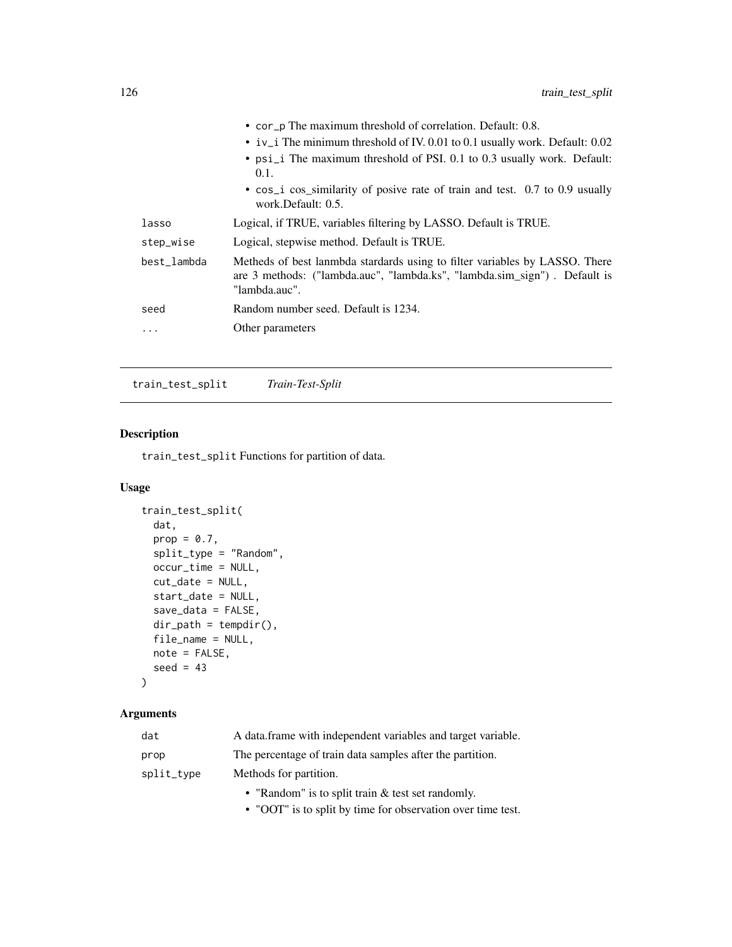<span id="page-125-1"></span>

|             | • cor p The maximum threshold of correlation. Default: 0.8.                                                                                                               |
|-------------|---------------------------------------------------------------------------------------------------------------------------------------------------------------------------|
|             | • $iv_i$ The minimum threshold of IV. 0.01 to 0.1 usually work. Default: 0.02                                                                                             |
|             | • psi_i The maximum threshold of PSI. 0.1 to 0.3 usually work. Default:<br>0.1.                                                                                           |
|             | • cos_i cos_similarity of posive rate of train and test. 0.7 to 0.9 usually<br>work.Default: 0.5.                                                                         |
| lasso       | Logical, if TRUE, variables filtering by LASSO. Default is TRUE.                                                                                                          |
| step_wise   | Logical, stepwise method. Default is TRUE.                                                                                                                                |
| best lambda | Metheds of best lanmbda stardards using to filter variables by LASSO. There<br>are 3 methods: ("lambda.auc", "lambda.ks", "lambda.sim_sign"). Default is<br>"lambda.auc". |
| seed        | Random number seed. Default is 1234.                                                                                                                                      |
| .           | Other parameters                                                                                                                                                          |

<span id="page-125-0"></span>train\_test\_split *Train-Test-Split*

# Description

train\_test\_split Functions for partition of data.

# Usage

```
train_test_split(
 dat,
 prop = 0.7,
 split_type = "Random",
 occur_time = NULL,
 cut_date = NULL,
  start_date = NULL,
  save_data = FALSE,
 dir\_path = tempdir(),
 file_name = NULL,
 note = FALSE,
  seed = 43)
```
# Arguments

| dat        | A data frame with independent variables and target variable. |
|------------|--------------------------------------------------------------|
| prop       | The percentage of train data samples after the partition.    |
| split_type | Methods for partition.                                       |
|            | • "Random" is to split train & test set randomly.            |

• "OOT" is to split by time for observation over time test.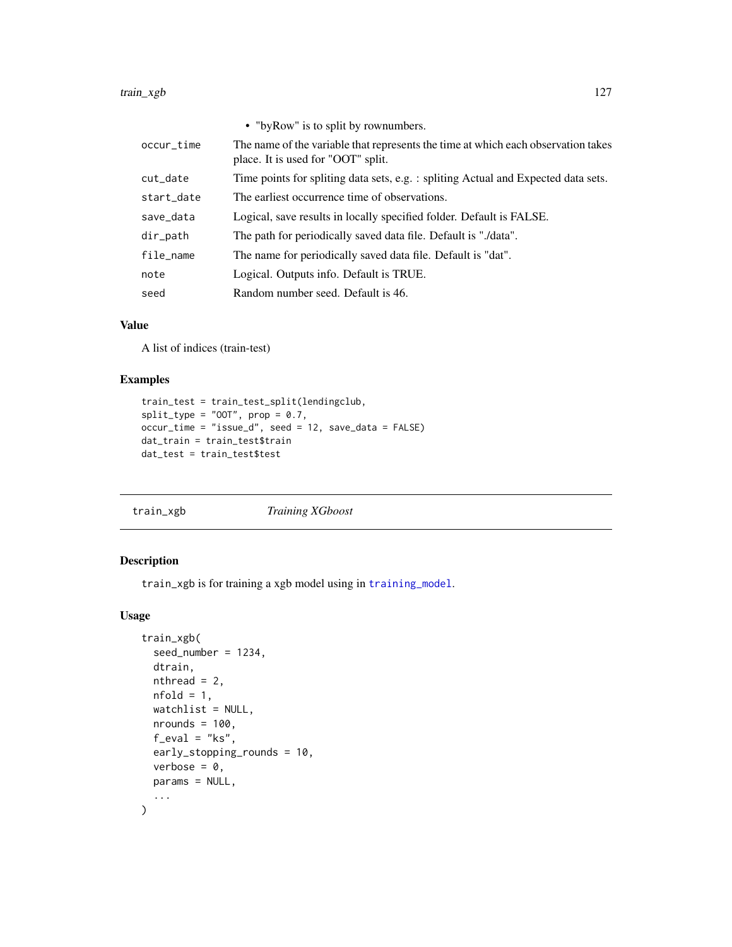<span id="page-126-0"></span>

|            | • "by Row" is to split by rownumbers.                                                                                   |
|------------|-------------------------------------------------------------------------------------------------------------------------|
| occur_time | The name of the variable that represents the time at which each observation takes<br>place. It is used for "OOT" split. |
| cut_date   | Time points for spliting data sets, e.g. : spliting Actual and Expected data sets.                                      |
| start_date | The earliest occurrence time of observations.                                                                           |
| save_data  | Logical, save results in locally specified folder. Default is FALSE.                                                    |
| dir_path   | The path for periodically saved data file. Default is "./data".                                                         |
| file_name  | The name for periodically saved data file. Default is "dat".                                                            |
| note       | Logical. Outputs info. Default is TRUE.                                                                                 |
| seed       | Random number seed. Default is 46.                                                                                      |

#### Value

A list of indices (train-test)

# Examples

```
train_test = train_test_split(lendingclub,
split_type = "00T", prop = 0.7,occur_time = "issue_d", seed = 12, save_data = FALSE)
dat_train = train_test$train
dat_test = train_test$test
```

```
train_xgb Training XGboost
```
#### Description

train\_xgb is for training a xgb model using in [training\\_model](#page-121-0).

# Usage

```
train_xgb(
  seed_number = 1234,
  dtrain,
  nthread = 2,
  nfold = 1,watchlist = NULL,
  nrounds = 100,
  f<sub>_eval</sub> = "ks",
  early_stopping_rounds = 10,
  verbose = 0,
  params = NULL,
  ...
\mathcal{L}
```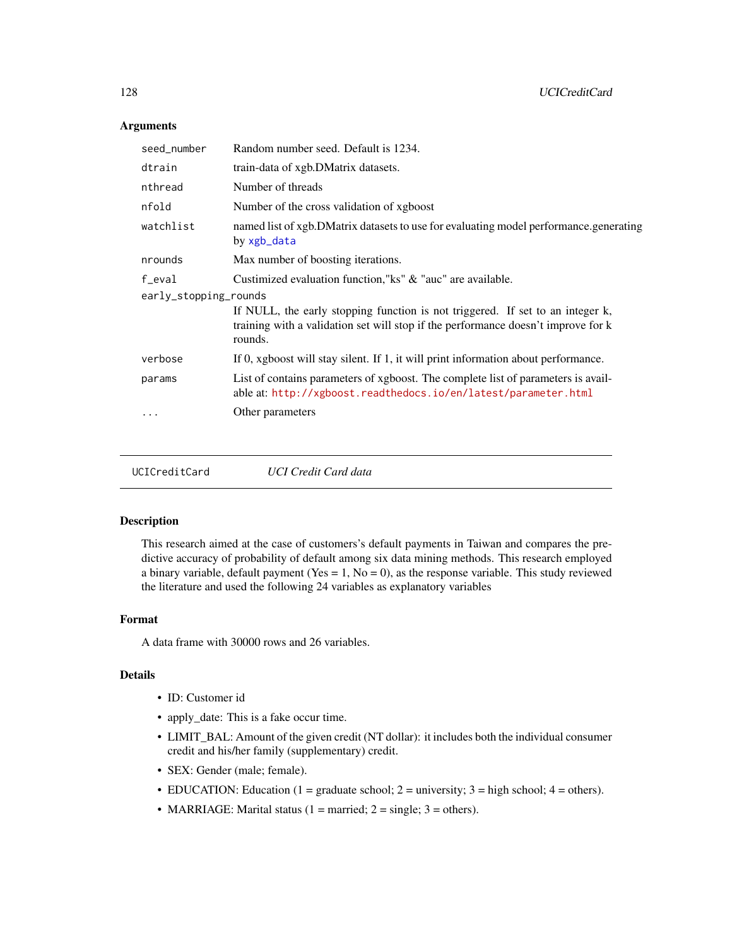# <span id="page-127-0"></span>Arguments

| seed_number           | Random number seed. Default is 1234.                                                                                                                                           |  |
|-----------------------|--------------------------------------------------------------------------------------------------------------------------------------------------------------------------------|--|
| dtrain                | train-data of xgb.DMatrix datasets.                                                                                                                                            |  |
| nthread               | Number of threads                                                                                                                                                              |  |
| nfold                 | Number of the cross validation of xgboost                                                                                                                                      |  |
| watchlist             | named list of xgb.DMatrix datasets to use for evaluating model performance.generating<br>by xgb_data                                                                           |  |
| nrounds               | Max number of boosting iterations.                                                                                                                                             |  |
| f_eval                | Custimized evaluation function,"ks" & "auc" are available.                                                                                                                     |  |
| early_stopping_rounds |                                                                                                                                                                                |  |
|                       | If NULL, the early stopping function is not triggered. If set to an integer k,<br>training with a validation set will stop if the performance doesn't improve for k<br>rounds. |  |
| verbose               | If 0, xgboost will stay silent. If 1, it will print information about performance.                                                                                             |  |
| params                | List of contains parameters of xgboost. The complete list of parameters is avail-<br>able at: http://xgboost.readthedocs.io/en/latest/parameter.html                           |  |
|                       | Other parameters                                                                                                                                                               |  |
|                       |                                                                                                                                                                                |  |
|                       |                                                                                                                                                                                |  |

UCICreditCard *UCI Credit Card data*

#### Description

This research aimed at the case of customers's default payments in Taiwan and compares the predictive accuracy of probability of default among six data mining methods. This research employed a binary variable, default payment (Yes =  $1$ , No = 0), as the response variable. This study reviewed the literature and used the following 24 variables as explanatory variables

#### Format

A data frame with 30000 rows and 26 variables.

#### Details

- ID: Customer id
- apply\_date: This is a fake occur time.
- LIMIT\_BAL: Amount of the given credit (NT dollar): it includes both the individual consumer credit and his/her family (supplementary) credit.
- SEX: Gender (male; female).
- EDUCATION: Education (1 = graduate school; 2 = university; 3 = high school; 4 = others).
- MARRIAGE: Marital status (1 = married;  $2 = \text{single}$ ; 3 = others).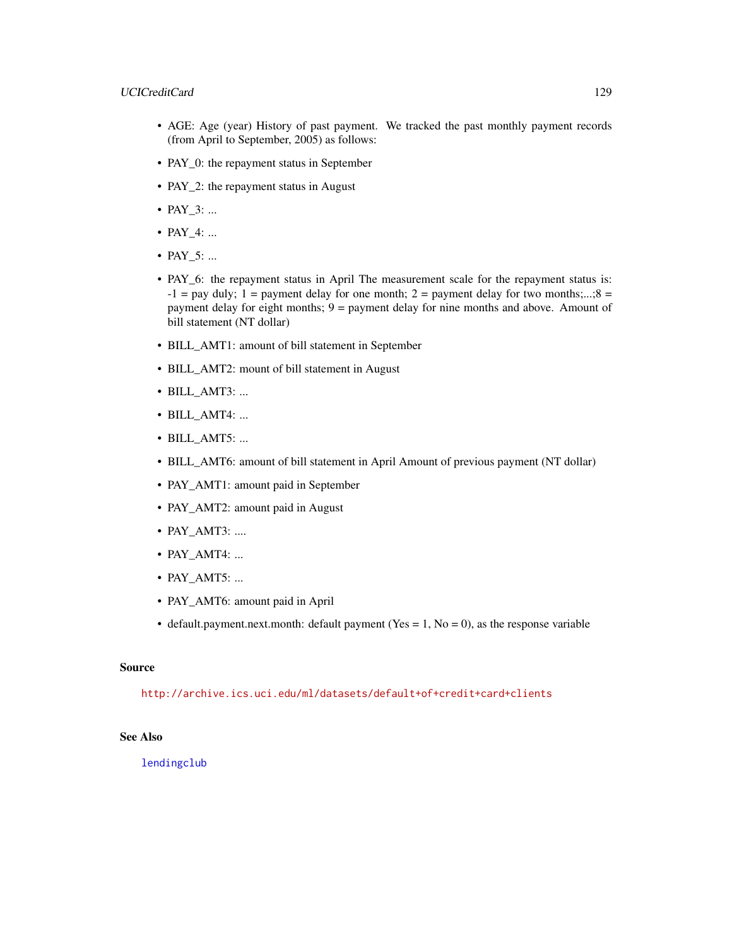#### <span id="page-128-0"></span>UCICreditCard 129

- AGE: Age (year) History of past payment. We tracked the past monthly payment records (from April to September, 2005) as follows:
- PAY\_0: the repayment status in September
- PAY\_2: the repayment status in August
- PAY\_3: ...
- PAY 4: ...
- PAY 5: ...
- PAY\_6: the repayment status in April The measurement scale for the repayment status is:  $-1$  = pay duly; 1 = payment delay for one month; 2 = payment delay for two months;...;8 = payment delay for eight months; 9 = payment delay for nine months and above. Amount of bill statement (NT dollar)
- BILL\_AMT1: amount of bill statement in September
- BILL\_AMT2: mount of bill statement in August
- BILL\_AMT3: ...
- BILL\_AMT4: ...
- BILL\_AMT5: ...
- BILL\_AMT6: amount of bill statement in April Amount of previous payment (NT dollar)
- PAY\_AMT1: amount paid in September
- PAY\_AMT2: amount paid in August
- PAY\_AMT3: ....
- PAY\_AMT4: ...
- PAY\_AMT5: ...
- PAY\_AMT6: amount paid in April
- default.payment.next.month: default payment (Yes = 1, No = 0), as the response variable

#### Source

<http://archive.ics.uci.edu/ml/datasets/default+of+credit+card+clients>

# See Also

[lendingclub](#page-64-0)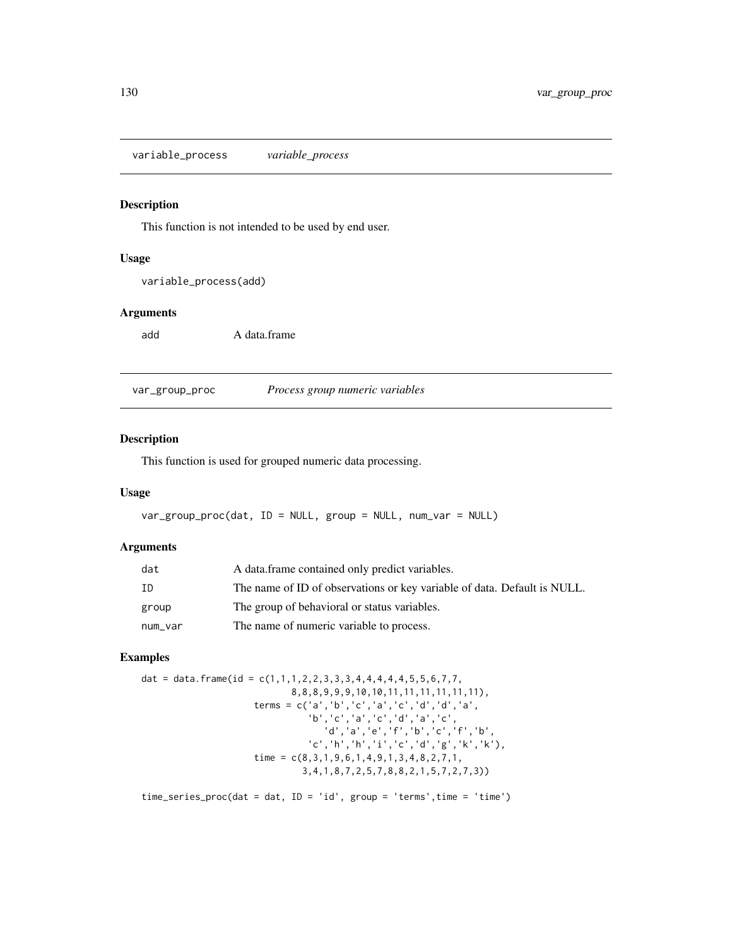<span id="page-129-0"></span>variable\_process *variable\_process*

# Description

This function is not intended to be used by end user.

#### Usage

variable\_process(add)

#### Arguments

add A data.frame

var\_group\_proc *Process group numeric variables*

#### Description

This function is used for grouped numeric data processing.

# Usage

var\_group\_proc(dat, ID = NULL, group = NULL, num\_var = NULL)

#### Arguments

| dat     | A data frame contained only predict variables.                           |
|---------|--------------------------------------------------------------------------|
| ID      | The name of ID of observations or key variable of data. Default is NULL. |
| group   | The group of behavioral or status variables.                             |
| num_var | The name of numeric variable to process.                                 |

# Examples

```
dat = data.frame(id = c(1,1,1,2,2,3,3,3,4,4,4,4,4,5,5,6,7,7,8,8,8,9,9,9,10,10,11,11,11,11,11,11),
                     terms = c('a','b','c','a','c','d','d','a',
                                'b','c','a','c','d','a','c',
                                   'd','a','e','f','b','c','f','b',
                               'c','h','h','i','c','d','g','k','k'),
                     time = c(8,3,1,9,6,1,4,9,1,3,4,8,2,7,1,
                              3,4,1,8,7,2,5,7,8,8,2,1,5,7,2,7,3))
```
time\_series\_proc(dat = dat, ID = 'id', group = 'terms',time = 'time')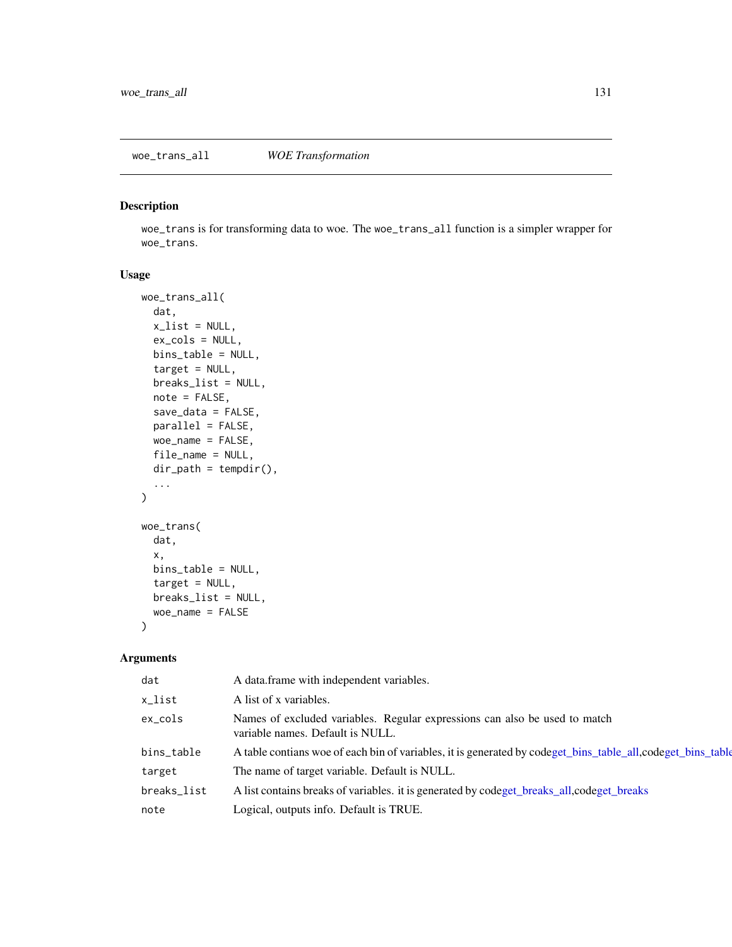# <span id="page-130-1"></span><span id="page-130-0"></span>Description

woe\_trans is for transforming data to woe. The woe\_trans\_all function is a simpler wrapper for woe\_trans.

# Usage

```
woe_trans_all(
  dat,
  x<sup>list = NULL</sup>,
  ex_cols = NULL,
  bins_table = NULL,
  target = NULL,breaks_list = NULL,
  note = FALSE,
  save_data = FALSE,
  parallel = FALSE,
  woe_name = FALSE,
  file_name = NULL,
  dir\_path = tempdir(),...
\mathcal{L}woe_trans(
  dat,
  x,
  bins_table = NULL,
  target = NULL,
  breaks_list = NULL,
  woe_name = FALSE
\mathcal{L}
```
#### Arguments

| dat         | A data frame with independent variables.                                                                       |
|-------------|----------------------------------------------------------------------------------------------------------------|
| x_list      | A list of x variables.                                                                                         |
| $ex\_cols$  | Names of excluded variables. Regular expressions can also be used to match<br>variable names. Default is NULL. |
| bins_table  | A table contians woe of each bin of variables, it is generated by codeget_bins_table_all,codeget_bins_table    |
| target      | The name of target variable. Default is NULL.                                                                  |
| breaks_list | A list contains breaks of variables. it is generated by codeget_breaks_all,codeget_breaks                      |
| note        | Logical, outputs info. Default is TRUE.                                                                        |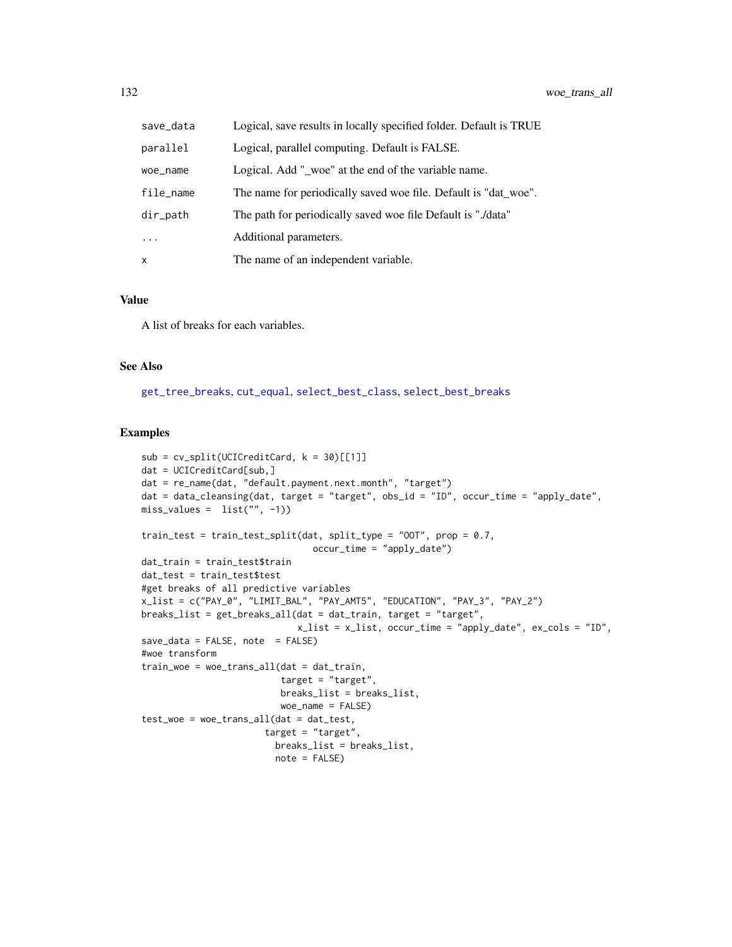<span id="page-131-0"></span>

| save_data  | Logical, save results in locally specified folder. Default is TRUE |
|------------|--------------------------------------------------------------------|
| parallel   | Logical, parallel computing. Default is FALSE.                     |
| woe_name   | Logical. Add "_woe" at the end of the variable name.               |
| file_name  | The name for periodically saved woe file. Default is "dat woe".    |
| dir_path   | The path for periodically saved woe file Default is "./data"       |
| $\ddots$ . | Additional parameters.                                             |
| x          | The name of an independent variable.                               |

#### Value

A list of breaks for each variables.

#### See Also

[get\\_tree\\_breaks](#page-56-0), [cut\\_equal](#page-16-0), [select\\_best\\_class](#page-107-0), [select\\_best\\_breaks](#page-107-1)

#### Examples

```
sub = cv_split(UCICredictCard, k = 30)[[1]]dat = UCICreditCard[sub,]
dat = re_name(dat, "default.payment.next.month", "target")
dat = data_cleansing(dat, target = "target", obs_id = "ID", occur_time = "apply_date",
miss\_values = list("", -1))train_test = train_test_split(dat, split_type = "OOT", prop = 0.7,
                                occur_time = "apply_data")dat_train = train_test$train
dat_test = train_test$test
#get breaks of all predictive variables
x_list = c("PAY_0", "LIMIT_BAL", "PAY_AMT5", "EDUCATION", "PAY_3", "PAY_2")
breaks_list = get_breaks_all(dat = dat_train, target = "target",
                             x_list = x_list, occur_time = "apply_date", ex\_cols = "ID",save\_data = FALSE, note = FALSE)#woe transform
train_woe = woe_trans_all(dat = dat_train,
                          target = "target",
                          breaks_list = breaks_list,
                          woe_name = FALSE)
test\_woe = woe\_trans\_all(data = dat\_test,target = "target",
                         breaks_list = breaks_list,
                         note = FALSE)
```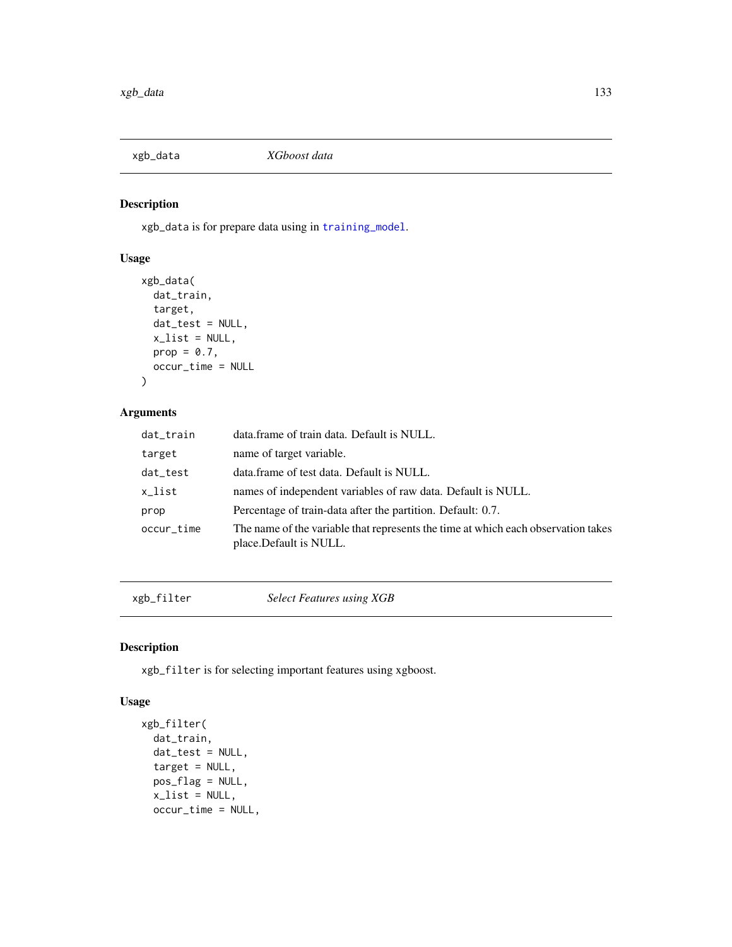<span id="page-132-1"></span><span id="page-132-0"></span>

# Description

xgb\_data is for prepare data using in [training\\_model](#page-121-0).

# Usage

```
xgb_data(
  dat_train,
  target,
  dat_test = NULL,
  x<sup>list = NULL</sup>,
  prop = 0.7,
  occur_time = NULL
\mathcal{L}
```
# Arguments

| dat_train  | data.frame of train data. Default is NULL.                                                                   |
|------------|--------------------------------------------------------------------------------------------------------------|
| target     | name of target variable.                                                                                     |
| dat_test   | data.frame of test data. Default is NULL.                                                                    |
| x_list     | names of independent variables of raw data. Default is NULL.                                                 |
| prop       | Percentage of train-data after the partition. Default: 0.7.                                                  |
| occur_time | The name of the variable that represents the time at which each observation takes<br>place. Default is NULL. |

xgb\_filter *Select Features using XGB*

# Description

xgb\_filter is for selecting important features using xgboost.

#### Usage

```
xgb_filter(
  dat_train,
  dat_test = NULL,
  target = NULL,pos_flag = NULL,
  x<sup>list = NULL</sup>,
  occur_time = NULL,
```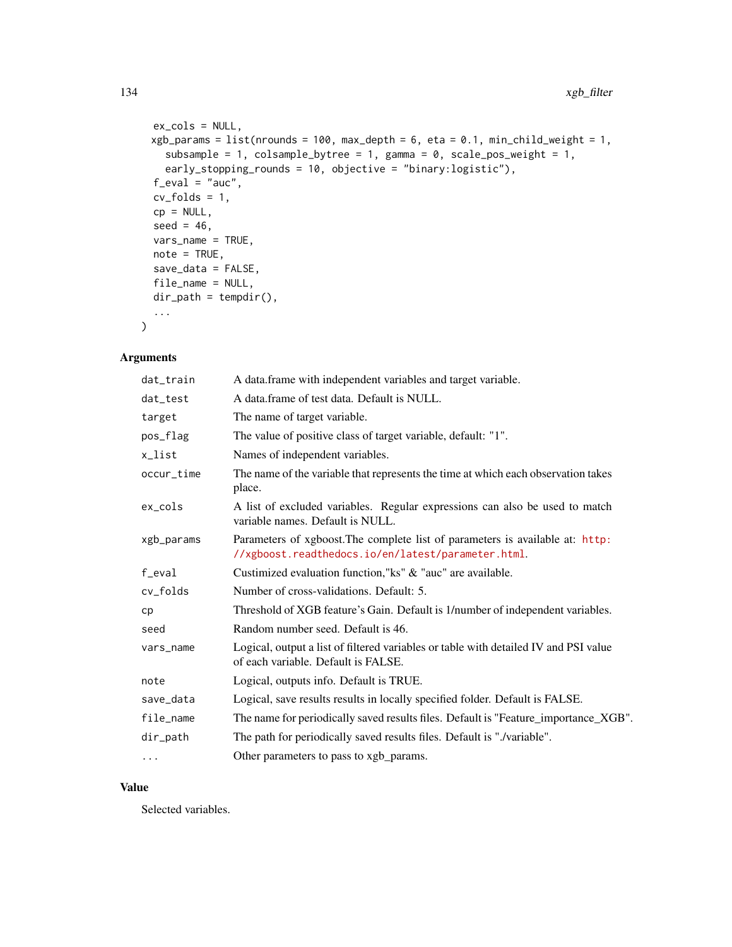```
ex_cols = NULL,
xgb\_params = list(nrounds = 100, max\_depth = 6, eta = 0.1, min\_child\_weight = 1,subsample = 1, colsample_bytree = 1, gamma = 0, scale_pos_weight = 1,
  early_stopping_rounds = 10, objective = "binary:logistic"),
f<sub>eval</sub> = "auc",
cv_folds = 1,
cp = NULL,seed = 46,
vars_name = TRUE,
note = TRUE,save_data = FALSE,
file_name = NULL,
dir_path = tempdir(),
...
```
# Arguments

 $\mathcal{L}$ 

| dat_train  | A data.frame with independent variables and target variable.                                                                        |  |
|------------|-------------------------------------------------------------------------------------------------------------------------------------|--|
| dat_test   | A data frame of test data. Default is NULL.                                                                                         |  |
| target     | The name of target variable.                                                                                                        |  |
| pos_flag   | The value of positive class of target variable, default: "1".                                                                       |  |
| x_list     | Names of independent variables.                                                                                                     |  |
| occur_time | The name of the variable that represents the time at which each observation takes<br>place.                                         |  |
| $ex\_cols$ | A list of excluded variables. Regular expressions can also be used to match<br>variable names. Default is NULL.                     |  |
| xgb_params | Parameters of xgboost. The complete list of parameters is available at: http:<br>//xgboost.readthedocs.io/en/latest/parameter.html. |  |
| f_eval     | Custimized evaluation function,"ks" & "auc" are available.                                                                          |  |
| cv_folds   | Number of cross-validations. Default: 5.                                                                                            |  |
| cp         | Threshold of XGB feature's Gain. Default is 1/number of independent variables.                                                      |  |
| seed       | Random number seed. Default is 46.                                                                                                  |  |
| vars_name  | Logical, output a list of filtered variables or table with detailed IV and PSI value<br>of each variable. Default is FALSE.         |  |
| note       | Logical, outputs info. Default is TRUE.                                                                                             |  |
| save_data  | Logical, save results results in locally specified folder. Default is FALSE.                                                        |  |
| file_name  | The name for periodically saved results files. Default is "Feature_importance_XGB".                                                 |  |
| dir_path   | The path for periodically saved results files. Default is "./variable".                                                             |  |
| $\cdots$   | Other parameters to pass to xgb_params.                                                                                             |  |

# Value

Selected variables.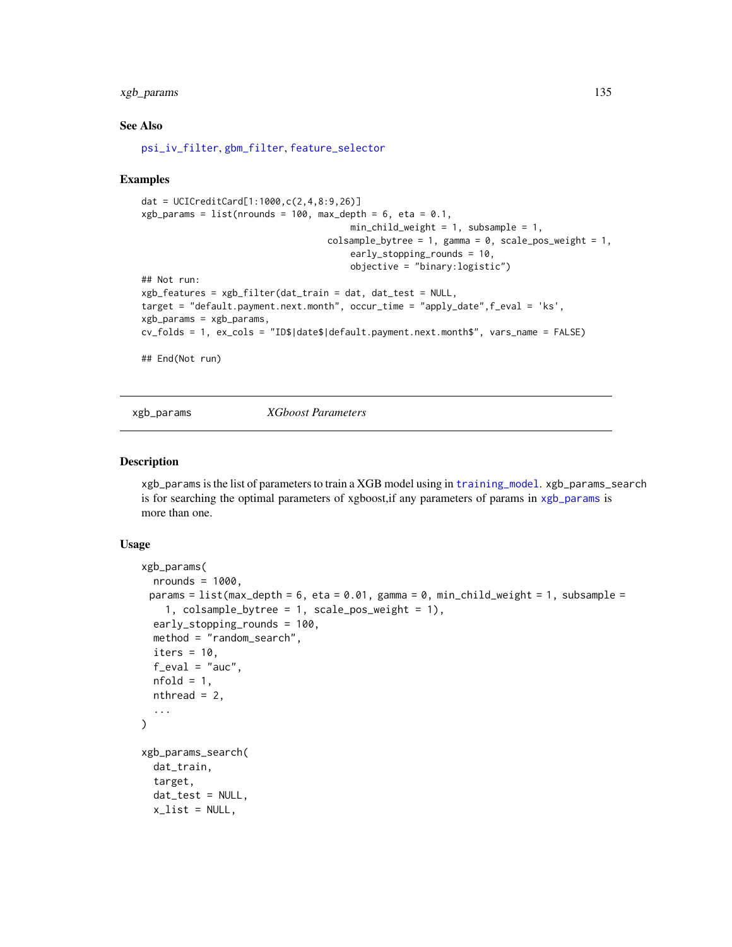# <span id="page-134-1"></span>xgb\_params 135

#### See Also

[psi\\_iv\\_filter](#page-92-0), [gbm\\_filter](#page-33-0), [feature\\_selector](#page-29-0)

#### Examples

```
dat = UCICreditCard[1:1000,c(2,4,8:9,26)]
xgb_parameters = list(nrounds = 100, max_-depth = 6, eta = 0.1,min_{\text{child\_weight}} = 1, subsample = 1,
                                    colsample_bytree = 1, gamma = 0, scale_pos_weight = 1,
                                        early_stopping_rounds = 10,
                                        objective = "binary:logistic")
## Not run:
xgb_features = xgb_filter(dat_train = dat, dat_test = NULL,
target = "default.payment.next.month", occur_time = "apply_date",f_eval = 'ks',
xgb_params = xgb_params,
cv_folds = 1, ex_cols = "ID$|date$|default.payment.next.month$", vars_name = FALSE)
## End(Not run)
```
<span id="page-134-0"></span>

xgb\_params *XGboost Parameters*

#### Description

xgb\_params is the list of parameters to train a XGB model using in [training\\_model](#page-121-0). xgb\_params\_search is for searching the optimal parameters of xgboost,if any parameters of params in [xgb\\_params](#page-134-0) is more than one.

#### Usage

```
xgb_params(
  nrounds = 1000,
 params = list(max_depth = 6, eta = 0.01, gamma = 0, min_child_weight = 1, subsample =
    1, colsample_bytree = 1, scale_pos_weight = 1),
  early_stopping_rounds = 100,
  method = "random_search",
  iters = 10,
  f<sub>eval</sub> = "auc",
  nfold = 1,
  nthread = 2,
  ...
\mathcal{L}xgb_params_search(
  dat_train,
  target,
  dat_test = NULL,
  x<sup>list = NULL</sup>,
```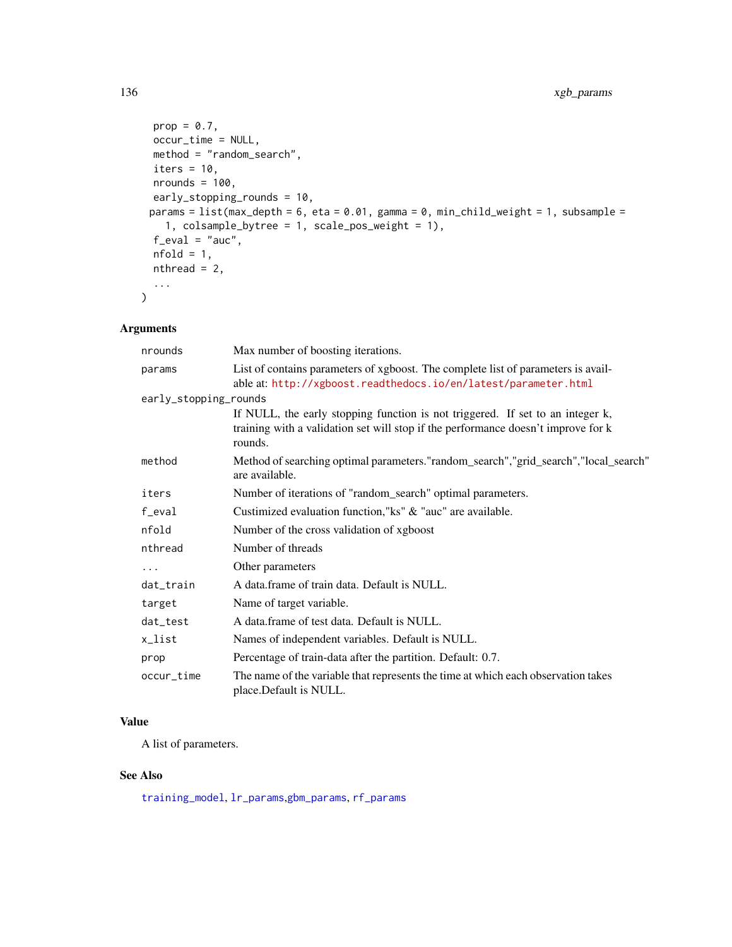```
prop = 0.7,
 occur_time = NULL,
 method = "random_search",
 iters = 10,
 nrounds = 100,
 early_stopping_rounds = 10,
 params = list(max_depth = 6, eta = 0.01, gamma = 0, min_child\_weight = 1, subsample =1, colsample_bytree = 1, scale_pos_weight = 1),
 f<sub>eval</sub> = "auc",
 nfold = 1,nthread = 2,
 ...
\mathcal{L}
```
# Arguments

| nrounds               | Max number of boosting iterations.                                                                                                                                             |  |
|-----------------------|--------------------------------------------------------------------------------------------------------------------------------------------------------------------------------|--|
| params                | List of contains parameters of xgboost. The complete list of parameters is avail-<br>able at: http://xgboost.readthedocs.io/en/latest/parameter.html                           |  |
| early_stopping_rounds |                                                                                                                                                                                |  |
|                       | If NULL, the early stopping function is not triggered. If set to an integer k,<br>training with a validation set will stop if the performance doesn't improve for k<br>rounds. |  |
| method                | Method of searching optimal parameters."random_search","grid_search","local_search"<br>are available.                                                                          |  |
| iters                 | Number of iterations of "random_search" optimal parameters.                                                                                                                    |  |
| f_eval                | Custimized evaluation function,"ks" & "auc" are available.                                                                                                                     |  |
| nfold                 | Number of the cross validation of xgboost                                                                                                                                      |  |
| nthread               | Number of threads                                                                                                                                                              |  |
| $\ddotsc$             | Other parameters                                                                                                                                                               |  |
| dat_train             | A data.frame of train data. Default is NULL.                                                                                                                                   |  |
| target                | Name of target variable.                                                                                                                                                       |  |
| dat_test              | A data frame of test data. Default is NULL.                                                                                                                                    |  |
| x_list                | Names of independent variables. Default is NULL.                                                                                                                               |  |
| prop                  | Percentage of train-data after the partition. Default: 0.7.                                                                                                                    |  |
| occur_time            | The name of the variable that represents the time at which each observation takes<br>place.Default is NULL.                                                                    |  |

#### Value

A list of parameters.

# See Also

[training\\_model](#page-121-0), [lr\\_params](#page-69-0),[gbm\\_params](#page-35-0), [rf\\_params](#page-103-0)

<span id="page-135-0"></span>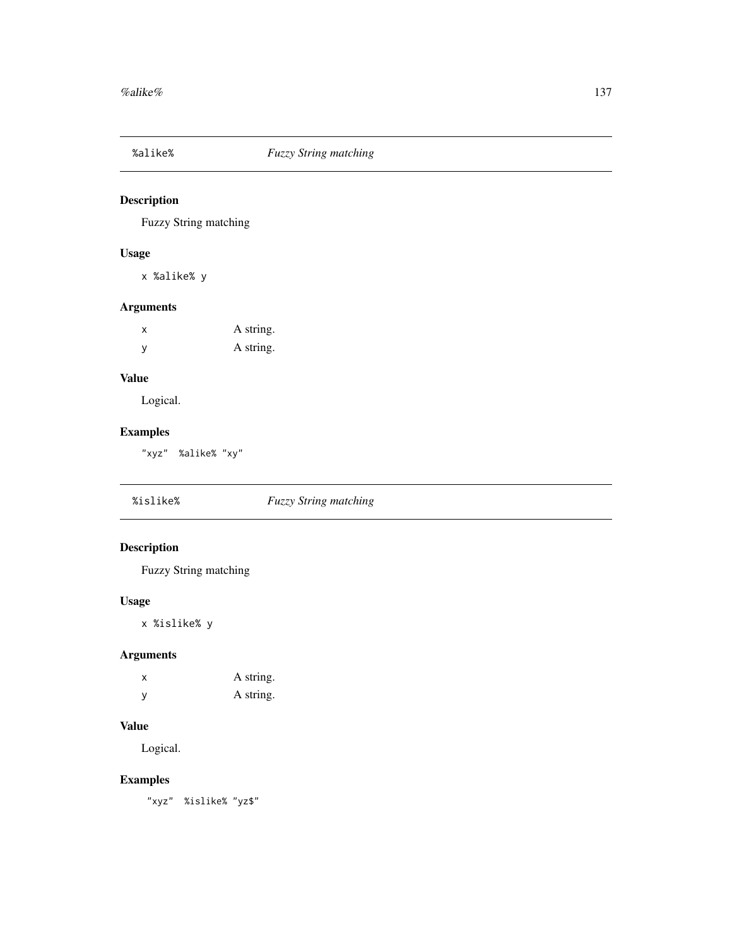<span id="page-136-0"></span>

# Description

Fuzzy String matching

# Usage

x %alike% y

# Arguments

| х | A string. |
|---|-----------|
| y | A string. |

# Value

Logical.

# Examples

"xyz" %alike% "xy"

| %islike% | <b>Fuzzy String matching</b> |  |
|----------|------------------------------|--|
|----------|------------------------------|--|

# Description

Fuzzy String matching

# Usage

x %islike% y

# Arguments

| x | A string. |
|---|-----------|
| y | A string. |

#### Value

Logical.

# Examples

"xyz" %islike% "yz\$"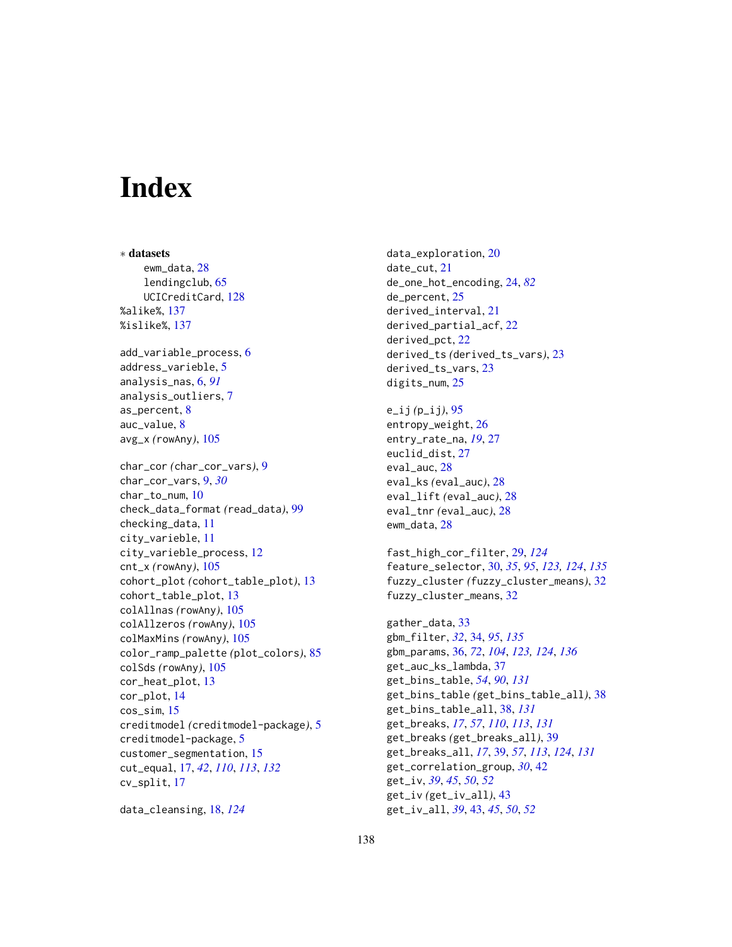# **Index**

∗ datasets ewm\_data, [28](#page-27-0) lendingclub, [65](#page-64-1) UCICreditCard, [128](#page-127-0) %alike%, [137](#page-136-0) %islike%, [137](#page-136-0) add\_variable\_process, [6](#page-5-0) address\_varieble, [5](#page-4-0) analysis\_nas, [6,](#page-5-0) *[91](#page-90-0)* analysis\_outliers, [7](#page-6-0) as\_percent, [8](#page-7-0) auc\_value, [8](#page-7-0) avg\_x *(*rowAny*)*, [105](#page-104-0) char\_cor *(*char\_cor\_vars*)*, [9](#page-8-0) char\_cor\_vars, [9,](#page-8-0) *[30](#page-29-1)* char\_to\_num, [10](#page-9-0) check\_data\_format *(*read\_data*)*, [99](#page-98-0) checking\_data, [11](#page-10-0) city\_varieble, [11](#page-10-0) city\_varieble\_process, [12](#page-11-0) cnt\_x *(*rowAny*)*, [105](#page-104-0) cohort\_plot *(*cohort\_table\_plot*)*, [13](#page-12-0) cohort\_table\_plot, [13](#page-12-0) colAllnas *(*rowAny*)*, [105](#page-104-0) colAllzeros *(*rowAny*)*, [105](#page-104-0) colMaxMins *(*rowAny*)*, [105](#page-104-0) color\_ramp\_palette *(*plot\_colors*)*, [85](#page-84-0) colSds *(*rowAny*)*, [105](#page-104-0) cor\_heat\_plot, [13](#page-12-0) cor\_plot, [14](#page-13-0) cos\_sim, [15](#page-14-0) creditmodel *(*creditmodel-package*)*, [5](#page-4-0) creditmodel-package, [5](#page-4-0) customer\_segmentation, [15](#page-14-0) cut\_equal, [17,](#page-16-1) *[42](#page-41-0)*, *[110](#page-109-0)*, *[113](#page-112-0)*, *[132](#page-131-0)* cv\_split, [17](#page-16-1)

data\_cleansing, [18,](#page-17-1) *[124](#page-123-0)*

data\_exploration, [20](#page-19-0) date\_cut, [21](#page-20-0) de\_one\_hot\_encoding, [24,](#page-23-0) *[82](#page-81-0)* de\_percent, [25](#page-24-0) derived\_interval, [21](#page-20-0) derived\_partial\_acf, [22](#page-21-0) derived\_pct, [22](#page-21-0) derived\_ts *(*derived\_ts\_vars*)*, [23](#page-22-0) derived\_ts\_vars, [23](#page-22-0) digits\_num, [25](#page-24-0) e\_ij *(*p\_ij*)*, [95](#page-94-0) entropy\_weight, [26](#page-25-0) entry\_rate\_na, *[19](#page-18-0)*, [27](#page-26-0) euclid\_dist, [27](#page-26-0) eval\_auc, [28](#page-27-0) eval\_ks *(*eval\_auc*)*, [28](#page-27-0) eval\_lift *(*eval\_auc*)*, [28](#page-27-0) eval\_tnr *(*eval\_auc*)*, [28](#page-27-0) ewm\_data, [28](#page-27-0) fast\_high\_cor\_filter, [29,](#page-28-1) *[124](#page-123-0)* feature\_selector, [30,](#page-29-1) *[35](#page-34-0)*, *[95](#page-94-0)*, *[123,](#page-122-0) [124](#page-123-0)*, *[135](#page-134-1)* fuzzy\_cluster *(*fuzzy\_cluster\_means*)*, [32](#page-31-0) fuzzy\_cluster\_means, [32](#page-31-0) gather\_data, [33](#page-32-0) gbm\_filter, *[32](#page-31-0)*, [34,](#page-33-1) *[95](#page-94-0)*, *[135](#page-134-1)* gbm\_params, [36,](#page-35-1) *[72](#page-71-0)*, *[104](#page-103-1)*, *[123,](#page-122-0) [124](#page-123-0)*, *[136](#page-135-0)* get\_auc\_ks\_lambda, [37](#page-36-0) get\_bins\_table, *[54](#page-53-1)*, *[90](#page-89-0)*, *[131](#page-130-1)* get\_bins\_table *(*get\_bins\_table\_all*)*, [38](#page-37-2) get\_bins\_table\_all, [38,](#page-37-2) *[131](#page-130-1)* get\_breaks, *[17](#page-16-1)*, *[57](#page-56-1)*, *[110](#page-109-0)*, *[113](#page-112-0)*, *[131](#page-130-1)* get\_breaks *(*get\_breaks\_all*)*, [39](#page-38-2) get\_breaks\_all, *[17](#page-16-1)*, [39,](#page-38-2) *[57](#page-56-1)*, *[113](#page-112-0)*, *[124](#page-123-0)*, *[131](#page-130-1)* get\_correlation\_group, *[30](#page-29-1)*, [42](#page-41-0) get\_iv, *[39](#page-38-2)*, *[45](#page-44-1)*, *[50](#page-49-0)*, *[52](#page-51-0)* get\_iv *(*get\_iv\_all*)*, [43](#page-42-0) get\_iv\_all, *[39](#page-38-2)*, [43,](#page-42-0) *[45](#page-44-1)*, *[50](#page-49-0)*, *[52](#page-51-0)*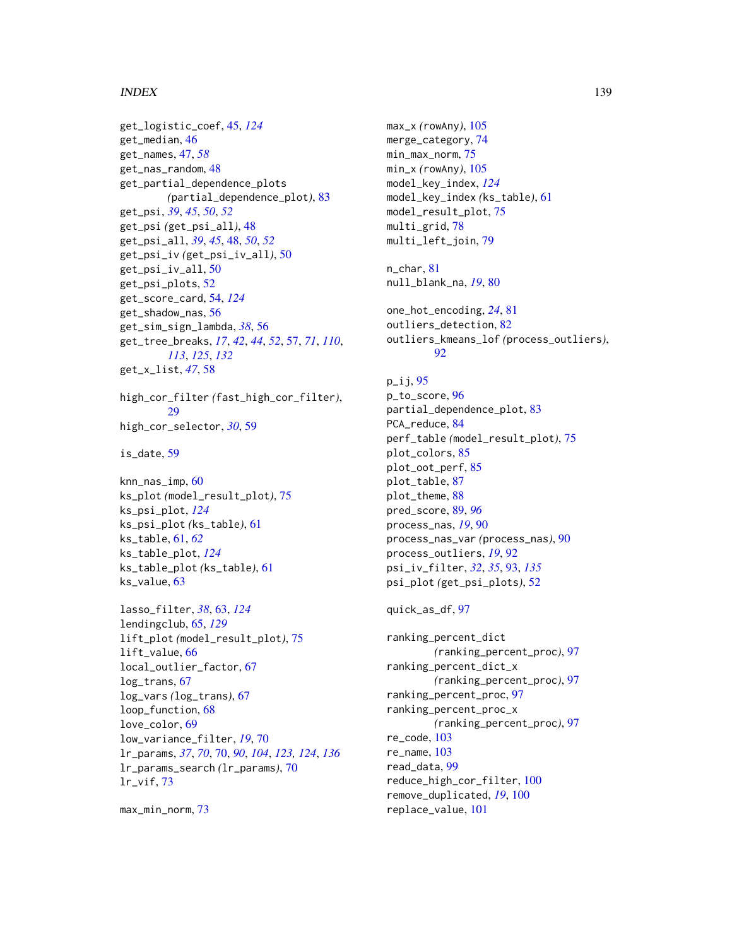#### INDEX 139

get\_logistic\_coef, [45,](#page-44-1) *[124](#page-123-0)* get\_median, [46](#page-45-0) get\_names, [47,](#page-46-0) *[58](#page-57-0)* get\_nas\_random, [48](#page-47-0) get\_partial\_dependence\_plots *(*partial\_dependence\_plot*)*, [83](#page-82-0) get\_psi, *[39](#page-38-2)*, *[45](#page-44-1)*, *[50](#page-49-0)*, *[52](#page-51-0)* get\_psi *(*get\_psi\_all*)*, [48](#page-47-0) get\_psi\_all, *[39](#page-38-2)*, *[45](#page-44-1)*, [48,](#page-47-0) *[50](#page-49-0)*, *[52](#page-51-0)* get\_psi\_iv *(*get\_psi\_iv\_all*)*, [50](#page-49-0) get\_psi\_iv\_all, [50](#page-49-0) get\_psi\_plots, [52](#page-51-0) get\_score\_card, [54,](#page-53-1) *[124](#page-123-0)* get\_shadow\_nas, [56](#page-55-0) get\_sim\_sign\_lambda, *[38](#page-37-2)*, [56](#page-55-0) get\_tree\_breaks, *[17](#page-16-1)*, *[42](#page-41-0)*, *[44](#page-43-0)*, *[52](#page-51-0)*, [57,](#page-56-1) *[71](#page-70-0)*, *[110](#page-109-0)*, *[113](#page-112-0)*, *[125](#page-124-0)*, *[132](#page-131-0)* get\_x\_list, *[47](#page-46-0)*, [58](#page-57-0) high\_cor\_filter *(*fast\_high\_cor\_filter*)*, [29](#page-28-1) high\_cor\_selector, *[30](#page-29-1)*, [59](#page-58-0) is\_date, [59](#page-58-0) knn\_nas\_imp, [60](#page-59-0) ks\_plot *(*model\_result\_plot*)*, [75](#page-74-0) ks\_psi\_plot, *[124](#page-123-0)* ks\_psi\_plot *(*ks\_table*)*, [61](#page-60-1) ks\_table, [61,](#page-60-1) *[62](#page-61-0)* ks\_table\_plot, *[124](#page-123-0)* ks\_table\_plot *(*ks\_table*)*, [61](#page-60-1) ks\_value, [63](#page-62-1) lasso\_filter, *[38](#page-37-2)*, [63,](#page-62-1) *[124](#page-123-0)* lendingclub, [65,](#page-64-1) *[129](#page-128-0)* lift\_plot *(*model\_result\_plot*)*, [75](#page-74-0) lift\_value, [66](#page-65-0) local\_outlier\_factor, [67](#page-66-0) log\_trans, [67](#page-66-0) log\_vars *(*log\_trans*)*, [67](#page-66-0) loop\_function, [68](#page-67-0) love\_color, [69](#page-68-0) low\_variance\_filter, *[19](#page-18-0)*, [70](#page-69-1) lr\_params, *[37](#page-36-0)*, *[70](#page-69-1)*, [70,](#page-69-1) *[90](#page-89-0)*, *[104](#page-103-1)*, *[123,](#page-122-0) [124](#page-123-0)*, *[136](#page-135-0)* lr\_params\_search *(*lr\_params*)*, [70](#page-69-1) lr\_vif, [73](#page-72-0)

max\_min\_norm, [73](#page-72-0)

max\_x *(*rowAny*)*, [105](#page-104-0) merge\_category, [74](#page-73-0) min\_max\_norm, [75](#page-74-0) min\_x *(*rowAny*)*, [105](#page-104-0) model\_key\_index, *[124](#page-123-0)* model\_key\_index *(*ks\_table*)*, [61](#page-60-1) model\_result\_plot, [75](#page-74-0) multi\_grid, [78](#page-77-0) multi\_left\_join, [79](#page-78-0) n\_char, [81](#page-80-0) null\_blank\_na, *[19](#page-18-0)*, [80](#page-79-0) one\_hot\_encoding, *[24](#page-23-0)*, [81](#page-80-0) outliers\_detection, [82](#page-81-0) outliers\_kmeans\_lof *(*process\_outliers*)*, [92](#page-91-0)  $p_i$  ij, [95](#page-94-0) p\_to\_score, [96](#page-95-0) partial\_dependence\_plot, [83](#page-82-0) PCA\_reduce, [84](#page-83-0) perf\_table *(*model\_result\_plot*)*, [75](#page-74-0) plot\_colors, [85](#page-84-0) plot\_oot\_perf, [85](#page-84-0) plot\_table, [87](#page-86-0) plot\_theme, [88](#page-87-0) pred\_score, [89,](#page-88-0) *[96](#page-95-0)* process\_nas, *[19](#page-18-0)*, [90](#page-89-0) process\_nas\_var *(*process\_nas*)*, [90](#page-89-0) process\_outliers, *[19](#page-18-0)*, [92](#page-91-0) psi\_iv\_filter, *[32](#page-31-0)*, *[35](#page-34-0)*, [93,](#page-92-1) *[135](#page-134-1)* psi\_plot *(*get\_psi\_plots*)*, [52](#page-51-0) quick\_as\_df, [97](#page-96-0) ranking\_percent\_dict *(*ranking\_percent\_proc*)*, [97](#page-96-0) ranking\_percent\_dict\_x *(*ranking\_percent\_proc*)*, [97](#page-96-0) ranking\_percent\_proc, [97](#page-96-0) ranking\_percent\_proc\_x *(*ranking\_percent\_proc*)*, [97](#page-96-0) re\_code, [103](#page-102-0)

re\_name, [103](#page-102-0) read\_data, [99](#page-98-0) reduce\_high\_cor\_filter, [100](#page-99-0) remove\_duplicated, *[19](#page-18-0)*, [100](#page-99-0) replace\_value, [101](#page-100-0)